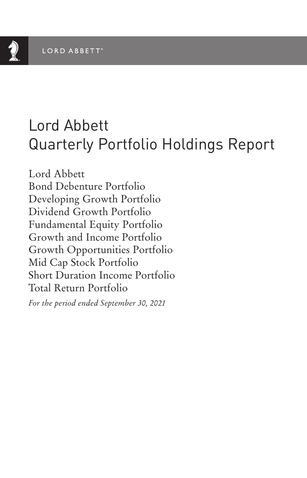# Lord Abbett Quarterly Portfolio Holdings Report

Lord Abbett Bond Debenture Portfolio Developing Growth Portfolio Dividend Growth Portfolio Fundamental Equity Portfolio Growth and Income Portfolio Growth Opportunities Portfolio Mid Cap Stock Portfolio Short Duration Income Portfolio Total Return Portfolio

*For the period ended September 30, 2021*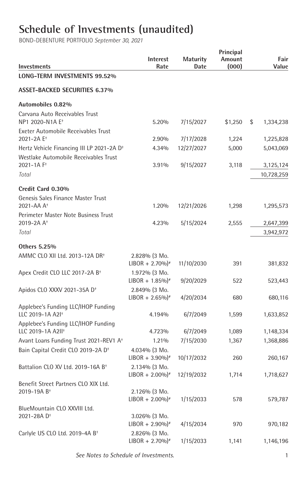## **Schedule of Investments (unaudited)**

| Investments                                                          | Interest<br>Rate                                  | <b>Maturity</b><br>Date | Principal<br>Amount<br>(000) | Fair<br>Value   |
|----------------------------------------------------------------------|---------------------------------------------------|-------------------------|------------------------------|-----------------|
| LONG-TERM INVESTMENTS 99.52%                                         |                                                   |                         |                              |                 |
| <b>ASSET-BACKED SECURITIES 6.37%</b>                                 |                                                   |                         |                              |                 |
| Automobiles 0.82%                                                    |                                                   |                         |                              |                 |
| Carvana Auto Receivables Trust<br>NP1 2020-N1A E <sup>+</sup>        | 5.20%                                             | 7/15/2027               | \$1,250                      | \$<br>1,334,238 |
| Exeter Automobile Receivables Trust<br>2021-2A E <sup>+</sup>        | 2.90%                                             | 7/17/2028               | 1,224                        | 1,225,828       |
| Hertz Vehicle Financing III LP 2021-2A D <sup>+</sup>                | 4.34%                                             | 12/27/2027              | 5,000                        | 5,043,069       |
| Westlake Automobile Receivables Trust<br>2021-1A F <sup>+</sup>      | 3.91%                                             | 9/15/2027               | 3,118                        | 3,125,124       |
| Total                                                                |                                                   |                         |                              | 10,728,259      |
| Credit Card 0.30%                                                    |                                                   |                         |                              |                 |
| Genesis Sales Finance Master Trust<br>2021-AA A <sup>+</sup>         | 1.20%                                             | 12/21/2026              | 1,298                        | 1,295,573       |
| Perimeter Master Note Business Trust<br>2019-2A A <sup>+</sup>       | 4.23%                                             | 5/15/2024               | 2,555                        | 2,647,399       |
| Total                                                                |                                                   |                         |                              | 3,942,972       |
| Others 5.25%                                                         |                                                   |                         |                              |                 |
| AMMC CLO XII Ltd. 2013-12A DR <sup>+</sup>                           | 2.828% (3 Mo.<br>$LIBOR + 2.70\%$ <sup>*</sup>    | 11/10/2030              | 391                          | 381,832         |
| Apex Credit CLO LLC 2017-2A B <sup>+</sup>                           | 1.972% (3 Mo.<br>$LIBOR + 1.85\%$ <sup>*</sup>    | 9/20/2029               | 522                          | 523,443         |
| Apidos CLO XXXV 2021-35A D <sup>+</sup>                              | 2.849% (3 Mo.<br>$LIBOR + 2.65\%$ <sup>*</sup>    | 4/20/2034               | 680                          | 680,116         |
| Applebee's Funding LLC/IHOP Funding<br>LLC 2019-1A A2I <sup>+</sup>  | 4.194%                                            | 6/7/2049                | 1,599                        | 1,633,852       |
| Applebee's Funding LLC/IHOP Funding<br>LLC 2019-1A A2II <sup>+</sup> | 4.723%                                            | 6/7/2049                | 1,089                        | 1,148,334       |
| Avant Loans Funding Trust 2021-REV1 A <sup>+</sup>                   | 1.21%                                             | 7/15/2030               | 1,367                        | 1,368,886       |
| Bain Capital Credit CLO 2019-2A D <sup>+</sup>                       | $4.034\%$ (3 Mo.<br>$LIBOR + 3.90\%$ <sup>*</sup> | 10/17/2032              | 260                          | 260,167         |
| Battalion CLO XV Ltd. 2019-16A B <sup>+</sup>                        | 2.134% (3 Mo.<br>$LIBOR + 2.00\%$ <sup>*</sup>    | 12/19/2032              | 1,714                        | 1,718,627       |
| Benefit Street Partners CLO XIX Ltd.<br>2019-19A B <sup>+</sup>      | 2.126% (3 Mo.<br>$LIBOR + 2.00\%$ <sup>*</sup>    | 1/15/2033               | 578                          | 579,787         |
| BlueMountain CLO XXVIII Ltd.<br>2021-28A D <sup>+</sup>              | 3.026% (3 Mo.<br>$LIBOR + 2.90\%$ <sup>*</sup>    | 4/15/2034               | 970                          | 970,182         |
| Carlyle US CLO Ltd. 2019-4A B <sup>+</sup>                           | 2.826% (3 Mo.<br>$LIBOR + 2.70\%$ <sup>*</sup>    | 1/15/2033               | 1,141                        | 1,146,196       |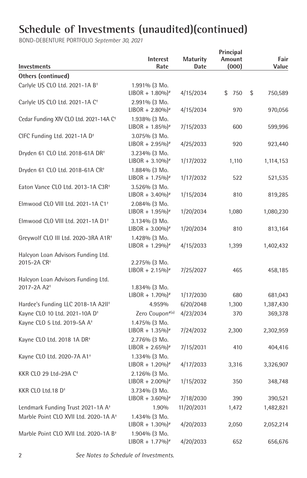| <b>Investments</b>                                 | Interest<br>Rate                               | <b>Maturity</b><br>Date | Principal<br>Amount<br>(000) | Fair<br>Value |
|----------------------------------------------------|------------------------------------------------|-------------------------|------------------------------|---------------|
| Others (continued)                                 |                                                |                         |                              |               |
| Carlyle US CLO Ltd. 2021-1A B <sup>+</sup>         | 1.991% (3 Mo.                                  |                         |                              |               |
|                                                    | $LIBOR + 1.80\%$ <sup>*</sup>                  | 4/15/2034               | \$750                        | \$<br>750,589 |
| Carlyle US CLO Ltd. 2021-1A C <sup>+</sup>         | 2.991% (3 Mo.                                  |                         |                              |               |
|                                                    | $LIBOR + 2.80\%$ <sup>*</sup>                  | 4/15/2034               | 970                          | 970,056       |
| Cedar Funding XIV CLO Ltd. 2021-14A C <sup>+</sup> | 1.938% (3 Mo.                                  |                         |                              |               |
|                                                    | $LIBOR + 1.85\%$ <sup>*</sup>                  | 7/15/2033               | 600                          | 599,996       |
| CIFC Funding Ltd. 2021-1A D <sup>+</sup>           | 3.075% (3 Mo.                                  |                         |                              |               |
|                                                    | $LIBOR + 2.95\%$ <sup>*</sup>                  | 4/25/2033               | 920                          | 923,440       |
| Dryden 61 CLO Ltd. 2018-61A DR <sup>+</sup>        | 3.234% (3 Mo.                                  |                         |                              |               |
|                                                    | $LIBOR + 3.10\%$ <sup>*</sup>                  | 1/17/2032               | 1,110                        | 1,114,153     |
| Dryden 61 CLO Ltd. 2018-61A CR <sup>+</sup>        | 1.884% (3 Mo.                                  |                         |                              |               |
|                                                    | $LIBOR + 1.75\%$ <sup>*</sup>                  | 1/17/2032               | 522                          | 521,535       |
| Eaton Vance CLO Ltd. 2013-1A C3R <sup>+</sup>      | 3.526% (3 Mo.                                  |                         |                              |               |
|                                                    | $LIBOR + 3.40\%$ <sup>*</sup>                  | 1/15/2034               | 810                          | 819,285       |
| Elmwood CLO VIII Ltd. 2021-1A C1 <sup>+</sup>      | 2.084% (3 Mo.                                  |                         |                              |               |
|                                                    | $LIBOR + 1.95\%$ <sup>*</sup>                  | 1/20/2034               | 1,080                        | 1,080,230     |
| Elmwood CLO VIII Ltd. 2021-1A D1 <sup>+</sup>      | 3.134% (3 Mo.<br>$LIBOR + 3.00\%$ <sup>*</sup> | 1/20/2034               | 810                          | 813,164       |
|                                                    |                                                |                         |                              |               |
| Greywolf CLO III Ltd. 2020-3RA A1R <sup>+</sup>    | 1.428% (3 Mo.<br>$LIBOR + 1.29\%$ <sup>*</sup> | 4/15/2033               | 1,399                        | 1,402,432     |
| Halcyon Loan Advisors Funding Ltd.                 |                                                |                         |                              |               |
| 2015-2A CR+                                        | 2.275% (3 Mo.                                  |                         |                              |               |
|                                                    | $LIBOR + 2.15\%$ <sup>*</sup>                  | 7/25/2027               | 465                          | 458,185       |
| Halcyon Loan Advisors Funding Ltd.                 |                                                |                         |                              |               |
| 2017-2A A2 <sup>+</sup>                            | 1.834% (3 Mo.                                  |                         |                              |               |
|                                                    | $LIBOR + 1.70\%$ <sup>*</sup>                  | 1/17/2030               | 680                          | 681,043       |
| Hardee's Funding LLC 2018-1A A2II <sup>+</sup>     | 4.959%                                         | 6/20/2048               | 1,300                        | 1,387,430     |
| Kayne CLO 10 Ltd. 2021-10A D <sup>+</sup>          | Zero Coupon <sup>#(a)</sup>                    | 4/23/2034               | 370                          | 369,378       |
| Kayne CLO 5 Ltd. 2019-5A A <sup>+</sup>            | 1.475% (3 Mo.                                  |                         |                              |               |
|                                                    | $LIBOR + 1.35\%$ <sup>*</sup>                  | 7/24/2032               | 2,300                        | 2,302,959     |
| Kayne CLO Ltd. 2018 1A DR <sup>+</sup>             | 2.776% (3 Mo.                                  |                         |                              |               |
|                                                    | $LIBOR + 2.65\%$ <sup>*</sup>                  | 7/15/2031               | 410                          | 404,416       |
| Kayne CLO Ltd. 2020-7A A1 <sup>+</sup>             | 1.334% (3 Mo.                                  |                         |                              |               |
|                                                    | $LIBOR + 1.20\%$ <sup>*</sup>                  | 4/17/2033               | 3,316                        | 3,326,907     |
| KKR CLO 29 Ltd-29A C <sup>+</sup>                  | 2.126% (3 Mo.                                  |                         |                              |               |
|                                                    | $LIBOR + 2.00\%$ <sup>*</sup>                  | 1/15/2032               | 350                          | 348,748       |
| KKR CLO Ltd.18 D <sup>+</sup>                      | 3.734% (3 Mo.                                  |                         |                              |               |
|                                                    | $LIBOR + 3.60\%$ <sup>*</sup>                  | 7/18/2030               | 390                          | 390,521       |
| Lendmark Funding Trust 2021-1A A <sup>+</sup>      | 1.90%                                          | 11/20/2031              | 1,472                        | 1,482,821     |
| Marble Point CLO XVII Ltd. 2020-1A A <sup>+</sup>  | 1.434% (3 Mo.                                  |                         |                              |               |
|                                                    | $LIBOR + 1.30\%$ <sup>*</sup>                  | 4/20/2033               | 2,050                        | 2,052,214     |
| Marble Point CLO XVII Ltd. 2020-1A B <sup>+</sup>  | 1.904% (3 Mo.                                  |                         |                              |               |
|                                                    | $LIBOR + 1.77\%$ <sup>*</sup>                  | 4/20/2033               | 652                          | 656,676       |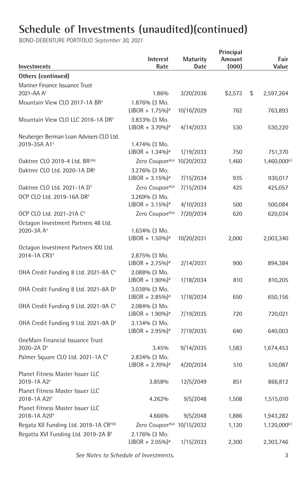BOND-DEBENTURE PORTFOLIO *September 30, 2021*

| Investments                                                      | <b>Interest</b><br>Rate                        | <b>Maturity</b><br>Date | Principal<br>Amount<br>(000) | Fair<br>Value     |
|------------------------------------------------------------------|------------------------------------------------|-------------------------|------------------------------|-------------------|
| Others (continued)                                               |                                                |                         |                              |                   |
| Mariner Finance Issuance Trust                                   |                                                |                         |                              |                   |
| 2021-AA A <sup>+</sup>                                           | 1.86%                                          | 3/20/2036               | \$2,573                      | \$<br>2,597,264   |
| Mountain View CLO 2017-1A BR <sup>+</sup>                        | 1.876% (3 Mo.                                  |                         |                              |                   |
|                                                                  | $LIBOR + 1.75\%$ <sup>*</sup>                  | 10/16/2029              | 762                          | 763,893           |
| Mountain View CLO LLC 2016-1A DR <sup>+</sup>                    | 3.833% (3 Mo.                                  |                         |                              |                   |
|                                                                  | $LIBOR + 3.70\%$ <sup>*</sup>                  | 4/14/2033               | 530                          | 530,220           |
| Neuberger Berman Loan Advisers CLO Ltd.                          |                                                |                         |                              |                   |
| 2019-35A A1 <sup>+</sup>                                         | 1.474% (3 Mo.                                  |                         |                              |                   |
|                                                                  | $LIBOR + 1.34\%$ <sup>*</sup>                  | 1/19/2033               | 750                          | 751,370           |
| Oaktree CLO 2019-4 Ltd. BR <sup>+(b)</sup>                       | Zero Coupon#(a)                                | 10/20/2032              | 1,460                        | 1,460,000(c)      |
| Oaktree CLO Ltd. 2020-1A DR <sup>+</sup>                         | 3.276% (3 Mo.                                  |                         |                              |                   |
|                                                                  | $LIBOR + 3.15\%$ <sup>*</sup>                  | 7/15/2034               | 935                          | 930,017           |
| Oaktree CLO Ltd. 2021-1A D <sup>+</sup>                          | Zero Coupon#(a)                                | 7/15/2034               | 425                          | 425,057           |
| OCP CLO Ltd. 2019-16A DR+                                        | 3.269% (3 Mo.                                  |                         |                              |                   |
|                                                                  | $LIBOR + 3.15\%$ <sup>*</sup>                  | 4/10/2033               | 500                          | 500,084           |
| OCP CLO Ltd. 2021-21A C <sup>+</sup>                             | Zero Coupon#(a)                                | 7/20/2034               | 620                          | 620,034           |
| Octagon Investment Partners 48 Ltd.                              |                                                |                         |                              |                   |
| 2020-3A A <sup>+</sup>                                           | 1.634% (3 Mo.                                  |                         |                              |                   |
|                                                                  | $LIBOR + 1.50\%$ <sup>*</sup>                  | 10/20/2031              | 2,000                        | 2,003,340         |
| Octagon Investment Partners XXI Ltd.<br>2014-1A CR3 <sup>+</sup> | 2.875% (3 Mo.                                  |                         |                              |                   |
|                                                                  | $LIBOR + 2.75\%$ <sup>*</sup>                  | 2/14/2031               | 900                          | 894,384           |
| OHA Credit Funding 8 Ltd. 2021-8A C <sup>+</sup>                 | 2.088% (3 Mo.                                  |                         |                              |                   |
|                                                                  | $LIBOR + 1.90\%$ <sup>*</sup>                  | 1/18/2034               | 810                          | 810,205           |
| OHA Credit Funding 8 Ltd. 2021-8A D <sup>+</sup>                 | 3.038% (3 Mo.                                  |                         |                              |                   |
|                                                                  | $LIBOR + 2.85\%$ <sup>*</sup>                  | 1/18/2034               | 650                          | 650,156           |
| OHA Credit Funding 9 Ltd. 2021-9A C <sup>+</sup>                 | 2.084% (3 Mo.                                  |                         |                              |                   |
|                                                                  | $LIBOR + 1.90\%$ <sup>*</sup>                  | 7/19/2035               | 720                          | 720,021           |
| OHA Credit Funding 9 Ltd. 2021-9A D <sup>+</sup>                 | 3.134% (3 Mo.                                  |                         |                              |                   |
|                                                                  | $LIBOR + 2.95\%$ <sup>*</sup>                  | 7/19/2035               | 640                          | 640,003           |
| OneMain Financial Issuance Trust                                 |                                                |                         |                              |                   |
| 2020-2A D <sup>+</sup>                                           | 3.45%                                          | 9/14/2035               | 1,583                        | 1,674,453         |
| Palmer Square CLO Ltd. 2021-1A C <sup>+</sup>                    | 2.834% (3 Mo.                                  |                         |                              |                   |
|                                                                  | $LIBOR + 2.70\%$ <sup>*</sup>                  | 4/20/2034               | 510                          | 510,087           |
| Planet Fitness Master Issuer LLC                                 |                                                |                         |                              |                   |
| 2019-1A A2 <sup>+</sup>                                          | 3.858%                                         | 12/5/2049               | 851                          | 866,812           |
| Planet Fitness Master Issuer LLC                                 |                                                |                         |                              |                   |
| 2018-1A A2I <sup>+</sup>                                         | 4.262%                                         | 9/5/2048                | 1,508                        | 1,515,010         |
| Planet Fitness Master Issuer LLC<br>2018-1A A2II <sup>+</sup>    | 4.666%                                         |                         |                              |                   |
|                                                                  |                                                | 9/5/2048                | 1,886                        | 1,943,282         |
| Regata XII Funding Ltd. 2019-1A CR <sup>+(b)</sup>               | Zero Coupon <sup>#(a)</sup> 10/15/2032         |                         | 1,120                        | $1,120,000^{(c)}$ |
| Regatta XVI Funding Ltd. 2019-2A B <sup>+</sup>                  | 2.176% (3 Mo.<br>$LIBOR + 2.05\%$ <sup>*</sup> | 1/15/2033               | 2,300                        | 2,303,746         |
|                                                                  |                                                |                         |                              |                   |

 *See Notes to Schedule of Investments.* 3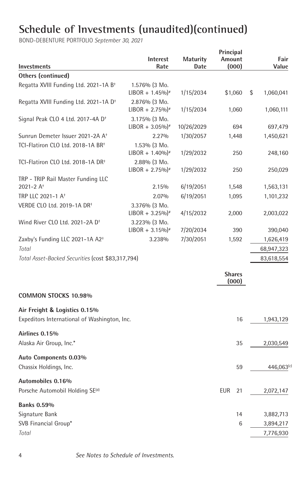| Investments                                                                   | Interest<br>Rate                               | Maturity<br>Date | Principal<br>Amount<br>(000) | Fair<br>Value   |
|-------------------------------------------------------------------------------|------------------------------------------------|------------------|------------------------------|-----------------|
| <b>Others (continued)</b>                                                     |                                                |                  |                              |                 |
| Regatta XVIII Funding Ltd. 2021-1A B <sup>+</sup>                             | 1.576% (3 Mo.<br>$LIBOR + 1.45\%$ <sup>*</sup> | 1/15/2034        | \$1,060                      | \$<br>1,060,041 |
| Regatta XVIII Funding Ltd. 2021-1A D <sup>+</sup>                             | 2.876% (3 Mo.<br>$LIBOR + 2.75\%$ <sup>*</sup> | 1/15/2034        | 1,060                        | 1,060,111       |
| Signal Peak CLO 4 Ltd. 2017-4A D <sup>+</sup>                                 | 3.175% (3 Mo.<br>$LIBOR + 3.05\%$ <sup>*</sup> | 10/26/2029       | 694                          | 697,479         |
| Sunrun Demeter Issuer 2021-2A A <sup>+</sup>                                  | 2.27%                                          | 1/30/2057        | 1,448                        | 1,450,621       |
| TCI-Flatiron CLO Ltd. 2018-1A BR <sup>+</sup>                                 | 1.53% (3 Mo.<br>$LIBOR + 1.40\%$ <sup>*</sup>  | 1/29/2032        | 250                          | 248,160         |
| TCI-Flatiron CLO Ltd. 2018-1A DR <sup>+</sup>                                 | 2.88% (3 Mo.<br>$LIBOR + 2.75\%$ <sup>*</sup>  | 1/29/2032        | 250                          | 250,029         |
| TRP - TRIP Rail Master Funding LLC<br>2021-2 $A+$                             | 2.15%                                          | 6/19/2051        | 1,548                        | 1,563,131       |
| TRP LLC 2021-1 A <sup>+</sup>                                                 | 2.07%                                          | 6/19/2051        | 1,095                        | 1,101,232       |
| VERDE CLO Ltd. 2019-1A DR+                                                    | 3.376% (3 Mo.<br>$LIBOR + 3.25\%$ <sup>*</sup> | 4/15/2032        | 2,000                        | 2,003,022       |
| Wind River CLO Ltd. 2021-2A D <sup>+</sup>                                    | 3.223% (3 Mo.<br>$LIBOR + 3.15\%$ <sup>*</sup> | 7/20/2034        | 390                          | 390,040         |
| Zaxby's Funding LLC 2021-1A A2 <sup>+</sup>                                   | 3.238%                                         | 7/30/2051        | 1,592                        | 1,626,419       |
| Total                                                                         |                                                |                  |                              | 68,947,323      |
| Total Asset-Backed Securities (cost \$83,317,794)                             |                                                |                  |                              | 83,618,554      |
|                                                                               |                                                |                  | <b>Shares</b><br>(000)       |                 |
| <b>COMMON STOCKS 10.98%</b>                                                   |                                                |                  |                              |                 |
| Air Freight & Logistics 0.15%<br>Expeditors International of Washington, Inc. |                                                |                  | 16                           | 1,943,129       |
| Airlines 0.15%<br>Alaska Air Group, Inc.*                                     |                                                |                  | 35                           | 2,030,549       |
| Auto Components 0.03%<br>Chassix Holdings, Inc.                               |                                                |                  | 59                           | 446,063(c)      |
| Automobiles 0.16%<br>Porsche Automobil Holding SE <sup>(d)</sup>              |                                                |                  | <b>EUR</b><br>21             | 2,072,147       |
| <b>Banks 0.59%</b>                                                            |                                                |                  |                              |                 |
| Signature Bank                                                                |                                                |                  | 14                           | 3,882,713       |
| SVB Financial Group*                                                          |                                                |                  | 6                            | 3,894,217       |
| Total                                                                         |                                                |                  |                              | 7,776,930       |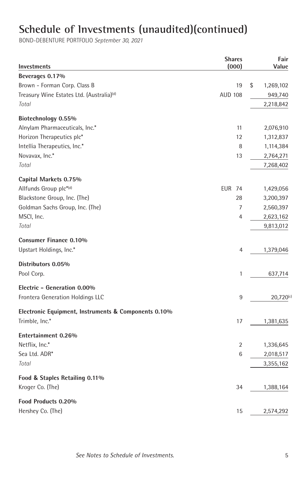| <b>Investments</b>                                    | <b>Shares</b><br>(000) | Fair<br>Value   |
|-------------------------------------------------------|------------------------|-----------------|
| Beverages 0.17%                                       |                        |                 |
| Brown - Forman Corp. Class B                          | 19                     | \$<br>1,269,102 |
| Treasury Wine Estates Ltd. (Australia) <sup>(d)</sup> | <b>AUD 108</b>         | 949,740         |
| Total                                                 |                        | 2,218,842       |
| Biotechnology 0.55%                                   |                        |                 |
| Alnylam Pharmaceuticals, Inc.*                        | 11                     | 2,076,910       |
| Horizon Therapeutics plc*                             | 12                     | 1,312,837       |
| Intellia Therapeutics, Inc.*                          | 8                      | 1,114,384       |
| Novavax, Inc.*                                        | 13                     | 2,764,271       |
| Total                                                 |                        | 7,268,402       |
| Capital Markets 0.75%                                 |                        |                 |
| Allfunds Group plc*(d)                                | <b>EUR 74</b>          | 1,429,056       |
| Blackstone Group, Inc. (The)                          | 28                     | 3,200,397       |
| Goldman Sachs Group, Inc. (The)                       | 7                      | 2,560,397       |
| MSCI, Inc.                                            | 4                      | 2,623,162       |
| Total                                                 |                        | 9,813,012       |
| <b>Consumer Finance 0.10%</b>                         |                        |                 |
| Upstart Holdings, Inc.*                               | 4                      | 1,379,046       |
| Distributors 0.05%                                    |                        |                 |
| Pool Corp.                                            | 1                      | 637,714         |
| Electric - Generation 0.00%                           |                        |                 |
| Frontera Generation Holdings LLC                      | 9                      | $20,720^{(c)}$  |
| Electronic Equipment, Instruments & Components 0.10%  |                        |                 |
| Trimble, Inc.*                                        | 17                     | 1,381,635       |
| Entertainment 0.26%                                   |                        |                 |
| Netflix, Inc.*                                        | $\overline{2}$         | 1,336,645       |
| Sea Ltd. ADR*                                         | 6                      | 2,018,517       |
| Total                                                 |                        | 3,355,162       |
| Food & Staples Retailing 0.11%                        |                        |                 |
| Kroger Co. (The)                                      | 34                     | 1,388,164       |
| Food Products 0.20%                                   |                        |                 |
| Hershey Co. (The)                                     | 15                     | 2,574,292       |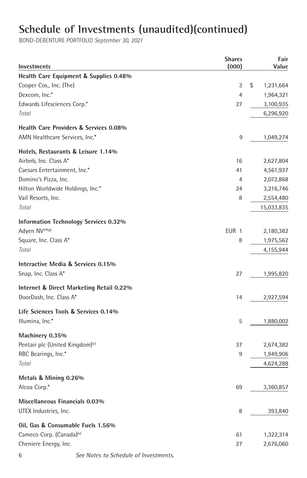| <b>Investments</b>                           | <b>Shares</b><br>(000) | Fair<br>Value   |
|----------------------------------------------|------------------------|-----------------|
| Health Care Equipment & Supplies 0.48%       |                        |                 |
| Cooper Cos., Inc. (The)                      | 3                      | \$<br>1,231,664 |
| Dexcom, Inc.*                                | 4                      | 1,964,321       |
| Edwards Lifesciences Corp.*                  | 27                     | 3,100,935       |
| Total                                        |                        | 6,296,920       |
| Health Care Providers & Services 0.08%       |                        |                 |
| AMN Healthcare Services, Inc.*               | 9                      | 1,049,274       |
| Hotels, Restaurants & Leisure 1.14%          |                        |                 |
| Airbnb, Inc. Class A*                        | 16                     | 2,627,804       |
| Caesars Entertainment, Inc.*                 | 41                     | 4,561,937       |
| Domino's Pizza, Inc.                         | $\overline{4}$         | 2,072,868       |
| Hilton Worldwide Holdings, Inc.*             | 24                     | 3,216,746       |
| Vail Resorts, Inc.                           | 8                      | 2,554,480       |
| Total                                        |                        | 15,033,835      |
| <b>Information Technology Services 0.32%</b> |                        |                 |
| Adyen NV <sup>+*(d)</sup>                    | EUR 1                  | 2,180,382       |
| Square, Inc. Class A*                        | 8                      | 1,975,562       |
| Total                                        |                        | 4,155,944       |
| Interactive Media & Services 0.15%           |                        |                 |
| Snap, Inc. Class A*                          | 27                     | 1,995,820       |
| Internet & Direct Marketing Retail 0.22%     |                        |                 |
| DoorDash, Inc. Class A*                      | 14                     | 2,927,594       |
| Life Sciences Tools & Services 0.14%         |                        |                 |
| Illumina, Inc.*                              | 5                      | 1,880,002       |
| Machinery 0.35%                              |                        |                 |
| Pentair plc (United Kingdom) <sup>(e)</sup>  | 37                     | 2,674,382       |
| RBC Bearings, Inc.*                          | 9                      | 1,949,906       |
| Total                                        |                        | 4,624,288       |
| Metals & Mining 0.26%                        |                        |                 |
| Alcoa Corp.*                                 | 69                     | 3,360,857       |
| Miscellaneous Financials 0.03%               |                        |                 |
| UTEX Industries, Inc.                        | 8                      | 393,840         |
| Oil, Gas & Consumable Fuels 1.56%            |                        |                 |
| Cameco Corp. (Canada) <sup>(e)</sup>         | 61                     | 1,322,314       |
| Cheniere Energy, Inc.                        | 27                     | 2,676,060       |
|                                              |                        |                 |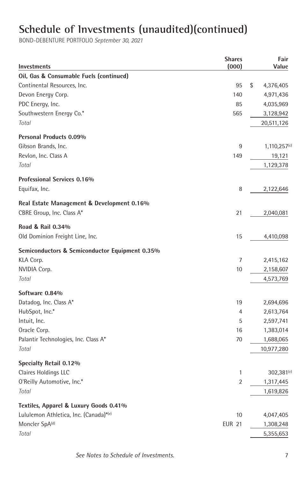| <b>Investments</b>                             | <b>Shares</b><br>(000) | Fair<br>Value   |
|------------------------------------------------|------------------------|-----------------|
| Oil, Gas & Consumable Fuels (continued)        |                        |                 |
| Continental Resources, Inc.                    | 95                     | \$<br>4,376,405 |
| Devon Energy Corp.                             | 140                    | 4,971,436       |
| PDC Energy, Inc.                               | 85                     | 4,035,969       |
| Southwestern Energy Co.*                       | 565                    | 3,128,942       |
| Total                                          |                        | 20,511,126      |
| Personal Products 0.09%                        |                        |                 |
| Gibson Brands, Inc.                            | 9                      | 1,110,257(c)    |
| Revlon, Inc. Class A                           | 149                    | 19,121          |
| Total                                          |                        | 1,129,378       |
| Professional Services 0.16%                    |                        |                 |
| Equifax, Inc.                                  | 8                      | 2,122,646       |
| Real Estate Management & Development 0.16%     |                        |                 |
| CBRE Group, Inc. Class A*                      | 21                     | 2,040,081       |
| Road & Rail 0.34%                              |                        |                 |
| Old Dominion Freight Line, Inc.                | 15                     | 4,410,098       |
| Semiconductors & Semiconductor Equipment 0.35% |                        |                 |
| KLA Corp.                                      | 7                      | 2,415,162       |
| NVIDIA Corp.                                   | 10                     | 2,158,607       |
| Total                                          |                        | 4,573,769       |
| Software 0.84%                                 |                        |                 |
| Datadog, Inc. Class A*                         | 19                     | 2,694,696       |
| HubSpot, Inc.*                                 | 4                      | 2,613,764       |
| Intuit, Inc.                                   | 5                      | 2,597,741       |
| Oracle Corp.                                   | 16                     | 1,383,014       |
| Palantir Technologies, Inc. Class A*           | 70                     | 1,688,065       |
| Total                                          |                        | 10,977,280      |
| Specialty Retail 0.12%                         |                        |                 |
| Claires Holdings LLC                           | $\mathbf{1}$           | $302,381^{(c)}$ |
| O'Reilly Automotive, Inc.*                     | $\overline{2}$         | 1,317,445       |
| Total                                          |                        | 1,619,826       |
| Textiles, Apparel & Luxury Goods 0.41%         |                        |                 |
| Lululemon Athletica, Inc. (Canada)*(e)         | 10                     | 4,047,405       |
| Moncler SpA <sup>(d)</sup>                     | <b>EUR 21</b>          | 1,308,248       |
| Total                                          |                        | 5,355,653       |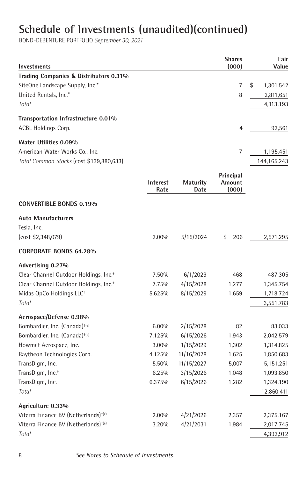| <b>Investments</b>                                |                  |                         | <b>Shares</b><br>(000)       | Fair<br>Value   |
|---------------------------------------------------|------------------|-------------------------|------------------------------|-----------------|
| Trading Companies & Distributors 0.31%            |                  |                         |                              |                 |
| SiteOne Landscape Supply, Inc.*                   |                  |                         | 7                            | \$<br>1,301,542 |
| United Rentals, Inc.*                             |                  |                         | 8                            | 2,811,651       |
| Total                                             |                  |                         |                              | 4,113,193       |
| Transportation Infrastructure 0.01%               |                  |                         |                              |                 |
| ACBL Holdings Corp.                               |                  |                         | 4                            | 92,561          |
| Water Utilities 0.09%                             |                  |                         |                              |                 |
| American Water Works Co., Inc.                    |                  |                         | $\overline{7}$               | 1,195,451       |
| Total Common Stocks (cost \$139,880,633)          |                  |                         |                              | 144,165,243     |
|                                                   | Interest<br>Rate | <b>Maturity</b><br>Date | Principal<br>Amount<br>(000) |                 |
| <b>CONVERTIBLE BONDS 0.19%</b>                    |                  |                         |                              |                 |
| <b>Auto Manufacturers</b><br>Tesla, Inc.          |                  |                         |                              |                 |
| (cost \$2,348,079)                                | 2.00%            | 5/15/2024               | \$<br>206                    | 2,571,295       |
| <b>CORPORATE BONDS 64.28%</b>                     |                  |                         |                              |                 |
| Advertising 0.27%                                 |                  |                         |                              |                 |
| Clear Channel Outdoor Holdings, Inc. <sup>+</sup> | 7.50%            | 6/1/2029                | 468                          | 487,305         |
| Clear Channel Outdoor Holdings, Inc. <sup>+</sup> | 7.75%            | 4/15/2028               | 1,277                        | 1,345,754       |
| Midas OpCo Holdings LLC <sup>+</sup>              | 5.625%           | 8/15/2029               | 1,659                        | 1,718,724       |
| Total                                             |                  |                         |                              | 3,551,783       |
| Aerospace/Defense 0.98%                           |                  |                         |                              |                 |
| Bombardier, Inc. (Canada) <sup>+(e)</sup>         | $6.00\%$         | 2/15/2028               | 82                           | 83,033          |
| Bombardier, Inc. (Canada) <sup>+(e)</sup>         | 7.125%           | 6/15/2026               | 1,943                        | 2,042,579       |
| Howmet Aerospace, Inc.                            | 3.00%            | 1/15/2029               | 1,302                        | 1,314,825       |
| Raytheon Technologies Corp.                       | 4.125%           | 11/16/2028              | 1,625                        | 1,850,683       |
| TransDigm, Inc.                                   | 5.50%            | 11/15/2027              | 5,007                        | 5,151,251       |
| TransDigm, Inc. <sup>+</sup>                      | 6.25%            | 3/15/2026               | 1,048                        | 1,093,850       |
| TransDigm, Inc.                                   | 6.375%           | 6/15/2026               | 1,282                        | 1,324,190       |
| Total                                             |                  |                         |                              | 12,860,411      |
| Agriculture 0.33%                                 |                  |                         |                              |                 |
| Viterra Finance BV (Netherlands) <sup>+(e)</sup>  | 2.00%            | 4/21/2026               | 2,357                        | 2,375,167       |
| Viterra Finance BV (Netherlands) <sup>+(e)</sup>  | 3.20%            | 4/21/2031               | 1,984                        | 2,017,745       |
| Total                                             |                  |                         |                              | 4,392,912       |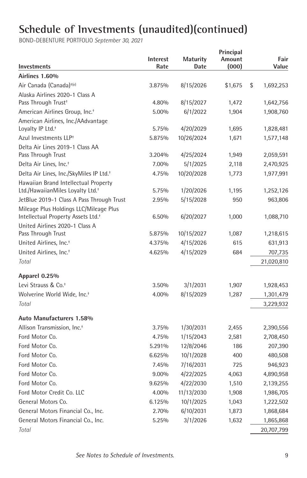| Investments                                                                              | Interest<br>Rate | <b>Maturity</b><br>Date | Principal<br>Amount<br>(000) | Fair<br>Value         |
|------------------------------------------------------------------------------------------|------------------|-------------------------|------------------------------|-----------------------|
| Airlines 1.60%                                                                           |                  |                         |                              |                       |
| Air Canada (Canada) <sup>+(e)</sup>                                                      | 3.875%           | 8/15/2026               | \$1,675                      | \$<br>1,692,253       |
| Alaska Airlines 2020-1 Class A                                                           |                  |                         |                              |                       |
| Pass Through Trust <sup>+</sup>                                                          | 4.80%            | 8/15/2027               | 1,472                        | 1,642,756             |
| American Airlines Group, Inc. <sup>+</sup>                                               | 5.00%            | 6/1/2022                | 1,904                        | 1,908,760             |
| American Airlines, Inc./AAdvantage<br>Loyalty IP Ltd. <sup>+</sup>                       | 5.75%            | 4/20/2029               | 1,695                        | 1,828,481             |
| Azul Investments LLP <sup>+</sup>                                                        | 5.875%           | 10/26/2024              | 1,671                        | 1,577,148             |
| Delta Air Lines 2019-1 Class AA<br>Pass Through Trust                                    | 3.204%           | 4/25/2024               | 1,949                        | 2,059,591             |
| Delta Air Lines, Inc. <sup>+</sup>                                                       | 7.00%            | 5/1/2025                | 2,118                        | 2,470,925             |
| Delta Air Lines, Inc./SkyMiles IP Ltd. <sup>+</sup>                                      | 4.75%            | 10/20/2028              | 1,773                        | 1,977,991             |
| Hawaiian Brand Intellectual Property                                                     |                  |                         |                              |                       |
| Ltd./HawaiianMiles Loyalty Ltd. <sup>+</sup>                                             | 5.75%            | 1/20/2026               | 1,195                        | 1,252,126             |
| JetBlue 2019-1 Class A Pass Through Trust                                                | 2.95%            | 5/15/2028               | 950                          | 963,806               |
| Mileage Plus Holdings LLC/Mileage Plus<br>Intellectual Property Assets Ltd. <sup>+</sup> | 6.50%            | 6/20/2027               | 1,000                        | 1,088,710             |
| United Airlines 2020-1 Class A                                                           |                  |                         |                              |                       |
| Pass Through Trust                                                                       | 5.875%<br>4.375% | 10/15/2027<br>4/15/2026 | 1,087<br>615                 | 1,218,615             |
| United Airlines, Inc. <sup>+</sup>                                                       |                  | 4/15/2029               | 684                          | 631,913               |
| United Airlines, Inc. <sup>+</sup><br>Total                                              | 4.625%           |                         |                              | 707,735<br>21,020,810 |
| Apparel 0.25%                                                                            |                  |                         |                              |                       |
| Levi Strauss & Co. <sup>+</sup>                                                          | 3.50%            | 3/1/2031                | 1,907                        | 1,928,453             |
| Wolverine World Wide, Inc. <sup>+</sup>                                                  | 4.00%            | 8/15/2029               | 1,287                        | 1,301,479             |
| Total                                                                                    |                  |                         |                              | 3,229,932             |
| Auto Manufacturers 1.58%                                                                 |                  |                         |                              |                       |
| Allison Transmission, Inc. <sup>+</sup>                                                  | 3.75%            | 1/30/2031               | 2,455                        | 2,390,556             |
| Ford Motor Co.                                                                           | 4.75%            | 1/15/2043               | 2,581                        | 2,708,450             |
| Ford Motor Co.                                                                           | 5.291%           | 12/8/2046               | 186                          | 207,390               |
| Ford Motor Co.                                                                           | 6.625%           | 10/1/2028               | 400                          | 480,508               |
| Ford Motor Co.                                                                           | 7.45%            | 7/16/2031               | 725                          | 946,923               |
| Ford Motor Co.                                                                           | 9.00%            | 4/22/2025               | 4,063                        | 4,890,958             |
| Ford Motor Co.                                                                           | 9.625%           | 4/22/2030               | 1,510                        | 2,139,255             |
| Ford Motor Credit Co. LLC                                                                | 4.00%            | 11/13/2030              | 1,908                        | 1,986,705             |
| General Motors Co.                                                                       | 6.125%           | 10/1/2025               | 1,043                        | 1,222,502             |
| General Motors Financial Co., Inc.                                                       | 2.70%            | 6/10/2031               | 1,873                        | 1,868,684             |
| General Motors Financial Co., Inc.                                                       | 5.25%            | 3/1/2026                | 1,632                        | 1,865,868             |
| Total                                                                                    |                  |                         |                              | 20,707,799            |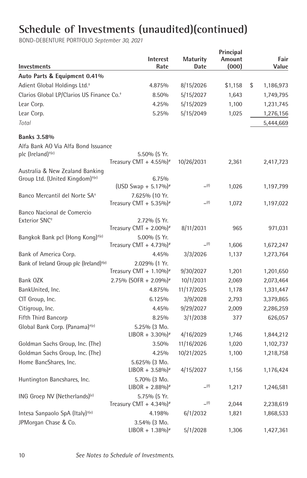| Investments                                                                    | Interest<br>Rate                                      | <b>Maturity</b><br>Date | Principal<br>Amount<br>(000) | Fair<br>Value          |
|--------------------------------------------------------------------------------|-------------------------------------------------------|-------------------------|------------------------------|------------------------|
| Auto Parts & Equipment 0.41%                                                   |                                                       |                         |                              |                        |
| Adient Global Holdings Ltd. <sup>+</sup>                                       | 4.875%                                                | 8/15/2026               | \$1,158                      | \$<br>1,186,973        |
| Clarios Global LP/Clarios US Finance Co. <sup>+</sup>                          | 8.50%                                                 | 5/15/2027               | 1,643                        | 1,749,795              |
| Lear Corp.                                                                     | 4.25%                                                 | 5/15/2029               | 1,100                        | 1,231,745              |
| Lear Corp.                                                                     | 5.25%                                                 | 5/15/2049               | 1,025                        | 1,276,156              |
| Total                                                                          |                                                       |                         |                              | 5,444,669              |
| <b>Banks 3.58%</b>                                                             |                                                       |                         |                              |                        |
| Alfa Bank AO Via Alfa Bond Issuance                                            |                                                       |                         |                              |                        |
| plc (Ireland) <sup>+(e)</sup>                                                  | 5.50% (5 Yr.                                          |                         |                              |                        |
|                                                                                | Treasury CMT + 4.55%) <sup>#</sup>                    | 10/26/2031              | 2,361                        | 2,417,723              |
| Australia & New Zealand Banking<br>Group Ltd. (United Kingdom) <sup>+(e)</sup> | 6.75%                                                 |                         |                              |                        |
|                                                                                | $(USD Swap + 5.17%)$                                  | (f)                     | 1,026                        | 1,197,799              |
| Banco Mercantil del Norte SA <sup>+</sup>                                      | 7.625% (10 Yr.                                        |                         |                              |                        |
|                                                                                | Treasury CMT + $5.35\%$ )*                            | (f)                     | 1,072                        | 1,197,022              |
| Banco Nacional de Comercio                                                     |                                                       |                         |                              |                        |
| Exterior SNC <sup>+</sup>                                                      | 2.72% (5 Yr.                                          |                         |                              |                        |
|                                                                                | Treasury CMT + $2.00\%$ <sup>*</sup>                  | 8/11/2031               | 965                          | 971,031                |
| Bangkok Bank pcl (Hong Kong) <sup>+(e)</sup>                                   | 5.00% (5 Yr.                                          |                         |                              |                        |
|                                                                                | Treasury CMT + 4.73%) <sup>*</sup>                    | (f)                     | 1,606                        | 1,672,247              |
| Bank of America Corp.                                                          | 4.45%                                                 | 3/3/2026                | 1,137                        | 1,273,764              |
| Bank of Ireland Group plc (Ireland) <sup>+(e)</sup>                            | 2.029% (1 Yr.<br>Treasury CMT + $1.10\%$ <sup>#</sup> | 9/30/2027               | 1,201                        |                        |
| Bank OZK                                                                       | 2.75% (SOFR + 2.09%) <sup>#</sup>                     | 10/1/2031               | 2,069                        | 1,201,650<br>2,073,464 |
| BankUnited, Inc.                                                               | 4.875%                                                | 11/17/2025              | 1,178                        | 1,331,447              |
| CIT Group, Inc.                                                                | 6.125%                                                | 3/9/2028                | 2,793                        | 3,379,865              |
| Citigroup, Inc.                                                                | 4.45%                                                 | 9/29/2027               | 2,009                        | 2,286,259              |
| <b>Fifth Third Bancorp</b>                                                     | 8.25%                                                 | 3/1/2038                | 377                          | 626,057                |
| Global Bank Corp. (Panama) <sup>+(e)</sup>                                     | 5.25% (3 Mo.                                          |                         |                              |                        |
|                                                                                | $LIBOR + 3.30\%$ <sup>*</sup>                         | 4/16/2029               | 1,746                        | 1,844,212              |
| Goldman Sachs Group, Inc. (The)                                                | 3.50%                                                 | 11/16/2026              | 1,020                        | 1,102,737              |
| Goldman Sachs Group, Inc. (The)                                                | 4.25%                                                 | 10/21/2025              | 1,100                        | 1,218,758              |
| Home BancShares, Inc.                                                          | 5.625% (3 Mo.                                         |                         |                              |                        |
|                                                                                | $LIBOR + 3.58\%$ <sup>*</sup>                         | 4/15/2027               | 1,156                        | 1,176,424              |
| Huntington Bancshares, Inc.                                                    | 5.70% (3 Mo.                                          |                         |                              |                        |
|                                                                                | $LIBOR + 2.88\%$ <sup>*</sup>                         | (f)                     | 1,217                        | 1,246,581              |
| ING Groep NV (Netherlands) <sup>(e)</sup>                                      | 5.75% (5 Yr.                                          |                         |                              |                        |
|                                                                                | Treasury CMT + $4.34\%$ <sup>*</sup>                  | (f)                     | 2,044                        | 2,238,619              |
| Intesa Sanpaolo SpA (Italy) <sup>+(e)</sup>                                    | 4.198%                                                | 6/1/2032                | 1,821                        | 1,868,533              |
| JPMorgan Chase & Co.                                                           | 3.54% (3 Mo.<br>$LIBOR + 1.38\%$ <sup>*</sup>         | 5/1/2028                | 1,306                        | 1,427,361              |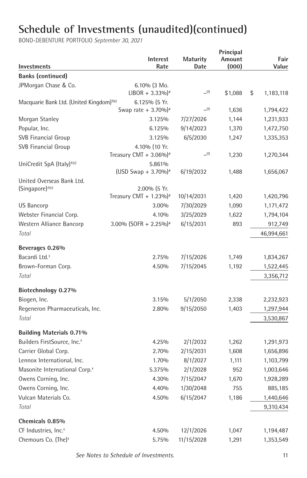| Investments                                          | Interest<br>Rate                                     | <b>Maturity</b><br>Date | Principal<br>Amount<br>(000) | Fair<br>Value   |
|------------------------------------------------------|------------------------------------------------------|-------------------------|------------------------------|-----------------|
| <b>Banks (continued)</b>                             |                                                      |                         |                              |                 |
| JPMorgan Chase & Co.                                 | $6.10\%$ (3 Mo.<br>$LIBOR + 3.33\%$ <sup>*</sup>     | (f)                     | \$1,088                      | \$<br>1,183,118 |
| Macquarie Bank Ltd. (United Kingdom) <sup>+(e)</sup> | 6.125% (5 Yr.                                        |                         |                              |                 |
|                                                      | Swap rate + $3.70\%$ <sup>*</sup>                    | (f)                     | 1,636                        | 1,794,422       |
| Morgan Stanley                                       | 3.125%                                               | 7/27/2026               | 1,144                        | 1,231,933       |
| Popular, Inc.                                        | 6.125%                                               | 9/14/2023               | 1,370                        | 1,472,750       |
| <b>SVB Financial Group</b>                           | 3.125%                                               | 6/5/2030                | 1,247                        | 1,335,353       |
| <b>SVB Financial Group</b>                           | 4.10% (10 Yr.                                        |                         |                              |                 |
|                                                      | Treasury CMT + $3.06\%$ <sup>*</sup>                 | (f)                     | 1,230                        | 1,270,344       |
| UniCredit SpA (Italy) <sup>+(e)</sup>                | 5.861%                                               |                         |                              |                 |
|                                                      | (USD Swap + 3.70%) <sup>#</sup>                      | 6/19/2032               | 1,488                        | 1,656,067       |
| United Overseas Bank Ltd.                            |                                                      |                         |                              |                 |
| $(Sinqapore)^{+(e)}$                                 | 2.00% (5 Yr.<br>Treasury CMT + $1.23\%$ <sup>*</sup> | 10/14/2031              | 1,420                        | 1,420,796       |
| <b>US Bancorp</b>                                    | 3.00%                                                | 7/30/2029               | 1,090                        | 1,171,472       |
| Webster Financial Corp.                              | 4.10%                                                | 3/25/2029               | 1,622                        | 1,794,104       |
| Western Alliance Bancorp                             | 3.00% (SOFR + 2.25%) <sup>*</sup>                    | 6/15/2031               | 893                          | 912,749         |
| Total                                                |                                                      |                         |                              | 46,994,661      |
| Beverages 0.26%                                      |                                                      |                         |                              |                 |
| Bacardi Ltd. <sup>+</sup>                            | 2.75%                                                | 7/15/2026               | 1,749                        | 1,834,267       |
| Brown-Forman Corp.                                   | 4.50%                                                | 7/15/2045               | 1,192                        | 1,522,445       |
| Total                                                |                                                      |                         |                              | 3,356,712       |
|                                                      |                                                      |                         |                              |                 |
| Biotechnology 0.27%                                  |                                                      |                         |                              |                 |
| Biogen, Inc.                                         | 3.15%                                                | 5/1/2050                | 2,338                        | 2,232,923       |
| Regeneron Pharmaceuticals, Inc.                      | 2.80%                                                | 9/15/2050               | 1,403                        | 1,297,944       |
| Total                                                |                                                      |                         |                              | 3,530,867       |
| <b>Building Materials 0.71%</b>                      |                                                      |                         |                              |                 |
| Builders FirstSource, Inc. <sup>+</sup>              | 4.25%                                                | 2/1/2032                | 1,262                        | 1,291,973       |
| Carrier Global Corp.                                 | 2.70%                                                | 2/15/2031               | 1,608                        | 1,656,896       |
| Lennox International, Inc.                           | 1.70%                                                | 8/1/2027                | 1,111                        | 1,103,799       |
| Masonite International Corp. <sup>+</sup>            | 5.375%                                               | 2/1/2028                | 952                          | 1,003,646       |
| Owens Corning, Inc.                                  | 4.30%                                                | 7/15/2047               | 1,670                        | 1,928,289       |
| Owens Corning, Inc.                                  | 4.40%                                                | 1/30/2048               | 755                          | 885,185         |
| Vulcan Materials Co.                                 | 4.50%                                                | 6/15/2047               | 1,186                        | 1,440,646       |
| Total                                                |                                                      |                         |                              | 9,310,434       |
| Chemicals 0.85%                                      |                                                      |                         |                              |                 |
| CF Industries, Inc. <sup>+</sup>                     | 4.50%                                                | 12/1/2026               | 1,047                        | 1,194,487       |
| Chemours Co. (The) <sup>+</sup>                      | 5.75%                                                | 11/15/2028              | 1,291                        | 1,353,549       |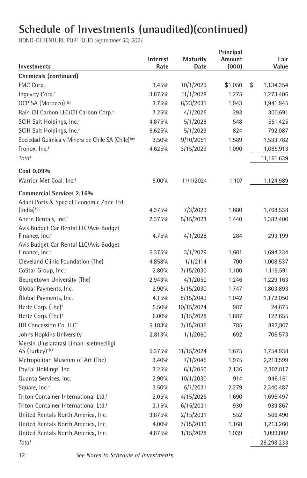| <b>Investments</b>                                                   | Interest<br>Rate | <b>Maturity</b><br>Date | Principal<br>Amount<br>(000) | Fair<br>Value          |
|----------------------------------------------------------------------|------------------|-------------------------|------------------------------|------------------------|
| <b>Chemicals (continued)</b>                                         |                  |                         |                              |                        |
| FMC Corp.                                                            | 3.45%            | 10/1/2029               | \$1,050                      | \$<br>1,134,354        |
| Ingevity Corp. <sup>+</sup>                                          | 3.875%           | 11/1/2028               | 1,275                        | 1,273,406              |
| OCP SA (Morocco) <sup>+(e)</sup>                                     | 3.75%            | 6/23/2031               | 1,943                        | 1,941,945              |
| Rain CII Carbon LLC/CII Carbon Corp. <sup>+</sup>                    | 7.25%            | 4/1/2025                | 293                          | 300,691                |
| SCIH Salt Holdings, Inc. <sup>+</sup>                                | 4.875%           | 5/1/2028                | 548                          | 551,425                |
| SCIH Salt Holdings, Inc. <sup>+</sup>                                | 6.625%           | 5/1/2029                | 824                          | 792,087                |
| Sociedad Quimica y Minera de Chile SA (Chile) <sup>+(e)</sup>        | 3.50%            | 9/10/2051               | 1,589                        | 1,533,782              |
| Tronox. Inc. <sup>+</sup>                                            | 4.625%           | 3/15/2029               | 1,090                        | 1,085,913              |
| Total                                                                |                  |                         |                              | 11,161,639             |
| Coal 0.09%                                                           |                  |                         |                              |                        |
| Warrior Met Coal. Inc. <sup>+</sup>                                  | 8.00%            | 11/1/2024               | 1,107                        | 1,124,989              |
| <b>Commercial Services 2.16%</b>                                     |                  |                         |                              |                        |
| Adani Ports & Special Economic Zone Ltd.                             |                  |                         |                              |                        |
| $(India)$ <sup>+(e)</sup>                                            | 4.375%           | 7/3/2029                | 1,680                        | 1,768,538              |
| Ahern Rentals, Inc. <sup>+</sup>                                     | 7.375%           | 5/15/2023               | 1,440                        | 1,382,400              |
| Avis Budget Car Rental LLC/Avis Budget<br>Finance, Inc. <sup>+</sup> | 4.75%            | 4/1/2028                | 284                          | 293,199                |
| Avis Budget Car Rental LLC/Avis Budget                               |                  |                         |                              |                        |
| Finance, Inc. <sup>+</sup>                                           | 5.375%<br>4.858% | 3/1/2029                | 1,601<br>700                 | 1,694,234              |
| Cleveland Clinic Foundation (The)<br>CoStar Group, Inc. <sup>+</sup> | 2.80%            | 1/1/2114<br>7/15/2030   | 1,100                        | 1,008,537              |
| Georgetown University (The)                                          | 2.943%           | 4/1/2050                | 1,246                        | 1,119,591<br>1,229,163 |
| Global Payments, Inc.                                                | 2.90%            | 5/15/2030               | 1,747                        | 1,803,893              |
| Global Payments, Inc.                                                | 4.15%            | 8/15/2049               | 1,042                        | 1,172,050              |
| Hertz Corp. (The) <sup>+</sup>                                       | 5.50%            | 10/15/2024              | 987                          | 24,675                 |
| Hertz Corp. (The) <sup>+</sup>                                       | 6.00%            | 1/15/2028               | 1,887                        | 122,655                |
| ITR Concession Co. LLC <sup>+</sup>                                  | 5.183%           | 7/15/2035               | 785                          | 893,807                |
| Johns Hopkins University                                             | 2.813%           | 1/1/2060                | 692                          | 706,573                |
| Mersin Uluslararasi Liman Isletmeciligi                              |                  |                         |                              |                        |
| AS (Turkey) <sup>+(e)</sup>                                          | 5.375%           | 11/15/2024              | 1,675                        | 1,754,938              |
| Metropolitan Museum of Art (The)                                     | 3.40%            | 7/1/2045                | 1,975                        | 2,213,599              |
| PayPal Holdings, Inc.                                                | 3.25%            | 6/1/2050                | 2,136                        | 2,307,817              |
| Quanta Services, Inc.                                                | 2.90%            | 10/1/2030               | 914                          | 946,161                |
| Square, Inc. <sup>+</sup>                                            | 3.50%            | 6/1/2031                | 2,279                        | 2,340,487              |
| Triton Container International Ltd. <sup>+</sup>                     | 2.05%            | 4/15/2026               | 1,690                        | 1,696,497              |
| Triton Container International Ltd. <sup>+</sup>                     | 3.15%            | 6/15/2031               | 930                          | 939,867                |
| United Rentals North America, Inc.                                   | 3.875%           | 2/15/2031               | 552                          | 566,490                |
| United Rentals North America, Inc.                                   | 4.00%            | 7/15/2030               | 1,168                        | 1,213,260              |
| United Rentals North America, Inc.                                   | 4.875%           | 1/15/2028               | 1,039                        | 1,099,802              |
| Total                                                                |                  |                         |                              | 28,298,233             |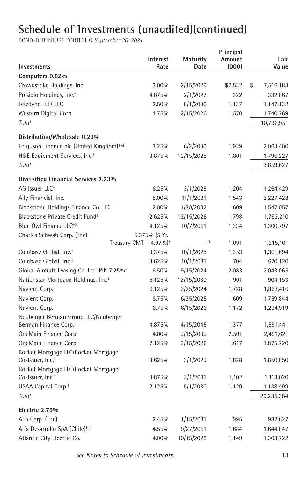| Investments                                                         | Interest<br>Rate                   | <b>Maturity</b><br>Date | Principal<br>Amount<br>(000) | Fair<br>Value   |
|---------------------------------------------------------------------|------------------------------------|-------------------------|------------------------------|-----------------|
| Computers 0.82%                                                     |                                    |                         |                              |                 |
| Crowdstrike Holdings, Inc.                                          | 3.00%                              | 2/15/2029               | \$7,532                      | \$<br>7,516,183 |
| Presidio Holdings, Inc. <sup>+</sup>                                | 4.875%                             | 2/1/2027                | 322                          | 332,867         |
| Teledyne FLIR LLC                                                   | 2.50%                              | 8/1/2030                | 1,137                        | 1,147,132       |
| Western Digital Corp.                                               | 4.75%                              | 2/15/2026               | 1,570                        | 1,740,769       |
| Total                                                               |                                    |                         |                              | 10,736,951      |
| Distribution/Wholesale 0.29%                                        |                                    |                         |                              |                 |
| Ferguson Finance plc (United Kingdom) <sup>+(e)</sup>               | 3.25%                              | 6/2/2030                | 1,929                        | 2,063,400       |
| H&E Equipment Services, Inc. <sup>+</sup>                           | 3.875%                             | 12/15/2028              | 1,801                        | 1,796,227       |
| Total                                                               |                                    |                         |                              | 3,859,627       |
| Diversified Financial Services 2.23%                                |                                    |                         |                              |                 |
| AG Issuer LLC <sup>+</sup>                                          | 6.25%                              | 3/1/2028                | 1,204                        | 1,264,429       |
| Ally Financial, Inc.                                                | 8.00%                              | 11/1/2031               | 1,543                        | 2,227,428       |
| Blackstone Holdings Finance Co. LLC <sup>+</sup>                    | 2.00%                              | 1/30/2032               | 1,609                        | 1,547,057       |
| Blackstone Private Credit Fund <sup>+</sup>                         | 2.625%                             | 12/15/2026              | 1,798                        | 1,793,210       |
| Blue Owl Finance LLC <sup>+(b)</sup>                                | 4.125%                             | 10/7/2051               | 1,334                        | 1,300,797       |
| Charles Schwab Corp. (The)                                          | 5.375% (5 Yr.                      |                         |                              |                 |
|                                                                     | Treasury CMT + 4.97%) <sup>#</sup> | (f)                     | 1,091                        | 1,215,101       |
| Coinbase Global, Inc. <sup>+</sup>                                  | 3.375%                             | 10/1/2028               | 1,353                        | 1,301,694       |
| Coinbase Global, Inc. <sup>+</sup>                                  | 3.625%                             | 10/1/2031               | 704                          | 670,120         |
| Global Aircraft Leasing Co. Ltd. PIK 7.25% <sup>+</sup>             | 6.50%                              | 9/15/2024               | 2,083                        | 2,043,065       |
| Nationstar Mortgage Holdings, Inc. <sup>+</sup>                     | 5.125%                             | 12/15/2030              | 901                          | 904,153         |
| Navient Corp.                                                       | 6.125%                             | 3/25/2024               | 1,728                        | 1,852,416       |
| Navient Corp.                                                       | 6.75%                              | 6/25/2025               | 1,609                        | 1,759,844       |
| Navient Corp.                                                       | 6.75%                              | 6/15/2026               | 1,172                        | 1,294,919       |
| Neuberger Berman Group LLC/Neuberger                                |                                    |                         |                              |                 |
| Berman Finance Corp. <sup>+</sup>                                   | 4.875%                             | 4/15/2045               | 1,377                        | 1,591,441       |
| OneMain Finance Corp.                                               | 4.00%                              | 9/15/2030               | 2,501                        | 2,491,621       |
| OneMain Finance Corp.                                               | 7.125%                             | 3/15/2026               | 1,617                        | 1,875,720       |
| Rocket Mortgage LLC/Rocket Mortgage<br>Co-Issuer, Inc. <sup>+</sup> | 3.625%                             | 3/1/2029                | 1,828                        | 1,850,850       |
| Rocket Mortgage LLC/Rocket Mortgage                                 |                                    |                         |                              |                 |
| Co-Issuer, Inc. <sup>+</sup>                                        | 3.875%                             | 3/1/2031                | 1,102                        | 1,113,020       |
| USAA Capital Corp. <sup>+</sup>                                     | 2.125%                             | 5/1/2030                | 1,129                        | 1,138,499       |
| Total                                                               |                                    |                         |                              | 29,235,384      |
| Electric 2.79%                                                      |                                    |                         |                              |                 |
| AES Corp. (The)                                                     | 2.45%                              | 1/15/2031               | 995                          | 982,627         |
| Alfa Desarrollo SpA (Chile) <sup>+(e)</sup>                         | 4.55%                              | 9/27/2051               | 1,684                        | 1,644,847       |
| Atlantic City Electric Co.                                          | 4.00%                              | 10/15/2028              | 1,149                        | 1,303,722       |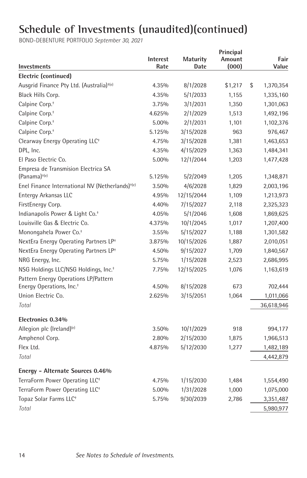| <b>Investments</b>                                          | <b>Interest</b><br>Rate | <b>Maturity</b><br>Date | Principal<br>Amount<br>(000) | Fair<br>Value   |
|-------------------------------------------------------------|-------------------------|-------------------------|------------------------------|-----------------|
| Electric (continued)                                        |                         |                         |                              |                 |
| Ausgrid Finance Pty Ltd. (Australia) <sup>+(e)</sup>        | 4.35%                   | 8/1/2028                | \$1,217                      | \$<br>1,370,354 |
| Black Hills Corp.                                           | 4.35%                   | 5/1/2033                | 1,155                        | 1,335,160       |
| Calpine Corp. <sup>+</sup>                                  | 3.75%                   | 3/1/2031                | 1,350                        | 1,301,063       |
| Calpine Corp. <sup>+</sup>                                  | 4.625%                  | 2/1/2029                | 1,513                        | 1,492,196       |
| Calpine Corp. <sup>+</sup>                                  | 5.00%                   | 2/1/2031                | 1,101                        | 1,102,376       |
| Calpine Corp. <sup>+</sup>                                  | 5.125%                  | 3/15/2028               | 963                          | 976,467         |
| Clearway Energy Operating LLC <sup>+</sup>                  | 4.75%                   | 3/15/2028               | 1,381                        | 1,463,653       |
| DPL, Inc.                                                   | 4.35%                   | 4/15/2029               | 1,363                        | 1,484,341       |
| El Paso Electric Co.                                        | 5.00%                   | 12/1/2044               | 1,203                        | 1,477,428       |
| Empresa de Transmision Electrica SA                         |                         |                         |                              |                 |
| $(Panama)$ <sup>+(e)</sup>                                  | 5.125%                  | 5/2/2049                | 1,205                        | 1,348,871       |
| Enel Finance International NV (Netherlands) <sup>+(e)</sup> | 3.50%                   | 4/6/2028                | 1,829                        | 2,003,196       |
| Entergy Arkansas LLC                                        | 4.95%                   | 12/15/2044              | 1,109                        | 1,213,973       |
| FirstEnergy Corp.                                           | 4.40%                   | 7/15/2027               | 2,118                        | 2,325,323       |
| Indianapolis Power & Light Co. <sup>+</sup>                 | 4.05%                   | 5/1/2046                | 1,608                        | 1,869,625       |
| Louisville Gas & Electric Co.                               | 4.375%                  | 10/1/2045               | 1,017                        | 1,207,400       |
| Monongahela Power Co. <sup>+</sup>                          | 3.55%                   | 5/15/2027               | 1,188                        | 1,301,582       |
| NextEra Energy Operating Partners LP <sup>+</sup>           | 3.875%                  | 10/15/2026              | 1,887                        | 2,010,051       |
| NextEra Energy Operating Partners LP <sup>+</sup>           | 4.50%                   | 9/15/2027               | 1,709                        | 1,840,567       |
| NRG Energy, Inc.                                            | 5.75%                   | 1/15/2028               | 2,523                        | 2,686,995       |
| NSG Holdings LLC/NSG Holdings, Inc. <sup>+</sup>            | 7.75%                   | 12/15/2025              | 1,076                        | 1,163,619       |
| Pattern Energy Operations LP/Pattern                        |                         |                         |                              |                 |
| Energy Operations, Inc. <sup>+</sup>                        | 4.50%                   | 8/15/2028               | 673                          | 702,444         |
| Union Electric Co.                                          | 2.625%                  | 3/15/2051               | 1,064                        | 1,011,066       |
| Total                                                       |                         |                         |                              | 36,618,946      |
| Electronics 0.34%                                           |                         |                         |                              |                 |
| Allegion plc (Ireland) <sup>(e)</sup>                       | 3.50%                   | 10/1/2029               | 918                          | 994,177         |
| Amphenol Corp.                                              | 2.80%                   | 2/15/2030               | 1,875                        | 1,966,513       |
| Flex Ltd.                                                   | 4.875%                  | 5/12/2030               | 1,277                        | 1,482,189       |
| Total                                                       |                         |                         |                              | 4,442,879       |
| Energy - Alternate Sources 0.46%                            |                         |                         |                              |                 |
| TerraForm Power Operating LLC <sup>+</sup>                  | 4.75%                   | 1/15/2030               | 1,484                        | 1,554,490       |
| TerraForm Power Operating LLC <sup>+</sup>                  | 5.00%                   | 1/31/2028               | 1,000                        | 1,075,000       |
| Topaz Solar Farms LLC <sup>+</sup>                          | 5.75%                   | 9/30/2039               | 2,786                        | 3,351,487       |
| Total                                                       |                         |                         |                              | 5,980,977       |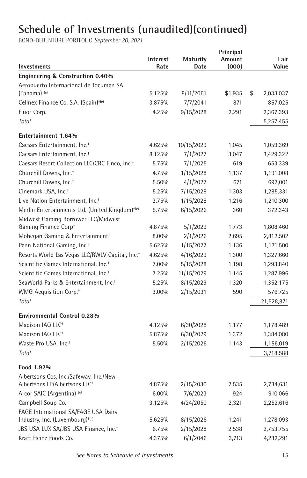| Investments                                                 | <b>Interest</b><br>Rate | <b>Maturity</b><br>Date | Principal<br>Amount<br>(000) | Fair<br>Value   |
|-------------------------------------------------------------|-------------------------|-------------------------|------------------------------|-----------------|
| Engineering & Construction 0.40%                            |                         |                         |                              |                 |
| Aeropuerto Internacional de Tocumen SA                      |                         |                         |                              |                 |
| (Panama) <sup>+(e)</sup>                                    | 5.125%                  | 8/11/2061               | \$1,935                      | \$<br>2,033,037 |
| Cellnex Finance Co. S.A. (Spain) <sup>+(e)</sup>            | 3.875%                  | 7/7/2041                | 871                          | 857,025         |
| Fluor Corp.                                                 | 4.25%                   | 9/15/2028               | 2,291                        | 2,367,393       |
| Total                                                       |                         |                         |                              | 5,257,455       |
| <b>Entertainment 1.64%</b>                                  |                         |                         |                              |                 |
| Caesars Entertainment, Inc. <sup>+</sup>                    | 4.625%                  | 10/15/2029              | 1,045                        | 1,059,369       |
| Caesars Entertainment, Inc. <sup>+</sup>                    | 8.125%                  | 7/1/2027                | 3,047                        | 3,429,322       |
| Caesars Resort Collection LLC/CRC Finco, Inc. <sup>+</sup>  | 5.75%                   | 7/1/2025                | 619                          | 653,339         |
| Churchill Downs, Inc. <sup>+</sup>                          | 4.75%                   | 1/15/2028               | 1,137                        | 1,191,008       |
| Churchill Downs, Inc. <sup>+</sup>                          | 5.50%                   | 4/1/2027                | 671                          | 697,001         |
| Cinemark USA, Inc. <sup>+</sup>                             | 5.25%                   | 7/15/2028               | 1,303                        | 1,285,331       |
| Live Nation Entertainment, Inc. <sup>+</sup>                | 3.75%                   | 1/15/2028               | 1,216                        | 1,210,300       |
| Merlin Entertainments Ltd. (United Kingdom) <sup>+(e)</sup> | 5.75%                   | 6/15/2026               | 360                          | 372,343         |
| Midwest Gaming Borrower LLC/Midwest                         |                         |                         |                              |                 |
| Gaming Finance Corp+                                        | 4.875%                  | 5/1/2029                | 1,773                        | 1,808,460       |
| Mohegan Gaming & Entertainment <sup>+</sup>                 | 8.00%                   | 2/1/2026                | 2,695                        | 2,812,502       |
| Penn National Gaming, Inc. <sup>+</sup>                     | 5.625%                  | 1/15/2027               | 1,136                        | 1,171,500       |
| Resorts World Las Vegas LLC/RWLV Capital, Inc. <sup>+</sup> | 4.625%                  | 4/16/2029               | 1,300                        | 1,327,660       |
| Scientific Games International, Inc. <sup>+</sup>           | 7.00%                   | 5/15/2028               | 1,198                        | 1,293,840       |
| Scientific Games International, Inc. <sup>+</sup>           | 7.25%                   | 11/15/2029              | 1,145                        | 1,287,996       |
| SeaWorld Parks & Entertainment, Inc. <sup>+</sup>           | 5.25%                   | 8/15/2029               | 1,320                        | 1,352,175       |
| WMG Acquisition Corp. <sup>+</sup>                          | 3.00%                   | 2/15/2031               | 590                          | 576,725         |
| Total                                                       |                         |                         |                              | 21,528,871      |
| <b>Environmental Control 0.28%</b>                          |                         |                         |                              |                 |
| Madison IAQ LLC <sup>+</sup>                                | 4.125%                  | 6/30/2028               | 1,177                        | 1,178,489       |
| Madison IAQ LLC <sup>+</sup>                                | 5.875%                  | 6/30/2029               | 1,372                        | 1,384,080       |
| Waste Pro USA, Inc. <sup>+</sup>                            | 5.50%                   | 2/15/2026               | 1,143                        | 1,156,019       |
| Total                                                       |                         |                         |                              | 3,718,588       |
| Food 1.92%                                                  |                         |                         |                              |                 |
| Albertsons Cos, Inc./Safeway, Inc./New                      |                         |                         |                              |                 |
| Albertsons LP/Albertsons LLC <sup>+</sup>                   | 4.875%                  | 2/15/2030               | 2,535                        | 2,734,631       |
| Arcor SAIC (Argentina) <sup>+(e)</sup>                      | 6.00%                   | 7/6/2023                | 924                          | 910,066         |
| Campbell Soup Co.                                           | 3.125%                  | 4/24/2050               | 2,321                        | 2,252,616       |
| FAGE International SA/FAGE USA Dairy                        |                         |                         |                              |                 |
| Industry, Inc. (Luxembourg) <sup>+(e)</sup>                 | 5.625%                  | 8/15/2026               | 1,241                        | 1,278,093       |
| JBS USA LUX SA/JBS USA Finance, Inc. <sup>+</sup>           | 6.75%                   | 2/15/2028               | 2,538                        | 2,753,755       |
| Kraft Heinz Foods Co.                                       | 4.375%                  | 6/1/2046                | 3,713                        | 4,232,291       |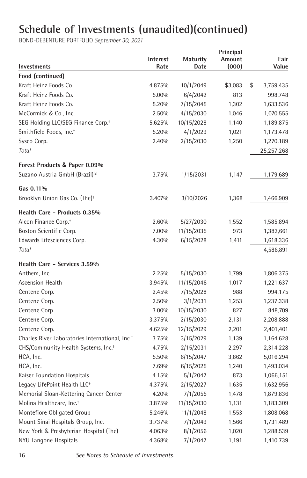| Investments                                                 | Interest<br>Rate | <b>Maturity</b><br>Date | Principal<br>Amount<br>(000) | Fair<br>Value   |
|-------------------------------------------------------------|------------------|-------------------------|------------------------------|-----------------|
| Food (continued)                                            |                  |                         |                              |                 |
| Kraft Heinz Foods Co.                                       | 4.875%           | 10/1/2049               | \$3,083                      | \$<br>3,759,435 |
| Kraft Heinz Foods Co.                                       | 5.00%            | 6/4/2042                | 813                          | 998,748         |
| Kraft Heinz Foods Co.                                       | 5.20%            | 7/15/2045               | 1,302                        | 1,633,536       |
| McCormick & Co., Inc.                                       | 2.50%            | 4/15/2030               | 1,046                        | 1,070,555       |
| SEG Holding LLC/SEG Finance Corp. <sup>+</sup>              | 5.625%           | 10/15/2028              | 1,140                        | 1,189,875       |
| Smithfield Foods, Inc. <sup>+</sup>                         | 5.20%            | 4/1/2029                | 1,021                        | 1,173,478       |
| Sysco Corp.                                                 | 2.40%            | 2/15/2030               | 1,250                        | 1,270,189       |
| Total                                                       |                  |                         |                              | 25,257,268      |
| Forest Products & Paper 0.09%                               |                  |                         |                              |                 |
| Suzano Austria GmbH (Brazil) <sup>(e)</sup>                 | 3.75%            | 1/15/2031               | 1,147                        | 1,179,689       |
| Gas 0.11%                                                   |                  |                         |                              |                 |
| Brooklyn Union Gas Co. (The) <sup>+</sup>                   | 3.407%           | 3/10/2026               | 1,368                        | 1,466,909       |
| Health Care - Products 0.35%                                |                  |                         |                              |                 |
| Alcon Finance Corp. <sup>+</sup>                            | 2.60%            | 5/27/2030               | 1,552                        | 1,585,894       |
| Boston Scientific Corp.                                     | 7.00%            | 11/15/2035              | 973                          | 1,382,661       |
| Edwards Lifesciences Corp.                                  | 4.30%            | 6/15/2028               | 1,411                        | 1,618,336       |
| Total                                                       |                  |                         |                              | 4,586,891       |
| Health Care - Services 3.59%                                |                  |                         |                              |                 |
| Anthem, Inc.                                                | 2.25%            | 5/15/2030               | 1,799                        | 1,806,375       |
| <b>Ascension Health</b>                                     | 3.945%           | 11/15/2046              | 1,017                        | 1,221,637       |
| Centene Corp.                                               | 2.45%            | 7/15/2028               | 988                          | 994,175         |
| Centene Corp.                                               | 2.50%            | 3/1/2031                | 1,253                        | 1,237,338       |
| Centene Corp.                                               | 3.00%            | 10/15/2030              | 827                          | 848,709         |
| Centene Corp.                                               | 3.375%           | 2/15/2030               | 2,131                        | 2,208,888       |
| Centene Corp.                                               | 4.625%           | 12/15/2029              | 2,201                        | 2,401,401       |
| Charles River Laboratories International, Inc. <sup>+</sup> | 3.75%            | 3/15/2029               | 1,139                        | 1,164,628       |
| CHS/Community Health Systems, Inc. <sup>+</sup>             | 4.75%            | 2/15/2031               | 2,297                        | 2,314,228       |
| HCA, Inc.                                                   | 5.50%            | 6/15/2047               | 3,862                        | 5,016,294       |
| HCA, Inc.                                                   | 7.69%            | 6/15/2025               | 1,240                        | 1,493,034       |
| Kaiser Foundation Hospitals                                 | 4.15%            | 5/1/2047                | 873                          | 1,066,151       |
| Legacy LifePoint Health LLC <sup>+</sup>                    | 4.375%           | 2/15/2027               | 1,635                        | 1,632,956       |
| Memorial Sloan-Kettering Cancer Center                      | 4.20%            | 7/1/2055                | 1,478                        | 1,879,836       |
| Molina Healthcare, Inc. <sup>+</sup>                        | 3.875%           | 11/15/2030              | 1,131                        | 1,183,309       |
| Montefiore Obligated Group                                  | 5.246%           | 11/1/2048               | 1,553                        | 1,808,068       |
| Mount Sinai Hospitals Group, Inc.                           | 3.737%           | 7/1/2049                | 1,566                        | 1,731,489       |
| New York & Presbyterian Hospital (The)                      | 4.063%           | 8/1/2056                | 1,020                        | 1,288,539       |
| NYU Langone Hospitals                                       | 4.368%           | 7/1/2047                | 1,191                        | 1,410,739       |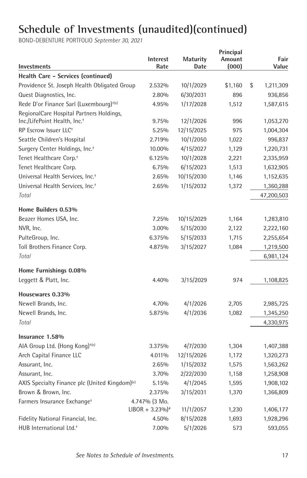| Investments                                                | <b>Interest</b><br>Rate       | <b>Maturity</b><br>Date | Principal<br>Amount<br>(000) | Fair<br>Value   |
|------------------------------------------------------------|-------------------------------|-------------------------|------------------------------|-----------------|
| Health Care - Services (continued)                         |                               |                         |                              |                 |
| Providence St. Joseph Health Obligated Group               | 2.532%                        | 10/1/2029               | \$1,160                      | \$<br>1,211,309 |
| Quest Diagnostics, Inc.                                    | 2.80%                         | 6/30/2031               | 896                          | 936,856         |
| Rede D'or Finance Sarl (Luxembourg) <sup>+(e)</sup>        | 4.95%                         | 1/17/2028               | 1,512                        | 1,587,615       |
| RegionalCare Hospital Partners Holdings,                   |                               |                         |                              |                 |
| Inc./LifePoint Health, Inc. <sup>+</sup>                   | 9.75%                         | 12/1/2026               | 996                          | 1,053,270       |
| RP Escrow Issuer LLC <sup>+</sup>                          | 5.25%                         | 12/15/2025              | 975                          | 1,004,304       |
| Seattle Children's Hospital                                | 2.719%                        | 10/1/2050               | 1,022                        | 996,837         |
| Surgery Center Holdings, Inc. <sup>+</sup>                 | 10.00%                        | 4/15/2027               | 1,129                        | 1,220,731       |
| Tenet Healthcare Corp. <sup>+</sup>                        | 6.125%                        | 10/1/2028               | 2,221                        | 2,335,959       |
| Tenet Healthcare Corp.                                     | 6.75%                         | 6/15/2023               | 1,513                        | 1,632,905       |
| Universal Health Services, Inc. <sup>+</sup>               | 2.65%                         | 10/15/2030              | 1,146                        | 1,152,635       |
| Universal Health Services, Inc. <sup>+</sup>               | 2.65%                         | 1/15/2032               | 1,372                        | 1,360,288       |
| Total                                                      |                               |                         |                              | 47,200,503      |
| Home Builders 0.53%                                        |                               |                         |                              |                 |
| Beazer Homes USA, Inc.                                     | 7.25%                         | 10/15/2029              | 1,164                        | 1,283,810       |
| NVR, Inc.                                                  | 3.00%                         | 5/15/2030               | 2,122                        | 2,222,160       |
| PulteGroup, Inc.                                           | 6.375%                        | 5/15/2033               | 1,715                        | 2,255,654       |
| Toll Brothers Finance Corp.                                | 4.875%                        | 3/15/2027               | 1,084                        | 1,219,500       |
| Total                                                      |                               |                         |                              | 6,981,124       |
| Home Furnishings 0.08%                                     |                               |                         |                              |                 |
| Leggett & Platt, Inc.                                      | 4.40%                         | 3/15/2029               | 974                          | 1,108,825       |
| Housewares 0.33%                                           |                               |                         |                              |                 |
| Newell Brands, Inc.                                        | 4.70%                         | 4/1/2026                | 2,705                        | 2,985,725       |
| Newell Brands, Inc.                                        | 5.875%                        | 4/1/2036                | 1,082                        | 1,345,250       |
| Total                                                      |                               |                         |                              | 4,330,975       |
| Insurance 1.58%                                            |                               |                         |                              |                 |
| AIA Group Ltd. (Hong Kong) <sup>+(e)</sup>                 | 3.375%                        | 4/7/2030                | 1,304                        | 1,407,388       |
| Arch Capital Finance LLC                                   | 4.011%                        | 12/15/2026              | 1,172                        | 1,320,273       |
| Assurant, Inc.                                             | 2.65%                         | 1/15/2032               | 1,575                        | 1,563,262       |
| Assurant, Inc.                                             | 3.70%                         | 2/22/2030               | 1,158                        | 1,258,908       |
| AXIS Specialty Finance plc (United Kingdom) <sup>(e)</sup> | 5.15%                         | 4/1/2045                | 1,595                        | 1,908,102       |
| Brown & Brown, Inc.                                        | 2.375%                        | 3/15/2031               | 1,370                        | 1,366,809       |
| Farmers Insurance Exchange <sup>+</sup>                    | 4.747% (3 Mo.                 |                         |                              |                 |
|                                                            | $LIBOR + 3.23\%$ <sup>*</sup> | 11/1/2057               | 1,230                        | 1,406,177       |
| Fidelity National Financial, Inc.                          | 4.50%                         | 8/15/2028               | 1,693                        | 1,928,296       |
| HUB International Ltd. <sup>+</sup>                        | 7.00%                         | 5/1/2026                | 573                          | 593,055         |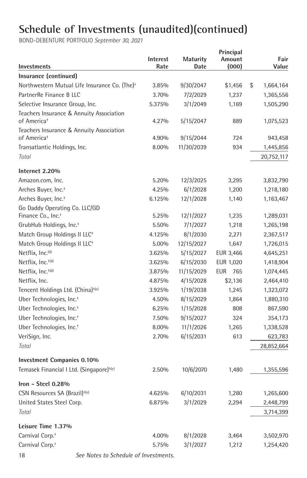| Investments                                                         | Interest<br>Rate | <b>Maturity</b><br>Date | Principal<br>Amount<br>(000) | Fair<br>Value           |
|---------------------------------------------------------------------|------------------|-------------------------|------------------------------|-------------------------|
| Insurance (continued)                                               |                  |                         |                              |                         |
| Northwestern Mutual Life Insurance Co. (The) <sup>+</sup>           | 3.85%            | 9/30/2047               | \$1,456                      | \$<br>1,664,164         |
| PartnerRe Finance B LLC                                             | 3.70%            | 7/2/2029                | 1,237                        | 1,365,556               |
| Selective Insurance Group, Inc.                                     | 5.375%           | 3/1/2049                | 1,169                        | 1,505,290               |
| Teachers Insurance & Annuity Association                            |                  |                         |                              |                         |
| of America <sup>+</sup>                                             | 4.27%            | 5/15/2047               | 889                          | 1,075,523               |
| Teachers Insurance & Annuity Association<br>of America <sup>+</sup> | 4.90%            | 9/15/2044               | 724                          | 943,458                 |
| Transatlantic Holdings, Inc.                                        | 8.00%            | 11/30/2039              | 934                          |                         |
| Total                                                               |                  |                         |                              | 1,445,856<br>20,752,117 |
| Internet 2.20%                                                      |                  |                         |                              |                         |
| Amazon.com, Inc.                                                    | 5.20%            | 12/3/2025               | 3,295                        | 3,832,790               |
| Arches Buyer, Inc. <sup>+</sup>                                     | 4.25%            | 6/1/2028                | 1,200                        | 1,218,180               |
| Arches Buyer, Inc. <sup>+</sup>                                     | 6.125%           | 12/1/2028               | 1,140                        | 1,163,467               |
| Go Daddy Operating Co. LLC/GD                                       |                  |                         |                              |                         |
| Finance Co., Inc. <sup>+</sup>                                      | 5.25%            | 12/1/2027               | 1,235                        | 1,289,031               |
| GrubHub Holdings, Inc. <sup>+</sup>                                 | 5.50%            | 7/1/2027                | 1,218                        | 1,265,198               |
| Match Group Holdings II LLC <sup>+</sup>                            | 4.125%           | 8/1/2030                | 2,271                        | 2,367,517               |
| Match Group Holdings II LLC <sup>+</sup>                            | 5.00%            | 12/15/2027              | 1,647                        | 1,726,015               |
| Netflix, Inc. <sup>(d)</sup>                                        | 3.625%           | 5/15/2027               | EUR 3,466                    | 4,645,251               |
| Netflix, Inc. <sup>+(d)</sup>                                       | 3.625%           | 6/15/2030               | EUR 1,020                    | 1,418,904               |
| Netflix, Inc. <sup>+(d)</sup>                                       | 3.875%           | 11/15/2029              | 765<br>EUR                   | 1,074,445               |
| Netflix, Inc.                                                       | 4.875%           | 4/15/2028               | \$2,136                      | 2,464,410               |
| Tencent Holdings Ltd. (China) <sup>+(e)</sup>                       | 3.925%           | 1/19/2038               | 1,245                        | 1,323,072               |
| Uber Technologies, Inc. <sup>+</sup>                                | 4.50%            | 8/15/2029               | 1,864                        | 1,880,310               |
| Uber Technologies, Inc. <sup>+</sup>                                | 6.25%            | 1/15/2028               | 808                          | 867,590                 |
| Uber Technologies, Inc. <sup>+</sup>                                | 7.50%            | 9/15/2027               | 324                          | 354,173                 |
| Uber Technologies, Inc. <sup>+</sup>                                | 8.00%            | 11/1/2026               | 1,265                        | 1,338,528               |
| VeriSign, Inc.                                                      | 2.70%            | 6/15/2031               | 613                          | 623,783                 |
| Total                                                               |                  |                         |                              | 28,852,664              |
| <b>Investment Companies 0.10%</b>                                   |                  |                         |                              |                         |
| Temasek Financial I Ltd. (Singapore) <sup>+(e)</sup>                | 2.50%            | 10/6/2070               | 1,480                        | 1,355,596               |
| Iron - Steel $0.28\%$                                               |                  |                         |                              |                         |
| CSN Resources SA (Brazil) <sup>+(e)</sup>                           | 4.625%           | 6/10/2031               | 1,280                        | 1,265,600               |
| United States Steel Corp.                                           | 6.875%           | 3/1/2029                | 2,294                        | 2,448,799               |
| Total                                                               |                  |                         |                              | 3,714,399               |
| Leisure Time 1.37%                                                  |                  |                         |                              |                         |
| Carnival Corp. <sup>+</sup>                                         | 4.00%            | 8/1/2028                | 3,464                        | 3,502,970               |
| Carnival Corp. <sup>+</sup>                                         | 5.75%            | 3/1/2027                | 1,212                        | 1,254,420               |
| See Notes to Schedule of Investments.<br>18                         |                  |                         |                              |                         |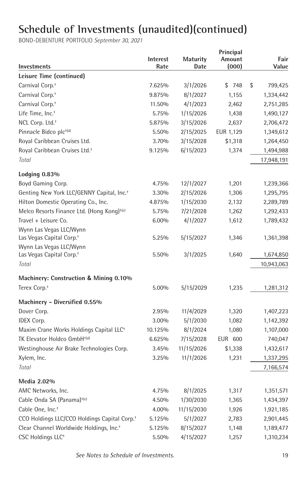| Investments                                                     | <b>Interest</b><br>Rate | <b>Maturity</b><br>Date | Principal<br>Amount<br>(000) | Fair<br>Value |
|-----------------------------------------------------------------|-------------------------|-------------------------|------------------------------|---------------|
| Leisure Time (continued)                                        |                         |                         |                              |               |
| Carnival Corp. <sup>+</sup>                                     | 7.625%                  | 3/1/2026                | \$748                        | \$<br>799,425 |
| Carnival Corp. <sup>+</sup>                                     | 9.875%                  | 8/1/2027                | 1,155                        | 1,334,442     |
| Carnival Corp. <sup>+</sup>                                     | 11.50%                  | 4/1/2023                | 2,462                        | 2,751,285     |
| Life Time, Inc. <sup>+</sup>                                    | 5.75%                   | 1/15/2026               | 1,438                        | 1,490,127     |
| NCL Corp. Ltd. <sup>+</sup>                                     | 5.875%                  | 3/15/2026               | 2,637                        | 2,706,472     |
| Pinnacle Bidco plc <sup>+(d)</sup>                              | 5.50%                   | 2/15/2025               | EUR 1,129                    | 1,349,612     |
| Royal Caribbean Cruises Ltd.                                    | 3.70%                   | 3/15/2028               | \$1,318                      | 1,264,450     |
| Royal Caribbean Cruises Ltd. <sup>+</sup>                       | 9.125%                  | 6/15/2023               | 1,374                        | 1,494,988     |
| Total                                                           |                         |                         |                              | 17,948,191    |
| Lodging 0.83%                                                   |                         |                         |                              |               |
| Boyd Gaming Corp.                                               | 4.75%                   | 12/1/2027               | 1,201                        | 1,239,366     |
| Genting New York LLC/GENNY Capital, Inc. <sup>+</sup>           | 3.30%                   | 2/15/2026               | 1,306                        | 1,295,795     |
| Hilton Domestic Operating Co., Inc.                             | 4.875%                  | 1/15/2030               | 2,132                        | 2,289,789     |
| Melco Resorts Finance Ltd. (Hong Kong) <sup>+(e)</sup>          | 5.75%                   | 7/21/2028               | 1,262                        | 1,292,433     |
| Travel + Leisure Co.                                            | 6.00%                   | 4/1/2027                | 1,612                        | 1,789,432     |
| Wynn Las Vegas LLC/Wynn<br>Las Vegas Capital Corp. <sup>+</sup> | 5.25%                   | 5/15/2027               | 1,346                        | 1,361,398     |
| Wynn Las Vegas LLC/Wynn                                         | 5.50%                   |                         |                              |               |
| Las Vegas Capital Corp. <sup>+</sup>                            |                         | 3/1/2025                | 1,640                        | 1,674,850     |
| Total                                                           |                         |                         |                              | 10,943,063    |
| Machinery: Construction & Mining 0.10%                          |                         |                         |                              |               |
| Terex Corp. <sup>+</sup>                                        | 5.00%                   | 5/15/2029               | 1,235                        | 1,281,312     |
| Machinery - Diversified 0.55%                                   |                         |                         |                              |               |
| Dover Corp.                                                     | 2.95%                   | 11/4/2029               | 1,320                        | 1,407,223     |
| <b>IDEX Corp.</b>                                               | 3.00%                   | 5/1/2030                | 1,082                        | 1,142,392     |
| Maxim Crane Works Holdings Capital LLC <sup>+</sup>             | 10.125%                 | 8/1/2024                | 1,080                        | 1,107,000     |
| TK Elevator Holdco GmbH <sup>+(d)</sup>                         | 6.625%                  | 7/15/2028               | EUR 600                      | 740,047       |
| Westinghouse Air Brake Technologies Corp.                       | 3.45%                   | 11/15/2026              | \$1,338                      | 1,432,617     |
| Xylem, Inc.                                                     | 3.25%                   | 11/1/2026               | 1,231                        | 1,337,295     |
| Total                                                           |                         |                         |                              | 7,166,574     |
| Media 2.02%                                                     |                         |                         |                              |               |
| AMC Networks, Inc.                                              | 4.75%                   | 8/1/2025                | 1,317                        | 1,351,571     |
| Cable Onda SA (Panama) <sup>+(e)</sup>                          | 4.50%                   | 1/30/2030               | 1,365                        | 1,434,397     |
| Cable One, Inc. <sup>+</sup>                                    | 4.00%                   | 11/15/2030              | 1,926                        | 1,921,185     |
| CCO Holdings LLC/CCO Holdings Capital Corp. <sup>+</sup>        | 5.125%                  | 5/1/2027                | 2,783                        | 2,901,445     |
| Clear Channel Worldwide Holdings, Inc. <sup>+</sup>             | 5.125%                  | 8/15/2027               | 1,148                        | 1,189,477     |
| CSC Holdings LLC <sup>+</sup>                                   | 5.50%                   | 4/15/2027               | 1,257                        | 1,310,234     |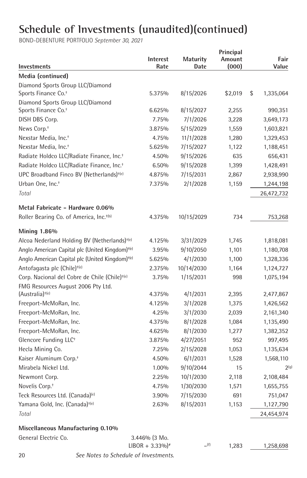BOND-DEBENTURE PORTFOLIO *September 30, 2021*

| Investments                                                 | Interest<br>Rate              | Maturity<br>Date | Principal<br>Amount<br>(000) | Fair<br>Value    |
|-------------------------------------------------------------|-------------------------------|------------------|------------------------------|------------------|
| Media (continued)                                           |                               |                  |                              |                  |
| Diamond Sports Group LLC/Diamond                            |                               |                  |                              |                  |
| Sports Finance Co. <sup>+</sup>                             | 5.375%                        | 8/15/2026        | \$2,019                      | \$<br>1,335,064  |
| Diamond Sports Group LLC/Diamond                            |                               |                  |                              |                  |
| Sports Finance Co. <sup>+</sup>                             | 6.625%                        | 8/15/2027        | 2,255                        | 990,351          |
| DISH DBS Corp.                                              | 7.75%                         | 7/1/2026         | 3,228                        | 3,649,173        |
| News Corp. <sup>+</sup>                                     | 3.875%                        | 5/15/2029        | 1,559                        | 1,603,821        |
| Nexstar Media, Inc. <sup>+</sup>                            | 4.75%                         | 11/1/2028        | 1,280                        | 1,329,453        |
| Nexstar Media, Inc. <sup>+</sup>                            | 5.625%                        | 7/15/2027        | 1,122                        | 1,188,451        |
| Radiate Holdco LLC/Radiate Finance, Inc. <sup>+</sup>       | 4.50%                         | 9/15/2026        | 635                          | 656,431          |
| Radiate Holdco LLC/Radiate Finance, Inc. <sup>+</sup>       | 6.50%                         | 9/15/2028        | 1,399                        | 1,428,491        |
| UPC Broadband Finco BV (Netherlands) <sup>+(e)</sup>        | 4.875%                        | 7/15/2031        | 2,867                        | 2,938,990        |
| Urban One, Inc. <sup>+</sup>                                | 7.375%                        | 2/1/2028         | 1,159                        | 1,244,198        |
| Total                                                       |                               |                  |                              | 26,472,732       |
|                                                             |                               |                  |                              |                  |
| Metal Fabricate - Hardware 0.06%                            |                               |                  |                              |                  |
| Roller Bearing Co. of America, Inc. <sup>+(b)</sup>         | 4.375%                        | 10/15/2029       | 734                          | 753,268          |
| <b>Mining 1.86%</b>                                         |                               |                  |                              |                  |
| Alcoa Nederland Holding BV (Netherlands) <sup>+(e)</sup>    | 4.125%                        | 3/31/2029        | 1,745                        | 1,818,081        |
| Anglo American Capital plc (United Kingdom) <sup>+(e)</sup> | 3.95%                         | 9/10/2050        | 1,101                        | 1,180,708        |
| Anglo American Capital plc (United Kingdom) <sup>+(e)</sup> | 5.625%                        | 4/1/2030         | 1,100                        | 1,328,336        |
| Antofagasta plc (Chile) <sup>+(e)</sup>                     | 2.375%                        | 10/14/2030       | 1,164                        | 1,124,727        |
| Corp. Nacional del Cobre de Chile (Chile) <sup>+(e)</sup>   | 3.75%                         | 1/15/2031        | 998                          | 1,075,194        |
| FMG Resources August 2006 Pty Ltd.                          |                               |                  |                              |                  |
| $(Australia)$ <sup>+(e)</sup>                               | 4.375%                        | 4/1/2031         | 2,395                        | 2,477,867        |
| Freeport-McMoRan, Inc.                                      | 4.125%                        | 3/1/2028         | 1,375                        | 1,426,562        |
| Freeport-McMoRan, Inc.                                      | 4.25%                         | 3/1/2030         | 2,039                        | 2,161,340        |
| Freeport-McMoRan, Inc.                                      | 4.375%                        | 8/1/2028         | 1,084                        | 1,135,490        |
| Freeport-McMoRan, Inc.                                      | 4.625%                        | 8/1/2030         | 1,277                        | 1,382,352        |
| Glencore Funding LLC <sup>+</sup>                           | 3.875%                        | 4/27/2051        | 952                          | 997,495          |
| Hecla Mining Co.                                            | 7.25%                         | 2/15/2028        | 1,053                        | 1,135,634        |
| Kaiser Aluminum Corp. <sup>+</sup>                          | 4.50%                         | 6/1/2031         | 1,528                        | 1,568,110        |
| Mirabela Nickel Ltd.                                        | 1.00%                         | 9/10/2044        | 15                           | 2 <sup>(g)</sup> |
| Newmont Corp.                                               | 2.25%                         | 10/1/2030        | 2,118                        | 2,108,484        |
| Novelis Corp. <sup>+</sup>                                  | 4.75%                         | 1/30/2030        | 1,571                        | 1,655,755        |
| Teck Resources Ltd. (Canada) <sup>(e)</sup>                 | 3.90%                         | 7/15/2030        | 691                          | 751,047          |
| Yamana Gold, Inc. (Canada) <sup>+(e)</sup>                  | 2.63%                         | 8/15/2031        | 1,153                        | 1,127,790        |
| Total                                                       |                               |                  |                              | 24,454,974       |
| Miscellaneous Manufacturing 0.10%                           |                               |                  |                              |                  |
| General Electric Co.                                        | 3.446% (3 Mo.                 |                  |                              |                  |
|                                                             | $LIBOR + 3.33\%$ <sup>*</sup> | (f)              | 1,283                        | 1,258,698        |

20 *See Notes to Schedule of Investments.*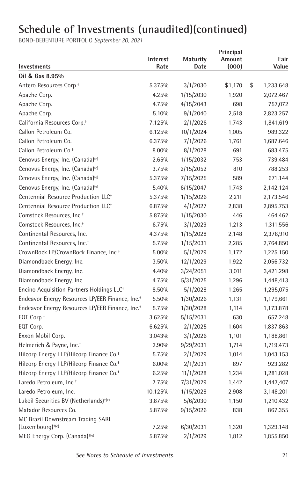| Investments                                                 | <b>Interest</b><br>Rate | <b>Maturity</b><br>Date | Principal<br>Amount<br>(000) | Fair<br>Value   |
|-------------------------------------------------------------|-------------------------|-------------------------|------------------------------|-----------------|
| Oil & Gas 8.95%                                             |                         |                         |                              |                 |
| Antero Resources Corp. <sup>+</sup>                         | 5.375%                  | 3/1/2030                | \$1,170                      | \$<br>1,233,648 |
| Apache Corp.                                                | 4.25%                   | 1/15/2030               | 1,920                        | 2,072,467       |
| Apache Corp.                                                | 4.75%                   | 4/15/2043               | 698                          | 757,072         |
| Apache Corp.                                                | 5.10%                   | 9/1/2040                | 2,518                        | 2,823,257       |
| California Resources Corp. <sup>+</sup>                     | 7.125%                  | 2/1/2026                | 1,743                        | 1,841,619       |
| Callon Petroleum Co.                                        | 6.125%                  | 10/1/2024               | 1,005                        | 989,322         |
| Callon Petroleum Co.                                        | 6.375%                  | 7/1/2026                | 1,761                        | 1,687,646       |
| Callon Petroleum Co. <sup>+</sup>                           | 8.00%                   | 8/1/2028                | 691                          | 683,475         |
| Cenovus Energy, Inc. (Canada) <sup>(e)</sup>                | 2.65%                   | 1/15/2032               | 753                          | 739,484         |
| Cenovus Energy, Inc. (Canada) <sup>(e)</sup>                | 3.75%                   | 2/15/2052               | 810                          | 788,253         |
| Cenovus Energy, Inc. (Canada) <sup>(e)</sup>                | 5.375%                  | 7/15/2025               | 589                          | 671,144         |
| Cenovus Energy, Inc. (Canada) <sup>(e)</sup>                | 5.40%                   | 6/15/2047               | 1,743                        | 2,142,124       |
| Centennial Resource Production LLC <sup>+</sup>             | 5.375%                  | 1/15/2026               | 2,211                        | 2,173,546       |
| Centennial Resource Production LLC <sup>+</sup>             | 6.875%                  | 4/1/2027                | 2,838                        | 2,895,753       |
| Comstock Resources, Inc. <sup>+</sup>                       | 5.875%                  | 1/15/2030               | 446                          | 464,462         |
| Comstock Resources, Inc. <sup>+</sup>                       | 6.75%                   | 3/1/2029                | 1,213                        | 1,311,556       |
| Continental Resources, Inc.                                 | 4.375%                  | 1/15/2028               | 2,148                        | 2,378,910       |
| Continental Resources, Inc. <sup>+</sup>                    | 5.75%                   | 1/15/2031               | 2,285                        | 2,764,850       |
| CrownRock LP/CrownRock Finance, Inc. <sup>+</sup>           | 5.00%                   | 5/1/2029                | 1,172                        | 1,225,150       |
| Diamondback Energy, Inc.                                    | 3.50%                   | 12/1/2029               | 1,922                        | 2,056,732       |
| Diamondback Energy, Inc.                                    | 4.40%                   | 3/24/2051               | 3,011                        | 3,421,298       |
| Diamondback Energy, Inc.                                    | 4.75%                   | 5/31/2025               | 1,296                        | 1,448,413       |
| Encino Acquisition Partners Holdings LLC <sup>+</sup>       | 8.50%                   | 5/1/2028                | 1,265                        | 1,295,075       |
| Endeavor Energy Resources LP/EER Finance, Inc. <sup>+</sup> | 5.50%                   | 1/30/2026               | 1,131                        | 1,179,661       |
| Endeavor Energy Resources LP/EER Finance, Inc. <sup>+</sup> | 5.75%                   | 1/30/2028               | 1,114                        | 1,173,878       |
| EQT Corp. <sup>+</sup>                                      | 3.625%                  | 5/15/2031               | 630                          | 657,248         |
| EQT Corp.                                                   | 6.625%                  | 2/1/2025                | 1,604                        | 1,837,863       |
| Exxon Mobil Corp.                                           | 3.043%                  | 3/1/2026                | 1,101                        | 1,188,861       |
| Helmerich & Payne, Inc. <sup>+</sup>                        | 2.90%                   | 9/29/2031               | 1,714                        | 1,719,473       |
| Hilcorp Energy I LP/Hilcorp Finance Co. <sup>+</sup>        | 5.75%                   | 2/1/2029                | 1,014                        | 1,043,153       |
| Hilcorp Energy I LP/Hilcorp Finance Co. <sup>+</sup>        | 6.00%                   | 2/1/2031                | 897                          | 923,282         |
| Hilcorp Energy I LP/Hilcorp Finance Co. <sup>+</sup>        | 6.25%                   | 11/1/2028               | 1,234                        | 1,281,028       |
| Laredo Petroleum, Inc. <sup>+</sup>                         | 7.75%                   | 7/31/2029               | 1,442                        | 1,447,407       |
| Laredo Petroleum, Inc.                                      | 10.125%                 | 1/15/2028               | 2,908                        | 3,148,201       |
| Lukoil Securities BV (Netherlands) <sup>+(e)</sup>          | 3.875%                  | 5/6/2030                | 1,150                        | 1,210,432       |
| Matador Resources Co.                                       | 5.875%                  | 9/15/2026               | 838                          | 867,355         |
| MC Brazil Downstream Trading SARL                           |                         |                         |                              |                 |
| (Luxembourg) <sup>+(e)</sup>                                | 7.25%                   | 6/30/2031               | 1,320                        | 1,329,148       |
| MEG Energy Corp. (Canada) <sup>+(e)</sup>                   | 5.875%                  | 2/1/2029                | 1,812                        | 1,855,850       |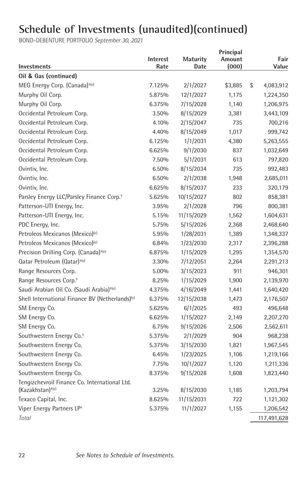| <b>Investments</b>                                                            | <b>Interest</b><br>Rate | <b>Maturity</b><br>Date | Principal<br>Amount<br>(000) | Fair<br>Value   |
|-------------------------------------------------------------------------------|-------------------------|-------------------------|------------------------------|-----------------|
| Oil & Gas (continued)                                                         |                         |                         |                              |                 |
| MEG Energy Corp. (Canada) <sup>+(e)</sup>                                     | 7.125%                  | 2/1/2027                | \$3,885                      | \$<br>4,083,912 |
| Murphy Oil Corp.                                                              | 5.875%                  | 12/1/2027               | 1,175                        | 1,224,350       |
| Murphy Oil Corp.                                                              | 6.375%                  | 7/15/2028               | 1,140                        | 1,206,975       |
| Occidental Petroleum Corp.                                                    | 3.50%                   | 8/15/2029               | 3,381                        | 3,443,109       |
| Occidental Petroleum Corp.                                                    | 4.10%                   | 2/15/2047               | 735                          | 700,216         |
| Occidental Petroleum Corp.                                                    | 4.40%                   | 8/15/2049               | 1,017                        | 999,742         |
| Occidental Petroleum Corp.                                                    | 6.125%                  | 1/1/2031                | 4,380                        | 5,263,555       |
| Occidental Petroleum Corp.                                                    | 6.625%                  | 9/1/2030                | 837                          | 1,032,649       |
| Occidental Petroleum Corp.                                                    | 7.50%                   | 5/1/2031                | 613                          | 797,820         |
| Ovintiv, Inc.                                                                 | 6.50%                   | 8/15/2034               | 735                          | 992,483         |
| Ovintiv, Inc.                                                                 | 6.50%                   | 2/1/2038                | 1,948                        | 2,685,011       |
| Ovintiv, Inc.                                                                 | 6.625%                  | 8/15/2037               | 233                          | 320,179         |
| Parsley Energy LLC/Parsley Finance Corp. <sup>+</sup>                         | 5.625%                  | 10/15/2027              | 802                          | 858,381         |
| Patterson-UTI Energy, Inc.                                                    | 3.95%                   | 2/1/2028                | 796                          | 800,381         |
| Patterson-UTI Energy, Inc.                                                    | 5.15%                   | 11/15/2029              | 1,562                        | 1,604,631       |
| PDC Energy, Inc.                                                              | 5.75%                   | 5/15/2026               | 2,368                        | 2,468,640       |
| Petroleos Mexicanos (Mexico) <sup>(e)</sup>                                   | 5.95%                   | 1/28/2031               | 1,389                        | 1,348,337       |
| Petroleos Mexicanos (Mexico) <sup>(e)</sup>                                   | 6.84%                   | 1/23/2030               | 2,317                        | 2,396,288       |
| Precision Drilling Corp. (Canada) <sup>+(e)</sup>                             | 6.875%                  | 1/15/2029               | 1,295                        | 1,354,570       |
| Qatar Petroleum (Qatar) <sup>+(e)</sup>                                       | 3.30%                   | 7/12/2051               | 2,264                        | 2,291,213       |
| Range Resources Corp.                                                         | 5.00%                   | 3/15/2023               | 911                          | 946,301         |
| Range Resources Corp. <sup>+</sup>                                            | 8.25%                   | 1/15/2029               | 1,900                        | 2,139,970       |
| Saudi Arabian Oil Co. (Saudi Arabia) <sup>+(e)</sup>                          | 4.375%                  | 4/16/2049               | 1,441                        | 1,640,420       |
| Shell International Finance BV (Netherlands) <sup>(e)</sup>                   | 6.375%                  | 12/15/2038              | 1,473                        | 2,176,507       |
| SM Energy Co.                                                                 | 5.625%                  | 6/1/2025                | 493                          | 496,648         |
| SM Energy Co.                                                                 | 6.625%                  | 1/15/2027               | 2,149                        | 2,207,270       |
| SM Energy Co.                                                                 | 6.75%                   | 9/15/2026               | 2,506                        | 2,562,611       |
| Southwestern Energy Co. <sup>+</sup>                                          | 5.375%                  | 2/1/2029                | 904                          | 968,238         |
| Southwestern Energy Co.                                                       | 5.375%                  | 3/15/2030               | 1,821                        | 1,967,545       |
| Southwestern Energy Co.                                                       | 6.45%                   | 1/23/2025               | 1,106                        | 1,219,166       |
| Southwestern Energy Co.                                                       | 7.75%                   | 10/1/2027               | 1,120                        | 1,211,336       |
| Southwestern Energy Co.                                                       | 8.375%                  | 9/15/2028               | 1,608                        | 1,823,440       |
| Tengizchevroil Finance Co. International Ltd.<br>(Kazakhstan) <sup>+(e)</sup> | 3.25%                   | 8/15/2030               | 1,185                        | 1,203,794       |
| Texaco Capital, Inc.                                                          | 8.625%                  | 11/15/2031              | 722                          | 1,121,302       |
| Viper Energy Partners LP+                                                     | 5.375%                  | 11/1/2027               | 1,155                        | 1,206,542       |
| Total                                                                         |                         |                         |                              | 117,491,628     |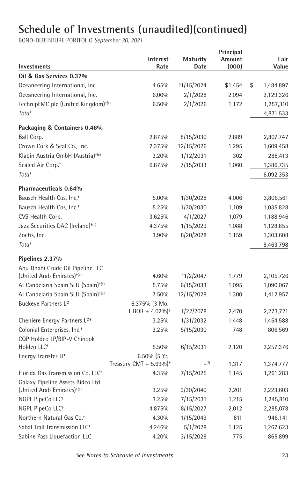| Investments                                            | <b>Interest</b><br>Rate            | <b>Maturity</b><br>Date | Principal<br>Amount<br>(000) | Fair<br>Value   |
|--------------------------------------------------------|------------------------------------|-------------------------|------------------------------|-----------------|
| Oil & Gas Services 0.37%                               |                                    |                         |                              |                 |
| Oceaneering International, Inc.                        | 4.65%                              | 11/15/2024              | \$1,454                      | \$<br>1,484,897 |
| Oceaneering International, Inc.                        | $6.00\%$                           | 2/1/2028                | 2,094                        | 2,129,326       |
| TechnipFMC plc (United Kingdom) <sup>+(e)</sup>        | 6.50%                              | 2/1/2026                | 1,172                        | 1,257,310       |
| Total                                                  |                                    |                         |                              | 4,871,533       |
| Packaging & Containers 0.46%                           |                                    |                         |                              |                 |
| Ball Corp.                                             | 2.875%                             | 8/15/2030               | 2,889                        | 2,807,747       |
| Crown Cork & Seal Co., Inc.                            | 7.375%                             | 12/15/2026              | 1,295                        | 1,609,458       |
| Klabin Austria GmbH (Austria) <sup>+(e)</sup>          | 3.20%                              | 1/12/2031               | 302                          | 288,413         |
| Sealed Air Corp. <sup>+</sup>                          | 6.875%                             | 7/15/2033               | 1,060                        | 1,386,735       |
| Total                                                  |                                    |                         |                              | 6,092,353       |
| Pharmaceuticals 0.64%                                  |                                    |                         |                              |                 |
| Bausch Health Cos, Inc. <sup>+</sup>                   | 5.00%                              | 1/30/2028               | 4,006                        | 3,806,561       |
| Bausch Health Cos, Inc. <sup>+</sup>                   | 5.25%                              | 1/30/2030               | 1,109                        | 1,035,828       |
| CVS Health Corp.                                       | 3.625%                             | 4/1/2027                | 1,079                        | 1,188,946       |
| Jazz Securities DAC (Ireland) <sup>+(e)</sup>          | 4.375%                             | 1/15/2029               | 1,088                        | 1,128,855       |
| Zoetis, Inc.                                           | 3.90%                              | 8/20/2028               | 1,159                        | 1,303,608       |
| Total                                                  |                                    |                         |                              | 8,463,798       |
| Pipelines 2.37%                                        |                                    |                         |                              |                 |
| Abu Dhabi Crude Oil Pipeline LLC                       |                                    |                         |                              |                 |
| (United Arab Emirates) <sup>+(e)</sup>                 | 4.60%                              | 11/2/2047               | 1,779                        | 2,105,726       |
| Al Candelaria Spain SLU (Spain) <sup>+(e)</sup>        | 5.75%                              | 6/15/2033               | 1,095                        | 1,090,067       |
| Al Candelaria Spain SLU (Spain) <sup>+(e)</sup>        | 7.50%                              | 12/15/2028              | 1,300                        | 1,412,957       |
| <b>Buckeye Partners LP</b>                             | 6.375% (3 Mo.                      |                         |                              |                 |
|                                                        | $LIBOR + 4.02\%$ <sup>*</sup>      | 1/22/2078               | 2,470                        | 2,273,721       |
| Cheniere Energy Partners LP <sup>+</sup>               | 3.25%                              | 1/31/2032               | 1,448                        | 1,454,588       |
| Colonial Enterprises, Inc. <sup>+</sup>                | 3.25%                              | 5/15/2030               | 748                          | 806,569         |
| CQP Holdco LP/BIP-V Chinook<br>Holdco LLC <sup>+</sup> | 5.50%                              | 6/15/2031               | 2,120                        | 2,257,376       |
| Energy Transfer LP                                     | 6.50% (5 Yr.                       |                         |                              |                 |
|                                                        | Treasury CMT + 5.69%) <sup>#</sup> | (f)                     | 1,317                        | 1,374,777       |
| Florida Gas Transmission Co. LLC <sup>+</sup>          | 4.35%                              | 7/15/2025               | 1,145                        | 1,261,283       |
| Galaxy Pipeline Assets Bidco Ltd.                      |                                    |                         |                              |                 |
| (United Arab Emirates) <sup>+(e)</sup>                 | 3.25%                              | 9/30/2040               | 2,201                        | 2,223,603       |
| NGPL PipeCo LLC <sup>+</sup>                           | 3.25%                              | 7/15/2031               | 1,215                        | 1,245,810       |
| NGPL PipeCo LLC <sup>+</sup>                           | 4.875%                             | 8/15/2027               | 2,012                        | 2,285,078       |
| Northern Natural Gas Co. <sup>+</sup>                  | 4.30%                              | 1/15/2049               | 811                          | 946,141         |
| Sabal Trail Transmission LLC <sup>+</sup>              | 4.246%                             | 5/1/2028                | 1,125                        | 1,267,623       |
| Sabine Pass Liquefaction LLC                           | 4.20%                              | 3/15/2028               | 775                          | 865,899         |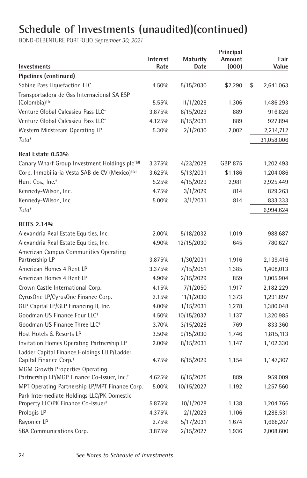| Investments                                                                       | Interest<br>Rate | Maturity<br>Date | Principal<br>Amount<br>(000) | Fair<br>Value   |
|-----------------------------------------------------------------------------------|------------------|------------------|------------------------------|-----------------|
| Pipelines (continued)                                                             |                  |                  |                              |                 |
| Sabine Pass Liquefaction LLC                                                      | 4.50%            | 5/15/2030        | \$2,290                      | \$<br>2,641,063 |
| Transportadora de Gas Internacional SA ESP                                        |                  |                  |                              |                 |
| $(Colombia)$ <sup>+(e)</sup>                                                      | 5.55%            | 11/1/2028        | 1,306                        | 1,486,293       |
| Venture Global Calcasieu Pass LLC <sup>+</sup>                                    | 3.875%           | 8/15/2029        | 889                          | 916,826         |
| Venture Global Calcasieu Pass LLC <sup>+</sup>                                    | 4.125%           | 8/15/2031        | 889                          | 927,894         |
| Western Midstream Operating LP                                                    | 5.30%            | 2/1/2030         | 2,002                        | 2,214,712       |
| Total                                                                             |                  |                  |                              | 31,058,006      |
| Real Estate 0.53%                                                                 |                  |                  |                              |                 |
| Canary Wharf Group Investment Holdings plc <sup>+(d)</sup>                        | 3.375%           | 4/23/2028        | GBP 875                      | 1,202,493       |
| Corp. Inmobiliaria Vesta SAB de CV (Mexico) <sup>+(e)</sup>                       | 3.625%           | 5/13/2031        | \$1,186                      | 1,204,086       |
| Hunt Cos., Inc. <sup>+</sup>                                                      | 5.25%            | 4/15/2029        | 2,981                        | 2,925,449       |
| Kennedy-Wilson, Inc.                                                              | 4.75%            | 3/1/2029         | 814                          | 829,263         |
| Kennedy-Wilson, Inc.                                                              | 5.00%            | 3/1/2031         | 814                          | 833,333         |
| Total                                                                             |                  |                  |                              | 6,994,624       |
| <b>REITS 2.14%</b>                                                                |                  |                  |                              |                 |
| Alexandria Real Estate Equities, Inc.                                             | 2.00%            | 5/18/2032        | 1,019                        | 988,687         |
| Alexandria Real Estate Equities, Inc.                                             | 4.90%            | 12/15/2030       | 645                          | 780,627         |
| American Campus Communities Operating                                             |                  |                  |                              |                 |
| Partnership LP                                                                    | 3.875%           | 1/30/2031        | 1,916                        | 2,139,416       |
| American Homes 4 Rent LP                                                          | 3.375%           | 7/15/2051        | 1,385                        | 1,408,013       |
| American Homes 4 Rent LP                                                          | 4.90%            | 2/15/2029        | 859                          | 1,005,904       |
| Crown Castle International Corp.                                                  | 4.15%            | 7/1/2050         | 1,917                        | 2,182,229       |
| CyrusOne LP/CyrusOne Finance Corp.                                                | 2.15%            | 11/1/2030        | 1,373                        | 1,291,897       |
| GLP Capital LP/GLP Financing II, Inc.                                             | 4.00%            | 1/15/2031        | 1,278                        | 1,380,048       |
| Goodman US Finance Four LLC <sup>+</sup>                                          | 4.50%            | 10/15/2037       | 1,137                        | 1,320,985       |
| Goodman US Finance Three LLC <sup>+</sup>                                         | 3.70%            | 3/15/2028        | 769                          | 833,360         |
| Host Hotels & Resorts LP                                                          | 3.50%            | 9/15/2030        | 1,746                        | 1,815,113       |
| Invitation Homes Operating Partnership LP                                         | 2.00%            | 8/15/2031        | 1,147                        | 1,102,330       |
| Ladder Capital Finance Holdings LLLP/Ladder<br>Capital Finance Corp. <sup>+</sup> | 4.75%            | 6/15/2029        | 1,154                        | 1,147,307       |
| <b>MGM Growth Properties Operating</b>                                            |                  |                  |                              |                 |
| Partnership LP/MGP Finance Co-Issuer, Inc. <sup>+</sup>                           | 4.625%           | 6/15/2025        | 889                          | 959,009         |
| MPT Operating Partnership LP/MPT Finance Corp.                                    | 5.00%            | 10/15/2027       | 1,192                        | 1,257,560       |
| Park Intermediate Holdings LLC/PK Domestic                                        |                  |                  |                              |                 |
| Property LLC/PK Finance Co-Issuer <sup>+</sup>                                    | 5.875%           | 10/1/2028        | 1,138                        | 1,204,766       |
| Prologis LP                                                                       | 4.375%           | 2/1/2029         | 1,106                        | 1,288,531       |
| Rayonier LP                                                                       | 2.75%            | 5/17/2031        | 1,674                        | 1,668,207       |
| SBA Communications Corp.                                                          | 3.875%           | 2/15/2027        | 1,936                        | 2,008,600       |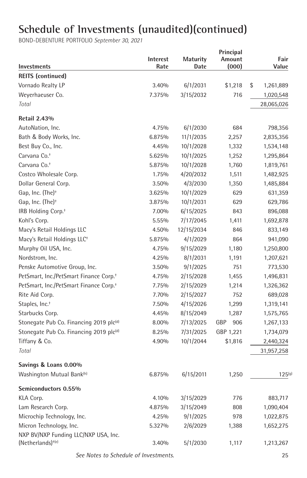BOND-DEBENTURE PORTFOLIO *September 30, 2021*

| Investments                                                     | <b>Interest</b><br>Rate | <b>Maturity</b><br>Date | Principal<br>Amount<br>(000) | Fair<br>Value   |
|-----------------------------------------------------------------|-------------------------|-------------------------|------------------------------|-----------------|
| <b>REITS</b> (continued)                                        |                         |                         |                              |                 |
| Vornado Realty LP                                               | 3.40%                   | 6/1/2031                | \$1,218                      | \$<br>1,261,889 |
| Weyerhaeuser Co.                                                | 7.375%                  | 3/15/2032               | 716                          | 1,020,548       |
| Total                                                           |                         |                         |                              | 28,065,026      |
| <b>Retail 2.43%</b>                                             |                         |                         |                              |                 |
| AutoNation, Inc.                                                | 4.75%                   | 6/1/2030                | 684                          | 798,356         |
| Bath & Body Works, Inc.                                         | 6.875%                  | 11/1/2035               | 2,257                        | 2,835,356       |
| Best Buy Co., Inc.                                              | 4.45%                   | 10/1/2028               | 1,332                        | 1,534,148       |
| Carvana Co. <sup>+</sup>                                        | 5.625%                  | 10/1/2025               | 1,252                        | 1,295,864       |
| Carvana Co. <sup>+</sup>                                        | 5.875%                  | 10/1/2028               | 1,760                        | 1,819,761       |
| Costco Wholesale Corp.                                          | 1.75%                   | 4/20/2032               | 1,511                        | 1,482,925       |
| Dollar General Corp.                                            | 3.50%                   | 4/3/2030                | 1,350                        | 1,485,884       |
| Gap, Inc. (The) <sup>+</sup>                                    | 3.625%                  | 10/1/2029               | 629                          | 631,359         |
| Gap, Inc. (The) <sup>+</sup>                                    | 3.875%                  | 10/1/2031               | 629                          | 629,786         |
| IRB Holding Corp. <sup>+</sup>                                  | 7.00%                   | 6/15/2025               | 843                          | 896,088         |
| Kohl's Corp.                                                    | 5.55%                   | 7/17/2045               | 1,411                        | 1,692,878       |
| Macy's Retail Holdings LLC                                      | 4.50%                   | 12/15/2034              | 846                          | 833,149         |
| Macy's Retail Holdings LLC <sup>+</sup>                         | 5.875%                  | 4/1/2029                | 864                          | 941,090         |
| Murphy Oil USA, Inc.                                            | 4.75%                   | 9/15/2029               | 1,180                        | 1,250,800       |
| Nordstrom, Inc.                                                 | 4.25%                   | 8/1/2031                | 1,191                        | 1,207,621       |
| Penske Automotive Group, Inc.                                   | 3.50%                   | 9/1/2025                | 751                          | 773,530         |
| PetSmart, Inc./PetSmart Finance Corp. <sup>+</sup>              | 4.75%                   | 2/15/2028               | 1,455                        | 1,496,831       |
| PetSmart, Inc./PetSmart Finance Corp. <sup>+</sup>              | 7.75%                   | 2/15/2029               | 1,214                        | 1,326,362       |
| Rite Aid Corp.                                                  | 7.70%                   | 2/15/2027               | 752                          | 689,028         |
| Staples, Inc. <sup>+</sup>                                      | 7.50%                   | 4/15/2026               | 1,299                        | 1,319,141       |
| Starbucks Corp.                                                 | 4.45%                   | 8/15/2049               | 1,287                        | 1,575,765       |
| Stonegate Pub Co. Financing 2019 plc(d)                         | 8.00%                   | 7/13/2025               | GBP<br>906                   | 1,267,133       |
| Stonegate Pub Co. Financing 2019 plc(d)                         | 8.25%                   | 7/31/2025               | GBP 1,221                    | 1,734,079       |
| Tiffany & Co.                                                   | 4.90%                   | 10/1/2044               | \$1,816                      | 2,440,324       |
| Total                                                           |                         |                         |                              | 31,957,258      |
| Savings & Loans 0.00%                                           |                         |                         |                              |                 |
| Washington Mutual Bank(h)                                       | 6.875%                  | 6/15/2011               | 1,250                        | $125^{(g)}$     |
| Semiconductors 0.55%                                            |                         |                         |                              |                 |
| KLA Corp.                                                       | 4.10%                   | 3/15/2029               | 776                          | 883,717         |
| Lam Research Corp.                                              | 4.875%                  | 3/15/2049               | 808                          | 1,090,404       |
| Microchip Technology, Inc.                                      | 4.25%                   | 9/1/2025                | 978                          | 1,022,875       |
| Micron Technology, Inc.<br>NXP BV/NXP Funding LLC/NXP USA, Inc. | 5.327%                  | 2/6/2029                | 1,388                        | 1,652,275       |
| $(Netherlands)$ <sup>+(e)</sup>                                 | 3.40%                   | 5/1/2030                | 1,117                        | 1,213,267       |

 *See Notes to Schedule of Investments.* 25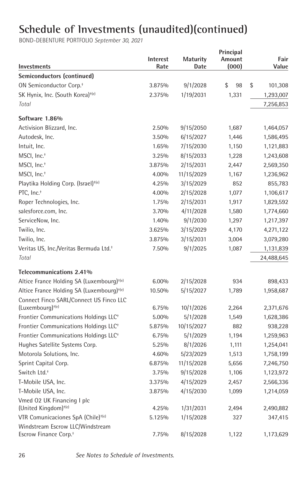| Investments                                                           | <b>Interest</b><br>Rate | <b>Maturity</b><br>Date | Principal<br>Amount<br>(000) | Fair<br>Value |
|-----------------------------------------------------------------------|-------------------------|-------------------------|------------------------------|---------------|
| Semiconductors (continued)                                            |                         |                         |                              |               |
| ON Semiconductor Corp. <sup>+</sup>                                   | 3.875%                  | 9/1/2028                | \$<br>98                     | \$<br>101,308 |
| SK Hynix, Inc. (South Korea) <sup>+(e)</sup>                          | 2.375%                  | 1/19/2031               | 1,331                        | 1,293,007     |
| Total                                                                 |                         |                         |                              | 7,256,853     |
| Software 1.86%                                                        |                         |                         |                              |               |
| Activision Blizzard, Inc.                                             | 2.50%                   | 9/15/2050               | 1,687                        | 1,464,057     |
| Autodesk, Inc.                                                        | 3.50%                   | 6/15/2027               | 1,446                        | 1,586,495     |
| Intuit, Inc.                                                          | 1.65%                   | 7/15/2030               | 1,150                        | 1,121,883     |
| MSCI, Inc. <sup>+</sup>                                               | 3.25%                   | 8/15/2033               | 1,228                        | 1,243,608     |
| MSCI, Inc. <sup>+</sup>                                               | 3.875%                  | 2/15/2031               | 2,447                        | 2,569,350     |
| MSCI, Inc. <sup>+</sup>                                               | 4.00%                   | 11/15/2029              | 1,167                        | 1,236,962     |
| Playtika Holding Corp. (Israel) <sup>+(e)</sup>                       | 4.25%                   | 3/15/2029               | 852                          | 855,783       |
| PTC, Inc. <sup>+</sup>                                                | 4.00%                   | 2/15/2028               | 1,077                        | 1,106,617     |
| Roper Technologies, Inc.                                              | 1.75%                   | 2/15/2031               | 1,917                        | 1,829,592     |
| salesforce.com, Inc.                                                  | 3.70%                   | 4/11/2028               | 1,580                        | 1,774,660     |
| ServiceNow, Inc.                                                      | 1.40%                   | 9/1/2030                | 1,297                        | 1,217,397     |
| Twilio, Inc.                                                          | 3.625%                  | 3/15/2029               | 4,170                        | 4,271,122     |
| Twilio, Inc.                                                          | 3.875%                  | 3/15/2031               | 3,004                        | 3,079,280     |
| Veritas US, Inc./Veritas Bermuda Ltd. <sup>+</sup>                    | 7.50%                   | 9/1/2025                | 1,087                        | 1,131,839     |
| Total                                                                 |                         |                         |                              | 24,488,645    |
| Telecommunications 2.41%                                              |                         |                         |                              |               |
| Altice France Holding SA (Luxembourg) <sup>+(e)</sup>                 | 6.00%                   | 2/15/2028               | 934                          | 898,433       |
| Altice France Holding SA (Luxembourg) <sup>+(e)</sup>                 | 10.50%                  | 5/15/2027               | 1,789                        | 1,958,687     |
| Connect Finco SARL/Connect US Finco LLC                               |                         |                         |                              |               |
| $(Luxembourq)^{+(e)}$                                                 | 6.75%                   | 10/1/2026               | 2,264                        | 2,371,676     |
| Frontier Communications Holdings LLC <sup>+</sup>                     | 5.00%                   | 5/1/2028                | 1,549                        | 1,628,386     |
| Frontier Communications Holdings LLC <sup>+</sup>                     | 5.875%                  | 10/15/2027              | 882                          | 938,228       |
| Frontier Communications Holdings LLC <sup>+</sup>                     | 6.75%                   | 5/1/2029                | 1,194                        | 1,259,963     |
| Hughes Satellite Systems Corp.                                        | 5.25%                   | 8/1/2026                | 1,111                        | 1,254,041     |
| Motorola Solutions, Inc.                                              | 4.60%                   | 5/23/2029               | 1,513                        | 1,758,199     |
| Sprint Capital Corp.                                                  | 6.875%                  | 11/15/2028              | 5,656                        | 7,246,750     |
| Switch Ltd. <sup>+</sup>                                              | 3.75%                   | 9/15/2028               | 1,106                        | 1,123,972     |
| T-Mobile USA, Inc.                                                    | 3.375%                  | 4/15/2029               | 2,457                        | 2,566,336     |
| T-Mobile USA, Inc.                                                    | 3.875%                  | 4/15/2030               | 1,099                        | 1,214,059     |
| Vmed 02 UK Financing I plc<br>(United Kingdom) <sup>+(e)</sup>        | 4.25%                   | 1/31/2031               | 2,494                        | 2,490,882     |
| VTR Comunicaciones SpA (Chile) <sup>+(e)</sup>                        | 5.125%                  | 1/15/2028               | 327                          | 347,415       |
| Windstream Escrow LLC/Windstream<br>Escrow Finance Corp. <sup>+</sup> | 7.75%                   | 8/15/2028               | 1,122                        | 1,173,629     |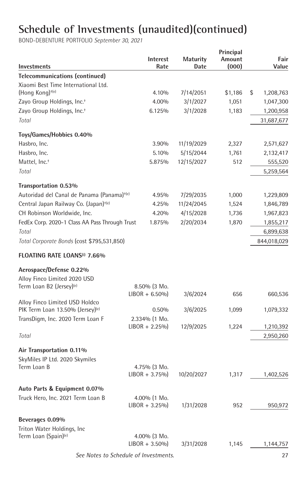| Investments                                            | Interest<br>Rate | Maturity<br>Date | Principal<br>Amount<br>(000) | Fair<br>Value   |
|--------------------------------------------------------|------------------|------------------|------------------------------|-----------------|
| <b>Telecommunications (continued)</b>                  |                  |                  |                              |                 |
| Xiaomi Best Time International Ltd.                    |                  |                  |                              |                 |
| (Hong Kong) <sup>+(e)</sup>                            | 4.10%            | 7/14/2051        | \$1,186                      | \$<br>1,208,763 |
| Zayo Group Holdings, Inc. <sup>+</sup>                 | 4.00%            | 3/1/2027         | 1,051                        | 1,047,300       |
| Zayo Group Holdings, Inc. <sup>+</sup>                 | 6.125%           | 3/1/2028         | 1,183                        | 1,200,958       |
| Total                                                  |                  |                  |                              | 31,687,677      |
| Toys/Games/Hobbies 0.40%                               |                  |                  |                              |                 |
| Hasbro, Inc.                                           | 3.90%            | 11/19/2029       | 2,327                        | 2,571,627       |
| Hasbro, Inc.                                           | 5.10%            | 5/15/2044        | 1,761                        | 2,132,417       |
| Mattel, Inc. <sup>+</sup>                              | 5.875%           | 12/15/2027       | 512                          | 555,520         |
| Total                                                  |                  |                  |                              | 5,259,564       |
| Transportation 0.53%                                   |                  |                  |                              |                 |
| Autoridad del Canal de Panama (Panama) <sup>+(e)</sup> | 4.95%            | 7/29/2035        | 1,000                        | 1,229,809       |
| Central Japan Railway Co. (Japan) <sup>+(e)</sup>      | 4.25%            | 11/24/2045       | 1,524                        | 1,846,789       |
| CH Robinson Worldwide, Inc.                            | 4.20%            | 4/15/2028        | 1,736                        | 1,967,823       |
| FedEx Corp. 2020-1 Class AA Pass Through Trust         | 1.875%           | 2/20/2034        | 1,870                        | 1,855,217       |
| Total                                                  |                  |                  |                              | 6,899,638       |
| Total Corporate Bonds (cost \$795,531,850)             |                  |                  |                              | 844,018,029     |
| FLOATING RATE LOANS <sup>(i)</sup> 7.66%               |                  |                  |                              |                 |
| Aerospace/Defense 0.22%                                |                  |                  |                              |                 |
| Alloy Finco Limited 2020 USD                           |                  |                  |                              |                 |
| Term Loan B2 (Jersey) <sup>(e)</sup>                   | 8.50% (3 Mo.     |                  |                              |                 |
|                                                        | $LIBOR + 6.50\%$ | 3/6/2024         | 656                          | 660,536         |
| Alloy Finco Limited USD Holdco                         |                  |                  |                              |                 |
| PIK Term Loan 13.50% (Jersey) <sup>(e)</sup>           | 0.50%            | 3/6/2025         | 1,099                        | 1,079,332       |
| TransDigm, Inc. 2020 Term Loan F                       | 2.334% (1 Mo.    |                  |                              |                 |
|                                                        | $LIBOR + 2.25\%$ | 12/9/2025        | 1,224                        | 1,210,392       |
| Total                                                  |                  |                  |                              | 2,950,260       |
| Air Transportation 0.11%                               |                  |                  |                              |                 |
| SkyMiles IP Ltd. 2020 Skymiles                         |                  |                  |                              |                 |
| Term Loan B                                            | 4.75% (3 Mo.     |                  |                              |                 |
|                                                        | $LIBOR + 3.75\%$ | 10/20/2027       | 1,317                        | 1,402,526       |
| Auto Parts & Equipment 0.07%                           |                  |                  |                              |                 |
| Truck Hero, Inc. 2021 Term Loan B                      | 4.00% (1 Mo.     |                  |                              |                 |
|                                                        | $LIBOR + 3.25\%$ | 1/31/2028        | 952                          | 950,972         |
| Beverages 0.09%                                        |                  |                  |                              |                 |
| Triton Water Holdings, Inc.                            |                  |                  |                              |                 |
| Term Loan (Spain) <sup>(e)</sup>                       | 4.00% (3 Mo.     |                  |                              |                 |
|                                                        | $LIBOR + 3.50\%$ | 3/31/2028        | 1,145                        | 1,144,757       |
| See Notes to Schedule of Investments.                  |                  |                  |                              | 27              |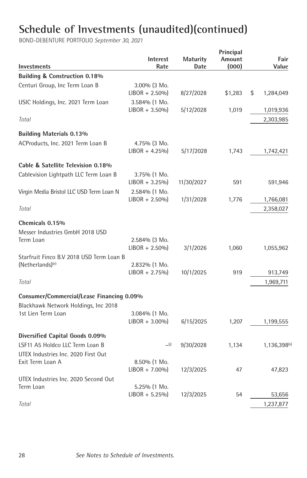|                                           |                  |                 | Principal |                          |
|-------------------------------------------|------------------|-----------------|-----------|--------------------------|
|                                           | Interest         | <b>Maturity</b> | Amount    | Fair                     |
| Investments                               | Rate             | Date            | (000)     | Value                    |
| Building & Construction 0.18%             |                  |                 |           |                          |
| Centuri Group, Inc Term Loan B            | 3.00% (3 Mo.     |                 |           |                          |
|                                           | $LIBOR + 2.50\%$ | 8/27/2028       | \$1,283   | \$<br>1,284,049          |
| USIC Holdings, Inc. 2021 Term Loan        | 3.584% (1 Mo.    |                 |           |                          |
|                                           | $LIBOR + 3.50\%$ | 5/12/2028       | 1,019     | 1,019,936                |
| Total                                     |                  |                 |           | 2,303,985                |
| <b>Building Materials 0.13%</b>           |                  |                 |           |                          |
| ACProducts, Inc. 2021 Term Loan B         | 4.75% (3 Mo.     |                 |           |                          |
|                                           | $LIBOR + 4.25\%$ | 5/17/2028       | 1,743     | 1,742,421                |
| Cable & Satellite Television 0.18%        |                  |                 |           |                          |
| Cablevision Lightpath LLC Term Loan B     | 3.75% (1 Mo.     |                 |           |                          |
|                                           | $LIBOR + 3.25\%$ | 11/30/2027      | 591       | 591,946                  |
| Virgin Media Bristol LLC USD Term Loan N  | 2.584% (1 Mo.    |                 |           |                          |
|                                           | $LIBOR + 2.50\%$ | 1/31/2028       | 1,776     | 1,766,081                |
| Total                                     |                  |                 |           | 2,358,027                |
| Chemicals 0.15%                           |                  |                 |           |                          |
| Messer Industries GmbH 2018 USD           |                  |                 |           |                          |
| Term Loan                                 | 2.584% (3 Mo.    |                 |           |                          |
|                                           | $LIBOR + 2.50\%$ | 3/1/2026        | 1,060     | 1,055,962                |
| Starfruit Finco B.V 2018 USD Term Loan B  |                  |                 |           |                          |
| (Netherlands) <sup>(e)</sup>              | 2.832% (1 Mo.    |                 |           |                          |
|                                           | $LIBOR + 2.75\%$ | 10/1/2025       | 919       | 913,749                  |
| Total                                     |                  |                 |           | 1,969,711                |
| Consumer/Commercial/Lease Financing 0.09% |                  |                 |           |                          |
| Blackhawk Network Holdings, Inc 2018      |                  |                 |           |                          |
| 1st Lien Term Loan                        | 3.084% (1 Mo.    |                 |           |                          |
|                                           | $LIBOR + 3.00\%$ | 6/15/2025       | 1,207     | 1,199,555                |
| Diversified Capital Goods 0.09%           |                  |                 |           |                          |
| LSF11 A5 Holdco LLC Term Loan B           | (i)              | 9/30/2028       | 1,134     | 1,136,398 <sup>(k)</sup> |
| UTEX Industries Inc. 2020 First Out       |                  |                 |           |                          |
| Exit Term Loan A                          | $8.50\%$ (1 Mo.  |                 |           |                          |
|                                           | $LIBOR + 7.00\%$ | 12/3/2025       | 47        | 47,823                   |
| UTEX Industries Inc. 2020 Second Out      |                  |                 |           |                          |
| Term Loan                                 | $5.25\%$ (1 Mo.  |                 |           |                          |
|                                           | $LIBOR + 5.25\%$ | 12/3/2025       | 54        | 53,656                   |
| Total                                     |                  |                 |           | 1,237,877                |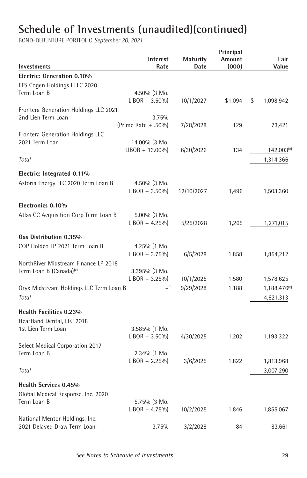| Investments                                        | <b>Interest</b><br>Rate            | <b>Maturity</b><br>Date | Principal<br>Amount<br>(000) | Fair<br>Value            |
|----------------------------------------------------|------------------------------------|-------------------------|------------------------------|--------------------------|
| Electric: Generation 0.10%                         |                                    |                         |                              |                          |
| EFS Cogen Holdings I LLC 2020                      |                                    |                         |                              |                          |
| Term Loan B                                        | 4.50% (3 Mo.                       |                         |                              |                          |
|                                                    | $LIBOR + 3.50\%$                   | 10/1/2027               | \$1,094                      | \$<br>1,098,942          |
| Frontera Generation Holdings LLC 2021              |                                    |                         |                              |                          |
| 2nd Lien Term Loan                                 | 3.75%                              |                         |                              |                          |
|                                                    | (Prime Rate + .50%)                | 7/28/2028               | 129                          | 73,421                   |
| Frontera Generation Holdings LLC<br>2021 Term Loan |                                    |                         |                              |                          |
|                                                    | 14.00% (3 Mo.<br>$LIBOR + 13.00\%$ | 6/30/2026               | 134                          | $142,003^{(k)}$          |
| Total                                              |                                    |                         |                              | 1,314,366                |
|                                                    |                                    |                         |                              |                          |
| Electric: Integrated 0.11%                         |                                    |                         |                              |                          |
| Astoria Energy LLC 2020 Term Loan B                | 4.50% (3 Mo.                       |                         |                              |                          |
|                                                    | $LIBOR + 3.50\%$                   | 12/10/2027              | 1,496                        | 1,503,360                |
|                                                    |                                    |                         |                              |                          |
| Electronics 0.10%                                  |                                    |                         |                              |                          |
| Atlas CC Acquisition Corp Term Loan B              | 5.00% (3 Mo.                       |                         |                              |                          |
|                                                    | $LIBOR + 4.25\%$                   | 5/25/2028               | 1,265                        | 1,271,015                |
| Gas Distribution 0.35%                             |                                    |                         |                              |                          |
| CQP Holdco LP 2021 Term Loan B                     | 4.25% (1 Mo.                       |                         |                              |                          |
|                                                    | $LIBOR + 3.75\%$                   | 6/5/2028                | 1,858                        | 1,854,212                |
| NorthRiver Midstream Finance LP 2018               |                                    |                         |                              |                          |
| Term Loan B (Canada) <sup>(e)</sup>                | 3.395% (3 Mo.                      |                         |                              |                          |
|                                                    | $LIBOR + 3.25\%$                   | 10/1/2025               | 1,580                        | 1,578,625                |
| Oryx Midstream Holdings LLC Term Loan B            | (i)                                | 9/29/2028               | 1,188                        | 1,188,476 <sup>(k)</sup> |
| Total                                              |                                    |                         |                              | 4,621,313                |
| Health Facilities 0.23%                            |                                    |                         |                              |                          |
| Heartland Dental, LLC 2018                         |                                    |                         |                              |                          |
| 1st Lien Term Loan                                 | 3.585% (1 Mo.                      |                         |                              |                          |
|                                                    | $LIBOR + 3.50\%$                   | 4/30/2025               | 1,202                        | 1,193,322                |
| Select Medical Corporation 2017                    |                                    |                         |                              |                          |
| Term Loan B                                        | 2.34% (1 Mo.                       |                         |                              |                          |
|                                                    | $LIBOR + 2.25\%$                   | 3/6/2025                | 1,822                        | 1,813,968                |
| Total                                              |                                    |                         |                              | 3,007,290                |
| <b>Health Services 0.45%</b>                       |                                    |                         |                              |                          |
| Global Medical Response, Inc. 2020                 |                                    |                         |                              |                          |
| Term Loan B                                        | 5.75% (3 Mo.                       |                         |                              |                          |
|                                                    | $LIBOR + 4.75\%$                   | 10/2/2025               | 1,846                        | 1,855,067                |
| National Mentor Holdings, Inc.                     |                                    |                         |                              |                          |
| 2021 Delayed Draw Term Loan <sup>(1)</sup>         | 3.75%                              | 3/2/2028                | 84                           | 83,661                   |
|                                                    |                                    |                         |                              |                          |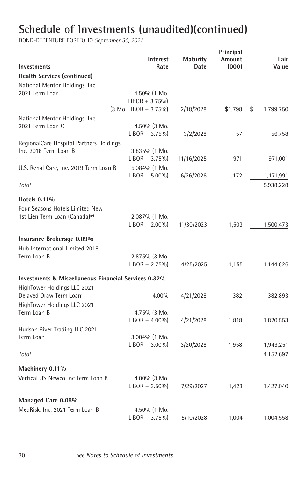| <b>Investments</b>                                   | Interest<br>Rate                  | Maturity<br>Date | Principal<br>Amount<br>(000) | Fair<br>Value   |
|------------------------------------------------------|-----------------------------------|------------------|------------------------------|-----------------|
| <b>Health Services (continued)</b>                   |                                   |                  |                              |                 |
| National Mentor Holdings, Inc.                       |                                   |                  |                              |                 |
| 2021 Term Loan                                       | 4.50% (1 Mo.                      |                  |                              |                 |
|                                                      | $LIBOR + 3.75\%$                  |                  |                              |                 |
|                                                      | $(3 \text{ Mo. LIBOR} + 3.75\%)$  | 2/18/2028        | \$1,798                      | \$<br>1,799,750 |
| National Mentor Holdings, Inc.                       |                                   |                  |                              |                 |
| 2021 Term Loan C                                     | 4.50% (3 Mo.                      |                  |                              |                 |
|                                                      | $LIBOR + 3.75\%$                  | 3/2/2028         | 57                           | 56,758          |
| RegionalCare Hospital Partners Holdings,             |                                   |                  |                              |                 |
| Inc. 2018 Term Loan B                                | 3.835% (1 Mo.                     |                  |                              |                 |
|                                                      | $LIBOR + 3.75\%$                  | 11/16/2025       | 971                          | 971,001         |
| U.S. Renal Care, Inc. 2019 Term Loan B               | 5.084% (1 Mo.                     |                  |                              |                 |
|                                                      | $LIBOR + 5.00\%$                  | 6/26/2026        | 1,172                        | 1,171,991       |
| Total                                                |                                   |                  |                              | 5,938,228       |
| Hotels 0.11%                                         |                                   |                  |                              |                 |
| Four Seasons Hotels Limited New                      |                                   |                  |                              |                 |
| 1st Lien Term Loan (Canada) <sup>(e)</sup>           | 2.087% (1 Mo.                     |                  |                              |                 |
|                                                      | $LIBOR + 2.00\%$                  | 11/30/2023       | 1,503                        | 1,500,473       |
| Insurance Brokerage 0.09%                            |                                   |                  |                              |                 |
|                                                      |                                   |                  |                              |                 |
| Hub International Limited 2018                       |                                   |                  |                              |                 |
| Term Loan B                                          | 2.875% (3 Mo.<br>$LIBOR + 2.75\%$ | 4/25/2025        | 1,155                        | 1,144,826       |
|                                                      |                                   |                  |                              |                 |
| Investments & Miscellaneous Financial Services 0.32% |                                   |                  |                              |                 |
| HighTower Holdings LLC 2021                          |                                   |                  |                              |                 |
| Delayed Draw Term Loan <sup>(1)</sup>                | 4.00%                             | 4/21/2028        | 382                          | 382,893         |
| HighTower Holdings LLC 2021                          |                                   |                  |                              |                 |
| Term Loan B                                          | 4.75% (3 Mo.                      |                  |                              |                 |
|                                                      | $LIBOR + 4.00\%$                  | 4/21/2028        | 1,818                        | 1,820,553       |
| Hudson River Trading LLC 2021                        |                                   |                  |                              |                 |
| Term Loan                                            | 3.084% (1 Mo.                     |                  |                              |                 |
|                                                      | $LIBOR + 3.00\%$                  | 3/20/2028        | 1,958                        | 1,949,251       |
| Total                                                |                                   |                  |                              | 4,152,697       |
| Machinery 0.11%                                      |                                   |                  |                              |                 |
| Vertical US Newco Inc Term Loan B                    | $4.00\%$ (3 Mo.                   |                  |                              |                 |
|                                                      | $LIBOR + 3.50\%$                  | 7/29/2027        | 1,423                        | 1,427,040       |
| Managed Care 0.08%                                   |                                   |                  |                              |                 |
| MedRisk, Inc. 2021 Term Loan B                       |                                   |                  |                              |                 |
|                                                      | 4.50% (1 Mo.<br>$LIBOR + 3.75\%$  | 5/10/2028        | 1.004                        | 1,004,558       |
|                                                      |                                   |                  |                              |                 |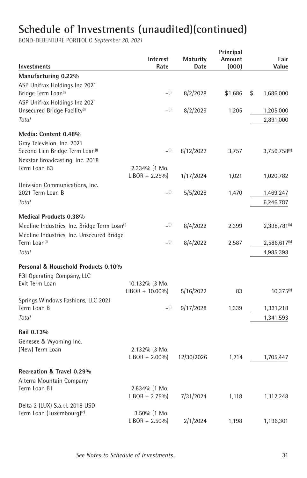| Investments                                                                                                  | Interest<br>Rate                    | <b>Maturity</b><br>Date | Principal<br>Amount<br>(000) | Fair<br>Value            |
|--------------------------------------------------------------------------------------------------------------|-------------------------------------|-------------------------|------------------------------|--------------------------|
| Manufacturing 0.22%                                                                                          |                                     |                         |                              |                          |
| ASP Unifrax Holdings Inc 2021<br>Bridge Term Loan <sup>(1)</sup>                                             | (i)                                 | 8/2/2028                | \$1,686                      | \$<br>1,686,000          |
| ASP Unifrax Holdings Inc 2021<br>Unsecured Bridge Facility <sup>(1)</sup>                                    | (i)                                 | 8/2/2029                | 1,205                        | 1,205,000                |
| Total                                                                                                        |                                     |                         |                              | 2,891,000                |
| Media: Content 0.48%                                                                                         |                                     |                         |                              |                          |
| Gray Television, Inc. 2021<br>Second Lien Bridge Term Loan <sup>(1)</sup><br>Nexstar Broadcasting, Inc. 2018 | (i)                                 | 8/12/2022               | 3,757                        | $3,756,758^{(k)}$        |
| Term Loan B3                                                                                                 | 2.334% (1 Mo.                       |                         |                              |                          |
|                                                                                                              | $LIBOR + 2.25\%$                    | 1/17/2024               | 1,021                        | 1,020,782                |
| Univision Communications, Inc.<br>2021 Term Loan B                                                           | (i)                                 | 5/5/2028                | 1,470                        | 1,469,247                |
| Total                                                                                                        |                                     |                         |                              | 6,246,787                |
| <b>Medical Products 0.38%</b>                                                                                |                                     |                         |                              |                          |
| Medline Industries, Inc. Bridge Term Loan <sup>(1)</sup><br>Medline Industries, Inc. Unsecured Bridge        | (i)                                 | 8/4/2022                | 2,399                        | 2,398,781 <sup>(k)</sup> |
| Term Loan <sup>(1)</sup>                                                                                     | (i)                                 | 8/4/2022                | 2,587                        | 2,586,617 <sup>(k)</sup> |
| Total                                                                                                        |                                     |                         |                              | 4,985,398                |
| Personal & Household Products 0.10%                                                                          |                                     |                         |                              |                          |
| FGI Operating Company, LLC                                                                                   |                                     |                         |                              |                          |
| Exit Term Loan                                                                                               | 10.132% (3 Mo.<br>$LIBOR + 10.00\%$ | 5/16/2022               | 83                           | $10,375^{(k)}$           |
| Springs Windows Fashions, LLC 2021                                                                           |                                     |                         |                              |                          |
| Term Loan B                                                                                                  | (i)                                 | 9/17/2028               | 1,339                        | 1,331,218                |
| Total                                                                                                        |                                     |                         |                              | 1,341,593                |
| Rail 0.13%                                                                                                   |                                     |                         |                              |                          |
| Genesee & Wyoming Inc.                                                                                       |                                     |                         |                              |                          |
| (New) Term Loan                                                                                              | 2.132% (3 Mo.                       |                         |                              |                          |
|                                                                                                              | $LIBOR + 2.00\%$                    | 12/30/2026              | 1,714                        | 1,705,447                |
| Recreation & Travel 0.29%                                                                                    |                                     |                         |                              |                          |
| Alterra Mountain Company                                                                                     |                                     |                         |                              |                          |
| Term Loan B1                                                                                                 | 2.834% (1 Mo.<br>$LIBOR + 2.75\%$   | 7/31/2024               | 1,118                        |                          |
| Delta 2 (LUX) S.a.r.l. 2018 USD                                                                              |                                     |                         |                              | 1,112,248                |
| Term Loan (Luxembourg) <sup>(e)</sup>                                                                        | 3.50% (1 Mo.                        |                         |                              |                          |
|                                                                                                              | $LIBOR + 2.50\%$                    | 2/1/2024                | 1,198                        | 1,196,301                |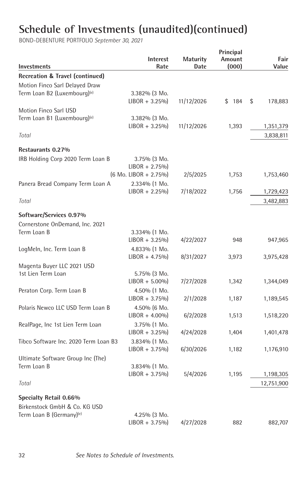| Investments                              | <b>Interest</b><br>Rate          | <b>Maturity</b><br>Date | Principal<br>Amount<br>(000) | Fair<br>Value |
|------------------------------------------|----------------------------------|-------------------------|------------------------------|---------------|
| Recreation & Travel (continued)          |                                  |                         |                              |               |
| Motion Finco Sarl Delayed Draw           |                                  |                         |                              |               |
| Term Loan B2 (Luxembourg) <sup>(e)</sup> | 3.382% (3 Mo.                    |                         |                              |               |
|                                          | $LIBOR + 3.25\%$                 | 11/12/2026              | \$184                        | \$<br>178,883 |
| Motion Finco Sarl USD                    |                                  |                         |                              |               |
| Term Loan B1 (Luxembourg) <sup>(e)</sup> | 3.382% (3 Mo.                    |                         |                              |               |
|                                          | $LIBOR + 3.25\%$                 | 11/12/2026              | 1,393                        | 1,351,379     |
| Total                                    |                                  |                         |                              | 3,838,811     |
| Restaurants 0.27%                        |                                  |                         |                              |               |
| IRB Holding Corp 2020 Term Loan B        | 3.75% (3 Mo.                     |                         |                              |               |
|                                          | $LIBOR + 2.75\%$                 |                         |                              |               |
|                                          | $(6 \text{ Mo. LIBOR} + 2.75\%)$ | 2/5/2025                | 1,753                        | 1,753,460     |
| Panera Bread Company Term Loan A         | 2.334% (1 Mo.                    |                         |                              |               |
|                                          | $LIBOR + 2.25\%$                 | 7/18/2022               | 1,756                        | 1,729,423     |
| Total                                    |                                  |                         |                              | 3,482,883     |
| Software/Services 0.97%                  |                                  |                         |                              |               |
| Cornerstone OnDemand, Inc. 2021          |                                  |                         |                              |               |
| Term Loan B                              | 3.334% (1 Mo.                    |                         |                              |               |
|                                          | $LIBOR + 3.25\%$                 | 4/22/2027               | 948                          | 947,965       |
| LogMeln, Inc. Term Loan B                | 4.833% (1 Mo.                    |                         |                              |               |
|                                          | $LIBOR + 4.75\%$                 | 8/31/2027               | 3,973                        | 3,975,428     |
| Magenta Buyer LLC 2021 USD               |                                  |                         |                              |               |
| 1st Lien Term Loan                       | 5.75% (3 Mo.                     |                         |                              |               |
|                                          | $LIBOR + 5.00\%$                 | 7/27/2028               | 1,342                        | 1,344,049     |
| Peraton Corp. Term Loan B                | 4.50% (1 Mo.                     |                         |                              |               |
|                                          | $LIBOR + 3.75\%$                 | 2/1/2028                | 1,187                        | 1,189,545     |
| Polaris Newco LLC USD Term Loan B        | 4.50% (6 Mo.                     |                         |                              |               |
|                                          | $LIBOR + 4.00\%$                 | 6/2/2028                | 1,513                        | 1,518,220     |
| RealPage, Inc 1st Lien Term Loan         | 3.75% (1 Mo.                     |                         |                              |               |
|                                          | $LIBOR + 3.25\%$                 | 4/24/2028               | 1,404                        | 1,401,478     |
| Tibco Software Inc. 2020 Term Loan B3    | 3.834% (1 Mo.                    |                         |                              |               |
|                                          | $LIBOR + 3.75\%$                 | 6/30/2026               | 1,182                        | 1,176,910     |
| Ultimate Software Group Inc (The)        |                                  |                         |                              |               |
| Term Loan B                              | 3.834% (1 Mo.                    |                         |                              |               |
|                                          | $LIBOR + 3.75\%$                 | 5/4/2026                | 1,195                        | 1,198,305     |
| Total                                    |                                  |                         |                              | 12,751,900    |
| Specialty Retail 0.66%                   |                                  |                         |                              |               |
| Birkenstock GmbH & Co. KG USD            |                                  |                         |                              |               |
| Term Loan B (Germany) <sup>(e)</sup>     | 4.25% (3 Mo.                     |                         |                              |               |
|                                          | $LIBOR + 3.75\%$                 | 4/27/2028               | 882                          | 882,707       |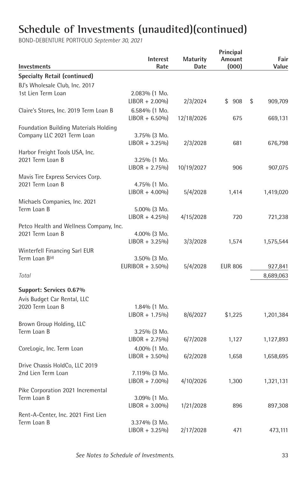| Investments                             | Interest<br>Rate  | Maturity<br>Date | Principal<br>Amount<br>(000) | Fair<br>Value |
|-----------------------------------------|-------------------|------------------|------------------------------|---------------|
| <b>Specialty Retail (continued)</b>     |                   |                  |                              |               |
| BJ's Wholesale Club, Inc. 2017          |                   |                  |                              |               |
| 1st Lien Term Loan                      | 2.083% (1 Mo.     |                  |                              |               |
|                                         | $LIBOR + 2.00\%$  | 2/3/2024         | \$908                        | \$<br>909,709 |
| Claire's Stores, Inc. 2019 Term Loan B  | $6.584\%$ (1 Mo.  |                  |                              |               |
|                                         | $LIBOR + 6.50\%$  | 12/18/2026       | 675                          | 669,131       |
| Foundation Building Materials Holding   |                   |                  |                              |               |
| Company LLC 2021 Term Loan              | 3.75% (3 Mo.      |                  |                              |               |
|                                         | $LIBOR + 3.25\%$  | 2/3/2028         | 681                          | 676,798       |
| Harbor Freight Tools USA, Inc.          |                   |                  |                              |               |
| 2021 Term Loan B                        | 3.25% (1 Mo.      |                  |                              |               |
|                                         | $LIBOR + 2.75\%$  | 10/19/2027       | 906                          | 907,075       |
| Mavis Tire Express Services Corp.       |                   |                  |                              |               |
| 2021 Term Loan B                        | 4.75% (1 Mo.      |                  |                              |               |
|                                         | $LIBOR + 4.00\%$  | 5/4/2028         | 1,414                        | 1,419,020     |
| Michaels Companies, Inc. 2021           |                   |                  |                              |               |
| Term Loan B                             | 5.00% (3 Mo.      |                  |                              |               |
|                                         | $LIBOR + 4.25\%$  | 4/15/2028        | 720                          | 721,238       |
| Petco Health and Wellness Company, Inc. |                   |                  |                              |               |
| 2021 Term Loan B                        | $4.00\%$ (3 Mo.   |                  |                              |               |
|                                         | $LIBOR + 3.25\%$  | 3/3/2028         | 1,574                        | 1,575,544     |
| Winterfell Financing Sarl EUR           |                   |                  |                              |               |
| Term Loan B(d)                          | 3.50% (3 Mo.      |                  |                              |               |
|                                         | EURIBOR $+3.50\%$ | 5/4/2028         | <b>EUR 806</b>               | 927,841       |
| Total                                   |                   |                  |                              | 8,689,063     |
|                                         |                   |                  |                              |               |
| Support: Services 0.67%                 |                   |                  |                              |               |
| Avis Budget Car Rental, LLC             |                   |                  |                              |               |
| 2020 Term Loan B                        | 1.84% (1 Mo.      |                  |                              |               |
|                                         | $LIBOR + 1.75\%$  | 8/6/2027         | \$1,225                      | 1,201,384     |
| Brown Group Holding, LLC                |                   |                  |                              |               |
| Term Loan B                             | $3.25\%$ (3 Mo.   |                  |                              |               |
|                                         | $LIBOR + 2.75\%$  | 6/7/2028         | 1,127                        | 1,127,893     |
| CoreLogic, Inc. Term Loan               | 4.00% (1 Mo.      |                  |                              |               |
|                                         | $LIBOR + 3.50\%$  | 6/2/2028         | 1,658                        | 1,658,695     |
| Drive Chassis HoldCo, LLC 2019          |                   |                  |                              |               |
| 2nd Lien Term Loan                      | 7.119% (3 Mo.     |                  |                              |               |
|                                         | $LIBOR + 7.00\%$  | 4/10/2026        | 1,300                        | 1,321,131     |
| Pike Corporation 2021 Incremental       |                   |                  |                              |               |
| Term Loan B                             | 3.09% (1 Mo.      |                  |                              |               |
|                                         | $LIBOR + 3.00\%$  | 1/21/2028        | 896                          | 897,308       |
| Rent-A-Center, Inc. 2021 First Lien     |                   |                  |                              |               |
| Term Loan B                             | 3.374% (3 Mo.     |                  |                              |               |
|                                         | $LIBOR + 3.25\%$  | 2/17/2028        | 471                          | 473,111       |
|                                         |                   |                  |                              |               |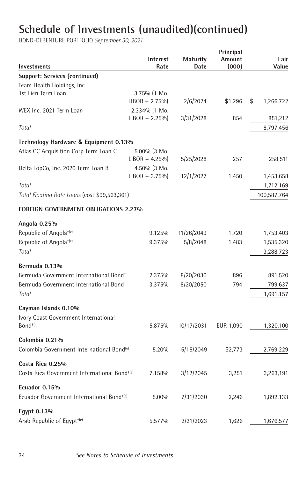| Investments                                              | Interest<br>Rate | <b>Maturity</b><br>Date | Principal<br>Amount<br>(000) | Fair<br>Value   |
|----------------------------------------------------------|------------------|-------------------------|------------------------------|-----------------|
| <b>Support: Services (continued)</b>                     |                  |                         |                              |                 |
| Team Health Holdings, Inc.                               |                  |                         |                              |                 |
| 1st Lien Term Loan                                       | 3.75% (1 Mo.     |                         |                              |                 |
|                                                          | $LIBOR + 2.75\%$ | 2/6/2024                | \$1,296                      | \$<br>1,266,722 |
| WEX Inc. 2021 Term Loan                                  | 2.334% (1 Mo.    |                         |                              |                 |
|                                                          | $LIBOR + 2.25\%$ | 3/31/2028               | 854                          | 851,212         |
| Total                                                    |                  |                         |                              | 8,797,456       |
| Technology Hardware & Equipment 0.13%                    |                  |                         |                              |                 |
| Atlas CC Acquisition Corp Term Loan C                    | $5.00\%$ (3 Mo.  |                         |                              |                 |
|                                                          | $LIBOR + 4.25\%$ | 5/25/2028               | 257                          | 258,511         |
| Delta TopCo, Inc. 2020 Term Loan B                       | 4.50% (3 Mo.     |                         |                              |                 |
|                                                          | $LIBOR + 3.75\%$ | 12/1/2027               | 1,450                        | 1,453,658       |
| Total                                                    |                  |                         |                              | 1,712,169       |
| Total Floating Rate Loans (cost \$99,563,361)            |                  |                         |                              | 100,587,764     |
| <b>FOREIGN GOVERNMENT OBLIGATIONS 2.27%</b>              |                  |                         |                              |                 |
| Angola 0.25%                                             |                  |                         |                              |                 |
| Republic of Angola <sup>+(e)</sup>                       | 9.125%           | 11/26/2049              | 1,720                        | 1,753,403       |
| Republic of Angola <sup>+(e)</sup>                       | 9.375%           | 5/8/2048                | 1,483                        | 1,535,320       |
| Total                                                    |                  |                         |                              |                 |
|                                                          |                  |                         |                              | 3,288,723       |
| Bermuda 0.13%                                            |                  |                         |                              |                 |
| Bermuda Government International Bond <sup>+</sup>       | 2.375%           | 8/20/2030               | 896                          | 891,520         |
| Bermuda Government International Bond <sup>+</sup>       | 3.375%           | 8/20/2050               | 794                          | 799,637         |
| Total                                                    |                  |                         |                              | 1,691,157       |
| Cayman Islands 0.10%                                     |                  |                         |                              |                 |
| Ivory Coast Government International                     |                  |                         |                              |                 |
| $Bond+(d)$                                               | 5.875%           | 10/17/2031              | EUR 1,090                    | 1,320,100       |
|                                                          |                  |                         |                              |                 |
| Colombia 0.21%                                           |                  |                         |                              |                 |
| Colombia Government International Bond <sup>(e)</sup>    | 5.20%            | 5/15/2049               | \$2,773                      | 2,769,229       |
| Costa Rica 0.25%                                         |                  |                         |                              |                 |
| Costa Rica Government International Bond <sup>+(e)</sup> | 7.158%           | 3/12/2045               | 3,251                        | 3,263,191       |
|                                                          |                  |                         |                              |                 |
| Ecuador 0.15%                                            |                  |                         |                              |                 |
| Ecuador Government International Bond <sup>+(e)</sup>    | 5.00%            | 7/31/2030               | 2,246                        | 1,892,133       |
| Eqypt 0.13%                                              |                  |                         |                              |                 |
| Arab Republic of Eqypt <sup>+(e)</sup>                   | 5.577%           | 2/21/2023               | 1,626                        | 1,676,577       |
|                                                          |                  |                         |                              |                 |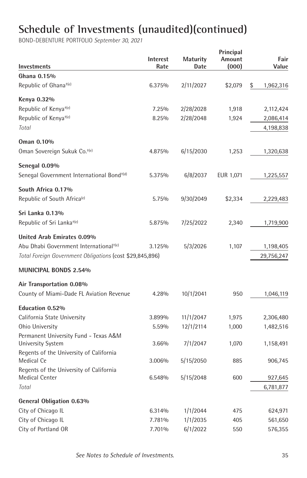| Investments                                              | <b>Interest</b><br>Rate | <b>Maturity</b><br>Date | Principal<br>Amount<br>(000) | Fair<br>Value   |
|----------------------------------------------------------|-------------------------|-------------------------|------------------------------|-----------------|
| Ghana 0.15%                                              |                         |                         |                              |                 |
| Republic of Ghana <sup>+(e)</sup>                        | 6.375%                  | 2/11/2027               | \$2,079                      | \$<br>1,962,316 |
| Kenya 0.32%                                              |                         |                         |                              |                 |
| Republic of Kenya <sup>+(e)</sup>                        | 7.25%                   | 2/28/2028               | 1,918                        | 2,112,424       |
| Republic of Kenya <sup>+(e)</sup>                        | 8.25%                   | 2/28/2048               | 1,924                        | 2,086,414       |
| Total                                                    |                         |                         |                              | 4,198,838       |
| Oman 0.10%                                               |                         |                         |                              |                 |
| Oman Sovereign Sukuk Co. <sup>+(e)</sup>                 | 4.875%                  | 6/15/2030               | 1,253                        | 1,320,638       |
| Senegal 0.09%                                            |                         |                         |                              |                 |
| Senegal Government International Bond <sup>+(d)</sup>    | 5.375%                  | 6/8/2037                | EUR 1,071                    | 1,225,557       |
| South Africa 0.17%                                       |                         |                         |                              |                 |
| Republic of South Africa <sup>(e)</sup>                  | 5.75%                   | 9/30/2049               | \$2,334                      | 2,229,483       |
| Sri Lanka 0.13%                                          |                         |                         |                              |                 |
| Republic of Sri Lanka <sup>+(e)</sup>                    | 5.875%                  | 7/25/2022               | 2,340                        | 1,719,900       |
| United Arab Emirates 0.09%                               |                         |                         |                              |                 |
| Abu Dhabi Government International <sup>+(e)</sup>       | 3.125%                  | 5/3/2026                | 1,107                        | 1,198,405       |
| Total Foreign Government Obligations (cost \$29,845,896) |                         |                         |                              | 29,756,247      |
| <b>MUNICIPAL BONDS 2.54%</b>                             |                         |                         |                              |                 |
| Air Transportation 0.08%                                 |                         |                         |                              |                 |
| County of Miami-Dade FL Aviation Revenue                 | 4.28%                   | 10/1/2041               | 950                          | 1,046,119       |
| Education 0.52%                                          |                         |                         |                              |                 |
| California State University                              | 3.899%                  | 11/1/2047               | 1,975                        | 2,306,480       |
| Ohio University                                          | 5.59%                   | 12/1/2114               | 1,000                        | 1,482,516       |
| Permanent University Fund - Texas A&M                    |                         |                         |                              |                 |
| <b>University System</b>                                 | 3.66%                   | 7/1/2047                | 1,070                        | 1,158,491       |
| Regents of the University of California<br>Medical Ce    | 3.006%                  | 5/15/2050               | 885                          | 906,745         |
| Regents of the University of California                  |                         |                         |                              |                 |
| Medical Center                                           | 6.548%                  | 5/15/2048               | 600                          | 927,645         |
| Total                                                    |                         |                         |                              | 6,781,877       |
| General Obligation 0.63%                                 |                         |                         |                              |                 |
| City of Chicago IL                                       | 6.314%                  | 1/1/2044                | 475                          | 624,971         |
| City of Chicago IL                                       | 7.781%                  | 1/1/2035                | 405                          | 561,650         |
| City of Portland OR                                      | 7.701%                  | 6/1/2022                | 550                          | 576,355         |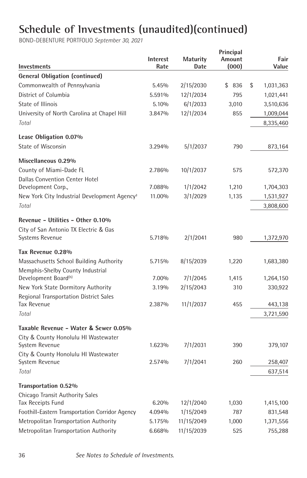| Investments                                              | Interest<br>Rate | Maturity<br>Date | Principal<br>Amount<br>(000) | Fair<br>Value   |
|----------------------------------------------------------|------------------|------------------|------------------------------|-----------------|
| <b>General Obligation (continued)</b>                    |                  |                  |                              |                 |
| Commonwealth of Pennsylvania                             | 5.45%            | 2/15/2030        | \$836                        | \$<br>1,031,363 |
| District of Columbia                                     | 5.591%           | 12/1/2034        | 795                          | 1,021,441       |
| State of Illinois                                        | 5.10%            | 6/1/2033         | 3,010                        | 3,510,636       |
| University of North Carolina at Chapel Hill              | 3.847%           | 12/1/2034        | 855                          | 1,009,044       |
| Total                                                    |                  |                  |                              | 8,335,460       |
| Lease Obligation 0.07%                                   |                  |                  |                              |                 |
| State of Wisconsin                                       | 3.294%           | 5/1/2037         | 790                          | 873,164         |
| Miscellaneous 0.29%                                      |                  |                  |                              |                 |
| County of Miami-Dade FL                                  | 2.786%           | 10/1/2037        | 575                          | 572,370         |
| <b>Dallas Convention Center Hotel</b>                    |                  |                  |                              |                 |
| Development Corp.,                                       | 7.088%           | 1/1/2042         | 1,210                        | 1,704,303       |
| New York City Industrial Development Agency <sup>+</sup> | 11.00%           | 3/1/2029         | 1,135                        | 1,531,927       |
| Total                                                    |                  |                  |                              | 3,808,600       |
| Revenue - Utilities - Other 0.10%                        |                  |                  |                              |                 |
| City of San Antonio TX Electric & Gas                    |                  |                  |                              |                 |
| Systems Revenue                                          | 5.718%           | 2/1/2041         | 980                          | 1,372,970       |
| Tax Revenue 0.28%                                        |                  |                  |                              |                 |
| Massachusetts School Building Authority                  | 5.715%           | 8/15/2039        | 1,220                        | 1,683,380       |
| Memphis-Shelby County Industrial                         |                  |                  |                              |                 |
| Development Board <sup>(h)</sup>                         | 7.00%            | 7/1/2045         | 1,415                        | 1,264,150       |
| New York State Dormitory Authority                       | 3.19%            | 2/15/2043        | 310                          | 330,922         |
| <b>Regional Transportation District Sales</b>            |                  |                  |                              |                 |
| <b>Tax Revenue</b>                                       | 2.387%           | 11/1/2037        | 455                          | 443,138         |
| Total                                                    |                  |                  |                              | 3,721,590       |
| Taxable Revenue - Water & Sewer 0.05%                    |                  |                  |                              |                 |
| City & County Honolulu HI Wastewater                     |                  |                  |                              |                 |
| System Revenue                                           | 1.623%           | 7/1/2031         | 390                          | 379,107         |
| City & County Honolulu HI Wastewater                     |                  |                  |                              |                 |
| System Revenue                                           | 2.574%           | 7/1/2041         | 260                          | 258,407         |
| Total                                                    |                  |                  |                              | 637,514         |
| Transportation 0.52%                                     |                  |                  |                              |                 |
| Chicago Transit Authority Sales                          |                  |                  |                              |                 |
| Tax Receipts Fund                                        | 6.20%            | 12/1/2040        | 1,030                        | 1,415,100       |
| Foothill-Eastern Transportation Corridor Agency          | 4.094%           | 1/15/2049        | 787                          | 831,548         |
| Metropolitan Transportation Authority                    | 5.175%           | 11/15/2049       | 1,000                        | 1,371,556       |
| Metropolitan Transportation Authority                    | 6.668%           | 11/15/2039       | 525                          | 755,288         |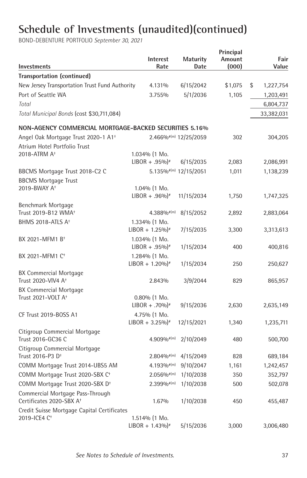| Investments                                                              | <b>Interest</b><br>Rate                        | <b>Maturity</b><br>Date | Principal<br>Amount<br>(000) | Fair<br>Value   |
|--------------------------------------------------------------------------|------------------------------------------------|-------------------------|------------------------------|-----------------|
| Transportation (continued)                                               |                                                |                         |                              |                 |
| New Jersey Transportation Trust Fund Authority                           | 4.131%                                         | 6/15/2042               | \$1,075                      | \$<br>1,227,754 |
| Port of Seattle WA                                                       | 3.755%                                         | 5/1/2036                | 1,105                        | 1,203,491       |
| Total                                                                    |                                                |                         |                              | 6,804,737       |
| Total Municipal Bonds (cost \$30,711,084)                                |                                                |                         |                              | 33,382,031      |
| NON-AGENCY COMMERCIAL MORTGAGE-BACKED SECURITIES 5.16%                   |                                                |                         |                              |                 |
| Angel Oak Mortgage Trust 2020-1 A1 <sup>+</sup>                          |                                                | 2.466% (m) 12/25/2059   | 302                          | 304,205         |
| Atrium Hotel Portfolio Trust                                             |                                                |                         |                              |                 |
| 2018-ATRM A <sup>+</sup>                                                 | 1.034% (1 Mo.                                  |                         |                              |                 |
|                                                                          | $LIBOR + .95\%$ <sup>*</sup>                   | 6/15/2035               | 2,083                        | 2,086,991       |
| BBCMS Mortgage Trust 2018-C2 C                                           |                                                | 5.135% (m) 12/15/2051   | 1,011                        | 1,138,239       |
| <b>BBCMS Mortgage Trust</b><br>2019-BWAY A <sup>+</sup>                  | $1.04\%$ (1 Mo.                                |                         |                              |                 |
|                                                                          | $LIBOR + .96\%$ <sup>*</sup>                   | 11/15/2034              | 1,750                        | 1,747,325       |
| Benchmark Mortgage                                                       |                                                |                         |                              |                 |
| Trust 2019-B12 WMA <sup>+</sup>                                          | $4.388\%$ <sup>#(m)</sup>                      | 8/15/2052               | 2,892                        | 2,883,064       |
| BHMS 2018-ATLS A <sup>+</sup>                                            | 1.334% (1 Mo.                                  |                         |                              |                 |
|                                                                          | $LIBOR + 1.25\%$ <sup>*</sup>                  | 7/15/2035               | 3,300                        | 3,313,613       |
| BX 2021-MFM1 B <sup>+</sup>                                              | 1.034% (1 Mo.<br>$LIBOR + .95\%$               | 1/15/2034               | 400                          | 400,816         |
| BX 2021-MFM1 C <sup>+</sup>                                              | 1.284% (1 Mo.<br>$LIBOR + 1.20\%$ <sup>*</sup> | 1/15/2034               | 250                          | 250,627         |
| <b>BX Commercial Mortgage</b><br>Trust 2020-VIV4 A <sup>+</sup>          | 2.843%                                         | 3/9/2044                | 829                          | 865,957         |
| BX Commercial Mortgage                                                   |                                                |                         |                              |                 |
| Trust 2021-VOLT A <sup>+</sup>                                           | $0.80\%$ (1 Mo.                                |                         |                              |                 |
|                                                                          | $LIBOR + .70\%$                                | 9/15/2036               | 2,630                        | 2,635,149       |
| CF Trust 2019-BOSS A1                                                    | 4.75% (1 Mo.<br>$LIBOR + 3.25\%$ <sup>*</sup>  | 12/15/2021              | 1,340                        | 1,235,711       |
| Citigroup Commercial Mortgage                                            |                                                |                         |                              |                 |
| Trust 2016-GC36 C                                                        | $4.909\%$ <sup>#(m)</sup>                      | 2/10/2049               | 480                          | 500,700         |
| Citigroup Commercial Mortgage                                            |                                                |                         |                              |                 |
| Trust 2016-P3 D <sup>+</sup>                                             | $2.804\%$ <sup>#(m)</sup>                      | 4/15/2049               | 828                          | 689,184         |
| COMM Mortgage Trust 2014-UBS5 AM                                         | $4.193\%$ <sup><math>#</math>(m)</sup>         | 9/10/2047               | 1,161                        | 1,242,457       |
| COMM Mortgage Trust 2020-SBX C <sup>+</sup>                              | $2.056\%$ <sup>#(m)</sup>                      | 1/10/2038               | 350                          | 352,797         |
| COMM Mortgage Trust 2020-SBX D <sup>+</sup>                              | $2.399\%$ <sup>#(m)</sup>                      | 1/10/2038               | 500                          | 502,078         |
| Commercial Mortgage Pass-Through<br>Certificates 2020-SBX A <sup>+</sup> | 1.67%                                          | 1/10/2038               | 450                          | 455,487         |
| Credit Suisse Mortgage Capital Certificates                              |                                                |                         |                              |                 |
| 2019-ICE4 C <sup>+</sup>                                                 | 1.514% (1 Mo.                                  |                         |                              |                 |
|                                                                          | $LIBOR + 1.43\%$ <sup>*</sup>                  | 5/15/2036               | 3,000                        | 3,006,480       |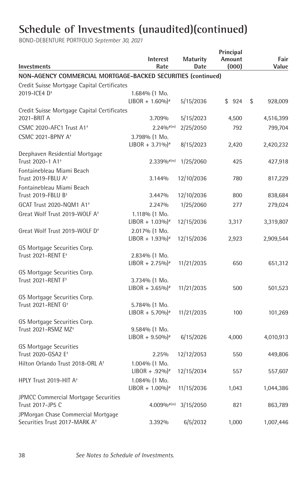| Investments                                                                     | Interest<br>Rate                               | <b>Maturity</b><br>Date | Principal<br>Amount<br>(000) |    | Fair<br>Value |  |
|---------------------------------------------------------------------------------|------------------------------------------------|-------------------------|------------------------------|----|---------------|--|
| NON-AGENCY COMMERCIAL MORTGAGE-BACKED SECURITIES (continued)                    |                                                |                         |                              |    |               |  |
| Credit Suisse Mortgage Capital Certificates                                     |                                                |                         |                              |    |               |  |
| 2019-ICE4 D <sup>+</sup>                                                        | $1.684\%$ (1 Mo.                               |                         |                              |    |               |  |
|                                                                                 | $LIBOR + 1.60\%$ <sup>*</sup>                  | 5/15/2036               | \$924                        | \$ | 928,009       |  |
| Credit Suisse Mortgage Capital Certificates                                     |                                                |                         |                              |    |               |  |
| 2021-BRIT A                                                                     | 3.709%                                         | 5/15/2023               | 4,500                        |    | 4,516,399     |  |
| CSMC 2020-AFC1 Trust A1 <sup>+</sup>                                            | $2.24\%$ <sup>#(m)</sup>                       | 2/25/2050               | 792                          |    | 799,704       |  |
| <b>CSMC 2021-BPNY A<sup>+</sup></b>                                             | 3.798% (1 Mo.<br>LIBOR + $3.71\%$ <sup>*</sup> | 8/15/2023               | 2,420                        |    | 2,420,232     |  |
| Deephaven Residential Mortgage<br>Trust 2020-1 A1 <sup>+</sup>                  | $2.339\%$ $\#$ (m)                             | 1/25/2060               | 425                          |    | 427,918       |  |
| Fontainebleau Miami Beach<br>Trust 2019-FBLU A <sup>+</sup>                     | 3.144%                                         | 12/10/2036              | 780                          |    | 817,229       |  |
| Fontainebleau Miami Beach                                                       |                                                |                         |                              |    |               |  |
| Trust 2019-FBLU B <sup>+</sup>                                                  | 3.447%                                         | 12/10/2036              | 800                          |    | 838,684       |  |
| GCAT Trust 2020-NQM1 A1 <sup>+</sup>                                            | 2.247%                                         | 1/25/2060               | 277                          |    | 279,024       |  |
| Great Wolf Trust 2019-WOLF A <sup>+</sup>                                       | 1.118% (1 Mo.<br>$LIBOR + 1.03\%$ <sup>*</sup> | 12/15/2036              | 3,317                        |    | 3,319,807     |  |
| Great Wolf Trust 2019-WOLF D <sup>+</sup>                                       | 2.017% (1 Mo.<br>$LIBOR + 1.93\%$ <sup>*</sup> | 12/15/2036              | 2,923                        |    | 2,909,544     |  |
| GS Mortgage Securities Corp.                                                    |                                                |                         |                              |    |               |  |
| Trust 2021-RENT E <sup>+</sup>                                                  | 2.834% (1 Mo.                                  |                         |                              |    |               |  |
|                                                                                 | $LIBOR + 2.75\%$ <sup>*</sup>                  | 11/21/2035              | 650                          |    | 651,312       |  |
| GS Mortgage Securities Corp.<br>Trust 2021-RENT F <sup>+</sup>                  |                                                |                         |                              |    |               |  |
|                                                                                 | 3.734% (1 Mo.<br>$LIBOR + 3.65\%$ <sup>*</sup> | 11/21/2035              | 500                          |    | 501,523       |  |
| GS Mortgage Securities Corp.                                                    |                                                |                         |                              |    |               |  |
| Trust 2021-RENT G <sup>+</sup>                                                  | 5.784% (1 Mo.                                  |                         |                              |    |               |  |
|                                                                                 | $LIBOR + 5.70\%$ <sup>*</sup>                  | 11/21/2035              | 100                          |    | 101,269       |  |
| GS Mortgage Securities Corp.                                                    |                                                |                         |                              |    |               |  |
| Trust 2021-RSMZ MZ <sup>+</sup>                                                 | 9.584% (1 Mo.                                  |                         |                              |    |               |  |
|                                                                                 | $LIBOR + 9.50\%$ <sup>*</sup>                  | 6/15/2026               | 4,000                        |    | 4,010,913     |  |
| <b>GS Mortgage Securities</b>                                                   |                                                |                         |                              |    |               |  |
| Trust 2020-GSA2 E <sup>+</sup>                                                  | 2.25%                                          | 12/12/2053              | 550                          |    | 449,806       |  |
| Hilton Orlando Trust 2018-ORL A <sup>+</sup>                                    | 1.004% (1 Mo.<br>$LIBOR + .92\%$ <sup>*</sup>  | 12/15/2034              | 557                          |    | 557,607       |  |
| HPLY Trust 2019-HIT A <sup>+</sup>                                              | 1.084% (1 Mo.<br>$LIBOR + 1.00\%$ <sup>*</sup> | 11/15/2036              | 1,043                        |    | 1,044,386     |  |
| JPMCC Commercial Mortgage Securities<br>Trust 2017-JP5 C                        | $4.009\%$ <sup>#(m)</sup>                      | 3/15/2050               | 821                          |    | 863,789       |  |
| JPMorgan Chase Commercial Mortgage<br>Securities Trust 2017-MARK A <sup>+</sup> | 3.392%                                         | 6/5/2032                | 1,000                        |    | 1,007,446     |  |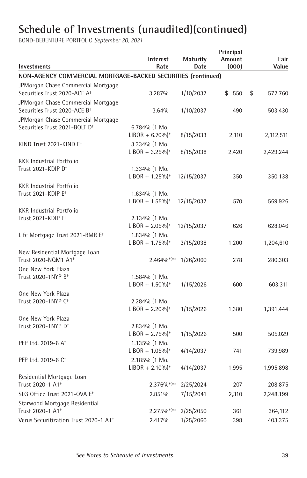| Investments                                                                     | Interest<br>Rate                                  | <b>Maturity</b><br>Date | Principal<br>Amount<br>(000) | Fair<br>Value |
|---------------------------------------------------------------------------------|---------------------------------------------------|-------------------------|------------------------------|---------------|
| NON-AGENCY COMMERCIAL MORTGAGE-BACKED SECURITIES (continued)                    |                                                   |                         |                              |               |
| JPMorgan Chase Commercial Mortgage                                              |                                                   |                         |                              |               |
| Securities Trust 2020-ACE A+                                                    | 3.287%                                            | 1/10/2037               | \$550                        | \$<br>572,760 |
| JPMorgan Chase Commercial Mortgage<br>Securities Trust 2020-ACE B <sup>+</sup>  | 3.64%                                             | 1/10/2037               | 490                          | 503,430       |
| JPMorgan Chase Commercial Mortgage<br>Securities Trust 2021-BOLT D <sup>+</sup> | $6.784\%$ (1 Mo.<br>$LIBOR + 6.70\%$ <sup>*</sup> | 8/15/2033               | 2,110                        | 2,112,511     |
| KIND Trust 2021-KIND E <sup>+</sup>                                             | $3.334\%$ (1 Mo.<br>$LIBOR + 3.25\%$ <sup>*</sup> | 8/15/2038               | 2,420                        | 2,429,244     |
| <b>KKR Industrial Portfolio</b>                                                 |                                                   |                         |                              |               |
| Trust 2021-KDIP D <sup>+</sup>                                                  | 1.334% (1 Mo.<br>$LIBOR + 1.25\%$ <sup>*</sup>    | 12/15/2037              | 350                          | 350,138       |
| <b>KKR Industrial Portfolio</b>                                                 |                                                   |                         |                              |               |
| Trust 2021-KDIP E <sup>+</sup>                                                  | $1.634\%$ (1 Mo.<br>$LIBOR + 1.55\%$ <sup>*</sup> | 12/15/2037              | 570                          | 569,926       |
| <b>KKR Industrial Portfolio</b>                                                 |                                                   |                         |                              |               |
| Trust 2021-KDIP F <sup>+</sup>                                                  | 2.134% (1 Mo.<br>$LIBOR + 2.05\%$ <sup>*</sup>    | 12/15/2037              | 626                          | 628,046       |
| Life Mortgage Trust 2021-BMR E <sup>+</sup>                                     | 1.834% (1 Mo.<br>$LIBOR + 1.75\%$ <sup>*</sup>    | 3/15/2038               | 1,200                        | 1,204,610     |
| New Residential Mortgage Loan<br>Trust 2020-NQM1 A1 <sup>+</sup>                | $2.464\%$ <sup>#(m)</sup>                         | 1/26/2060               | 278                          | 280,303       |
| One New York Plaza                                                              |                                                   |                         |                              |               |
| Trust 2020-1NYP B <sup>+</sup>                                                  | 1.584% (1 Mo.<br>$LIBOR + 1.50\%$ <sup>*</sup>    | 1/15/2026               | 600                          | 603,311       |
| One New York Plaza                                                              |                                                   |                         |                              |               |
| Trust 2020-1NYP C <sup>+</sup>                                                  | 2.284% (1 Mo.<br>$LIBOR + 2.20\%$ <sup>*</sup>    | 1/15/2026               | 1,380                        | 1,391,444     |
| One New York Plaza                                                              |                                                   |                         |                              |               |
| Trust 2020-1NYP D <sup>+</sup>                                                  | 2.834% (1 Mo.<br>$LIBOR + 2.75\%$ <sup>*</sup>    | 1/15/2026               | 500                          | 505,029       |
| PFP Ltd. 2019-6 A <sup>+</sup>                                                  | 1.135% (1 Mo.                                     |                         |                              |               |
|                                                                                 | $LIBOR + 1.05\%$ <sup>*</sup>                     | 4/14/2037               | 741                          | 739,989       |
| PFP Ltd. 2019-6 C <sup>+</sup>                                                  | 2.185% (1 Mo.                                     |                         |                              |               |
|                                                                                 | $LIBOR + 2.10\%$ <sup>*</sup>                     | 4/14/2037               | 1,995                        | 1,995,898     |
| Residential Mortgage Loan<br>Trust 2020-1 A1 <sup>+</sup>                       | $2.376\%$ <sup>#(m)</sup>                         | 2/25/2024               | 207                          | 208,875       |
| SLG Office Trust 2021-OVA E <sup>+</sup>                                        | 2.851%                                            | 7/15/2041               | 2,310                        | 2,248,199     |
| Starwood Mortgage Residential<br>Trust 2020-1 A1 <sup>+</sup>                   |                                                   |                         |                              |               |
| Verus Securitization Trust 2020-1 A1 <sup>+</sup>                               | $2.275\%$ <sup>#(m)</sup>                         | 2/25/2050               | 361                          | 364,112       |
|                                                                                 | 2.417%                                            | 1/25/2060               | 398                          | 403,375       |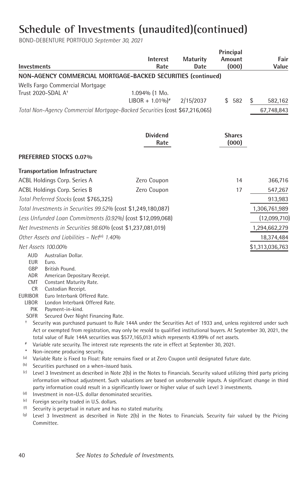|                |                                                                                                                                                                      |                               |                 | Principal     |                 |
|----------------|----------------------------------------------------------------------------------------------------------------------------------------------------------------------|-------------------------------|-----------------|---------------|-----------------|
|                |                                                                                                                                                                      | <b>Interest</b>               | <b>Maturity</b> | Amount        | Fair            |
|                | <b>Investments</b>                                                                                                                                                   | Rate                          | Date            | (000)         | Value           |
|                | NON-AGENCY COMMERCIAL MORTGAGE-BACKED SECURITIES (continued)                                                                                                         |                               |                 |               |                 |
|                | Wells Fargo Commercial Mortgage                                                                                                                                      |                               |                 |               |                 |
|                | Trust 2020-SDAL A <sup>+</sup>                                                                                                                                       | 1.094% (1 Mo.                 |                 |               |                 |
|                |                                                                                                                                                                      | $LIBOR + 1.01\%$ <sup>*</sup> | 2/15/2037       | \$582         | \$<br>582,162   |
|                | Total Non-Agency Commercial Mortgage-Backed Securities (cost \$67,216,065)                                                                                           |                               |                 |               | 67,748,843      |
|                |                                                                                                                                                                      |                               |                 |               |                 |
|                |                                                                                                                                                                      |                               |                 |               |                 |
|                |                                                                                                                                                                      | <b>Dividend</b>               |                 | <b>Shares</b> |                 |
|                |                                                                                                                                                                      | Rate                          |                 | (000)         |                 |
|                | <b>PREFERRED STOCKS 0.07%</b>                                                                                                                                        |                               |                 |               |                 |
|                | <b>Transportation Infrastructure</b>                                                                                                                                 |                               |                 |               |                 |
|                | ACBL Holdings Corp. Series A                                                                                                                                         | Zero Coupon                   |                 | 14            | 366,716         |
|                | ACBL Holdings Corp. Series B                                                                                                                                         | Zero Coupon                   |                 | 17            | 547,267         |
|                | Total Preferred Stocks (cost \$765,325)                                                                                                                              |                               |                 |               | 913,983         |
|                |                                                                                                                                                                      |                               |                 |               |                 |
|                | Total Investments in Securities 99.52% (cost \$1,249,180,087)                                                                                                        |                               |                 |               | 1,306,761,989   |
|                | Less Unfunded Loan Commitments (0.92%) (cost \$12,099,068)                                                                                                           |                               |                 |               | (12,099,710)    |
|                | Net Investments in Securities 98.60% (cost \$1,237,081,019)                                                                                                          |                               |                 |               | 1,294,662,279   |
|                | Other Assets and Liabilities - Net <sup>(n)</sup> 1.40%                                                                                                              |                               |                 |               | 18,374,484      |
|                | Net Assets 100.00%                                                                                                                                                   |                               |                 |               | \$1,313,036,763 |
|                | AUD<br>Australian Dollar.                                                                                                                                            |                               |                 |               |                 |
|                | EUR<br>Euro.                                                                                                                                                         |                               |                 |               |                 |
|                | British Pound.<br>GBP<br>ADR<br>American Depositary Receipt.                                                                                                         |                               |                 |               |                 |
|                | CMT<br>Constant Maturity Rate.                                                                                                                                       |                               |                 |               |                 |
|                | Custodian Receipt.<br>CR.                                                                                                                                            |                               |                 |               |                 |
| <b>EURIBOR</b> | Euro Interbank Offered Rate.                                                                                                                                         |                               |                 |               |                 |
|                | London Interbank Offered Rate.<br><b>LIBOR</b>                                                                                                                       |                               |                 |               |                 |
|                | PIK<br>Payment-in-kind.                                                                                                                                              |                               |                 |               |                 |
| ŧ              | <b>SOFR</b><br>Secured Over Night Financing Rate.<br>Security was purchased pursuant to Rule 144A under the Securities Act of 1933 and, unless registered under such |                               |                 |               |                 |
|                | Act or exempted from registration, may only be resold to qualified institutional buyers. At September 30, 2021, the                                                  |                               |                 |               |                 |
|                | total value of Rule 144A securities was \$577,165,013 which represents 43.99% of net assets.                                                                         |                               |                 |               |                 |
| $\#$           | Variable rate security. The interest rate represents the rate in effect at September 30, 2021.                                                                       |                               |                 |               |                 |
| $\ast$         | Non-income producing security.                                                                                                                                       |                               |                 |               |                 |
| (a)            | Variable Rate is Fixed to Float: Rate remains fixed or at Zero Coupon until designated future date.                                                                  |                               |                 |               |                 |
| (b)            | Securities purchased on a when-issued basis.                                                                                                                         |                               |                 |               |                 |
| (c)            | Level 3 Investment as described in Note 2(b) in the Notes to Financials. Security valued utilizing third party pricing                                               |                               |                 |               |                 |
|                | information without adjustment. Such valuations are based on unobservable inputs. A significant change in third                                                      |                               |                 |               |                 |
| (d)            | party information could result in a significantly lower or higher value of such Level 3 investments.<br>Investment in non-U.S. dollar denominated securities.        |                               |                 |               |                 |
| (e)            | Foreign security traded in U.S. dollars.                                                                                                                             |                               |                 |               |                 |
|                |                                                                                                                                                                      |                               |                 |               |                 |

- 
- (f) Security is perpetual in nature and has no stated maturity.<br>(g) Level 3 Investment as described in Note 2(b) in the Notes to Financials. Security fair valued by the Pricing Committee.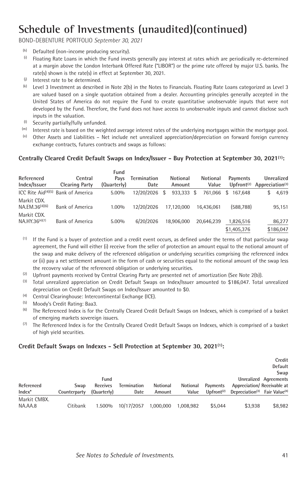BOND-DEBENTURE PORTFOLIO *September 30, 2021*

- 
- (h) Defaulted (non-income producing security).<br>(i) Floating Rate Loans in which the Fund invests generally pay interest at rates which are periodically re-determined at a margin above the London Interbank Offered Rate ("LIBOR") or the prime rate offered by major U.S. banks. The rate(s) shown is the rate(s) in effect at September 30, 2021.<br>
(i) Interest rate to be determined.<br>
(k) Level 3 Investment as described in Note 2(b) in the Notes to Financials. Floating Rate Loans categorized as Level 3
- 
- are valued based on a single quotation obtained from a dealer. Accounting principles generally accepted in the United States of America do not require the Fund to create quantitative unobservable inputs that were not developed by the Fund. Therefore, the Fund does not have access to unobservable inputs and cannot disclose such
- 
- inputs in the valuation.<br>
(i) Security partially/fully unfunded.<br>
(iii) Interest rate is based on the weighted average interest rates of the underlying mortgages within the mortgage pool.<br>
(iii) Other Assets and Liabiliti
- exchange contracts, futures contracts and swaps as follows:

#### **Centrally Cleared Credit Default Swaps on Index/Issuer - Buy Protection at September 30, 2021(1) :**

| Referenced<br>Index/Issuer                | Central<br><b>Clearing Party</b>               | Fund<br>Pavs<br>(Quarterly) | <b>Termination</b><br>Date | Notional<br>Amount | Notional<br>Value | Payments                 | Unrealized<br>Upfront <sup>(2)</sup> Appreciation <sup>(3)</sup> |
|-------------------------------------------|------------------------------------------------|-----------------------------|----------------------------|--------------------|-------------------|--------------------------|------------------------------------------------------------------|
|                                           | ICC Rite Aid <sup>(4)(5)</sup> Bank of America | 5.00%                       | 12/20/2026                 | 933.333 \$<br>\$   |                   | 761.066 \$ 167.648       | 4,619                                                            |
| Markit CDX.<br>$NA.EM.36^{(4)(6)}$        | <b>Bank of America</b>                         | 1.00%                       | 12/20/2026                 | 17.120.000         | 16.436.061        | (588.788)                | 95,151                                                           |
| Markit CDX.<br>NA.HY.36 <sup>(4)(7)</sup> | Bank of America                                | 5.00%                       | 6/20/2026                  | 18.906.000         | 20.646.239        | 1,826,516<br>\$1,405,376 | 86,277<br>\$186.047                                              |

 (1) If the Fund is a buyer of protection and a credit event occurs, as defined under the terms of that particular swap agreement, the Fund will either (i) receive from the seller of protection an amount equal to the notional amount of the swap and make delivery of the referenced obligation or underlying securities comprising the referenced index or (ii) pay a net settlement amount in the form of cash or securities equal to the notional amount of the swap less the recovery value of the referenced obligation or underlying securities.

- (2) Upfront payments received by Central Clearing Party are presented net of amortization (See Note 2(b)).
- (3) Total unrealized appreciation on Credit Default Swaps on Index/Issuer amounted to \$186,047. Total unrealized depreciation on Credit Default Swaps on Index/Issuer amounted to \$0.
- (4) Central Clearinghouse: Intercontinental Exchange (ICE).<br>  $\frac{[5]}{[5]}$  Moody's Credit Bating: Baa2
- <sup>(5)</sup> Moody's Credit Rating: Baa3.<br><sup>(6)</sup> The Peferanced Index is for t
- The Referenced Index is for the Centrally Cleared Credit Default Swaps on Indexes, which is comprised of a basket of emerging markets sovereign issuers.
- $(7)$  The Referenced Index is for the Centrally Cleared Credit Default Swaps on Indexes, which is comprised of a basket of high yield securities.

#### **Credit Default Swaps on Indexes - Sell Protection at September 30, 2021(1) :**

|              |              |             |                    |           |           |                                      |                                                       | Credit                |
|--------------|--------------|-------------|--------------------|-----------|-----------|--------------------------------------|-------------------------------------------------------|-----------------------|
|              |              |             |                    |           |           |                                      |                                                       | Default               |
|              |              |             |                    |           |           |                                      |                                                       | Swap                  |
|              |              | Fund        |                    |           |           |                                      |                                                       | Unrealized Agreements |
| Referenced   | Swap         | Receives    | <b>Termination</b> | Notional  | Notional  | Payments                             | Appreciation/ Receivable at                           |                       |
| $Index^*$    | Counterparty | (Quarterly) | Date               | Amount    | Value     | Unfortunately of ront <sup>(2)</sup> | Depreciation <sup>(3)</sup> Fair Value <sup>(4)</sup> |                       |
| Markit CMBX. |              |             |                    |           |           |                                      |                                                       |                       |
| NA.AA.8      | Citibank     | 1.500%      | 10/17/2057         | 1.000.000 | 1.008.982 | \$5.044                              | \$3.938                                               | \$8.982               |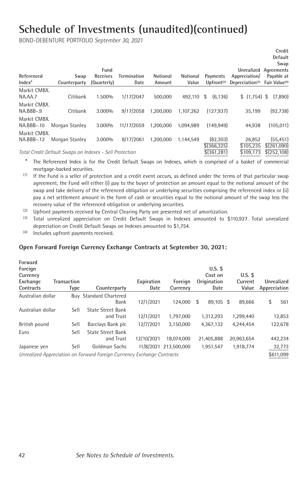BOND-DEBENTURE PORTFOLIO *September 30, 2021*

|                            |                                                                                                                                                                                                                                 |             |                    |           |           |                                                              |                     | Credit                                                          |
|----------------------------|---------------------------------------------------------------------------------------------------------------------------------------------------------------------------------------------------------------------------------|-------------|--------------------|-----------|-----------|--------------------------------------------------------------|---------------------|-----------------------------------------------------------------|
|                            |                                                                                                                                                                                                                                 |             |                    |           |           |                                                              |                     | Default                                                         |
|                            |                                                                                                                                                                                                                                 |             |                    |           |           |                                                              |                     | Swap                                                            |
|                            |                                                                                                                                                                                                                                 | Fund        |                    |           |           |                                                              |                     | Unrealized Agreements                                           |
| Referenced                 | Swap                                                                                                                                                                                                                            | Receives    | <b>Termination</b> | Notional  | Notional  | Payments                                                     | Appreciation/       | Payable at                                                      |
| $Index^*$                  | Counterparty                                                                                                                                                                                                                    | (Quarterly) | Date               | Amount    | Value     | $Unfortunately of$ ront <sup><math>(2)</math></sup>          | Depreciation $(3)$  | Fair Value <sup>(4)</sup>                                       |
| Markit CMBX.<br>NA.AA.7    | Citibank                                                                                                                                                                                                                        | 1.500%      | 1/17/2047          | 500.000   | 492.110   | (6.136)<br>\$                                                | \$(1,754)           | (7,890)<br>\$                                                   |
| Markit CMBX.<br>NA.BBB-.9  | Citibank                                                                                                                                                                                                                        | 3.000%      | 9/17/2058          | 1.200.000 | 1.107.262 | (127.937)                                                    | 35.199              | (92, 738)                                                       |
| Markit CMBX.<br>NA.BBB-.10 | Morgan Stanley                                                                                                                                                                                                                  | 3.000%      | 11/17/2059         | 1.200.000 | 1.094.989 | (149.949)                                                    | 44.938              | (105.011)                                                       |
| Markit CMBX.<br>NA.BBB-.12 | Morgan Stanley                                                                                                                                                                                                                  | 3.000%      | 8/17/2061          | 1.200.000 | 1.144.549 | (82.303)<br>\$(366.325)                                      | 26.852<br>\$105.235 | (55, 451)<br>\$(261,090)                                        |
|                            | $\tau$ , in the the state is the state of the state of the state of the state of the state of the state of the state of the state of the state of the state of the state of the state of the state of the state of the state of |             |                    |           |           | $A$ ( $\alpha$ $\alpha$ <sup>3</sup> $\alpha$ <sup>3</sup> ) |                     | $A \rightarrow A \rightarrow B$ $A \rightarrow A \rightarrow A$ |

*Total Credit Default Swaps on Indexes - Sell Protection* \$(361,281) \$109,173 \$(252,108)

\* The Referenced Index is for the Credit Default Swaps on Indexes, which is comprised of a basket of commercial

- mortgage-backed securities.<br>(1) If the Fund is a seller of protection and a credit event occurs, as defined under the terms of that particular swap agreement, the Fund will either (i) pay to the buyer of protection an amount equal to the notional amount of the swap and take delivery of the referenced obligation or underlying securities comprising the referenced index or (ii) pay a net settlement amount in the form of cash or securities equal to the notional amount of the swap less the recovery value of the referenced obligation or underlying securities.<br><sup>(2)</sup> Upfront payments received by Central Clearing Party are presented net of amortization.
- 
- (3) Total unrealized appreciation on Credit Default Swaps in Indexes amounted to \$110,927. Total unrealized depreciation on Credit Default Swaps on Indexes amounted to \$1,754.
- (4) Includes upfront payments received.

#### **Open Forward Foreign Currency Exchange Contracts at September 30, 2021:**

| Forward<br>Foreign<br>Currency<br>Exchange<br>Contracts | <b>Transaction</b><br>Type | Counterparty                                                            | Expiration<br>Date | Foreian<br>Currency   | $U.S.$ \$<br>Cost on<br>Origination<br>Date | $U.S.$ \$<br>Current<br>Value | Unrealized<br>Appreciation |
|---------------------------------------------------------|----------------------------|-------------------------------------------------------------------------|--------------------|-----------------------|---------------------------------------------|-------------------------------|----------------------------|
| Australian dollar                                       |                            | <b>Buy Standard Chartered</b>                                           |                    |                       |                                             |                               |                            |
|                                                         |                            | Bank                                                                    | 12/1/2021          | 124.000               | \$<br>89.105 \$                             | 89.666                        | \$<br>561                  |
| Australian dollar                                       | Sell                       | <b>State Street Bank</b>                                                |                    |                       |                                             |                               |                            |
|                                                         |                            | and Trust                                                               | 12/1/2021          | 1.797.000             | 1.312.293                                   | 1.299.440                     | 12,853                     |
| British pound                                           | Sell                       | Barclays Bank plc                                                       | 12/7/2021          | 3.150.000             | 4.367.132                                   | 4.244.454                     | 122,678                    |
| Euro                                                    | Sell                       | State Street Bank                                                       |                    |                       |                                             |                               |                            |
|                                                         |                            | and Trust                                                               | 12/10/2021         | 18.074.000            | 21,405,888                                  | 20,963,654                    | 442,234                    |
| Japanese yen                                            | Sell                       | Goldman Sachs                                                           |                    | 11/8/2021 213,500,000 | 1.951.547                                   | 1.918.774                     | 32,773                     |
|                                                         |                            | Unrealized Appreciation on Forward Foreign Currrency Exchange Contracts |                    |                       |                                             |                               | \$611.099                  |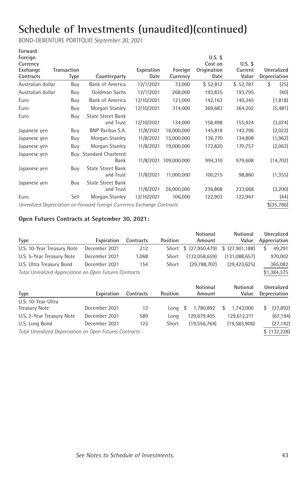BOND-DEBENTURE PORTFOLIO *September 30, 2021*

| Forward           |                    |                                                                         |            |             |             |           |              |
|-------------------|--------------------|-------------------------------------------------------------------------|------------|-------------|-------------|-----------|--------------|
| Foreign           |                    |                                                                         |            |             | $U.S.$ \$   |           |              |
| Currency          |                    |                                                                         |            |             | Cost on     | $U.S.$ \$ |              |
| Exchange          | <b>Transaction</b> |                                                                         | Expiration | Foreign     | Origination | Current   | Unrealized   |
| Contracts         | <b>Type</b>        | Counterparty                                                            | Date       | Currency    | Date        | Value     | Depreciation |
| Australian dollar | Buy                | <b>Bank of America</b>                                                  | 12/1/2021  | 73,000      | \$52,812    | \$52,787  | \$<br>(25)   |
| Australian dollar | Buy                | Goldman Sachs                                                           | 12/1/2021  | 268,000     | 193,835     | 193,795   | (40)         |
| Euro              | Buy                | <b>Bank of America</b>                                                  | 12/10/2021 | 121,000     | 142,163     | 140,345   | (1, 818)     |
| Euro              | Buy                | Morgan Stanley                                                          | 12/10/2021 | 314,000     | 369,683     | 364,202   | (5, 481)     |
| Euro              | Buy                | <b>State Street Bank</b>                                                |            |             |             |           |              |
|                   |                    | and Trust                                                               | 12/10/2021 | 134,000     | 158,498     | 155,424   | (3,074)      |
| Japanese yen      | Buy                | <b>BNP Paribas S.A.</b>                                                 | 11/8/2021  | 16,000,000  | 145,818     | 143,796   | (2,022)      |
| Japanese yen      | Buy                | Morgan Stanley                                                          | 11/8/2021  | 15,000,000  | 136,770     | 134,808   | (1, 962)     |
| Japanese yen      | Buy                | Morgan Stanley                                                          | 11/8/2021  | 19,000,000  | 172,820     | 170,757   | (2,063)      |
| Japanese yen      |                    | <b>Buy Standard Chartered</b>                                           |            |             |             |           |              |
|                   |                    | Bank                                                                    | 11/8/2021  | 109,000,000 | 994,310     | 979,608   | (14, 702)    |
| Japanese yen      | Buy                | <b>State Street Bank</b>                                                |            |             |             |           |              |
|                   |                    | and Trust                                                               | 11/8/2021  | 11.000.000  | 100,215     | 98,860    | (1, 355)     |
| Japanese yen      | Buy                | <b>State Street Bank</b>                                                |            |             |             |           |              |
|                   |                    | and Trust                                                               | 11/8/2021  | 26,000,000  | 236,868     | 233,668   | (3,200)      |
| Euro              | Sell               | Morgan Stanley                                                          | 12/10/2021 | 106,000     | 122,903     | 122,947   | (44)         |
|                   |                    | Unrealized Depreciation on Forward Foreign Currrency Exchange Contracts |            |             |             |           | \$(35,786)   |

#### **Open Futures Contracts at September 30, 2021:**

|                                                         |               |           |          | <b>Notional</b>    | <b>Notional</b> | Unrealized      |
|---------------------------------------------------------|---------------|-----------|----------|--------------------|-----------------|-----------------|
| <b>Type</b>                                             | Expiration    | Contracts | Position | Amount             | Value           | Appreciation    |
| U.S. 10-Year Treasury Note                              | December 2021 | 212       | Short    | $$^{(27.950.479)}$ | \$(27.901.188)  | \$<br>49,291    |
| U.S. 5-Year Treasury Note                               | December 2021 | 1,068     | Short    | (132,058,659)      | (131,088,657)   | 970,002         |
| U.S. Ultra Treasury Bond                                | December 2021 | 154       | Short    | (29.788.707)       | (29, 423, 625)  | 365,082         |
| Total Unrealized Appreciation on Open Futures Contracts |               |           |          |                    | \$1,384,375     |                 |
|                                                         |               |           |          | <b>Notional</b>    | Notional        | Unrealized      |
|                                                         |               |           |          |                    |                 |                 |
| <b>Type</b>                                             | Expiration    | Contracts | Position | Amount             | Value           | Depreciation    |
| U.S. 10-Year Ultra                                      |               |           |          |                    |                 |                 |
| <b>Treasury Note</b>                                    | December 2021 | 12        | Long     | 1,780,892<br>-S    | \$<br>1,743,000 | \$<br>(37, 892) |
| U.S. 2-Year Treasury Note                               | December 2021 | 589       | Long     | 129,679,405        | 129,612,211     | (67, 194)       |
| U.S. Long Bond                                          | December 2021 | 123       | Short    | (19, 556, 764)     | (19,583,906)    | (27, 142)       |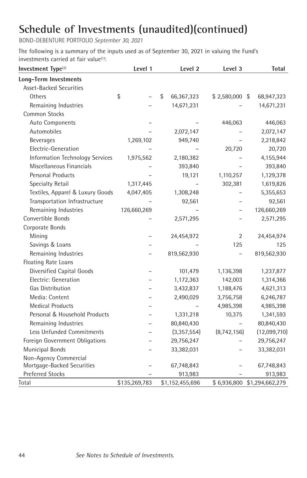BOND-DEBENTURE PORTFOLIO *September 30, 2021*

The following is a summary of the inputs used as of September 30, 2021 in valuing the Fund's investments carried at fair value<sup>(1)</sup>:

| Investment Type <sup>(2)</sup>   | Level 1        | Level 2          | Level 3         | <b>Total</b>    |
|----------------------------------|----------------|------------------|-----------------|-----------------|
| <b>Long-Term Investments</b>     |                |                  |                 |                 |
| Asset-Backed Securities          |                |                  |                 |                 |
| Others                           | \$             | \$<br>66,367,323 | $$2,580,000$ \$ | 68,947,323      |
| Remaining Industries             |                | 14,671,231       |                 | 14,671,231      |
| <b>Common Stocks</b>             |                |                  |                 |                 |
| Auto Components                  |                |                  | 446,063         | 446,063         |
| Automobiles                      |                | 2,072,147        |                 | 2,072,147       |
| <b>Beverages</b>                 | 1,269,102      | 949,740          |                 | 2,218,842       |
| Electric-Generation              |                |                  | 20,720          | 20,720          |
| Information Technology Services  | 1,975,562      | 2,180,382        |                 | 4,155,944       |
| Miscellaneous Financials         |                | 393,840          |                 | 393,840         |
| <b>Personal Products</b>         |                | 19,121           | 1,110,257       | 1,129,378       |
| Specialty Retail                 | 1,317,445      |                  | 302,381         | 1,619,826       |
| Textiles, Apparel & Luxury Goods | 4,047,405      | 1,308,248        |                 | 5,355,653       |
| Transportation Infrastructure    |                | 92,561           |                 | 92,561          |
| Remaining Industries             | 126,660,269    |                  |                 | 126,660,269     |
| Convertible Bonds                |                | 2,571,295        |                 | 2,571,295       |
| Corporate Bonds                  |                |                  |                 |                 |
| Mining                           |                | 24,454,972       | $\overline{2}$  | 24,454,974      |
| Savings & Loans                  |                |                  | 125             | 125             |
| Remaining Industries             |                | 819,562,930      |                 | 819,562,930     |
| Floating Rate Loans              |                |                  |                 |                 |
| Diversified Capital Goods        | $\overline{a}$ | 101,479          | 1,136,398       | 1,237,877       |
| Electric: Generation             |                | 1,172,363        | 142,003         | 1,314,366       |
| <b>Gas Distribution</b>          |                | 3,432,837        | 1,188,476       | 4,621,313       |
| Media: Content                   |                | 2,490,029        | 3,756,758       | 6,246,787       |
| <b>Medical Products</b>          |                |                  | 4,985,398       | 4,985,398       |
| Personal & Household Products    |                | 1,331,218        | 10,375          | 1,341,593       |
| Remaining Industries             |                | 80,840,430       |                 | 80,840,430      |
| Less Unfunded Commitments        |                | (3,357,554)      | (8,742,156)     | (12,099,710)    |
| Foreign Government Obligations   |                | 29,756,247       |                 | 29,756,247      |
| <b>Municipal Bonds</b>           |                | 33,382,031       |                 | 33,382,031      |
| Non-Agency Commercial            |                |                  |                 |                 |
| Mortgage-Backed Securities       |                | 67,748,843       |                 | 67,748,843      |
| <b>Preferred Stocks</b>          |                | 913,983          |                 | 913,983         |
| Total                            | \$135,269,783  | \$1,152,455,696  | \$6,936,800     | \$1,294,662,279 |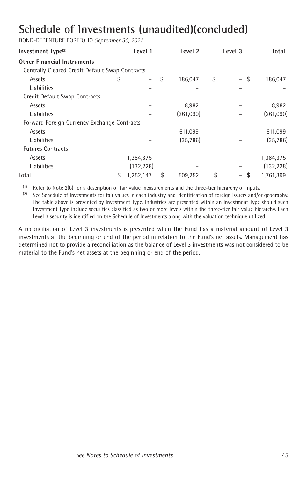BOND-DEBENTURE PORTFOLIO *September 30, 2021*

| Investment $Type(2)$                            | Level 1         | Level 2       | Level 3                               | Total      |
|-------------------------------------------------|-----------------|---------------|---------------------------------------|------------|
| <b>Other Financial Instruments</b>              |                 |               |                                       |            |
| Centrally Cleared Credit Default Swap Contracts |                 |               |                                       |            |
| Assets                                          | \$              | \$<br>186,047 | \$<br>-\$<br>$\overline{\phantom{0}}$ | 186,047    |
| Liabilities                                     |                 |               |                                       |            |
| Credit Default Swap Contracts                   |                 |               |                                       |            |
| Assets                                          |                 | 8,982         |                                       | 8,982      |
| <b>Liabilities</b>                              |                 | (261,090)     |                                       | (261,090)  |
| Forward Foreign Currency Exchange Contracts     |                 |               |                                       |            |
| Assets                                          |                 | 611,099       |                                       | 611,099    |
| <b>Liabilities</b>                              |                 | (35, 786)     |                                       | (35, 786)  |
| <b>Futures Contracts</b>                        |                 |               |                                       |            |
| Assets                                          | 1,384,375       |               |                                       | 1,384,375  |
| Liabilities                                     | (132, 228)      |               |                                       | (132, 228) |
| Total                                           | \$<br>1,252,147 | \$<br>509,252 | \$<br>\$<br>-                         | 1,761,399  |

 $^{(1)}$  Refer to Note 2(b) for a description of fair value measurements and the three-tier hierarchy of inputs.

<sup>(1)</sup> Refer to Note 2(b) for a description of fair value measurements and the three-tier hierarchy of inputs.<br><sup>(2)</sup> See Schedule of Investments for fair values in each industry and identification of foreign issuers and/or The table above is presented by Investment Type. Industries are presented within an Investment Type should such Investment Type include securities classified as two or more levels within the three-tier fair value hierarchy. Each Level 3 security is identified on the Schedule of Investments along with the valuation technique utilized.

A reconciliation of Level 3 investments is presented when the Fund has a material amount of Level 3 investments at the beginning or end of the period in relation to the Fund's net assets. Management has determined not to provide a reconciliation as the balance of Level 3 investments was not considered to be material to the Fund's net assets at the beginning or end of the period.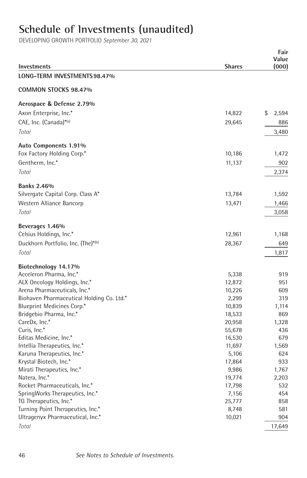# **Schedule of Investments (unaudited)**

|                                                                           |                  | Fair<br>Value |
|---------------------------------------------------------------------------|------------------|---------------|
| Investments                                                               | <b>Shares</b>    | (000)         |
| LONG-TERM INVESTMENTS 98.47%                                              |                  |               |
| COMMON STOCKS 98.47%                                                      |                  |               |
| Aerospace & Defense 2.79%                                                 |                  |               |
| Axon Enterprise, Inc.*                                                    | 14,822           | \$<br>2,594   |
| CAE, Inc. (Canada)*(a)                                                    | 29,645           | 886           |
| Total                                                                     |                  | 3,480         |
| Auto Components 1.91%                                                     |                  |               |
| Fox Factory Holding Corp.*                                                | 10,186           | 1,472         |
| Gentherm, Inc.*                                                           | 11,137           | 902           |
| Total                                                                     |                  | 2,374         |
| <b>Banks 2.46%</b>                                                        |                  |               |
| Silvergate Capital Corp. Class A*                                         | 13,784           | 1,592         |
| Western Alliance Bancorp                                                  | 13,471           | 1,466         |
| Total                                                                     |                  | 3,058         |
| Beverages 1.46%                                                           |                  |               |
| Celsius Holdings, Inc.*                                                   | 12,961           | 1,168         |
| Duckhorn Portfolio, Inc. (The)*(b)                                        | 28,367           | 649           |
| Total                                                                     |                  | 1,817         |
| Biotechnology 14.17%                                                      |                  |               |
| Acceleron Pharma, Inc.*                                                   | 5,338            | 919           |
| ALX Oncology Holdings, Inc.*                                              | 12,872           | 951           |
| Arena Pharmaceuticals, Inc.*<br>Biohaven Pharmaceutical Holding Co. Ltd.* | 10,226<br>2,299  | 609<br>319    |
| Blueprint Medicines Corp.*                                                | 10,839           | 1,114         |
| Bridgebio Pharma, Inc.*                                                   | 18,533           | 869           |
| CareDx, Inc.*                                                             | 20,958           | 1,328         |
| Curis, Inc.*                                                              | 55,678           | 436           |
| Editas Medicine, Inc.*                                                    | 16,530           | 679           |
| Intellia Therapeutics, Inc.*                                              | 11,697           | 1,569         |
| Karuna Therapeutics, Inc.*                                                | 5,106            | 624           |
| Krystal Biotech, Inc.*                                                    | 17,864           | 933           |
| Mirati Therapeutics, Inc.*                                                | 9,986            | 1,767         |
| Natera, Inc.*<br>Rocket Pharmaceuticals, Inc.*                            | 19,774<br>17,798 | 2,203<br>532  |
| SpringWorks Therapeutics, Inc.*                                           | 7,156            | 454           |
| TG Therapeutics, Inc.*                                                    | 25,777           | 858           |
| Turning Point Therapeutics, Inc.*                                         | 8,748            | 581           |
| Ultragenyx Pharmaceutical, Inc.*                                          | 10,021           | 904           |
| Total                                                                     |                  | 17,649        |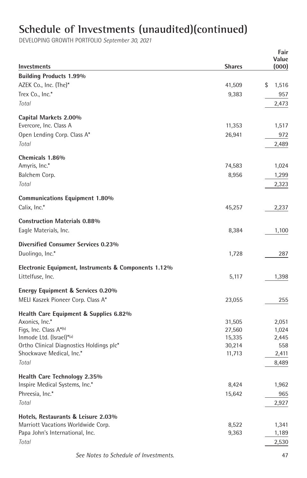| Investments                                          | <b>Shares</b> | Fair<br>Value<br>(000) |
|------------------------------------------------------|---------------|------------------------|
| <b>Building Products 1.99%</b>                       |               |                        |
| AZEK Co., Inc. (The)*                                | 41,509        | \$<br>1,516            |
| Trex Co., Inc.*                                      | 9,383         | 957                    |
| Total                                                |               |                        |
|                                                      |               | 2,473                  |
| Capital Markets 2.00%                                |               |                        |
| Evercore, Inc. Class A                               | 11,353        | 1,517                  |
| Open Lending Corp. Class A*                          | 26,941        | 972                    |
| Total                                                |               | 2,489                  |
| Chemicals 1.86%                                      |               |                        |
| Amyris, Inc.*                                        | 74,583        | 1,024                  |
| Balchem Corp.                                        | 8,956         | 1,299                  |
| Total                                                |               | 2,323                  |
| <b>Communications Equipment 1.80%</b>                |               |                        |
| Calix, Inc.*                                         | 45,257        | 2,237                  |
| <b>Construction Materials 0.88%</b>                  |               |                        |
| Eagle Materials, Inc.                                | 8,384         | 1,100                  |
| Diversified Consumer Services 0.23%                  |               |                        |
| Duolingo, Inc.*                                      | 1,728         | 287                    |
| Electronic Equipment, Instruments & Components 1.12% |               |                        |
| Littelfuse, Inc.                                     | 5,117         | 1,398                  |
| Energy Equipment & Services 0.20%                    |               |                        |
| MELI Kaszek Pioneer Corp. Class A*                   | 23,055        | 255                    |
| Health Care Equipment & Supplies 6.82%               |               |                        |
| Axonics, Inc.*                                       | 31,505        | 2,051                  |
| Figs, Inc. Class A*(b)                               | 27,560        | 1,024                  |
| Inmode Ltd. (Israel)*(a)                             | 15,335        | 2,445                  |
| Ortho Clinical Diagnostics Holdings plc*             | 30,214        | 558                    |
| Shockwave Medical, Inc.*                             | 11,713        | 2,411                  |
| Total                                                |               | 8,489                  |
| Health Care Technology 2.35%                         |               |                        |
| Inspire Medical Systems, Inc.*                       | 8,424         | 1,962                  |
| Phreesia, Inc.*                                      | 15,642        | 965                    |
| Total                                                |               | 2,927                  |
| Hotels, Restaurants & Leisure 2.03%                  |               |                        |
| Marriott Vacations Worldwide Corp.                   | 8,522         | 1,341                  |
| Papa John's International, Inc.                      | 9,363         | 1,189                  |
| Total                                                |               | 2,530                  |
| See Notes to Schedule of Investments.                |               | 47                     |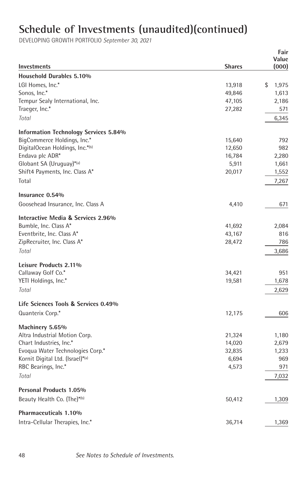|                                              |               | Fair<br>Value |
|----------------------------------------------|---------------|---------------|
| Investments                                  | <b>Shares</b> | (000)         |
| Household Durables 5.10%                     |               |               |
| LGI Homes, Inc.*                             | 13,918        | \$<br>1,975   |
| Sonos, Inc.*                                 | 49,846        | 1,613         |
| Tempur Sealy International, Inc.             | 47,105        | 2,186         |
| Traeger, Inc.*                               | 27,282        | 571           |
| Total                                        |               | 6,345         |
| <b>Information Technology Services 5.84%</b> |               |               |
| BigCommerce Holdings, Inc.*                  | 15,640        | 792           |
| DigitalOcean Holdings, Inc.*(b)              | 12,650        | 982           |
| Endava plc ADR*                              | 16,784        | 2,280         |
| Globant SA (Uruguay)*(a)                     | 5,911         | 1,661         |
| Shift4 Payments, Inc. Class A*               | 20,017        | 1,552         |
| Total                                        |               | 7,267         |
| Insurance 0.54%                              |               |               |
| Goosehead Insurance, Inc. Class A            | 4,410         | 671           |
| Interactive Media & Services 2.96%           |               |               |
| Bumble, Inc. Class A*                        | 41,692        | 2,084         |
| Eventbrite, Inc. Class A*                    | 43,167        | 816           |
| ZipRecruiter, Inc. Class A*                  | 28,472        | 786           |
| Total                                        |               | 3,686         |
| Leisure Products 2.11%                       |               |               |
| Callaway Golf Co.*                           | 34,421        | 951           |
| YETI Holdings, Inc.*                         | 19,581        | 1,678         |
| Total                                        |               | 2,629         |
| Life Sciences Tools & Services 0.49%         |               |               |
| Quanterix Corp.*                             | 12,175        | 606           |
| Machinery 5.65%                              |               |               |
| Altra Industrial Motion Corp.                | 21,324        | 1,180         |
| Chart Industries, Inc.*                      | 14,020        | 2,679         |
| Evoqua Water Technologies Corp.*             | 32,835        | 1,233         |
| Kornit Digital Ltd. (Israel)*(a)             | 6,694         | 969           |
| RBC Bearings, Inc.*                          | 4,573         | 971           |
| Total                                        |               | 7,032         |
| Personal Products 1.05%                      |               |               |
| Beauty Health Co. (The)*(b)                  | 50,412        | 1,309         |
| Pharmaceuticals 1.10%                        |               |               |
| Intra-Cellular Therapies, Inc.*              | 36,714        | 1,369         |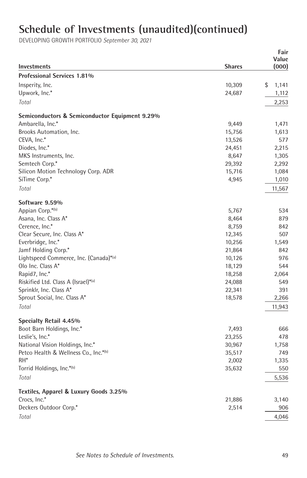| Investments                                            | <b>Shares</b>   | Fair<br>Value<br>(000) |
|--------------------------------------------------------|-----------------|------------------------|
| <b>Professional Services 1.81%</b>                     |                 |                        |
| Insperity, Inc.                                        | 10,309          | \$<br>1,141            |
| Upwork, Inc.*                                          | 24,687          | 1,112                  |
| Total                                                  |                 | 2,253                  |
|                                                        |                 |                        |
| Semiconductors & Semiconductor Equipment 9.29%         |                 |                        |
| Ambarella, Inc.*                                       | 9,449           | 1,471                  |
| Brooks Automation, Inc.                                | 15,756          | 1,613                  |
| CEVA, Inc.*                                            | 13,526          | 577                    |
| Diodes, Inc.*                                          | 24,451          | 2,215                  |
| MKS Instruments, Inc.                                  | 8,647           | 1,305                  |
| Semtech Corp.*                                         | 29,392          | 2,292                  |
| Silicon Motion Technology Corp. ADR                    | 15,716          | 1,084                  |
| SiTime Corp.*                                          | 4,945           | 1,010                  |
| Total                                                  |                 | 11,567                 |
| Software 9.59%                                         |                 |                        |
| Appian Corp.*(b)                                       | 5,767           | 534                    |
| Asana, Inc. Class A*                                   | 8,464           | 879                    |
| Cerence, Inc.*                                         | 8,759           | 842                    |
| Clear Secure, Inc. Class A*                            | 12,345          | 507                    |
| Everbridge, Inc.*                                      | 10,256          | 1,549                  |
| Jamf Holding Corp.*                                    | 21,864          | 842                    |
| Lightspeed Commerce, Inc. (Canada)*(a)                 | 10,126          | 976                    |
| Olo Inc. Class A*                                      | 18,129          | 544                    |
| Rapid7, Inc.*                                          | 18,258          | 2,064                  |
| Riskified Ltd. Class A (Israel)*(a)                    | 24,088          | 549                    |
| Sprinklr, Inc. Class A*                                | 22,341          | 391                    |
| Sprout Social, Inc. Class A*                           | 18,578          | 2,266                  |
| Total                                                  |                 | 11,943                 |
| Specialty Retail 4.45%                                 |                 |                        |
| Boot Barn Holdings, Inc.*                              | 7,493           | 666                    |
| Leslie's, Inc.*                                        | 23,255          | 478                    |
| National Vision Holdings, Inc.*                        | 30,967          | 1,758                  |
| Petco Health & Wellness Co., Inc.*(b)                  | 35,517          | 749                    |
| RH <sup>*</sup>                                        | 2,002           | 1,335                  |
| Torrid Holdings, Inc.*(b)                              | 35,632          | 550                    |
| Total                                                  |                 | 5,536                  |
|                                                        |                 |                        |
| Textiles, Apparel & Luxury Goods 3.25%<br>Crocs, Inc.* |                 |                        |
| Deckers Outdoor Corp.*                                 | 21,886<br>2,514 | 3,140<br>906           |
|                                                        |                 |                        |
| Total                                                  |                 | 4,046                  |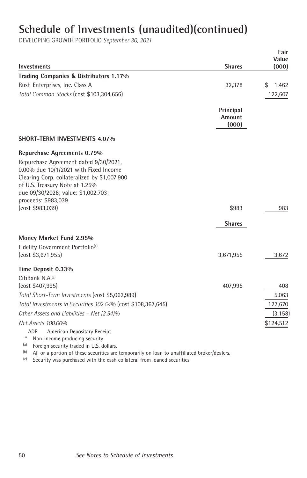DEVELOPING GROWTH PORTFOLIO *September 30, 2021*

|                                                                                                                                                                                                                                        |                              | Fair<br>Value |
|----------------------------------------------------------------------------------------------------------------------------------------------------------------------------------------------------------------------------------------|------------------------------|---------------|
| <b>Investments</b>                                                                                                                                                                                                                     | <b>Shares</b>                | (000)         |
| Trading Companies & Distributors 1.17%                                                                                                                                                                                                 |                              |               |
| Rush Enterprises, Inc. Class A                                                                                                                                                                                                         | 32,378                       | \$<br>1,462   |
| Total Common Stocks (cost \$103,304,656)                                                                                                                                                                                               |                              | 122,607       |
|                                                                                                                                                                                                                                        | Principal<br>Amount<br>(000) |               |
| <b>SHORT-TERM INVESTMENTS 4.07%</b>                                                                                                                                                                                                    |                              |               |
| Repurchase Agreements 0.79%<br>Repurchase Agreement dated 9/30/2021,<br>0.00% due 10/1/2021 with Fixed Income<br>Clearing Corp. collateralized by \$1,007,900<br>of U.S. Treasury Note at 1.25%<br>due 09/30/2028; value: \$1,002,703; |                              |               |
| proceeds: \$983,039<br>(cost \$983,039)                                                                                                                                                                                                | \$983                        | 983           |
|                                                                                                                                                                                                                                        |                              |               |
|                                                                                                                                                                                                                                        | <b>Shares</b>                |               |
| Money Market Fund 2.95%                                                                                                                                                                                                                |                              |               |
| Fidelity Government Portfolio <sup>(c)</sup><br>(cost \$3,671,955)                                                                                                                                                                     | 3,671,955                    | 3,672         |
| Time Deposit 0.33%                                                                                                                                                                                                                     |                              |               |
| CitiBank N.A.(c)                                                                                                                                                                                                                       |                              |               |
| (cost \$407,995)                                                                                                                                                                                                                       | 407,995                      | 408           |
| Total Short-Term Investments (cost \$5,062,989)                                                                                                                                                                                        |                              | 5,063         |
| Total Investments in Securities 102.54% (cost \$108,367,645)                                                                                                                                                                           |                              | 127,670       |
| Other Assets and Liabilities - Net (2.54)%                                                                                                                                                                                             |                              | (3, 158)      |
| Net Assets 100.00%                                                                                                                                                                                                                     |                              | \$124,512     |
| ADR<br>American Depositary Receipt.                                                                                                                                                                                                    |                              |               |
| March Commercial and directors and contact                                                                                                                                                                                             |                              |               |

\* Non-income producing security.<br>(a) Foreign security traded in U.S. d

 $\begin{bmatrix} \text{a} \\ \text{b} \end{bmatrix}$  Foreign security traded in U.S. dollars.

 $(b)$  All or a portion of these securities are temporarily on loan to unaffiliated broker/dealers.

 $(c)$  Security was purchased with the cash collateral from loaned securities.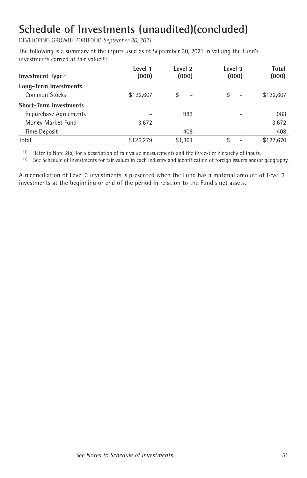DEVELOPING GROWTH PORTFOLIO *September 30, 2021*

The following is a summary of the inputs used as of September 30, 2021 in valuing the Fund's investments carried at fair value<sup>(1)</sup>:

| Investment $Type(2)$          | Level 1<br>(000) | Level 2<br>(000)               | Level 3<br>(000)               | Total<br>(000) |
|-------------------------------|------------------|--------------------------------|--------------------------------|----------------|
| Long-Term Investments         |                  |                                |                                |                |
| Common Stocks                 | \$122,607        | \$<br>$\overline{\phantom{0}}$ | \$<br>$\overline{\phantom{0}}$ | \$122.607      |
| <b>Short-Term Investments</b> |                  |                                |                                |                |
| Repurchase Agreements         |                  | 983                            |                                | 983            |
| Money Market Fund             | 3,672            |                                |                                | 3,672          |
| Time Deposit                  |                  | 408                            |                                | 408            |
| Total                         | \$126,279        | \$1,391                        | \$                             | \$127,670      |

(1) Refer to Note 2(b) for a description of fair value measurements and the three-tier hierarchy of inputs.

<sup>(2)</sup> See Schedule of Investments for fair values in each industry and identification of foreign issuers and/or geography.

A reconciliation of Level 3 investments is presented when the Fund has a material amount of Level 3 investments at the beginning or end of the period in relation to the Fund's net assets.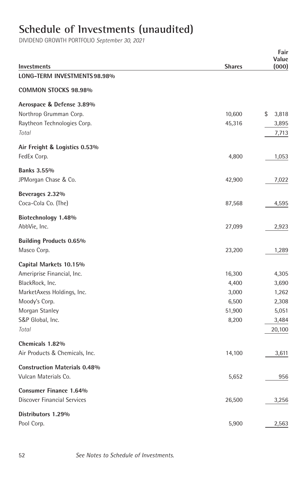# **Schedule of Investments (unaudited)**

DIVIDEND GROWTH PORTFOLIO *September 30, 2021*

| <b>Investments</b>                  | <b>Shares</b> | Fair<br>Value<br>(000) |
|-------------------------------------|---------------|------------------------|
| LONG-TERM INVESTMENTS 98.98%        |               |                        |
| <b>COMMON STOCKS 98.98%</b>         |               |                        |
| Aerospace & Defense 3.89%           |               |                        |
| Northrop Grumman Corp.              | 10,600        | \$<br>3,818            |
| Raytheon Technologies Corp.         | 45,316        | 3,895                  |
| Total                               |               | 7,713                  |
| Air Freight & Logistics 0.53%       |               |                        |
| FedEx Corp.                         | 4,800         | 1,053                  |
| <b>Banks 3.55%</b>                  |               |                        |
| JPMorgan Chase & Co.                | 42,900        | 7,022                  |
| Beverages 2.32%                     |               |                        |
| Coca-Cola Co. (The)                 | 87,568        | 4,595                  |
| Biotechnology 1.48%                 |               |                        |
| AbbVie, Inc.                        | 27,099        | 2,923                  |
| <b>Building Products 0.65%</b>      |               |                        |
| Masco Corp.                         | 23,200        | 1,289                  |
| Capital Markets 10.15%              |               |                        |
| Ameriprise Financial, Inc.          | 16,300        | 4,305                  |
| BlackRock, Inc.                     | 4,400         | 3,690                  |
| MarketAxess Holdings, Inc.          | 3,000         | 1,262                  |
| Moody's Corp.                       | 6,500         | 2,308                  |
| Morgan Stanley                      | 51,900        | 5,051                  |
| S&P Global, Inc.                    | 8,200         | 3,484                  |
| Total                               |               | 20,100                 |
| Chemicals 1.82%                     |               |                        |
| Air Products & Chemicals, Inc.      | 14,100        | 3,611                  |
| <b>Construction Materials 0.48%</b> |               |                        |
| Vulcan Materials Co.                | 5,652         | 956                    |
| <b>Consumer Finance 1.64%</b>       |               |                        |
| Discover Financial Services         | 26,500        | 3,256                  |
| Distributors 1.29%                  |               |                        |
| Pool Corp.                          | 5,900         | 2,563                  |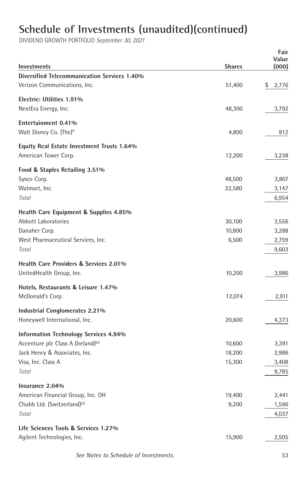DIVIDEND GROWTH PORTFOLIO *September 30, 2021*

| <b>Investments</b>                             | <b>Shares</b> | Fair<br>Value<br>(000) |
|------------------------------------------------|---------------|------------------------|
| Diversified Telecommunication Services 1.40%   |               |                        |
| Verizon Communications, Inc.                   | 51,400        | \$<br>2,776            |
| Electric: Utilities 1.91%                      |               |                        |
| NextEra Energy, Inc.                           | 48,300        | 3,792                  |
| Entertainment 0.41%                            |               |                        |
| Walt Disney Co. (The)*                         | 4,800         | 812                    |
| Equity Real Estate Investment Trusts 1.64%     |               |                        |
| American Tower Corp.                           | 12,200        | 3,238                  |
| Food & Staples Retailing 3.51%                 |               |                        |
| Sysco Corp.                                    | 48,500        | 3,807                  |
| Walmart, Inc.                                  | 22,580        | 3,147                  |
| Total                                          |               | 6,954                  |
| Health Care Equipment & Supplies 4.85%         |               |                        |
| Abbott Laboratories                            | 30,100        | 3,556                  |
| Danaher Corp.                                  | 10,800        | 3,288                  |
| West Pharmaceutical Services, Inc.             | 6,500         | 2,759                  |
| Total                                          |               | 9,603                  |
| Health Care Providers & Services 2.01%         |               |                        |
| UnitedHealth Group, Inc.                       | 10,200        | 3,986                  |
| Hotels, Restaurants & Leisure 1.47%            |               |                        |
| McDonald's Corp.                               | 12,074        | 2,911                  |
| Industrial Conglomerates 2.21%                 |               |                        |
| Honeywell International, Inc.                  | 20,600        | 4,373                  |
| <b>Information Technology Services 4.94%</b>   |               |                        |
| Accenture plc Class A (Ireland) <sup>(a)</sup> | 10,600        | 3,391                  |
| Jack Henry & Associates, Inc.                  | 18,200        | 2,986                  |
| Visa, Inc. Class A                             | 15,300        | 3,408                  |
| Total                                          |               | 9,785                  |
| Insurance 2.04%                                |               |                        |
| American Financial Group, Inc. OH              | 19,400        | 2,441                  |
| Chubb Ltd. (Switzerland) <sup>(a)</sup>        | 9,200         | 1,596                  |
| Total                                          |               | 4,037                  |
| Life Sciences Tools & Services 1.27%           |               |                        |
| Agilent Technologies, Inc.                     | 15,900        | 2,505                  |
|                                                |               |                        |

 *See Notes to Schedule of Investments.* 53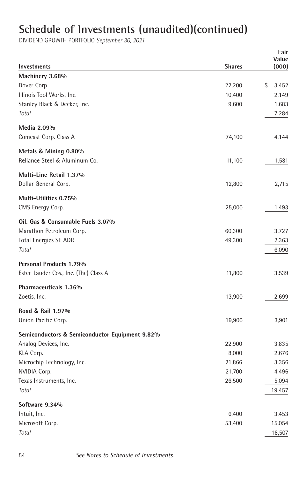DIVIDEND GROWTH PORTFOLIO *September 30, 2021*

|                                                |               | Fair           |
|------------------------------------------------|---------------|----------------|
| Investments                                    | <b>Shares</b> | Value<br>(000) |
| Machinery 3.68%                                |               |                |
| Dover Corp.                                    | 22,200        | \$<br>3,452    |
| Illinois Tool Works, Inc.                      | 10,400        | 2,149          |
| Stanley Black & Decker, Inc.                   | 9,600         | 1,683          |
| Total                                          |               | 7,284          |
| Media 2.09%                                    |               |                |
| Comcast Corp. Class A                          | 74,100        | 4,144          |
| Metals & Mining 0.80%                          |               |                |
| Reliance Steel & Aluminum Co.                  | 11,100        | 1,581          |
| Multi-Line Retail 1.37%                        |               |                |
| Dollar General Corp.                           | 12,800        | 2,715          |
| Multi-Utilities 0.75%                          |               |                |
| CMS Energy Corp.                               | 25,000        | 1,493          |
| Oil, Gas & Consumable Fuels 3.07%              |               |                |
| Marathon Petroleum Corp.                       | 60,300        | 3,727          |
| <b>Total Energies SE ADR</b>                   | 49,300        | 2,363          |
| Total                                          |               | 6,090          |
| Personal Products 1.79%                        |               |                |
| Estee Lauder Cos., Inc. (The) Class A          | 11,800        | 3,539          |
| Pharmaceuticals 1.36%                          |               |                |
| Zoetis, Inc.                                   | 13,900        | 2,699          |
| Road & Rail 1.97%                              |               |                |
| Union Pacific Corp.                            | 19,900        | 3,901          |
| Semiconductors & Semiconductor Equipment 9.82% |               |                |
| Analog Devices, Inc.                           | 22,900        | 3,835          |
| KLA Corp.                                      | 8,000         | 2,676          |
| Microchip Technology, Inc.                     | 21,866        | 3,356          |
| NVIDIA Corp.                                   | 21,700        | 4,496          |
| Texas Instruments, Inc.                        | 26,500        | 5,094          |
| Total                                          |               | 19,457         |
| Software 9.34%                                 |               |                |
| Intuit, Inc.                                   | 6,400         | 3,453          |
| Microsoft Corp.                                | 53,400        | 15,054         |
| Total                                          |               | 18,507         |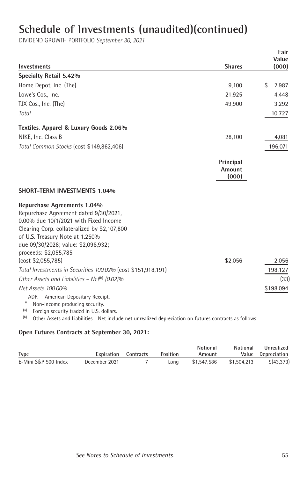DIVIDEND GROWTH PORTFOLIO *September 30, 2021*

| <b>Investments</b>                                                                                                                                                                                                                                               | <b>Shares</b>                       | Fair<br>Value<br>(000) |
|------------------------------------------------------------------------------------------------------------------------------------------------------------------------------------------------------------------------------------------------------------------|-------------------------------------|------------------------|
| Specialty Retail 5.42%                                                                                                                                                                                                                                           |                                     |                        |
| Home Depot, Inc. (The)                                                                                                                                                                                                                                           | 9,100                               | \$<br>2,987            |
| Lowe's Cos., Inc.                                                                                                                                                                                                                                                | 21,925                              | 4,448                  |
| TJX Cos., Inc. (The)                                                                                                                                                                                                                                             | 49,900                              | 3,292                  |
| Total                                                                                                                                                                                                                                                            |                                     | 10,727                 |
| Textiles, Apparel & Luxury Goods 2.06%                                                                                                                                                                                                                           |                                     |                        |
| NIKE, Inc. Class B                                                                                                                                                                                                                                               | 28,100                              | 4,081                  |
| Total Common Stocks (cost \$149,862,406)                                                                                                                                                                                                                         |                                     | 196,071                |
|                                                                                                                                                                                                                                                                  | Principal<br><b>Amount</b><br>(000) |                        |
| <b>SHORT-TERM INVESTMENTS 1.04%</b>                                                                                                                                                                                                                              |                                     |                        |
| Repurchase Agreements 1.04%<br>Repurchase Agreement dated 9/30/2021,<br>0.00% due 10/1/2021 with Fixed Income<br>Clearing Corp. collateralized by \$2,107,800<br>of U.S. Treasury Note at 1.250%<br>due 09/30/2028; value: \$2,096,932;<br>proceeds: \$2,055,785 |                                     |                        |
| (cost \$2,055,785)                                                                                                                                                                                                                                               | \$2,056                             | 2,056                  |
| Total Investments in Securities 100.02% (cost \$151,918,191)                                                                                                                                                                                                     |                                     | 198,127                |
| Other Assets and Liabilities - Net <sup>(b)</sup> (0.02)%                                                                                                                                                                                                        |                                     | (33)                   |
| Net Assets 100.00%<br>American Depositary Receipt.<br>ADR<br>Non-income producing security.<br>(a)<br>Foreign security traded in U.S. dollars.                                                                                                                   |                                     | \$198,094              |

<sup>(a)</sup> Foreign security traded in U.S. dollars.<br><sup>(b)</sup> Other Assets and Liabilities - Net include net unrealized depreciation on futures contracts as follows:

#### **Open Futures Contracts at September 30, 2021:**

|                      |                             |          | <b>Notional</b> | <b>Notional</b> | Unrealized         |
|----------------------|-----------------------------|----------|-----------------|-----------------|--------------------|
| <b>Type</b>          | <b>Expiration</b> Contracts | Position | Amount          |                 | Value Depreciation |
| E-Mini S&P 500 Index | December 2021               | Lona     | \$1.547.586     | \$1.504.213     | \$(43, 373)        |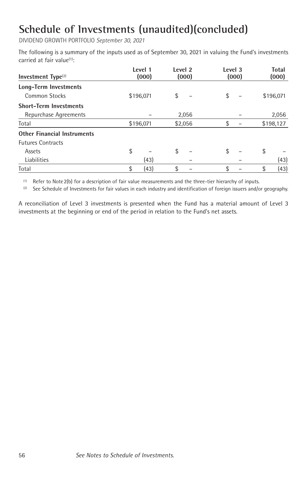DIVIDEND GROWTH PORTFOLIO *September 30, 2021*

The following is a summary of the inputs used as of September 30, 2021 in valuing the Fund's investments carried at fair value(1) :

| Investment Type <sup>(2)</sup>     | Level 1<br>(000) | Level <sub>2</sub> | (000)   | Level 3 | (000) | <b>Total</b><br>(000) |
|------------------------------------|------------------|--------------------|---------|---------|-------|-----------------------|
| Long-Term Investments              |                  |                    |         |         |       |                       |
| Common Stocks                      | \$196,071        | \$                 |         | \$      |       | \$196,071             |
| <b>Short-Term Investments</b>      |                  |                    |         |         |       |                       |
| Repurchase Agreements              |                  |                    | 2,056   |         |       | 2,056                 |
| Total                              | \$196,071        |                    | \$2,056 | \$      |       | \$198,127             |
| <b>Other Financial Instruments</b> |                  |                    |         |         |       |                       |
| <b>Futures Contracts</b>           |                  |                    |         |         |       |                       |
| Assets                             | \$               | \$                 |         | \$      |       | \$                    |
| Liabilities                        | (43)             |                    |         |         |       | (43)                  |
| Total                              | \$<br>(43)       | \$                 |         | \$      |       | \$<br>(43)            |

 $(1)$  Refer to Note 2(b) for a description of fair value measurements and the three-tier hierarchy of inputs.

 (2) See Schedule of Investments for fair values in each industry and identification of foreign issuers and/or geography.

A reconciliation of Level 3 investments is presented when the Fund has a material amount of Level 3 investments at the beginning or end of the period in relation to the Fund's net assets.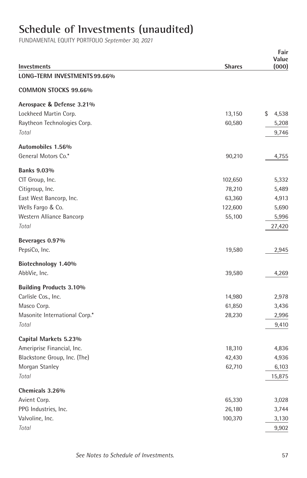# **Schedule of Investments (unaudited)**

| Investments                    | <b>Shares</b> | Fair<br>Value<br>(000) |
|--------------------------------|---------------|------------------------|
| LONG-TERM INVESTMENTS 99.66%   |               |                        |
| COMMON STOCKS 99.66%           |               |                        |
| Aerospace & Defense 3.21%      |               |                        |
| Lockheed Martin Corp.          | 13,150        | \$<br>4,538            |
| Raytheon Technologies Corp.    | 60,580        | 5,208                  |
| Total                          |               | 9,746                  |
| Automobiles 1.56%              |               |                        |
| General Motors Co.*            | 90,210        | 4,755                  |
| <b>Banks 9.03%</b>             |               |                        |
| CIT Group, Inc.                | 102,650       | 5,332                  |
| Citigroup, Inc.                | 78,210        | 5,489                  |
| East West Bancorp, Inc.        | 63,360        | 4,913                  |
| Wells Fargo & Co.              | 122,600       | 5,690                  |
| Western Alliance Bancorp       | 55,100        | 5,996                  |
| Total                          |               | 27,420                 |
| Beverages 0.97%                |               |                        |
| PepsiCo, Inc.                  | 19,580        | 2,945                  |
| Biotechnology 1.40%            |               |                        |
| AbbVie, Inc.                   | 39,580        | 4,269                  |
| <b>Building Products 3.10%</b> |               |                        |
| Carlisle Cos., Inc.            | 14,980        | 2,978                  |
| Masco Corp.                    | 61,850        | 3,436                  |
| Masonite International Corp.*  | 28,230        | 2,996                  |
| Total                          |               | 9,410                  |
| Capital Markets 5.23%          |               |                        |
| Ameriprise Financial, Inc.     | 18,310        | 4,836                  |
| Blackstone Group, Inc. (The)   | 42,430        | 4,936                  |
| Morgan Stanley                 | 62,710        | 6,103                  |
| Total                          |               | 15,875                 |
| Chemicals 3.26%                |               |                        |
| Avient Corp.                   | 65,330        | 3,028                  |
| PPG Industries, Inc.           | 26,180        | 3,744                  |
| Valvoline, Inc.                | 100,370       | 3,130                  |
| Total                          |               | 9,902                  |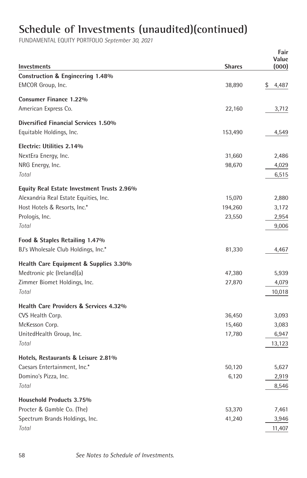|                                            |               | Fair           |
|--------------------------------------------|---------------|----------------|
| Investments                                | <b>Shares</b> | Value<br>(000) |
| Construction & Engineering 1.48%           |               |                |
| EMCOR Group, Inc.                          | 38,890        | \$<br>4,487    |
|                                            |               |                |
| Consumer Finance 1.22%                     |               |                |
| American Express Co.                       | 22,160        | 3,712          |
| Diversified Financial Services 1.50%       |               |                |
| Equitable Holdings, Inc.                   | 153,490       | 4,549          |
|                                            |               |                |
| Electric: Utilities 2.14%                  |               |                |
| NextEra Energy, Inc.                       | 31,660        | 2,486          |
| NRG Energy, Inc.<br>Total                  | 98,670        | 4,029          |
|                                            |               | 6,515          |
| Equity Real Estate Investment Trusts 2.96% |               |                |
| Alexandria Real Estate Equities, Inc.      | 15,070        | 2,880          |
| Host Hotels & Resorts, Inc.*               | 194,260       | 3,172          |
| Prologis, Inc.                             | 23,550        | 2,954          |
| Total                                      |               | 9,006          |
| Food & Staples Retailing 1.47%             |               |                |
| BJ's Wholesale Club Holdings, Inc.*        | 81,330        | 4,467          |
|                                            |               |                |
| Health Care Equipment & Supplies 3.30%     |               |                |
| Medtronic plc (Ireland)(a)                 | 47,380        | 5,939          |
| Zimmer Biomet Holdings, Inc.               | 27,870        | 4,079          |
| Total                                      |               | 10,018         |
| Health Care Providers & Services 4.32%     |               |                |
| CVS Health Corp.                           | 36,450        | 3,093          |
| McKesson Corp.                             | 15,460        | 3,083          |
| UnitedHealth Group, Inc.                   | 17,780        | 6,947          |
| Total                                      |               | 13,123         |
|                                            |               |                |
| Hotels, Restaurants & Leisure 2.81%        |               |                |
| Caesars Entertainment, Inc.*               | 50,120        | 5,627          |
| Domino's Pizza, Inc.                       | 6,120         | 2,919          |
| Total                                      |               | 8,546          |
| <b>Household Products 3.75%</b>            |               |                |
| Procter & Gamble Co. (The)                 | 53,370        | 7,461          |
| Spectrum Brands Holdings, Inc.             | 41,240        | 3,946          |
| Total                                      |               | 11,407         |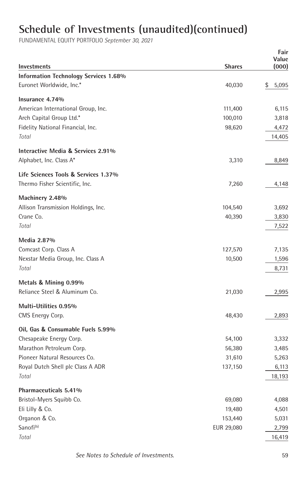|                                                               |                    | Fair           |
|---------------------------------------------------------------|--------------------|----------------|
| <b>Investments</b>                                            | <b>Shares</b>      | Value<br>(000) |
| Information Technology Services 1.68%                         |                    |                |
| Euronet Worldwide, Inc.*                                      | 40,030             | 5,095<br>\$    |
| Insurance 4.74%                                               |                    |                |
| American International Group, Inc.                            |                    |                |
| Arch Capital Group Ltd.*                                      | 111,400<br>100,010 | 6,115<br>3,818 |
| Fidelity National Financial, Inc.                             | 98,620             | 4,472          |
| Total                                                         |                    | 14,405         |
|                                                               |                    |                |
| Interactive Media & Services 2.91%<br>Alphabet, Inc. Class A* | 3,310              | 8,849          |
|                                                               |                    |                |
| Life Sciences Tools & Services 1.37%                          |                    |                |
| Thermo Fisher Scientific, Inc.                                | 7,260              | 4,148          |
| Machinery 2.48%                                               |                    |                |
| Allison Transmission Holdings, Inc.                           | 104,540            | 3,692          |
| Crane Co.                                                     | 40,390             | 3,830          |
| Total                                                         |                    | 7,522          |
| Media 2.87%                                                   |                    |                |
| Comcast Corp. Class A                                         | 127,570            | 7,135          |
| Nexstar Media Group, Inc. Class A                             | 10,500             | 1,596          |
| Total                                                         |                    | 8,731          |
| Metals & Mining 0.99%                                         |                    |                |
| Reliance Steel & Aluminum Co.                                 | 21,030             | 2,995          |
|                                                               |                    |                |
| Multi-Utilities 0.95%<br>CMS Energy Corp.                     | 48,430             | 2,893          |
|                                                               |                    |                |
| Oil, Gas & Consumable Fuels 5.99%                             |                    |                |
| Chesapeake Energy Corp.                                       | 54,100             | 3,332          |
| Marathon Petroleum Corp.                                      | 56,380             | 3,485          |
| Pioneer Natural Resources Co.                                 | 31,610             | 5,263          |
| Royal Dutch Shell plc Class A ADR                             | 137,150            | 6,113          |
| Total                                                         |                    | 18,193         |
| Pharmaceuticals 5.41%                                         |                    |                |
| Bristol-Myers Squibb Co.                                      | 69,080             | 4,088          |
| Eli Lilly & Co.                                               | 19,480             | 4,501          |
| Organon & Co.                                                 | 153,440            | 5,031          |
| Sanofi <sup>(b)</sup>                                         | EUR 29,080         | 2,799          |
| Total                                                         |                    | 16,419         |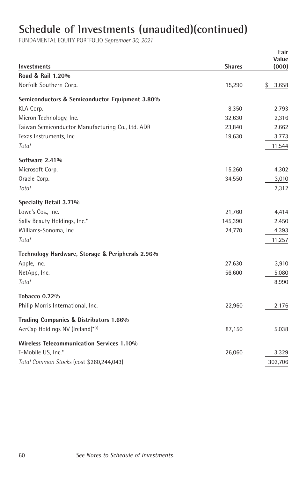|                                                  |               | Fair<br>Value |
|--------------------------------------------------|---------------|---------------|
| <b>Investments</b>                               | <b>Shares</b> | (000)         |
| Road & Rail 1.20%                                |               |               |
| Norfolk Southern Corp.                           | 15,290        | \$<br>3,658   |
| Semiconductors & Semiconductor Equipment 3.80%   |               |               |
| KLA Corp.                                        | 8,350         | 2,793         |
| Micron Technology, Inc.                          | 32,630        | 2,316         |
| Taiwan Semiconductor Manufacturing Co., Ltd. ADR | 23,840        | 2,662         |
| Texas Instruments, Inc.                          | 19,630        | 3,773         |
| Total                                            |               | 11,544        |
| Software 2.41%                                   |               |               |
| Microsoft Corp.                                  | 15,260        | 4,302         |
| Oracle Corp.                                     | 34,550        | 3,010         |
| Total                                            |               | 7,312         |
| Specialty Retail 3.71%                           |               |               |
| Lowe's Cos., Inc.                                | 21,760        | 4,414         |
| Sally Beauty Holdings, Inc.*                     | 145,390       | 2,450         |
| Williams-Sonoma, Inc.                            | 24,770        | 4,393         |
| Total                                            |               | 11,257        |
| Technology Hardware, Storage & Peripherals 2.96% |               |               |
| Apple, Inc.                                      | 27,630        | 3,910         |
| NetApp, Inc.                                     | 56,600        | 5,080         |
| Total                                            |               | 8,990         |
| <b>Tobacco 0.72%</b>                             |               |               |
| Philip Morris International, Inc.                | 22,960        | 2,176         |
| Trading Companies & Distributors 1.66%           |               |               |
| AerCap Holdings NV (Ireland)*(a)                 | 87,150        | 5,038         |
| <b>Wireless Telecommunication Services 1.10%</b> |               |               |
| T-Mobile US, Inc.*                               | 26,060        | 3,329         |
| Total Common Stocks (cost \$260,244,043)         |               | 302,706       |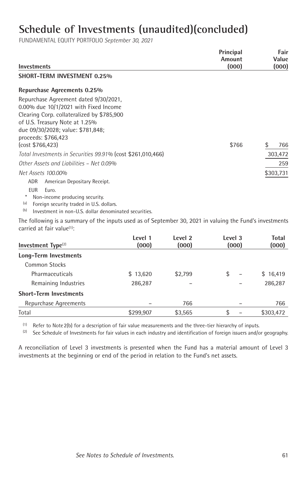FUNDAMENTAL EQUITY PORTFOLIO *September 30, 2021*

| Investments                                                 | Principal<br>Amount<br>(000) | Fair<br>Value<br>(000) |
|-------------------------------------------------------------|------------------------------|------------------------|
| SHORT-TERM INVESTMENT 0.25%                                 |                              |                        |
| Repurchase Agreements 0.25%                                 |                              |                        |
| Repurchase Agreement dated 9/30/2021.                       |                              |                        |
| 0.00% due 10/1/2021 with Fixed Income                       |                              |                        |
| Clearing Corp. collateralized by \$785,900                  |                              |                        |
| of U.S. Treasury Note at 1.25%                              |                              |                        |
| due 09/30/2028; value: \$781,848;                           |                              |                        |
| proceeds: \$766,423                                         |                              |                        |
| (cost \$766,423)                                            | \$766                        | \$<br>766              |
| Total Investments in Securities 99.91% (cost \$261,010,466) |                              | 303,472                |
| Other Assets and Liabilities - Net 0.09%                    |                              | 259                    |
| Net Assets 100.00%                                          |                              | \$303,731              |
| ADR<br>American Depositary Receipt.                         |                              |                        |
| <b>EUR</b><br>Euro.                                         |                              |                        |
| Non-income producing security.                              |                              |                        |

(a) Foreign security traded in U.S. dollars.

(b) Investment in non-U.S. dollar denominated securities.

The following is a summary of the inputs used as of September 30, 2021 in valuing the Fund's investments carried at fair value<sup>(1)</sup>:

| Investment $Type(2)$          | Level 1<br>(000) | Level 2<br>(000) | Level 3<br>(000)               | Total<br>(000) |
|-------------------------------|------------------|------------------|--------------------------------|----------------|
| Long-Term Investments         |                  |                  |                                |                |
| <b>Common Stocks</b>          |                  |                  |                                |                |
| <b>Pharmaceuticals</b>        | \$13,620         | \$2,799          | \$<br>$\overline{\phantom{0}}$ | \$16,419       |
| Remaining Industries          | 286,287          |                  |                                | 286,287        |
| <b>Short-Term Investments</b> |                  |                  |                                |                |
| Repurchase Agreements         |                  | 766              |                                | 766            |
| Total                         | \$299,907        | \$3,565          | \$                             | \$303,472      |

 $(1)$  Refer to Note 2(b) for a description of fair value measurements and the three-tier hierarchy of inputs.

 (2) See Schedule of Investments for fair values in each industry and identification of foreign issuers and/or geography.

A reconciliation of Level 3 investments is presented when the Fund has a material amount of Level 3 investments at the beginning or end of the period in relation to the Fund's net assets.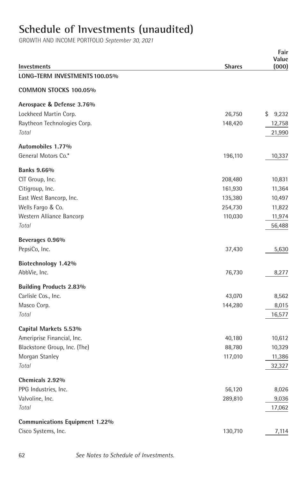# **Schedule of Investments (unaudited)**

| <b>Investments</b>                    | <b>Shares</b>      | Fair<br>Value<br>(000) |
|---------------------------------------|--------------------|------------------------|
| LONG-TERM INVESTMENTS 100.05%         |                    |                        |
| COMMON STOCKS 100.05%                 |                    |                        |
| Aerospace & Defense 3.76%             |                    |                        |
| Lockheed Martin Corp.                 | 26,750             | 9,232<br>\$            |
| Raytheon Technologies Corp.           | 148,420            | 12,758                 |
| Total                                 |                    | 21,990                 |
| Automobiles 1.77%                     |                    |                        |
| General Motors Co.*                   | 196,110            | 10,337                 |
|                                       |                    |                        |
| <b>Banks 9.66%</b><br>CIT Group, Inc. |                    |                        |
| Citigroup, Inc.                       | 208,480<br>161,930 | 10,831<br>11,364       |
| East West Bancorp, Inc.               | 135,380            | 10,497                 |
| Wells Fargo & Co.                     | 254,730            | 11,822                 |
| Western Alliance Bancorp              | 110,030            | 11,974                 |
| Total                                 |                    | 56,488                 |
| Beverages 0.96%                       |                    |                        |
| PepsiCo, Inc.                         | 37,430             | 5,630                  |
| Biotechnology 1.42%                   |                    |                        |
| AbbVie, Inc.                          | 76,730             | 8,277                  |
| <b>Building Products 2.83%</b>        |                    |                        |
| Carlisle Cos., Inc.                   | 43,070             | 8,562                  |
| Masco Corp.                           | 144,280            | 8,015                  |
| Total                                 |                    | 16,577                 |
| Capital Markets 5.53%                 |                    |                        |
| Ameriprise Financial, Inc.            | 40,180             | 10,612                 |
| Blackstone Group, Inc. (The)          | 88,780             | 10,329                 |
| Morgan Stanley                        | 117,010            | 11,386                 |
| Total                                 |                    | 32,327                 |
| Chemicals 2.92%                       |                    |                        |
| PPG Industries, Inc.                  | 56,120             | 8,026                  |
| Valvoline, Inc.                       | 289,810            | 9,036                  |
| Total                                 |                    | 17,062                 |
| <b>Communications Equipment 1.22%</b> |                    |                        |
| Cisco Systems, Inc.                   | 130,710            | 7,114                  |
|                                       |                    |                        |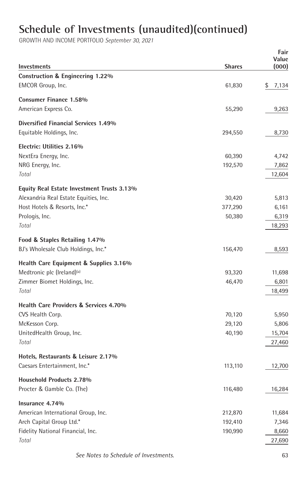|                                             |               | Fair        |
|---------------------------------------------|---------------|-------------|
|                                             |               | Value       |
| <b>Investments</b>                          | <b>Shares</b> | (000)       |
| Construction & Engineering 1.22%            |               |             |
| EMCOR Group, Inc.                           | 61,830        | \$<br>7,134 |
| <b>Consumer Finance 1.58%</b>               |               |             |
| American Express Co.                        | 55,290        | 9,263       |
| <b>Diversified Financial Services 1.49%</b> |               |             |
| Equitable Holdings, Inc.                    | 294,550       | 8,730       |
|                                             |               |             |
| Electric: Utilities 2.16%                   |               |             |
| NextEra Energy, Inc.                        | 60,390        | 4,742       |
| NRG Energy, Inc.                            | 192,570       | 7,862       |
| Total                                       |               | 12,604      |
| Equity Real Estate Investment Trusts 3.13%  |               |             |
| Alexandria Real Estate Equities, Inc.       | 30,420        | 5,813       |
| Host Hotels & Resorts, Inc.*                | 377,290       | 6,161       |
| Prologis, Inc.                              | 50,380        | 6,319       |
| Total                                       |               | 18,293      |
|                                             |               |             |
| Food & Staples Retailing 1.47%              |               |             |
| BJ's Wholesale Club Holdings, Inc.*         | 156,470       | 8,593       |
| Health Care Equipment & Supplies 3.16%      |               |             |
| Medtronic plc (Ireland) <sup>(a)</sup>      | 93,320        | 11,698      |
| Zimmer Biomet Holdings, Inc.                | 46,470        | 6,801       |
| Total                                       |               | 18,499      |
| Health Care Providers & Services 4.70%      |               |             |
| CVS Health Corp.                            | 70,120        | 5,950       |
| McKesson Corp.                              | 29,120        | 5,806       |
| UnitedHealth Group, Inc.                    | 40,190        | 15,704      |
| Total                                       |               | 27,460      |
|                                             |               |             |
| Hotels, Restaurants & Leisure 2.17%         |               |             |
| Caesars Entertainment, Inc.*                | 113,110       | 12,700      |
| Household Products 2.78%                    |               |             |
| Procter & Gamble Co. (The)                  | 116,480       | 16,284      |
|                                             |               |             |
| Insurance 4.74%                             |               |             |
| American International Group, Inc.          | 212,870       | 11,684      |
| Arch Capital Group Ltd.*                    | 192,410       | 7,346       |
| Fidelity National Financial, Inc.           | 190,990       | 8,660       |
| Total                                       |               | 27,690      |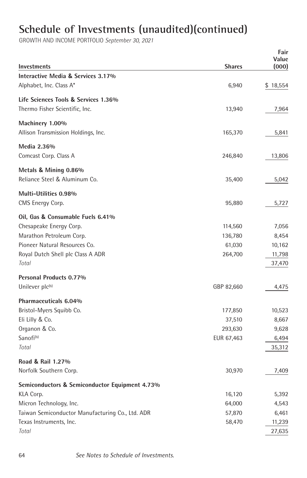|                                                           |                   | Fair             |
|-----------------------------------------------------------|-------------------|------------------|
| Investments                                               | <b>Shares</b>     | Value<br>(000)   |
| Interactive Media & Services 3.17%                        |                   |                  |
| Alphabet, Inc. Class A*                                   | 6,940             | \$18,554         |
|                                                           |                   |                  |
| Life Sciences Tools & Services 1.36%                      |                   |                  |
| Thermo Fisher Scientific, Inc.                            | 13,940            | 7,964            |
| Machinery 1.00%                                           |                   |                  |
| Allison Transmission Holdings, Inc.                       | 165,370           | 5,841            |
| Media 2.36%                                               |                   |                  |
| Comcast Corp. Class A                                     | 246,840           | 13,806           |
|                                                           |                   |                  |
| Metals & Mining 0.86%                                     |                   |                  |
| Reliance Steel & Aluminum Co.                             | 35,400            | 5,042            |
| Multi-Utilities 0.98%                                     |                   |                  |
| CMS Energy Corp.                                          | 95,880            | 5,727            |
|                                                           |                   |                  |
| Oil, Gas & Consumable Fuels 6.41%                         |                   |                  |
| Chesapeake Energy Corp.                                   | 114,560           | 7,056            |
| Marathon Petroleum Corp.<br>Pioneer Natural Resources Co. | 136,780           | 8,454            |
| Royal Dutch Shell plc Class A ADR                         | 61,030<br>264,700 | 10,162           |
| Total                                                     |                   | 11,798<br>37,470 |
|                                                           |                   |                  |
| Personal Products 0.77%                                   |                   |                  |
| Unilever plc(b)                                           | GBP 82,660        | 4,475            |
| Pharmaceuticals 6.04%                                     |                   |                  |
| Bristol-Myers Squibb Co.                                  | 177,850           | 10,523           |
| Eli Lilly & Co.                                           | 37,510            | 8,667            |
| Organon & Co.                                             | 293,630           | 9,628            |
| Sanofi <sup>(b)</sup>                                     | EUR 67,463        | 6,494            |
| Total                                                     |                   | 35,312           |
| Road & Rail 1.27%                                         |                   |                  |
| Norfolk Southern Corp.                                    | 30,970            | 7,409            |
|                                                           |                   |                  |
| Semiconductors & Semiconductor Equipment 4.73%            |                   |                  |
| KLA Corp.                                                 | 16,120            | 5,392            |
| Micron Technology, Inc.                                   | 64,000            | 4,543            |
| Taiwan Semiconductor Manufacturing Co., Ltd. ADR          | 57,870            | 6,461            |
| Texas Instruments, Inc.                                   | 58,470            | 11,239           |
| Total                                                     |                   | 27,635           |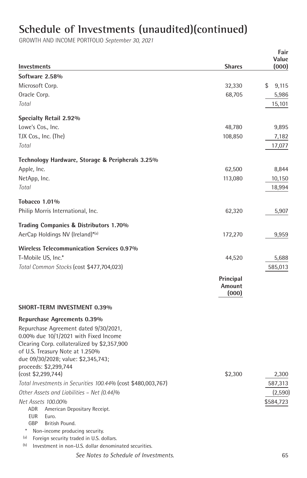| Investments                                                                                                                                                                                                                            | <b>Shares</b>                | Fair<br>Value<br>(000) |
|----------------------------------------------------------------------------------------------------------------------------------------------------------------------------------------------------------------------------------------|------------------------------|------------------------|
| Software 2.58%                                                                                                                                                                                                                         |                              |                        |
| Microsoft Corp.                                                                                                                                                                                                                        | 32,330                       | \$<br>9,115            |
| Oracle Corp.                                                                                                                                                                                                                           | 68,705                       | 5,986                  |
| Total                                                                                                                                                                                                                                  |                              | 15,101                 |
| Specialty Retail 2.92%                                                                                                                                                                                                                 |                              |                        |
| Lowe's Cos., Inc.                                                                                                                                                                                                                      | 48,780                       | 9,895                  |
| TJX Cos., Inc. (The)                                                                                                                                                                                                                   | 108,850                      | 7,182                  |
| Total                                                                                                                                                                                                                                  |                              | 17,077                 |
|                                                                                                                                                                                                                                        |                              |                        |
| Technology Hardware, Storage & Peripherals 3.25%                                                                                                                                                                                       |                              |                        |
| Apple, Inc.                                                                                                                                                                                                                            | 62,500                       | 8,844                  |
| NetApp, Inc.<br>Total                                                                                                                                                                                                                  | 113,080                      | 10,150<br>18,994       |
|                                                                                                                                                                                                                                        |                              |                        |
| Tobacco 1.01%<br>Philip Morris International, Inc.                                                                                                                                                                                     | 62,320                       | 5,907                  |
|                                                                                                                                                                                                                                        |                              |                        |
| Trading Companies & Distributors 1.70%                                                                                                                                                                                                 |                              |                        |
| AerCap Holdings NV (Ireland)*(a)                                                                                                                                                                                                       | 172,270                      | 9,959                  |
| <b>Wireless Telecommunication Services 0.97%</b>                                                                                                                                                                                       |                              |                        |
| T-Mobile US, Inc.*                                                                                                                                                                                                                     | 44,520                       | 5,688                  |
| Total Common Stocks (cost \$477,704,023)                                                                                                                                                                                               |                              | 585,013                |
|                                                                                                                                                                                                                                        | Principal<br>Amount<br>(000) |                        |
| <b>SHORT-TERM INVESTMENT 0.39%</b>                                                                                                                                                                                                     |                              |                        |
| Repurchase Agreements 0.39%                                                                                                                                                                                                            |                              |                        |
| Repurchase Agreement dated 9/30/2021,<br>$0.00\%$ due $10/1/2021$ with Fixed Income<br>Clearing Corp. collateralized by \$2,357,900<br>of U.S. Treasury Note at 1.250%<br>due 09/30/2028; value: \$2,345,743;<br>proceeds: \$2,299,744 |                              |                        |
| (cost \$2,299,744)                                                                                                                                                                                                                     | \$2,300                      | 2,300                  |
| Total Investments in Securities 100.44% (cost \$480,003,767)                                                                                                                                                                           |                              | 587,313                |
| Other Assets and Liabilities - Net (0.44)%                                                                                                                                                                                             |                              | (2,590)                |
| Net Assets 100.00%<br>ADR<br>American Depositary Receipt.<br><b>EUR</b><br>Euro.<br>GBP<br>British Pound.<br>Non-income producing security.<br>(a)                                                                                     |                              | \$584,723              |
| Foreign security traded in U.S. dollars.<br>(b)<br>Investment in non-U.S. dollar denominated securities.                                                                                                                               |                              |                        |
| See Notes to Schedule of Investments.                                                                                                                                                                                                  |                              | 65                     |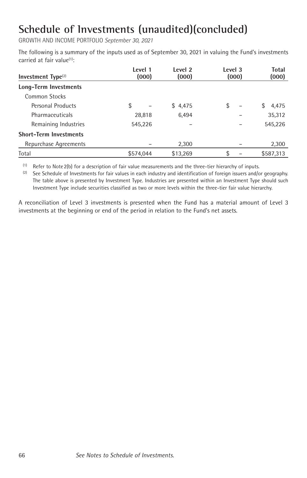GROWTH AND INCOME PORTFOLIO *September 30, 2021*

The following is a summary of the inputs used as of September 30, 2021 in valuing the Fund's investments carried at fair value(1) :

| Investment $Type(2)$          | Level 1<br>(000) | Level <sub>2</sub><br>(000) | Level 3<br>(000)               | Total<br>(000) |
|-------------------------------|------------------|-----------------------------|--------------------------------|----------------|
| Long-Term Investments         |                  |                             |                                |                |
| <b>Common Stocks</b>          |                  |                             |                                |                |
| Personal Products             | \$               | \$4,475                     | \$<br>$\overline{\phantom{0}}$ | 4,475<br>S     |
| Pharmaceuticals               | 28,818           | 6.494                       |                                | 35,312         |
| Remaining Industries          | 545,226          |                             |                                | 545,226        |
| <b>Short-Term Investments</b> |                  |                             |                                |                |
| Repurchase Agreements         |                  | 2,300                       |                                | 2,300          |
| Total                         | \$574.044        | \$13.269                    | \$                             | \$587.313      |

 (1) Refer to Note2(b) for a description of fair value measurements and the three-tier hierarchy of inputs.

<sup>(2)</sup> See Schedule of Investments for fair values in each industry and identification of foreign issuers and/or geography. The table above is presented by Investment Type. Industries are presented within an Investment Type should such Investment Type include securities classified as two or more levels within the three-tier fair value hierarchy.

A reconciliation of Level 3 investments is presented when the Fund has a material amount of Level 3 investments at the beginning or end of the period in relation to the Fund's net assets.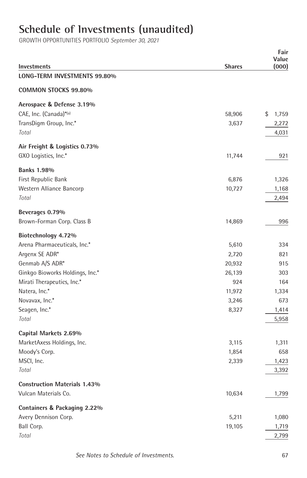# **Schedule of Investments (unaudited)**

| Investments                               | <b>Shares</b> | Fair<br>Value<br>(000) |
|-------------------------------------------|---------------|------------------------|
| LONG-TERM INVESTMENTS 99.80%              |               |                        |
| <b>COMMON STOCKS 99.80%</b>               |               |                        |
| Aerospace & Defense 3.19%                 |               |                        |
| CAE, Inc. (Canada)*(a)                    | 58,906        | \$<br>1,759            |
| TransDigm Group, Inc.*                    | 3,637         | 2,272                  |
| Total                                     |               | 4,031                  |
| Air Freight & Logistics 0.73%             |               |                        |
| GXO Logistics, Inc.*                      | 11,744        | 921                    |
|                                           |               |                        |
| <b>Banks 1.98%</b><br>First Republic Bank | 6,876         | 1,326                  |
| Western Alliance Bancorp                  | 10,727        | 1,168                  |
| Total                                     |               | 2,494                  |
|                                           |               |                        |
| Beverages 0.79%                           |               |                        |
| Brown-Forman Corp. Class B                | 14,869        | 996                    |
| Biotechnology 4.72%                       |               |                        |
| Arena Pharmaceuticals, Inc.*              | 5,610         | 334                    |
| Argenx SE ADR*                            | 2,720         | 821                    |
| Genmab A/S ADR*                           | 20,932        | 915                    |
| Ginkgo Bioworks Holdings, Inc.*           | 26,139        | 303                    |
| Mirati Therapeutics, Inc.*                | 924           | 164                    |
| Natera, Inc.*                             | 11,972        | 1,334                  |
| Novavax, Inc.*                            | 3,246         | 673                    |
| Seagen, Inc.*                             | 8,327         | 1,414                  |
| Total                                     |               | 5,958                  |
| Capital Markets 2.69%                     |               |                        |
| MarketAxess Holdings, Inc.                | 3,115         | 1,311                  |
| Moody's Corp.                             | 1,854         | 658                    |
| MSCI, Inc.                                | 2,339         | 1,423                  |
| Total                                     |               | 3,392                  |
| <b>Construction Materials 1.43%</b>       |               |                        |
| Vulcan Materials Co.                      | 10,634        | 1,799                  |
| Containers & Packaging 2.22%              |               |                        |
| Avery Dennison Corp.                      | 5,211         | 1,080                  |
| Ball Corp.                                | 19,105        | 1,719                  |
| Total                                     |               | 2,799                  |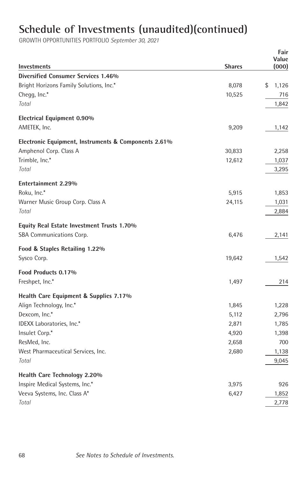| <b>Investments</b>                                   | <b>Shares</b> | Fair<br>Value<br>(000) |
|------------------------------------------------------|---------------|------------------------|
| <b>Diversified Consumer Services 1.46%</b>           |               |                        |
| Bright Horizons Family Solutions, Inc.*              | 8,078         | \$<br>1,126            |
| Chegg, Inc.*                                         | 10,525        | 716                    |
| Total                                                |               | 1,842                  |
| <b>Electrical Equipment 0.90%</b>                    |               |                        |
| AMETEK, Inc.                                         | 9,209         | 1,142                  |
| Electronic Equipment, Instruments & Components 2.61% |               |                        |
| Amphenol Corp. Class A                               | 30,833        | 2,258                  |
| Trimble, Inc.*                                       | 12,612        | 1,037                  |
| Total                                                |               | 3,295                  |
| <b>Entertainment 2.29%</b>                           |               |                        |
| Roku, Inc.*                                          | 5,915         | 1,853                  |
| Warner Music Group Corp. Class A                     | 24,115        | 1,031                  |
| Total                                                |               | 2,884                  |
| Equity Real Estate Investment Trusts 1.70%           |               |                        |
| SBA Communications Corp.                             | 6,476         | 2,141                  |
| Food & Staples Retailing 1.22%                       |               |                        |
| Sysco Corp.                                          | 19,642        | 1,542                  |
| Food Products 0.17%                                  |               |                        |
| Freshpet, Inc.*                                      | 1,497         | 214                    |
| Health Care Equipment & Supplies 7.17%               |               |                        |
| Align Technology, Inc.*                              | 1,845         | 1,228                  |
| Dexcom, Inc.*                                        | 5,112         | 2,796                  |
| IDEXX Laboratories, Inc.*                            | 2,871         | 1,785                  |
| Insulet Corp.*                                       | 4,920         | 1,398                  |
| ResMed, Inc.                                         | 2,658         | 700                    |
| West Pharmaceutical Services, Inc.                   | 2,680         | 1,138                  |
| Total                                                |               | 9,045                  |
| Health Care Technology 2.20%                         |               |                        |
| Inspire Medical Systems, Inc.*                       | 3,975         | 926                    |
| Veeva Systems, Inc. Class A*                         | 6,427         | 1,852                  |
| Total                                                |               | 2,778                  |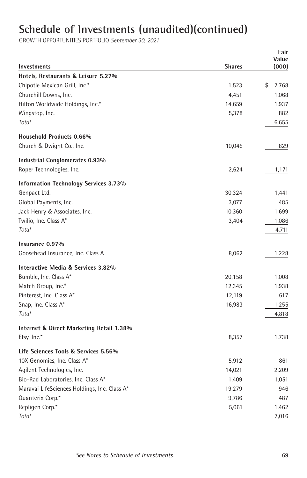| <b>Investments</b>                           | <b>Shares</b> | Fair<br>Value<br>(000) |
|----------------------------------------------|---------------|------------------------|
| Hotels. Restaurants & Leisure 5.27%          |               |                        |
| Chipotle Mexican Grill, Inc.*                | 1,523         | \$<br>2,768            |
| Churchill Downs, Inc.                        | 4,451         | 1,068                  |
| Hilton Worldwide Holdings, Inc.*             | 14,659        | 1,937                  |
| Wingstop, Inc.                               | 5,378         | 882                    |
| Total                                        |               | 6,655                  |
| <b>Household Products 0.66%</b>              |               |                        |
| Church & Dwight Co., Inc.                    | 10,045        | 829                    |
| Industrial Conglomerates 0.93%               |               |                        |
| Roper Technologies, Inc.                     | 2,624         | 1,171                  |
| <b>Information Technology Services 3.73%</b> |               |                        |
| Genpact Ltd.                                 | 30,324        | 1,441                  |
| Global Payments, Inc.                        | 3,077         | 485                    |
| Jack Henry & Associates, Inc.                | 10,360        | 1,699                  |
| Twilio, Inc. Class A*                        | 3,404         | 1,086                  |
| Total                                        |               | 4,711                  |
| Insurance 0.97%                              |               |                        |
| Goosehead Insurance, Inc. Class A            | 8,062         | 1,228                  |
| Interactive Media & Services 3.82%           |               |                        |
| Bumble, Inc. Class A*                        | 20,158        | 1,008                  |
| Match Group, Inc.*                           | 12,345        | 1,938                  |
| Pinterest, Inc. Class A*                     | 12,119        | 617                    |
| Snap, Inc. Class A*                          | 16,983        | 1,255                  |
| Total                                        |               | 4,818                  |
| Internet & Direct Marketing Retail 1.38%     |               |                        |
| Etsy, Inc.*                                  | 8,357         | 1,738                  |
| Life Sciences Tools & Services 5.56%         |               |                        |
| 10X Genomics, Inc. Class A*                  | 5,912         | 861                    |
| Agilent Technologies, Inc.                   | 14,021        | 2,209                  |
| Bio-Rad Laboratories, Inc. Class A*          | 1,409         | 1,051                  |
| Maravai LifeSciences Holdings, Inc. Class A* | 19,279        | 946                    |
| Quanterix Corp.*                             | 9,786         | 487                    |
| Repligen Corp.*                              | 5,061         | 1,462                  |
| Total                                        |               | 7,016                  |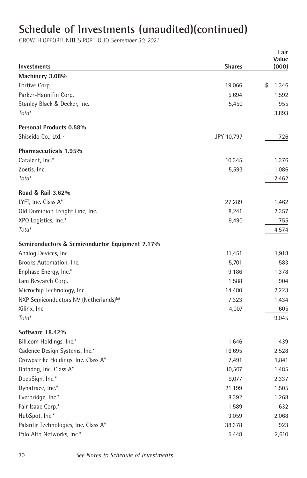|                                                    |               | Fair           |
|----------------------------------------------------|---------------|----------------|
| Investments                                        | <b>Shares</b> | Value<br>(000) |
| Machinery 3.08%                                    |               |                |
| Fortive Corp.                                      | 19,066        | \$<br>1,346    |
| Parker-Hannifin Corp.                              | 5,694         | 1,592          |
| Stanley Black & Decker, Inc.                       | 5,450         | 955            |
| Total                                              |               | 3,893          |
|                                                    |               |                |
| <b>Personal Products 0.58%</b>                     |               |                |
| Shiseido Co., Ltd. <sup>(b)</sup>                  | JPY 10,797    | 726            |
| Pharmaceuticals 1.95%                              |               |                |
| Catalent, Inc.*                                    | 10,345        | 1,376          |
| Zoetis, Inc.                                       | 5,593         | 1,086          |
| Total                                              |               | 2,462          |
| Road & Rail 3.62%                                  |               |                |
| LYFT, Inc. Class A*                                | 27,289        | 1,462          |
| Old Dominion Freight Line, Inc.                    | 8,241         | 2,357          |
| XPO Logistics, Inc.*                               | 9,490         | 755            |
| Total                                              |               | 4,574          |
| Semiconductors & Semiconductor Equipment 7.17%     |               |                |
| Analog Devices, Inc.                               | 11,451        | 1,918          |
| Brooks Automation, Inc.                            | 5,701         | 583            |
| Enphase Energy, Inc.*                              | 9,186         | 1,378          |
| Lam Research Corp.                                 | 1,588         | 904            |
| Microchip Technology, Inc.                         | 14,480        | 2,223          |
| NXP Semiconductors NV (Netherlands) <sup>(a)</sup> | 7,323         | 1,434          |
| Xilinx, Inc.                                       | 4,007         | 605            |
| Total                                              |               | 9,045          |
| Software 18.42%                                    |               |                |
| Bill.com Holdings, Inc.*                           | 1,646         | 439            |
| Cadence Design Systems, Inc.*                      | 16,695        | 2,528          |
| Crowdstrike Holdings, Inc. Class A*                | 7,491         | 1,841          |
| Datadog, Inc. Class A*                             | 10,507        | 1,485          |
| DocuSign, Inc.*                                    | 9,077         | 2,337          |
| Dynatrace, Inc.*                                   | 21,199        | 1,505          |
| Everbridge, Inc.*                                  | 8,392         | 1,268          |
| Fair Isaac Corp.*                                  | 1,589         | 632            |
| HubSpot, Inc.*                                     | 3,059         | 2,068          |
| Palantir Technologies, Inc. Class A*               | 38,378        | 923            |
| Palo Alto Networks, Inc.*                          | 5,448         | 2,610          |
|                                                    |               |                |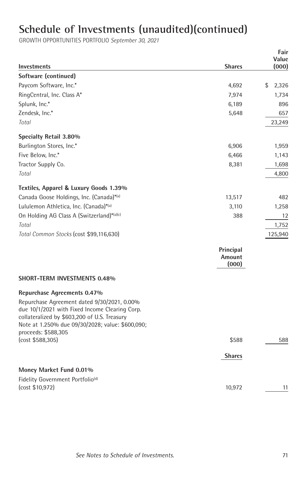| <b>Investments</b>                                                                                                                                                                                                                                      | <b>Shares</b>                | Fair<br>Value<br>(000) |
|---------------------------------------------------------------------------------------------------------------------------------------------------------------------------------------------------------------------------------------------------------|------------------------------|------------------------|
| Software (continued)                                                                                                                                                                                                                                    |                              |                        |
| Paycom Software, Inc.*                                                                                                                                                                                                                                  | 4,692                        | \$<br>2,326            |
| RingCentral, Inc. Class A*                                                                                                                                                                                                                              | 7,974                        | 1,734                  |
| Splunk, Inc.*                                                                                                                                                                                                                                           | 6,189                        | 896                    |
| Zendesk, Inc.*                                                                                                                                                                                                                                          | 5,648                        | 657                    |
| Total                                                                                                                                                                                                                                                   |                              | 23,249                 |
| Specialty Retail 3.80%                                                                                                                                                                                                                                  |                              |                        |
| Burlington Stores, Inc.*                                                                                                                                                                                                                                | 6,906                        | 1,959                  |
| Five Below, Inc.*                                                                                                                                                                                                                                       | 6,466                        | 1,143                  |
| Tractor Supply Co.                                                                                                                                                                                                                                      | 8,381                        | 1,698                  |
| Total                                                                                                                                                                                                                                                   |                              | 4,800                  |
| Textiles, Apparel & Luxury Goods 1.39%                                                                                                                                                                                                                  |                              |                        |
| Canada Goose Holdings, Inc. (Canada)*(a)                                                                                                                                                                                                                | 13,517                       | 482                    |
| Lululemon Athletica, Inc. (Canada)*(a)                                                                                                                                                                                                                  | 3,110                        | 1,258                  |
| On Holding AG Class A (Switzerland)*(a)(c)                                                                                                                                                                                                              | 388                          | 12                     |
| Total                                                                                                                                                                                                                                                   |                              | 1,752                  |
| Total Common Stocks (cost \$99,116,630)                                                                                                                                                                                                                 |                              | 125,940                |
|                                                                                                                                                                                                                                                         | Principal<br>Amount<br>(000) |                        |
| <b>SHORT-TERM INVESTMENTS 0.48%</b>                                                                                                                                                                                                                     |                              |                        |
| Repurchase Agreements 0.47%<br>Repurchase Agreement dated 9/30/2021, 0.00%<br>due 10/1/2021 with Fixed Income Clearing Corp.<br>collateralized by \$603,200 of U.S. Treasury<br>Note at 1.250% due 09/30/2028; value: \$600,090;<br>proceeds: \$588,305 |                              |                        |
| (cost \$588,305)                                                                                                                                                                                                                                        | \$588                        | 588                    |
|                                                                                                                                                                                                                                                         | <b>Shares</b>                |                        |
| Money Market Fund 0.01%                                                                                                                                                                                                                                 |                              |                        |
| Fidelity Government Portfolio <sup>(d)</sup>                                                                                                                                                                                                            |                              |                        |
| (cost \$10,972)                                                                                                                                                                                                                                         | 10,972                       | 11                     |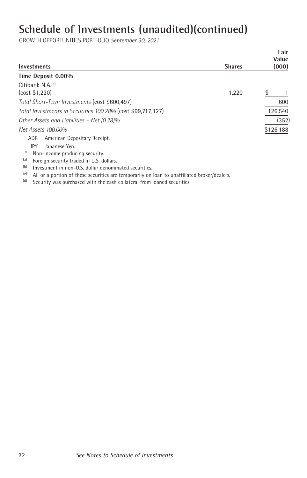GROWTH OPPORTUNITIES PORTFOLIO *September 30, 2021*

| <b>Investments</b>                                                                                  | <b>Shares</b> | Fair<br>Value<br>(000) |
|-----------------------------------------------------------------------------------------------------|---------------|------------------------|
| Time Deposit 0.00%                                                                                  |               |                        |
| Citibank N.A. <sup>(d)</sup><br>(cost \$1,220)                                                      | 1,220         | \$                     |
| Total Short-Term Investments (cost \$600,497)                                                       |               | 600                    |
| Total Investments in Securities 100.28% (cost \$99,717,127)                                         |               | 126,540                |
| Other Assets and Liabilities - Net (0.28)%                                                          |               | (352)                  |
| Net Assets 100.00%                                                                                  |               | \$126,188              |
| American Depositary Receipt.<br>ADR.                                                                |               |                        |
| JPY<br>Japanese Yen.                                                                                |               |                        |
| *<br>Non-income producing security.                                                                 |               |                        |
| (a)<br>Foreign security traded in U.S. dollars.                                                     |               |                        |
| (b)<br>Investment in non-U.S. dollar denominated securities.                                        |               |                        |
| (c)<br>All or a portion of these securities are temporarily on loan to unaffiliated broker/dealers. |               |                        |

 $(d)$  Security was purchased with the cash collateral from loaned securities.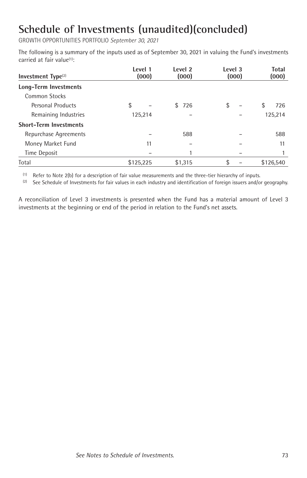GROWTH OPPORTUNITIES PORTFOLIO *September 30, 2021*

The following is a summary of the inputs used as of September 30, 2021 in valuing the Fund's investments carried at fair value<sup>(1)</sup>:

| Investment $Type(2)$          | Level 1<br>(000) | Level 2<br>(000) | Level 3<br>(000) | Total<br>(000) |
|-------------------------------|------------------|------------------|------------------|----------------|
| Long-Term Investments         |                  |                  |                  |                |
| Common Stocks                 |                  |                  |                  |                |
| Personal Products             | \$               | 726<br>\$        | \$               | \$<br>726      |
| Remaining Industries          | 125,214          |                  |                  | 125,214        |
| <b>Short-Term Investments</b> |                  |                  |                  |                |
| Repurchase Agreements         |                  | 588              |                  | 588            |
| Money Market Fund             | 11               |                  |                  | 11             |
| Time Deposit                  |                  |                  |                  |                |
| Total                         | \$125,225        | \$1.315          | \$               | \$126.540      |

 $(1)$  Refer to Note 2(b) for a description of fair value measurements and the three-tier hierarchy of inputs.

<sup>(2)</sup> See Schedule of Investments for fair values in each industry and identification of foreign issuers and/or geography.

A reconciliation of Level 3 investments is presented when the Fund has a material amount of Level 3 investments at the beginning or end of the period in relation to the Fund's net assets.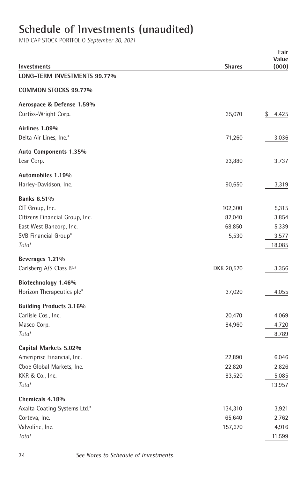#### **Schedule of Investments (unaudited)**

|                                |               | Fair<br>Value |
|--------------------------------|---------------|---------------|
| Investments                    | <b>Shares</b> | (000)         |
| LONG-TERM INVESTMENTS 99.77%   |               |               |
| COMMON STOCKS 99.77%           |               |               |
| Aerospace & Defense 1.59%      |               |               |
| Curtiss-Wright Corp.           | 35,070        | \$<br>4,425   |
| Airlines 1.09%                 |               |               |
| Delta Air Lines, Inc.*         | 71,260        | 3,036         |
| Auto Components 1.35%          |               |               |
| Lear Corp.                     | 23,880        | 3,737         |
| Automobiles 1.19%              |               |               |
| Harley-Davidson, Inc.          | 90,650        | 3,319         |
| <b>Banks 6.51%</b>             |               |               |
| CIT Group, Inc.                | 102,300       | 5,315         |
| Citizens Financial Group, Inc. | 82,040        | 3,854         |
| East West Bancorp, Inc.        | 68,850        | 5,339         |
| SVB Financial Group*           | 5,530         | 3,577         |
| Total                          |               | 18,085        |
| Beverages 1.21%                |               |               |
| Carlsberg A/S Class B(a)       | DKK 20,570    | 3,356         |
| Biotechnology 1.46%            |               |               |
| Horizon Therapeutics plc*      | 37,020        | 4,055         |
| <b>Building Products 3.16%</b> |               |               |
| Carlisle Cos., Inc.            | 20,470        | 4,069         |
| Masco Corp.                    | 84,960        | 4,720         |
| Total                          |               | 8,789         |
| Capital Markets 5.02%          |               |               |
| Ameriprise Financial, Inc.     | 22,890        | 6,046         |
| Cboe Global Markets, Inc.      | 22,820        | 2,826         |
| KKR & Co., Inc.                | 83,520        | 5,085         |
| Total                          |               | 13,957        |
| Chemicals 4.18%                |               |               |
| Axalta Coating Systems Ltd.*   | 134,310       | 3,921         |
| Corteva, Inc.                  | 65,640        | 2,762         |
| Valvoline, Inc.                | 157,670       | 4,916         |
| Total                          |               | 11,599        |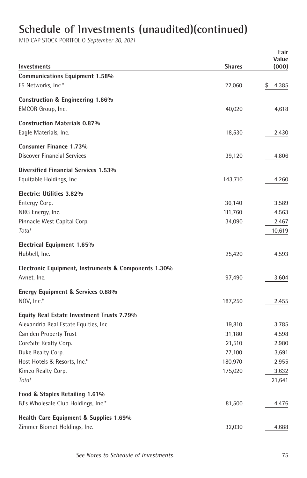|                                                      |                  | Fair           |  |  |
|------------------------------------------------------|------------------|----------------|--|--|
| Investments                                          | <b>Shares</b>    | Value<br>(000) |  |  |
| <b>Communications Equipment 1.58%</b>                |                  |                |  |  |
| F5 Networks, Inc.*                                   | 22,060           | \$<br>4,385    |  |  |
|                                                      |                  |                |  |  |
| Construction & Engineering 1.66%                     |                  |                |  |  |
| EMCOR Group, Inc.                                    | 40,020           | 4,618          |  |  |
| <b>Construction Materials 0.87%</b>                  |                  |                |  |  |
| Eagle Materials, Inc.                                | 18,530           | 2,430          |  |  |
|                                                      |                  |                |  |  |
| <b>Consumer Finance 1.73%</b>                        |                  |                |  |  |
| Discover Financial Services                          | 39,120           | 4,806          |  |  |
| Diversified Financial Services 1.53%                 |                  |                |  |  |
| Equitable Holdings, Inc.                             | 143,710          | 4,260          |  |  |
| Electric: Utilities 3.82%                            |                  |                |  |  |
| Entergy Corp.                                        | 36,140           | 3,589          |  |  |
| NRG Energy, Inc.                                     | 111,760          | 4,563          |  |  |
| Pinnacle West Capital Corp.                          | 34,090           | 2,467          |  |  |
| Total                                                |                  | 10,619         |  |  |
|                                                      |                  |                |  |  |
| <b>Electrical Equipment 1.65%</b>                    |                  |                |  |  |
| Hubbell, Inc.                                        | 25,420           | 4,593          |  |  |
| Electronic Equipment, Instruments & Components 1.30% |                  |                |  |  |
| Avnet, Inc.                                          | 97,490           | 3,604          |  |  |
| Energy Equipment & Services 0.88%                    |                  |                |  |  |
| NOV, Inc.*                                           | 187,250          | 2,455          |  |  |
|                                                      |                  |                |  |  |
| <b>Equity Real Estate Investment Trusts 7.79%</b>    |                  |                |  |  |
| Alexandria Real Estate Equities, Inc.                | 19,810           | 3,785          |  |  |
| Camden Property Trust                                | 31,180           | 4,598          |  |  |
| CoreSite Realty Corp.<br>Duke Realty Corp.           | 21,510<br>77,100 | 2,980<br>3,691 |  |  |
| Host Hotels & Resorts, Inc.*                         | 180,970          | 2,955          |  |  |
| Kimco Realty Corp.                                   | 175,020          | 3,632          |  |  |
| Total                                                |                  | 21,641         |  |  |
|                                                      |                  |                |  |  |
| Food & Staples Retailing 1.61%                       |                  |                |  |  |
| BJ's Wholesale Club Holdings, Inc.*                  | 81,500           | 4,476          |  |  |
| Health Care Equipment & Supplies 1.69%               |                  |                |  |  |
| Zimmer Biomet Holdings, Inc.                         | 32,030           | 4,688          |  |  |
|                                                      |                  |                |  |  |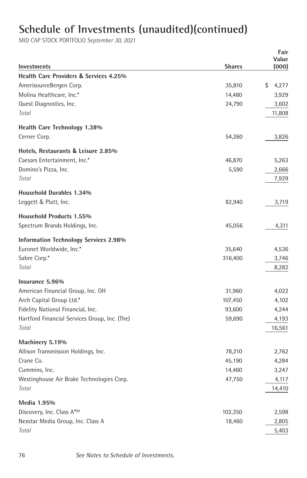| Investments                                   | <b>Shares</b> | Value<br>(000) |  |
|-----------------------------------------------|---------------|----------------|--|
| Health Care Providers & Services 4.25%        |               |                |  |
| AmerisourceBergen Corp.                       | 35,810        | \$<br>4,277    |  |
| Molina Healthcare, Inc.*                      | 14,480        | 3,929          |  |
| Quest Diagnostics, Inc.                       | 24,790        | 3,602          |  |
| Total                                         |               | 11,808         |  |
|                                               |               |                |  |
| Health Care Technology 1.38%                  |               |                |  |
| Cerner Corp.                                  | 54,260        | 3,826          |  |
| Hotels, Restaurants & Leisure 2.85%           |               |                |  |
| Caesars Entertainment, Inc.*                  | 46,870        | 5,263          |  |
| Domino's Pizza, Inc.                          | 5,590         | 2,666          |  |
| Total                                         |               | 7,929          |  |
| Household Durables 1.34%                      |               |                |  |
| Leggett & Platt, Inc.                         | 82,940        | 3,719          |  |
| <b>Household Products 1.55%</b>               |               |                |  |
| Spectrum Brands Holdings, Inc.                | 45,056        | 4,311          |  |
|                                               |               |                |  |
| <b>Information Technology Services 2.98%</b>  |               |                |  |
| Euronet Worldwide, Inc.*                      | 35,640        | 4,536          |  |
| Sabre Corp.*                                  | 316,400       | 3,746          |  |
| Total                                         |               | 8,282          |  |
| Insurance 5.96%                               |               |                |  |
| American Financial Group, Inc. OH             | 31,960        | 4,022          |  |
| Arch Capital Group Ltd.*                      | 107,450       | 4,102          |  |
| Fidelity National Financial, Inc.             | 93,600        | 4,244          |  |
| Hartford Financial Services Group, Inc. (The) | 59,690        | 4,193          |  |
| Total                                         |               | 16,561         |  |
| Machinery 5.19%                               |               |                |  |
| Allison Transmission Holdings, Inc.           | 78,210        | 2,762          |  |
| Crane Co.                                     | 45,190        | 4,284          |  |
| Cummins, Inc.                                 | 14,460        | 3,247          |  |
| Westinghouse Air Brake Technologies Corp.     | 47,750        | 4,117          |  |
| Total                                         |               | 14,410         |  |
| Media 1.95%                                   |               |                |  |
| Discovery, Inc. Class A*(b)                   | 102,350       | 2,598          |  |
| Nexstar Media Group, Inc. Class A             | 18,460        | 2,805          |  |
| Total                                         |               | 5,403          |  |
|                                               |               |                |  |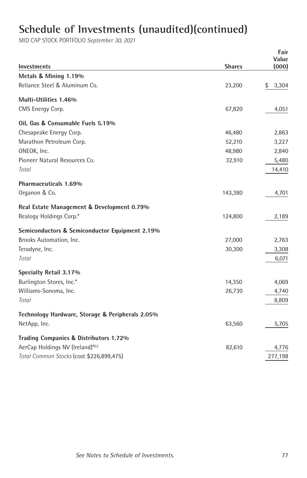|                                                  |               | Fair<br>Value |
|--------------------------------------------------|---------------|---------------|
| <b>Investments</b>                               | <b>Shares</b> | (000)         |
| Metals & Mining 1.19%                            |               |               |
| Reliance Steel & Aluminum Co.                    | 23,200        | \$<br>3,304   |
| Multi-Utilities 1.46%                            |               |               |
| CMS Energy Corp.                                 | 67,820        | 4,051         |
| Oil, Gas & Consumable Fuels 5.19%                |               |               |
| Chesapeake Energy Corp.                          | 46,480        | 2,863         |
| Marathon Petroleum Corp.                         | 52,210        | 3,227         |
| ONEOK, Inc.                                      | 48,980        | 2,840         |
| Pioneer Natural Resources Co.                    | 32,910        | 5,480         |
| Total                                            |               | 14,410        |
| Pharmaceuticals 1.69%                            |               |               |
| Organon & Co.                                    | 143,380       | 4,701         |
| Real Estate Management & Development 0.79%       |               |               |
| Realogy Holdings Corp.*                          | 124,800       | 2,189         |
| Semiconductors & Semiconductor Equipment 2.19%   |               |               |
| Brooks Automation, Inc.                          | 27,000        | 2,763         |
| Teradyne, Inc.                                   | 30,300        | 3,308         |
| Total                                            |               | 6,071         |
| Specialty Retail 3.17%                           |               |               |
| Burlington Stores, Inc.*                         | 14,350        | 4,069         |
| Williams-Sonoma, Inc.                            | 26,730        | 4,740         |
| Total                                            |               | 8,809         |
| Technology Hardware, Storage & Peripherals 2.05% |               |               |
| NetApp, Inc.                                     | 63,560        | 5,705         |
| Trading Companies & Distributors 1.72%           |               |               |
| AerCap Holdings NV (Ireland)*(c)                 | 82,610        | 4,776         |
| Total Common Stocks (cost \$226,899,475)         |               | 277,198       |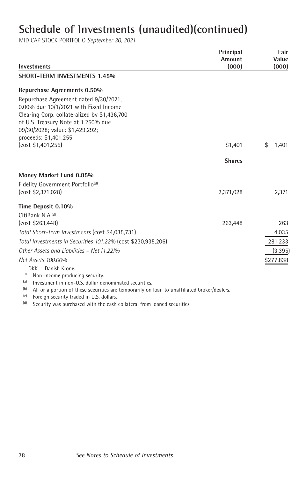| <b>Investments</b>                                                                                                                                                                                                                      | Principal<br>Amount<br>(000) | Fair<br>Value<br>(000) |
|-----------------------------------------------------------------------------------------------------------------------------------------------------------------------------------------------------------------------------------------|------------------------------|------------------------|
| <b>SHORT-TERM INVESTMENTS 1.45%</b>                                                                                                                                                                                                     |                              |                        |
| <b>Repurchase Agreements 0.50%</b>                                                                                                                                                                                                      |                              |                        |
| Repurchase Agreement dated 9/30/2021.<br>0.00% due 10/1/2021 with Fixed Income<br>Clearing Corp. collateralized by \$1,436,700<br>of U.S. Treasury Note at 1.250% due<br>09/30/2028; value: \$1,429,292;                                |                              |                        |
| proceeds: \$1,401,255                                                                                                                                                                                                                   |                              |                        |
| (cost \$1,401,255)                                                                                                                                                                                                                      | \$1,401                      | \$<br>1,401            |
|                                                                                                                                                                                                                                         | <b>Shares</b>                |                        |
| Money Market Fund 0.85%                                                                                                                                                                                                                 |                              |                        |
| Fidelity Government Portfolio <sup>(d)</sup>                                                                                                                                                                                            |                              |                        |
| (cost \$2,371,028)                                                                                                                                                                                                                      | 2,371,028                    | 2,371                  |
| Time Deposit 0.10%                                                                                                                                                                                                                      |                              |                        |
| CitiBank N.A. <sup>(d)</sup>                                                                                                                                                                                                            |                              |                        |
| (cost \$263,448)                                                                                                                                                                                                                        | 263,448                      | 263                    |
| Total Short-Term Investments (cost \$4,035,731)                                                                                                                                                                                         |                              | 4,035                  |
| Total Investments in Securities 101.22% (cost \$230,935,206)                                                                                                                                                                            |                              | 281,233                |
| Other Assets and Liabilities - Net (1.22)%                                                                                                                                                                                              |                              | (3, 395)               |
| Net Assets 100.00%                                                                                                                                                                                                                      |                              | \$277,838              |
| Danish Krone.<br>DKK<br>$\ast$<br>Non-income producing security.<br>Investment in non-U.S. dollar denominated securities.<br>(a)<br>(b)<br>All or a portion of these securities are temporarily on loan to unaffiliated broker/dealers. |                              |                        |

- (c) Foreign security traded in U.S. dollars.
- (d) Security was purchased with the cash collateral from loaned securities.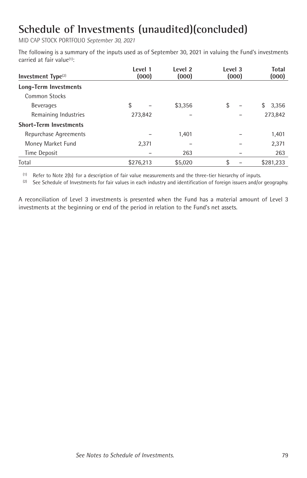MID CAP STOCK PORTFOLIO *September 30, 2021*

The following is a summary of the inputs used as of September 30, 2021 in valuing the Fund's investments carried at fair value<sup>(1)</sup>:

| Investment $Type(2)$          | Level 1<br>(000) | Level 2<br>(000) | Level 3<br>(000) | Total<br>(000) |
|-------------------------------|------------------|------------------|------------------|----------------|
| Long-Term Investments         |                  |                  |                  |                |
| Common Stocks                 |                  |                  |                  |                |
| <b>Beverages</b>              | \$               | \$3,356          | \$               | \$<br>3,356    |
| Remaining Industries          | 273,842          |                  |                  | 273,842        |
| <b>Short-Term Investments</b> |                  |                  |                  |                |
| Repurchase Agreements         |                  | 1.401            |                  | 1,401          |
| Money Market Fund             | 2,371            |                  |                  | 2,371          |
| Time Deposit                  |                  | 263              |                  | 263            |
| Total                         | \$276,213        | \$5,020          | \$               | \$281,233      |

(1) Refer to Note 2(b) for a description of fair value measurements and the three-tier hierarchy of inputs.

<sup>(2)</sup> See Schedule of Investments for fair values in each industry and identification of foreign issuers and/or geography.

A reconciliation of Level 3 investments is presented when the Fund has a material amount of Level 3 investments at the beginning or end of the period in relation to the Fund's net assets.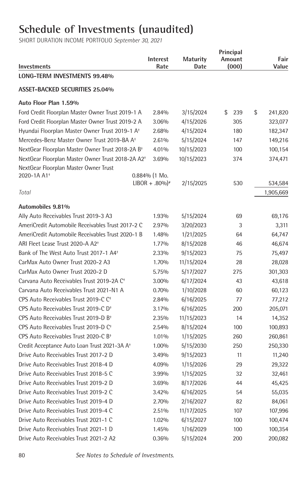# **Schedule of Investments (unaudited)**

| Investments                                                   | <b>Interest</b><br>Rate      | <b>Maturity</b><br>Date | Principal<br>Amount<br>(000) | Fair<br>Value |
|---------------------------------------------------------------|------------------------------|-------------------------|------------------------------|---------------|
| LONG-TERM INVESTMENTS 99.48%                                  |                              |                         |                              |               |
| <b>ASSET-BACKED SECURITIES 25.04%</b>                         |                              |                         |                              |               |
| Auto Floor Plan 1.59%                                         |                              |                         |                              |               |
| Ford Credit Floorplan Master Owner Trust 2019-1 A             | 2.84%                        | 3/15/2024               | \$<br>239                    | \$<br>241,820 |
| Ford Credit Floorplan Master Owner Trust 2019-2 A             | 3.06%                        | 4/15/2026               | 305                          | 323,077       |
| Hyundai Floorplan Master Owner Trust 2019-1 A <sup>+</sup>    | 2.68%                        | 4/15/2024               | 180                          | 182,347       |
| Mercedes-Benz Master Owner Trust 2019-BA A <sup>+</sup>       | 2.61%                        | 5/15/2024               | 147                          | 149,216       |
| NextGear Floorplan Master Owner Trust 2018-2A B <sup>+</sup>  | 4.01%                        | 10/15/2023              | 100                          | 100,154       |
| NextGear Floorplan Master Owner Trust 2018-2A A2 <sup>+</sup> | 3.69%                        | 10/15/2023              | 374                          | 374,471       |
| NextGear Floorplan Master Owner Trust                         |                              |                         |                              |               |
| 2020-1A A1 <sup>+</sup>                                       | $0.884%$ (1 Mo.              |                         |                              |               |
|                                                               | $LIBOR + .80\%$ <sup>*</sup> | 2/15/2025               | 530                          | 534,584       |
| Total                                                         |                              |                         |                              | 1,905,669     |
| Automobiles 9.81%                                             |                              |                         |                              |               |
| Ally Auto Receivables Trust 2019-3 A3                         | 1.93%                        | 5/15/2024               | 69                           | 69,176        |
| AmeriCredit Automobile Receivables Trust 2017-2 C             | 2.97%                        | 3/20/2023               | 3                            | 3,311         |
| AmeriCredit Automobile Receivables Trust 2020-1 B             | 1.48%                        | 1/21/2025               | 64                           | 64,747        |
| ARI Fleet Lease Trust 2020-A A2 <sup>+</sup>                  | 1.77%                        | 8/15/2028               | 46                           | 46,674        |
| Bank of The West Auto Trust 2017-1 A4 <sup>+</sup>            | 2.33%                        | 9/15/2023               | 75                           | 75,497        |
| CarMax Auto Owner Trust 2020-2 A3                             | 1.70%                        | 11/15/2024              | 28                           | 28,028        |
| CarMax Auto Owner Trust 2020-2 D                              | 5.75%                        | 5/17/2027               | 275                          | 301,303       |
| Carvana Auto Receivables Trust 2019-2A C <sup>+</sup>         | 3.00%                        | 6/17/2024               | 43                           | 43,618        |
| Carvana Auto Receivables Trust 2021-N1 A                      | 0.70%                        | 1/10/2028               | 60                           | 60,123        |
| CPS Auto Receivables Trust 2019-C C <sup>+</sup>              | 2.84%                        | 6/16/2025               | 77                           | 77,212        |
| CPS Auto Receivables Trust 2019-C D <sup>+</sup>              | 3.17%                        | 6/16/2025               | 200                          | 205,071       |
| CPS Auto Receivables Trust 2019-D B <sup>+</sup>              | 2.35%                        | 11/15/2023              | 14                           | 14,352        |
| CPS Auto Receivables Trust 2019-D C <sup>+</sup>              | 2.54%                        | 8/15/2024               | 100                          | 100,893       |
| CPS Auto Receivables Trust 2020-C B <sup>+</sup>              | 1.01%                        | 1/15/2025               | 260                          | 260,861       |
| Credit Acceptance Auto Loan Trust 2021-3A A <sup>+</sup>      | 1.00%                        | 5/15/2030               | 250                          | 250,330       |
| Drive Auto Receivables Trust 2017-2 D                         | 3.49%                        | 9/15/2023               | 11                           | 11,240        |
| Drive Auto Receivables Trust 2018-4 D                         | 4.09%                        | 1/15/2026               | 29                           | 29,322        |
| Drive Auto Receivables Trust 2018-5 C                         | 3.99%                        | 1/15/2025               | 32                           | 32,461        |
| Drive Auto Receivables Trust 2019-2 D                         | 3.69%                        | 8/17/2026               | 44                           | 45,425        |
| Drive Auto Receivables Trust 2019-2 C                         | 3.42%                        | 6/16/2025               | 54                           | 55,035        |
| Drive Auto Receivables Trust 2019-4 D                         | 2.70%                        | 2/16/2027               | 82                           | 84,061        |
| Drive Auto Receivables Trust 2019-4 C                         | 2.51%                        | 11/17/2025              | 107                          | 107,996       |
| Drive Auto Receivables Trust 2021-1 C                         | 1.02%                        | 6/15/2027               | 100                          | 100,474       |
| Drive Auto Receivables Trust 2021-1 D                         | 1.45%                        | 1/16/2029               | 100                          | 100,354       |
| Drive Auto Receivables Trust 2021-2 A2                        | 0.36%                        | 5/15/2024               | 200                          | 200,082       |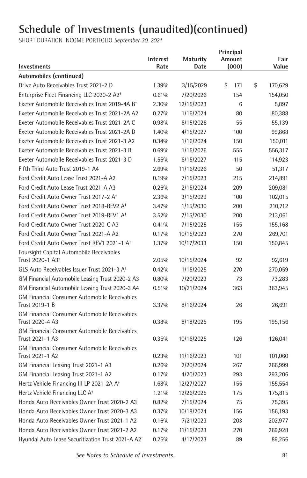| Investments                                                            | <b>Interest</b><br>Rate | <b>Maturity</b><br>Date | Principal<br>Amount<br>(000) | Fair<br>Value |
|------------------------------------------------------------------------|-------------------------|-------------------------|------------------------------|---------------|
| Automobiles (continued)                                                |                         |                         |                              |               |
| Drive Auto Receivables Trust 2021-2 D                                  | 1.39%                   | 3/15/2029               | \$<br>171                    | \$<br>170,629 |
| Enterprise Fleet Financing LLC 2020-2 A2 <sup>+</sup>                  | 0.61%                   | 7/20/2026               | 154                          | 154,050       |
| Exeter Automobile Receivables Trust 2019-4A B <sup>+</sup>             | 2.30%                   | 12/15/2023              | 6                            | 5,897         |
| Exeter Automobile Receivables Trust 2021-2A A2                         | 0.27%                   | 1/16/2024               | 80                           | 80,388        |
| Exeter Automobile Receivables Trust 2021-2A C                          | 0.98%                   | 6/15/2026               | 55                           | 55,139        |
| Exeter Automobile Receivables Trust 2021-2A D                          | 1.40%                   | 4/15/2027               | 100                          | 99,868        |
| Exeter Automobile Receivables Trust 2021-3 A2                          | 0.34%                   | 1/16/2024               | 150                          | 150,011       |
| Exeter Automobile Receivables Trust 2021-3 B                           | 0.69%                   | 1/15/2026               | 555                          | 556,317       |
| Exeter Automobile Receivables Trust 2021-3 D                           | 1.55%                   | 6/15/2027               | 115                          | 114,923       |
| Fifth Third Auto Trust 2019-1 A4                                       | 2.69%                   | 11/16/2026              | 50                           | 51,317        |
| Ford Credit Auto Lease Trust 2021-A A2                                 | 0.19%                   | 7/15/2023               | 215                          | 214,891       |
| Ford Credit Auto Lease Trust 2021-A A3                                 | 0.26%                   | 2/15/2024               | 209                          | 209,081       |
| Ford Credit Auto Owner Trust 2017-2 A <sup>+</sup>                     | 2.36%                   | 3/15/2029               | 100                          | 102,015       |
| Ford Credit Auto Owner Trust 2018-REV2 A <sup>+</sup>                  | 3.47%                   | 1/15/2030               | 200                          | 210,712       |
| Ford Credit Auto Owner Trust 2019-REV1 A <sup>+</sup>                  | 3.52%                   | 7/15/2030               | 200                          | 213,061       |
| Ford Credit Auto Owner Trust 2020-C A3                                 | 0.41%                   | 7/15/2025               | 155                          | 155,168       |
| Ford Credit Auto Owner Trust 2021-A A2                                 | 0.17%                   | 10/15/2023              | 270                          | 269,701       |
| Ford Credit Auto Owner Trust REV1 2021-1 A <sup>+</sup>                | 1.37%                   | 10/17/2033              | 150                          | 150,845       |
| Foursight Capital Automobile Receivables                               |                         |                         |                              |               |
| Trust 2020-1 A3 <sup>+</sup>                                           | 2.05%                   | 10/15/2024              | 92                           | 92,619        |
| GLS Auto Receivables Issuer Trust 2021-3 A <sup>+</sup>                | 0.42%                   | 1/15/2025               | 270                          | 270,059       |
| GM Financial Automobile Leasing Trust 2020-2 A3                        | 0.80%                   | 7/20/2023               | 73                           | 73,283        |
| GM Financial Automobile Leasing Trust 2020-3 A4                        | 0.51%                   | 10/21/2024              | 363                          | 363,945       |
| <b>GM Financial Consumer Automobile Receivables</b>                    |                         |                         |                              |               |
| Trust 2019-1 B                                                         | 3.37%                   | 8/16/2024               | 26                           | 26,691        |
| <b>GM Financial Consumer Automobile Receivables</b>                    |                         |                         |                              |               |
| Trust 2020-4 A3<br><b>GM Financial Consumer Automobile Receivables</b> | 0.38%                   | 8/18/2025               | 195                          | 195,156       |
| Trust 2021-1 A3                                                        | 0.35%                   | 10/16/2025              | 126                          | 126,041       |
| <b>GM Financial Consumer Automobile Receivables</b>                    |                         |                         |                              |               |
| Trust 2021-1 A2                                                        | 0.23%                   | 11/16/2023              | 101                          | 101,060       |
| GM Financial Leasing Trust 2021-1 A3                                   | 0.26%                   | 2/20/2024               | 267                          | 266,999       |
| GM Financial Leasing Trust 2021-1 A2                                   | 0.17%                   | 4/20/2023               | 293                          | 293,206       |
| Hertz Vehicle Financing III LP 2021-2A A <sup>+</sup>                  | 1.68%                   | 12/27/2027              | 155                          | 155,554       |
| Hertz Vehicle Financing LLC A <sup>+</sup>                             | 1.21%                   | 12/26/2025              | 175                          | 175,815       |
| Honda Auto Receivables Owner Trust 2020-2 A3                           | 0.82%                   | 7/15/2024               | 75                           | 75,395        |
| Honda Auto Receivables Owner Trust 2020-3 A3                           | 0.37%                   | 10/18/2024              | 156                          | 156,193       |
| Honda Auto Receivables Owner Trust 2021-1 A2                           | 0.16%                   | 7/21/2023               | 203                          | 202,977       |
| Honda Auto Receivables Owner Trust 2021-2 A2                           | 0.17%                   | 11/15/2023              | 270                          | 269,928       |
| Hyundai Auto Lease Securitization Trust 2021-A A2 <sup>+</sup>         | 0.25%                   | 4/17/2023               | 89                           | 89,256        |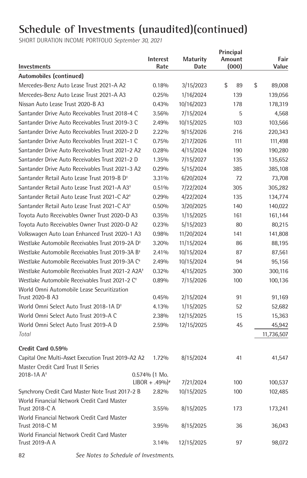SHORT DURATION INCOME PORTFOLIO *September 30, 2021*

|                                                               | <b>Interest</b>              | <b>Maturity</b> | Principal<br>Amount | Fair         |
|---------------------------------------------------------------|------------------------------|-----------------|---------------------|--------------|
| Investments                                                   | Rate                         | Date            | (000)               | Value        |
| Automobiles (continued)                                       |                              |                 |                     |              |
| Mercedes-Benz Auto Lease Trust 2021-A A2                      | 0.18%                        | 3/15/2023       | \$<br>89            | \$<br>89,008 |
| Mercedes-Benz Auto Lease Trust 2021-A A3                      | 0.25%                        | 1/16/2024       | 139                 | 139,056      |
| Nissan Auto Lease Trust 2020-B A3                             | 0.43%                        | 10/16/2023      | 178                 | 178,319      |
| Santander Drive Auto Receivables Trust 2018-4 C               | 3.56%                        | 7/15/2024       | 5                   | 4,568        |
| Santander Drive Auto Receivables Trust 2019-3 C               | 2.49%                        | 10/15/2025      | 103                 | 103,566      |
| Santander Drive Auto Receivables Trust 2020-2 D               | 2.22%                        | 9/15/2026       | 216                 | 220,343      |
| Santander Drive Auto Receivables Trust 2021-1 C               | 0.75%                        | 2/17/2026       | 111                 | 111,498      |
| Santander Drive Auto Receivables Trust 2021-2 A2              | 0.28%                        | 4/15/2024       | 190                 | 190,280      |
| Santander Drive Auto Receivables Trust 2021-2 D               | 1.35%                        | 7/15/2027       | 135                 | 135,652      |
| Santander Drive Auto Receivables Trust 2021-3 A2              | 0.29%                        | 5/15/2024       | 385                 | 385,108      |
| Santander Retail Auto Lease Trust 2019-B D <sup>+</sup>       | 3.31%                        | 6/20/2024       | 72                  | 73,708       |
| Santander Retail Auto Lease Trust 2021-A A3 <sup>+</sup>      | 0.51%                        | 7/22/2024       | 305                 | 305,282      |
| Santander Retail Auto Lease Trust 2021-C A2 <sup>+</sup>      | 0.29%                        | 4/22/2024       | 135                 | 134,774      |
| Santander Retail Auto Lease Trust 2021-C A3 <sup>+</sup>      | 0.50%                        | 3/20/2025       | 140                 | 140,022      |
| Toyota Auto Receivables Owner Trust 2020-D A3                 | 0.35%                        | 1/15/2025       | 161                 | 161,144      |
| Toyota Auto Receivables Owner Trust 2020-D A2                 | 0.23%                        | 5/15/2023       | 80                  | 80,215       |
| Volkswagen Auto Loan Enhanced Trust 2020-1 A3                 | 0.98%                        | 11/20/2024      | 141                 | 141,808      |
| Westlake Automobile Receivables Trust 2019-2A D <sup>+</sup>  | 3.20%                        | 11/15/2024      | 86                  | 88,195       |
| Westlake Automobile Receivables Trust 2019-3A B <sup>+</sup>  | 2.41%                        | 10/15/2024      | 87                  | 87,561       |
| Westlake Automobile Receivables Trust 2019-3A C <sup>+</sup>  | 2.49%                        | 10/15/2024      | 94                  | 95,156       |
| Westlake Automobile Receivables Trust 2021-2 A2A <sup>+</sup> | 0.32%                        | 4/15/2025       | 300                 | 300,116      |
| Westlake Automobile Receivables Trust 2021-2 C <sup>+</sup>   | 0.89%                        | 7/15/2026       | 100                 | 100,136      |
| World Omni Automobile Lease Securitization                    |                              |                 |                     |              |
| Trust 2020-B A3                                               | 0.45%                        | 2/15/2024       | 91                  | 91,169       |
| World Omni Select Auto Trust 2018-1A D <sup>+</sup>           | 4.13%                        | 1/15/2025       | 52                  | 52,682       |
| World Omni Select Auto Trust 2019-A C                         | 2.38%                        | 12/15/2025      | 15                  | 15,363       |
| World Omni Select Auto Trust 2019-A D                         | 2.59%                        | 12/15/2025      | 45                  | 45,942       |
| Total                                                         |                              |                 |                     | 11,736,507   |
| Credit Card 0.59%                                             |                              |                 |                     |              |
| Capital One Multi-Asset Execution Trust 2019-A2 A2            | 1.72%                        | 8/15/2024       | 41                  | 41,547       |
| Master Credit Card Trust II Series                            |                              |                 |                     |              |
| 2018-1A A <sup>+</sup>                                        | 0.574% (1 Mo.                |                 |                     |              |
|                                                               | $LIBOR + .49\%$ <sup>*</sup> | 7/21/2024       | 100                 | 100,537      |
| Synchrony Credit Card Master Note Trust 2017-2 B              | 2.82%                        | 10/15/2025      | 100                 | 102,485      |
| World Financial Network Credit Card Master                    |                              |                 |                     |              |
| Trust 2018-C A                                                | 3.55%                        | 8/15/2025       | 173                 | 173,241      |
| World Financial Network Credit Card Master                    |                              |                 |                     |              |
| Trust 2018-C M<br>World Financial Network Credit Card Master  | 3.95%                        | 8/15/2025       | 36                  | 36,043       |
| <b>Trust 2019-A A</b>                                         | 3.14%                        | 12/15/2025      | 97                  | 98,072       |
|                                                               |                              |                 |                     |              |

82 *See Notes to Schedule of Investments.*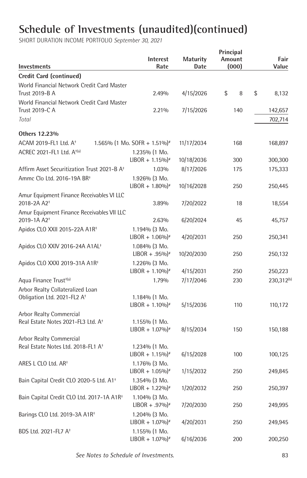| Investments                                                               | <b>Interest</b><br>Rate                           | <b>Maturity</b><br>Date | Principal<br>Amount<br>(000) | Fair<br>Value          |
|---------------------------------------------------------------------------|---------------------------------------------------|-------------------------|------------------------------|------------------------|
| <b>Credit Card (continued)</b>                                            |                                                   |                         |                              |                        |
| World Financial Network Credit Card Master                                |                                                   |                         |                              |                        |
| Trust 2019-B A                                                            | 2.49%                                             | 4/15/2026               | \$<br>8                      | \$<br>8,132            |
| World Financial Network Credit Card Master                                |                                                   |                         |                              |                        |
| Trust 2019-C A                                                            | 2.21%                                             | 7/15/2026               | 140                          | 142,657                |
| Total                                                                     |                                                   |                         |                              | 702,714                |
|                                                                           |                                                   |                         |                              |                        |
| Others 12.23%                                                             |                                                   |                         |                              |                        |
| ACAM 2019-FL1 Ltd. A <sup>+</sup>                                         | 1.565% (1 Mo. SOFR + 1.51%) <sup>#</sup>          | 11/17/2034              | 168                          | 168,897                |
| ACREC 2021-FL1 Ltd. A <sup>+(a)</sup>                                     | 1.235% (1 Mo.                                     |                         |                              |                        |
|                                                                           | $LIBOR + 1.15\%$ <sup>*</sup>                     | 10/18/2036              | 300                          | 300,300                |
| Affirm Asset Securitization Trust 2021-B A <sup>+</sup>                   | 1.03%                                             | 8/17/2026               | 175                          | 175,333                |
| Ammc Clo Ltd. 2016-19A BR <sup>+</sup>                                    | 1.926% (3 Mo.                                     |                         |                              |                        |
|                                                                           | $LIBOR + 1.80\%$ <sup>#</sup>                     | 10/16/2028              | 250                          | 250,445                |
| Amur Equipment Finance Receivables VI LLC                                 |                                                   |                         |                              |                        |
| 2018-2A A2 <sup>+</sup>                                                   | 3.89%                                             | 7/20/2022               | 18                           | 18,554                 |
| Amur Equipment Finance Receivables VII LLC                                |                                                   |                         |                              |                        |
| 2019-1A A2 <sup>+</sup>                                                   | 2.63%                                             | 6/20/2024               | 45                           | 45,757                 |
| Apidos CLO XXII 2015-22A A1R <sup>+</sup>                                 | 1.194% (3 Mo.                                     |                         |                              |                        |
|                                                                           | $LIBOR + 1.06\%$ <sup>#</sup>                     | 4/20/2031               | 250                          | 250,341                |
| Apidos CLO XXIV 2016-24A A1AL <sup>+</sup>                                | 1.084% (3 Mo.                                     |                         |                              |                        |
|                                                                           | $LIBOR + .95\%$ <sup>*</sup>                      | 10/20/2030              | 250                          | 250,132                |
| Apidos CLO XXXI 2019-31A A1R <sup>+</sup>                                 | 1.226% (3 Mo.                                     |                         |                              |                        |
|                                                                           | $LIBOR + 1.10\%$ <sup>#</sup>                     | 4/15/2031               | 250                          | 250,223                |
| Aqua Finance Trust <sup>+(a)</sup>                                        | 1.79%                                             | 7/17/2046               | 230                          | 230,312 <sup>(b)</sup> |
| Arbor Realty Collateralized Loan                                          |                                                   |                         |                              |                        |
| Obligation Ltd. 2021-FL2 A <sup>+</sup>                                   | $1.184\%$ (1 Mo.<br>$LIBOR + 1.10\%$ <sup>*</sup> | 5/15/2036               | 110                          | 110,172                |
|                                                                           |                                                   |                         |                              |                        |
| Arbor Realty Commercial<br>Real Estate Notes 2021-FL3 Ltd. A <sup>+</sup> | $1.155\%$ (1 Mo.                                  |                         |                              |                        |
|                                                                           | $LIBOR + 1.07\%$ <sup>*</sup>                     | 8/15/2034               | 150                          | 150,188                |
| Arbor Realty Commercial                                                   |                                                   |                         |                              |                        |
| Real Estate Notes Ltd. 2018-FL1 A <sup>+</sup>                            | 1.234% (1 Mo.                                     |                         |                              |                        |
|                                                                           | $LIBOR + 1.15\%$ <sup>*</sup>                     | 6/15/2028               | 100                          | 100,125                |
| ARES L CLO Ltd. AR <sup>+</sup>                                           | $1.176%$ (3 Mo.                                   |                         |                              |                        |
|                                                                           | $LIBOR + 1.05\%$ <sup>*</sup>                     | 1/15/2032               | 250                          | 249,845                |
| Bain Capital Credit CLO 2020-5 Ltd. A1 <sup>+</sup>                       | 1.354% (3 Mo.                                     |                         |                              |                        |
|                                                                           | $LIBOR + 1.22\%$ <sup>#</sup>                     | 1/20/2032               | 250                          | 250,397                |
| Bain Capital Credit CLO Ltd. 2017-1A A1R <sup>+</sup>                     | $1.104\%$ (3 Mo.                                  |                         |                              |                        |
|                                                                           | $LIBOR + .97\%$                                   | 7/20/2030               | 250                          | 249,995                |
| Barings CLO Ltd. 2019-3A A1R <sup>+</sup>                                 | 1.204% (3 Mo.                                     |                         |                              |                        |
|                                                                           | $LIBOR + 1.07\%$ <sup>*</sup>                     | 4/20/2031               | 250                          | 249,945                |
| BDS Ltd. 2021-FL7 A <sup>+</sup>                                          | 1.155% (1 Mo.                                     |                         |                              |                        |
|                                                                           | $LIBOR + 1.07\%$ <sup>*</sup>                     | 6/16/2036               | 200                          | 200,250                |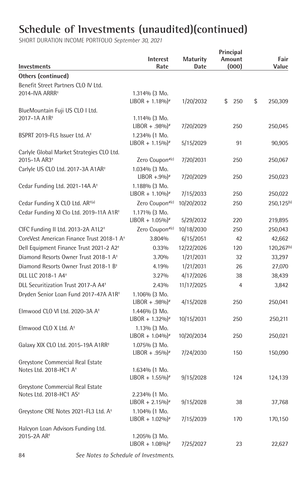SHORT DURATION INCOME PORTFOLIO *September 30, 2021*

| Investments                                                           | <b>Interest</b><br>Rate                           | <b>Maturity</b><br>Date | Principal<br>Amount<br>(000) | Fair<br>Value          |
|-----------------------------------------------------------------------|---------------------------------------------------|-------------------------|------------------------------|------------------------|
| <b>Others (continued)</b>                                             |                                                   |                         |                              |                        |
| Benefit Street Partners CLO IV Ltd.                                   |                                                   |                         |                              |                        |
| 2014-IVA ARRR+                                                        | $1.314\%$ (3 Mo.                                  |                         |                              |                        |
|                                                                       | $LIBOR + 1.18\%$ <sup>*</sup>                     | 1/20/2032               | \$<br>250                    | \$<br>250,309          |
| BlueMountain Fuji US CLO I Ltd.                                       |                                                   |                         |                              |                        |
| 2017-1A A1R <sup>+</sup>                                              | 1.114% (3 Mo.                                     |                         |                              |                        |
|                                                                       | $LIBOR + .98\%$ <sup>*</sup>                      | 7/20/2029               | 250                          | 250,045                |
| BSPRT 2019-FL5 Issuer Ltd. A <sup>+</sup>                             | 1.234% (1 Mo.<br>$LIBOR + 1.15\%$ <sup>*</sup>    |                         | 91                           | 90,905                 |
|                                                                       |                                                   | 5/15/2029               |                              |                        |
| Carlyle Global Market Strategies CLO Ltd.<br>2015-1A AR3 <sup>+</sup> | Zero Coupon#(c)                                   | 7/20/2031               | 250                          | 250,067                |
| Carlyle US CLO Ltd. 2017-3A A1AR <sup>+</sup>                         | 1.034% (3 Mo.                                     |                         |                              |                        |
|                                                                       | $LIBOR + .9\%$ <sup>*</sup>                       | 7/20/2029               | 250                          | 250,023                |
| Cedar Funding Ltd. 2021-14A A <sup>+</sup>                            | 1.188% (3 Mo.                                     |                         |                              |                        |
|                                                                       | $LIBOR + 1.10\%$ <sup>*</sup>                     | 7/15/2033               | 250                          | 250,022                |
| Cedar Funding X CLO Ltd. AR <sup>+(a)</sup>                           | Zero Coupon#(c)                                   | 10/20/2032              | 250                          | 250,125 <sup>(b)</sup> |
| Cedar Funding XI Clo Ltd. 2019-11A A1R <sup>+</sup>                   | 1.171% (3 Mo.                                     |                         |                              |                        |
|                                                                       | $LIBOR + 1.05\%$ <sup>*</sup>                     | 5/29/2032               | 220                          | 219,895                |
| CIFC Funding II Ltd. 2013-2A A1L2 <sup>+</sup>                        | Zero Coupon# <sup>(c)</sup>                       | 10/18/2030              | 250                          | 250,043                |
| CoreVest American Finance Trust 2018-1 A <sup>+</sup>                 | 3.804%                                            | 6/15/2051               | 42                           | 42,662                 |
| Dell Equipment Finance Trust 2021-2 A2 <sup>+</sup>                   | 0.33%                                             | 12/22/2026              | 120                          | 120,267 <sup>(b)</sup> |
| Diamond Resorts Owner Trust 2018-1 A <sup>+</sup>                     | 3.70%                                             | 1/21/2031               | 32                           | 33,297                 |
| Diamond Resorts Owner Trust 2018-1 B <sup>+</sup>                     | 4.19%                                             | 1/21/2031               | 26                           | 27,070                 |
| DLL LLC 2018-1 A4 <sup>+</sup>                                        | 3.27%                                             | 4/17/2026               | 38                           | 38,439                 |
| DLL Securitization Trust 2017-A A4 <sup>+</sup>                       | 2.43%                                             | 11/17/2025              | 4                            | 3,842                  |
| Dryden Senior Loan Fund 2017-47A A1R <sup>+</sup>                     | $1.106\%$ (3 Mo.                                  |                         |                              |                        |
|                                                                       | $LIBOR + .98\%$ <sup>*</sup>                      | 4/15/2028               | 250                          | 250,041                |
| Elmwood CLO VI Ltd. 2020-3A A <sup>+</sup>                            | 1.446% (3 Mo.                                     |                         |                              |                        |
|                                                                       | $LIBOR + 1.32\%$ <sup>#</sup>                     | 10/15/2031              | 250                          | 250,211                |
| Elmwood CLO X Ltd. A <sup>+</sup>                                     | 1.13% (3 Mo.                                      |                         |                              |                        |
|                                                                       | $LIBOR + 1.04\%$ <sup>*</sup>                     | 10/20/2034              | 250                          | 250,021                |
| Galaxy XIX CLO Ltd. 2015-19A A1RR <sup>+</sup>                        | 1.075% (3 Mo.                                     |                         |                              |                        |
|                                                                       | $LIBOR + .95\%$ <sup>*</sup>                      | 7/24/2030               | 150                          | 150,090                |
| Greystone Commercial Real Estate                                      |                                                   |                         |                              |                        |
| Notes Ltd. 2018-HC1 A <sup>+</sup>                                    | $1.634\%$ (1 Mo.<br>$LIBOR + 1.55\%$ <sup>*</sup> | 9/15/2028               | 124                          | 124,139                |
| Greystone Commercial Real Estate                                      |                                                   |                         |                              |                        |
| Notes Ltd. 2018-HC1 AS <sup>+</sup>                                   | 2.234% (1 Mo.                                     |                         |                              |                        |
|                                                                       | $LIBOR + 2.15\%$ <sup>*</sup>                     | 9/15/2028               | 38                           | 37,768                 |
| Greystone CRE Notes 2021-FL3 Ltd. A <sup>+</sup>                      | 1.104% (1 Mo.                                     |                         |                              |                        |
|                                                                       | $LIBOR + 1.02\%$ <sup>#</sup>                     | 7/15/2039               | 170                          | 170,150                |
| Halcyon Loan Advisors Funding Ltd.                                    |                                                   |                         |                              |                        |
| 2015-2A AR <sup>+</sup>                                               | 1.205% (3 Mo.                                     |                         |                              |                        |
|                                                                       | $LIBOR + 1.08\%$ <sup>*</sup>                     | 7/25/2027               | 23                           | 22,627                 |

84 *See Notes to Schedule of Investments.*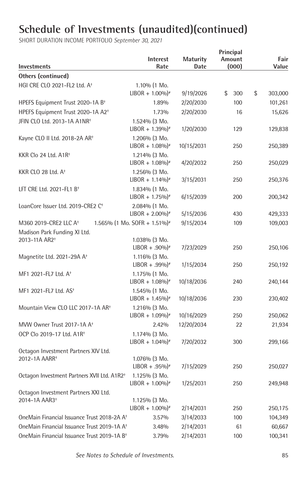| Investments                                             | <b>Interest</b><br>Rate                        | <b>Maturity</b><br>Date | Principal<br>Amount<br>(000) | Fair<br>Value     |
|---------------------------------------------------------|------------------------------------------------|-------------------------|------------------------------|-------------------|
| Others (continued)                                      |                                                |                         |                              |                   |
| HGI CRE CLO 2021-FL2 Ltd. A <sup>+</sup>                | 1.10% (1 Mo.                                   |                         |                              |                   |
|                                                         | $LIBOR + 1.00\%$ <sup>*</sup>                  | 9/19/2026               | \$<br>300                    | \$<br>303,000     |
| HPEFS Equipment Trust 2020-1A B <sup>+</sup>            | 1.89%                                          | 2/20/2030               | 100                          | 101,261           |
| HPEFS Equipment Trust 2020-1A A2 <sup>+</sup>           | 1.73%                                          | 2/20/2030               | 16                           | 15,626            |
| JFIN CLO Ltd. 2013-1A A1NR <sup>+</sup>                 | 1.524% (3 Mo.<br>$LIBOR + 1.39\%$ <sup>*</sup> | 1/20/2030               | 129                          | 129,838           |
| Kayne CLO II Ltd. 2018-2A AR <sup>+</sup>               | 1.206% (3 Mo.<br>$LIBOR + 1.08\%$ <sup>*</sup> | 10/15/2031              | 250                          | 250,389           |
| KKR Clo 24 Ltd. A1R <sup>+</sup>                        | 1.214% (3 Mo.<br>$LIBOR + 1.08\%$ <sup>*</sup> | 4/20/2032               | 250                          | 250,029           |
| KKR CLO 28 Ltd. A <sup>+</sup>                          | 1.256% (3 Mo.<br>$LIBOR + 1.14\%$ <sup>#</sup> | 3/15/2031               | 250                          | 250,376           |
| LFT CRE Ltd. 2021-FL1 $B^+$                             | 1.834% (1 Mo.<br>$LIBOR + 1.75\%$ <sup>*</sup> | 6/15/2039               | 200                          | 200,342           |
| LoanCore Issuer Ltd. 2019-CRE2 C <sup>+</sup>           | 2.084% (1 Mo.<br>$LIBOR + 2.00\%$ <sup>*</sup> | 5/15/2036               | 430                          | 429,333           |
| M360 2019-CRE2 LLC A <sup>+</sup>                       | 1.565% (1 Mo. SOFR + 1.51%) <sup>#</sup>       | 9/15/2034               | 109                          | 109,003           |
| Madison Park Funding XI Ltd.                            |                                                |                         |                              |                   |
| 2013-11A AR2 <sup>+</sup>                               | 1.038% (3 Mo.                                  |                         |                              |                   |
|                                                         | $LIBOR + .90\%$ <sup>*</sup>                   | 7/23/2029               | 250                          | 250,106           |
| Magnetite Ltd. 2021-29A A <sup>+</sup>                  | 1.116% (3 Mo.<br>$LIBOR + .99\%$               | 1/15/2034               | 250                          | 250,192           |
| MF1 2021-FL7 Ltd. A <sup>+</sup>                        | 1.175% (1 Mo.<br>$LIBOR + 1.08\%$ <sup>*</sup> | 10/18/2036              | 240                          | 240,144           |
| MF1 2021-FL7 Ltd. AS <sup>+</sup>                       | 1.545% (1 Mo.<br>$LIBOR + 1.45\%$ <sup>*</sup> | 10/18/2036              | 230                          | 230,402           |
| Mountain View CLO LLC 2017-1A AR <sup>+</sup>           | $1.216\%$ (3 Mo.                               |                         |                              |                   |
|                                                         | $LIBOR + 1.09\%$ <sup>*</sup>                  | 10/16/2029              | 250                          | 250,062           |
| MVW Owner Trust 2017-1A A <sup>+</sup>                  | 2.42%                                          | 12/20/2034              | 22                           | 21,934            |
| OCP Clo 2019-17 Ltd. A1R <sup>+</sup>                   | 1.174% (3 Mo.<br>$LIBOR + 1.04\%$ <sup>*</sup> | 7/20/2032               | 300                          | 299,166           |
| Octagon Investment Partners XIV Ltd.                    |                                                |                         |                              |                   |
| 2012-1A AARR <sup>+</sup>                               | 1.076% (3 Mo.<br>$LIBOR + .95\%$ <sup>*</sup>  | 7/15/2029               | 250                          | 250,027           |
| Octagon Investment Partners XVII Ltd. A1R2 <sup>+</sup> | 1.125% (3 Mo.<br>$LIBOR + 1.00\%$ <sup>#</sup> | 1/25/2031               | 250                          | 249,948           |
| Octagon Investment Partners XXI Ltd.                    |                                                |                         |                              |                   |
| 2014-1A AAR3 <sup>+</sup>                               | 1.125% (3 Mo.                                  |                         |                              |                   |
| OneMain Financial Issuance Trust 2018-2A A <sup>+</sup> | $LIBOR + 1.00\%$ <sup>#</sup><br>3.57%         | 2/14/2031               | 250<br>100                   | 250,175           |
| OneMain Financial Issuance Trust 2019-1A A <sup>+</sup> | 3.48%                                          | 3/14/2033<br>2/14/2031  | 61                           | 104,349<br>60,667 |
| OneMain Financial Issuance Trust 2019-1A B <sup>+</sup> | 3.79%                                          | 2/14/2031               | 100                          | 100,341           |
|                                                         |                                                |                         |                              |                   |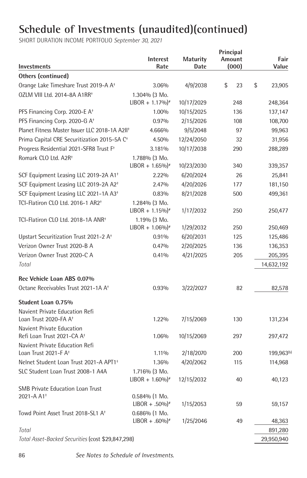SHORT DURATION INCOME PORTFOLIO *September 30, 2021*

| Investments                                                         | Interest<br>Rate              | <b>Maturity</b><br>Date | Principal<br>Amount<br>(000) |     | Fair<br>Value |
|---------------------------------------------------------------------|-------------------------------|-------------------------|------------------------------|-----|---------------|
| Others (continued)                                                  |                               |                         |                              |     |               |
| Orange Lake Timeshare Trust 2019-A A <sup>+</sup>                   | 3.06%                         | 4/9/2038                | \$                           | 23  | \$<br>23,905  |
| OZLM VIII Ltd. 2014-8A A1RR <sup>+</sup>                            | 1.304% (3 Mo.                 |                         |                              |     |               |
|                                                                     | $LIBOR + 1.17\%$ <sup>#</sup> | 10/17/2029              |                              | 248 | 248,364       |
| PFS Financing Corp. 2020-E A <sup>+</sup>                           | 1.00%                         | 10/15/2025              |                              | 136 | 137,147       |
| PFS Financing Corp. 2020-G A <sup>+</sup>                           | 0.97%                         | 2/15/2026               |                              | 108 | 108,700       |
| Planet Fitness Master Issuer LLC 2018-1A A2II <sup>+</sup>          | 4.666%                        | 9/5/2048                |                              | 97  | 99,963        |
| Prima Capital CRE Securitization 2015-5A C <sup>+</sup>             | 4.50%                         | 12/24/2050              |                              | 32  | 31,956        |
| Progress Residential 2021-SFR8 Trust F <sup>+</sup>                 | 3.181%                        | 10/17/2038              |                              | 290 | 288,289       |
| Romark CLO Ltd. A2R <sup>+</sup>                                    | 1.788% (3 Mo.                 |                         |                              |     |               |
|                                                                     | $LIBOR + 1.65\%$ <sup>#</sup> | 10/23/2030              |                              | 340 | 339,357       |
| SCF Equipment Leasing LLC 2019-2A A1 <sup>+</sup>                   | 2.22%                         | 6/20/2024               |                              | 26  | 25,841        |
| SCF Equipment Leasing LLC 2019-2A A2 <sup>+</sup>                   | 2.47%                         | 4/20/2026               |                              | 177 | 181,150       |
| SCF Equipment Leasing LLC 2021-1A A3 <sup>+</sup>                   | 0.83%                         | 8/21/2028               |                              | 500 | 499,361       |
| TCI-Flatiron CLO Ltd. 2016-1 AR2 <sup>+</sup>                       | 1.284% (3 Mo.                 |                         |                              |     |               |
|                                                                     | $LIBOR + 1.15\%$ <sup>*</sup> | 1/17/2032               |                              | 250 | 250,477       |
| TCI-Flatiron CLO Ltd. 2018-1A ANR <sup>+</sup>                      | 1.19% (3 Mo.                  |                         |                              |     |               |
|                                                                     | $LIBOR + 1.06\%$ <sup>*</sup> | 1/29/2032               |                              | 250 | 250,469       |
| Upstart Securitization Trust 2021-2 A <sup>+</sup>                  | 0.91%                         | 6/20/2031               |                              | 125 | 125,486       |
| Verizon Owner Trust 2020-B A                                        | 0.47%                         | 2/20/2025               |                              | 136 | 136,353       |
| Verizon Owner Trust 2020-C A                                        | 0.41%                         | 4/21/2025               |                              | 205 | 205,395       |
| Total                                                               |                               |                         |                              |     | 14,632,192    |
| Rec Vehicle Loan ABS 0.07%                                          |                               |                         |                              |     |               |
| Octane Receivables Trust 2021-1A A <sup>+</sup>                     | 0.93%                         | 3/22/2027               |                              | 82  | 82,578        |
|                                                                     |                               |                         |                              |     |               |
| Student Loan 0.75%                                                  |                               |                         |                              |     |               |
| Navient Private Education Refi                                      |                               |                         |                              |     |               |
| Loan Trust 2020-FA A <sup>+</sup>                                   | 1.22%                         | 7/15/2069               |                              | 130 | 131,234       |
| Navient Private Education<br>Refi Loan Trust 2021-CA A <sup>+</sup> | 1.06%                         | 10/15/2069              |                              | 297 | 297,472       |
| Navient Private Education Refi                                      |                               |                         |                              |     |               |
| Loan Trust 2021-F A <sup>+</sup>                                    | 1.11%                         | 2/18/2070               |                              | 200 | 199,963(b)    |
| Nelnet Student Loan Trust 2021-A APT1 <sup>+</sup>                  | 1.36%                         | 4/20/2062               |                              | 115 | 114,968       |
| SLC Student Loan Trust 2008-1 A4A                                   | 1.716% (3 Mo.                 |                         |                              |     |               |
|                                                                     | $LIBOR + 1.60\%$ <sup>*</sup> | 12/15/2032              |                              | 40  | 40,123        |
| <b>SMB Private Education Loan Trust</b>                             |                               |                         |                              |     |               |
| 2021-A A1 <sup>+</sup>                                              | $0.584%$ (1 Mo.               |                         |                              |     |               |
|                                                                     | $LIBOR + .50\%$ <sup>*</sup>  | 1/15/2053               |                              | 59  | 59,157        |
| Towd Point Asset Trust 2018-SL1 A <sup>+</sup>                      | $0.686%$ (1 Mo.               |                         |                              |     |               |
|                                                                     | $LIBOR + .60\%$ <sup>*</sup>  | 1/25/2046               |                              | 49  | 48,363        |
| Total                                                               |                               |                         |                              |     | 891,280       |
| Total Asset-Backed Securities (cost \$29,847,298)                   |                               |                         |                              |     | 29,950,940    |

86 *See Notes to Schedule of Investments.*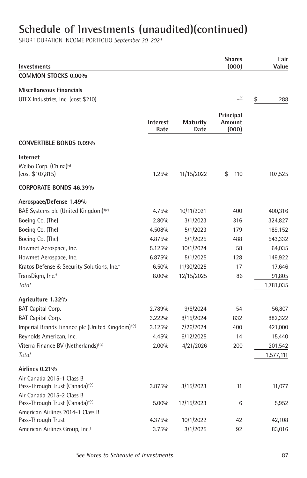| Investments                                                                                           |                         |                  | <b>Shares</b><br>(000)       | Fair<br>Value |
|-------------------------------------------------------------------------------------------------------|-------------------------|------------------|------------------------------|---------------|
| <b>COMMON STOCKS 0.00%</b>                                                                            |                         |                  |                              |               |
| <b>Miscellaneous Financials</b><br>UTEX Industries, Inc. (cost \$210)                                 |                         |                  | (d)                          | \$<br>288     |
|                                                                                                       | <b>Interest</b><br>Rate | Maturity<br>Date | Principal<br>Amount<br>(000) |               |
| <b>CONVERTIBLE BONDS 0.09%</b>                                                                        |                         |                  |                              |               |
| <b>Internet</b><br>Weibo Corp. (China) <sup>(e)</sup><br>(cost \$107,815)                             | 1.25%                   | 11/15/2022       | \$<br>110                    | 107,525       |
| <b>CORPORATE BONDS 46.39%</b>                                                                         |                         |                  |                              |               |
| Aerospace/Defense 1.49%<br>BAE Systems plc (United Kingdom) <sup>+(e)</sup>                           | 4.75%                   | 10/11/2021       | 400                          | 400,316       |
| Boeing Co. (The)                                                                                      | 2.80%                   | 3/1/2023         | 316                          | 324,827       |
| Boeing Co. (The)                                                                                      | 4.508%                  | 5/1/2023         | 179                          | 189,152       |
| Boeing Co. (The)                                                                                      | 4.875%                  | 5/1/2025         | 488                          | 543,332       |
| Howmet Aerospace, Inc.                                                                                | 5.125%                  | 10/1/2024        | 58                           | 64,035        |
| Howmet Aerospace, Inc.                                                                                | 6.875%                  | 5/1/2025         | 128                          | 149,922       |
| Kratos Defense & Security Solutions, Inc. <sup>+</sup>                                                | 6.50%                   | 11/30/2025       | 17                           | 17,646        |
| TransDigm, Inc. <sup>+</sup>                                                                          | 8.00%                   | 12/15/2025       | 86                           | 91,805        |
| Total                                                                                                 |                         |                  |                              | 1,781,035     |
| Agriculture 1.32%                                                                                     |                         |                  |                              |               |
| <b>BAT Capital Corp.</b>                                                                              | 2.789%                  | 9/6/2024         | 54                           | 56,807        |
| <b>BAT Capital Corp.</b>                                                                              | 3.222%                  | 8/15/2024        | 832                          | 882,322       |
| Imperial Brands Finance plc (United Kingdom) <sup>+(e)</sup>                                          | 3.125%                  | 7/26/2024        | 400                          | 421,000       |
| Reynolds American, Inc.                                                                               | 4.45%                   | 6/12/2025        | 14                           | 15,440        |
| Viterra Finance BV (Netherlands) <sup>+(e)</sup>                                                      | 2.00%                   | 4/21/2026        | 200                          | 201,542       |
| Total                                                                                                 |                         |                  |                              | 1,577,111     |
| Airlines 0.21%                                                                                        |                         |                  |                              |               |
| Air Canada 2015-1 Class B<br>Pass-Through Trust (Canada) <sup>+(e)</sup><br>Air Canada 2015-2 Class B | 3.875%                  | 3/15/2023        | 11                           | 11,077        |
| Pass-Through Trust (Canada) <sup>+(e)</sup><br>American Airlines 2014-1 Class B                       | 5.00%                   | 12/15/2023       | 6                            | 5,952         |
| Pass-Through Trust                                                                                    | 4.375%                  | 10/1/2022        | 42                           | 42,108        |
| American Airlines Group, Inc. <sup>+</sup>                                                            | 3.75%                   | 3/1/2025         | 92                           | 83,016        |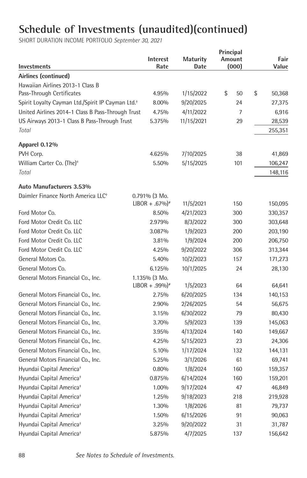| Investments                                                   | <b>Interest</b><br>Rate      | <b>Maturity</b><br>Date | Principal<br>Amount<br>(000) | Fair<br>Value |
|---------------------------------------------------------------|------------------------------|-------------------------|------------------------------|---------------|
| Airlines (continued)                                          |                              |                         |                              |               |
| Hawaiian Airlines 2013-1 Class B                              |                              |                         |                              |               |
| Pass-Through Certificates                                     | 4.95%                        | 1/15/2022               | \$<br>50                     | \$<br>50,368  |
| Spirit Loyalty Cayman Ltd./Spirit IP Cayman Ltd. <sup>+</sup> | 8.00%                        | 9/20/2025               | 24                           | 27,375        |
| United Airlines 2014-1 Class B Pass-Through Trust             | 4.75%                        | 4/11/2022               | $\overline{7}$               | 6,916         |
| US Airways 2013-1 Class B Pass-Through Trust                  | 5.375%                       | 11/15/2021              | 29                           | 28,539        |
| Total                                                         |                              |                         |                              | 255,351       |
| Apparel 0.12%                                                 |                              |                         |                              |               |
| PVH Corp.                                                     | 4.625%                       | 7/10/2025               | 38                           | 41,869        |
| William Carter Co. (The) <sup>+</sup>                         | 5.50%                        | 5/15/2025               | 101                          | 106,247       |
| Total                                                         |                              |                         |                              | 148,116       |
| Auto Manufacturers 3.53%                                      |                              |                         |                              |               |
| Daimler Finance North America LLC <sup>+</sup>                | 0.791% (3 Mo.                |                         |                              |               |
|                                                               | $LIBOR + .67\%$ <sup>*</sup> | 11/5/2021               | 150                          | 150,095       |
| Ford Motor Co.                                                | 8.50%                        | 4/21/2023               | 300                          | 330,357       |
| Ford Motor Credit Co. LLC                                     | 2.979%                       | 8/3/2022                | 300                          | 303,648       |
| Ford Motor Credit Co. LLC                                     | 3.087%                       | 1/9/2023                | 200                          | 203,190       |
| Ford Motor Credit Co. LLC                                     | 3.81%                        | 1/9/2024                | 200                          | 206,750       |
| Ford Motor Credit Co. LLC                                     | 4.25%                        | 9/20/2022               | 306                          | 313,344       |
| General Motors Co.                                            | 5.40%                        | 10/2/2023               | 157                          | 171,273       |
| General Motors Co.                                            | 6.125%                       | 10/1/2025               | 24                           | 28,130        |
| General Motors Financial Co., Inc.                            | 1.135% (3 Mo.                |                         |                              |               |
|                                                               | $LIBOR + .99\%$ <sup>#</sup> | 1/5/2023                | 64                           | 64,641        |
| General Motors Financial Co., Inc.                            | 2.75%                        | 6/20/2025               | 134                          | 140,153       |
| General Motors Financial Co., Inc.                            | 2.90%                        | 2/26/2025               | 54                           | 56,675        |
| General Motors Financial Co., Inc.                            | 3.15%                        | 6/30/2022               | 79                           | 80,430        |
| General Motors Financial Co., Inc.                            | 3.70%                        | 5/9/2023                | 139                          | 145,063       |
| General Motors Financial Co., Inc.                            | 3.95%                        | 4/13/2024               | 140                          | 149,667       |
| General Motors Financial Co., Inc.                            | 4.25%                        | 5/15/2023               | 23                           | 24,306        |
| General Motors Financial Co., Inc.                            | 5.10%                        | 1/17/2024               | 132                          | 144,131       |
| General Motors Financial Co., Inc.                            | 5.25%                        | 3/1/2026                | 61                           | 69,741        |
| Hyundai Capital America <sup>+</sup>                          | 0.80%                        | 1/8/2024                | 160                          | 159,357       |
| Hyundai Capital America <sup>+</sup>                          | 0.875%                       | 6/14/2024               | 160                          | 159,201       |
| Hyundai Capital America <sup>+</sup>                          | 1.00%                        | 9/17/2024               | 47                           | 46,849        |
| Hyundai Capital America <sup>+</sup>                          | 1.25%                        | 9/18/2023               | 218                          | 219,928       |
| Hyundai Capital America <sup>+</sup>                          | 1.30%                        | 1/8/2026                | 81                           | 79,737        |
| Hyundai Capital America <sup>+</sup>                          | 1.50%                        | 6/15/2026               | 91                           | 90,063        |
| Hyundai Capital America <sup>+</sup>                          | 3.25%                        | 9/20/2022               | 31                           | 31,787        |
| Hyundai Capital America <sup>+</sup>                          | 5.875%                       | 4/7/2025                | 137                          | 156,642       |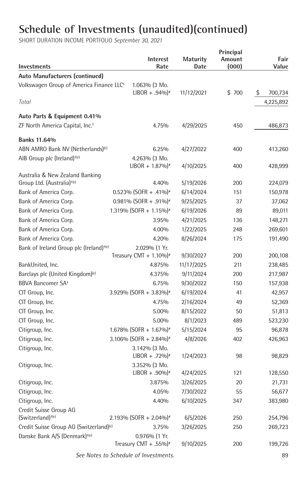SHORT DURATION INCOME PORTFOLIO *September 30, 2021*

| Investments                                                               | Interest<br>Rate                                   | <b>Maturity</b><br>Date | Principal<br>Amount<br>(000) | Fair<br>Value |
|---------------------------------------------------------------------------|----------------------------------------------------|-------------------------|------------------------------|---------------|
| Auto Manufacturers (continued)                                            |                                                    |                         |                              |               |
| Volkswagen Group of America Finance LLC <sup>+</sup>                      | 1.063% (3 Mo.<br>$LIBOR + .94\%$ <sup>*</sup>      | 11/12/2021              | \$700                        | \$<br>700,734 |
| Total                                                                     |                                                    |                         |                              | 4,225,892     |
| Auto Parts & Equipment 0.41%                                              |                                                    |                         |                              |               |
| ZF North America Capital, Inc. <sup>+</sup>                               | 4.75%                                              | 4/29/2025               | 450                          | 486,873       |
| <b>Banks 11.64%</b>                                                       |                                                    |                         |                              |               |
| ABN AMRO Bank NV (Netherlands) <sup>(e)</sup>                             | 6.25%                                              | 4/27/2022               | 400                          | 413,260       |
| AIB Group plc (Ireland) <sup>+(e)</sup>                                   | 4.263% (3 Mo.<br>$LIBOR + 1.87\%$ <sup>*</sup>     | 4/10/2025               | 400                          | 428,999       |
| Australia & New Zealand Banking<br>Group Ltd. (Australia) <sup>+(e)</sup> | 4.40%                                              | 5/19/2026               | 200                          | 224,079       |
| Bank of America Corp.                                                     | $0.523\%$ (SOFR + .41%) <sup>*</sup>               | 6/14/2024               | 151                          | 150,978       |
| Bank of America Corp.                                                     | $0.981\%$ (SOFR + .91%) <sup>#</sup>               | 9/25/2025               | 37                           | 37,062        |
| Bank of America Corp.                                                     | 1.319% (SOFR + 1.15%) <sup>#</sup>                 | 6/19/2026               | 89                           | 89,011        |
| Bank of America Corp.                                                     | 3.95%                                              | 4/21/2025               | 136                          | 148,271       |
| Bank of America Corp.                                                     | 4.00%                                              | 1/22/2025               | 248                          | 269,601       |
| Bank of America Corp.                                                     | 4.20%                                              | 8/26/2024               | 175                          | 191,490       |
| Bank of Ireland Group plc (Ireland) <sup>+(e)</sup>                       | 2.029% (1 Yr.                                      |                         |                              |               |
|                                                                           | Treasury CMT + $1.10\%$ <sup>*</sup>               | 9/30/2027               | 200                          | 200,108       |
| BankUnited, Inc.                                                          | 4.875%                                             | 11/17/2025              | 211                          | 238,485       |
| Barclays plc (United Kingdom) <sup>(e)</sup>                              | 4.375%                                             | 9/11/2024               | 200                          | 217,987       |
| BBVA Bancomer SA <sup>+</sup>                                             | 6.75%                                              | 9/30/2022               | 150                          | 157,938       |
| CIT Group, Inc.                                                           | 3.929% (SOFR + 3.83%)*                             | 6/19/2024               | 41                           | 42,957        |
| CIT Group, Inc.                                                           | 4.75%                                              | 2/16/2024               | 49                           | 52,369        |
| CIT Group, Inc.                                                           | 5.00%                                              | 8/15/2022               | 50                           | 51,813        |
| CIT Group, Inc.                                                           | 5.00%                                              | 8/1/2023                | 489                          | 523,230       |
| Citigroup, Inc.                                                           | 1.678% (SOFR + 1.67%) <sup>*</sup>                 | 5/15/2024               | 95                           | 96,878        |
| Citigroup, Inc.                                                           | 3.106% (SOFR + 2.84%) <sup>*</sup>                 | 4/8/2026                | 402                          | 426,963       |
| Citigroup, Inc.                                                           | 3.142% (3 Mo.<br>$LIBOR + .72\%$ <sup>*</sup>      | 1/24/2023               | 98                           | 98,829        |
| Citigroup, Inc.                                                           | 3.352% (3 Mo.                                      |                         |                              |               |
|                                                                           | $LIBOR + .90\%$ <sup>*</sup>                       | 4/24/2025               | 121                          | 128,550       |
| Citigroup, Inc.                                                           | 3.875%                                             | 3/26/2025               | 20                           | 21,731        |
| Citigroup, Inc.                                                           | 4.05%                                              | 7/30/2022               | 55                           | 56,677        |
| Citigroup, Inc.                                                           | 4.40%                                              | 6/10/2025               | 347                          | 383,980       |
| Credit Suisse Group AG<br>(Switzerland) <sup>+(e)</sup>                   | 2.193% (SOFR + 2.04%) <sup>*</sup>                 | 6/5/2026                | 250                          | 254,796       |
| Credit Suisse Group AG (Switzerland) <sup>(e)</sup>                       | 3.75%                                              | 3/26/2025               | 250                          | 269,723       |
| Danske Bank A/S (Denmark) <sup>+(e)</sup>                                 | 0.976% (1 Yr.<br>Treasury CMT + .55%) <sup>#</sup> | 9/10/2025               | 200                          | 199,726       |

 *See Notes to Schedule of Investments.* 89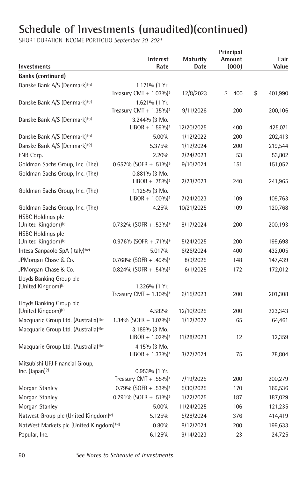| <b>Investments</b>                                   | <b>Interest</b><br>Rate                       | Maturity<br>Date | Principal<br>Amount<br>(000) | Fair<br>Value |
|------------------------------------------------------|-----------------------------------------------|------------------|------------------------------|---------------|
| <b>Banks (continued)</b>                             |                                               |                  |                              |               |
| Danske Bank A/S (Denmark) <sup>+(e)</sup>            | 1.171% (1 Yr.                                 |                  |                              |               |
|                                                      | Treasury CMT + $1.03\%$ <sup>#</sup>          | 12/8/2023        | \$<br>400                    | \$<br>401,990 |
| Danske Bank A/S (Denmark) <sup>+(e)</sup>            | 1.621% (1 Yr.                                 |                  |                              |               |
|                                                      | Treasury CMT + $1.35\%$ <sup>#</sup>          | 9/11/2026        | 200                          | 200,106       |
| Danske Bank A/S (Denmark) <sup>+(e)</sup>            | 3.244% (3 Mo.                                 |                  |                              |               |
|                                                      | $LIBOR + 1.59\%$ <sup>*</sup>                 | 12/20/2025       | 400                          | 425,071       |
| Danske Bank A/S (Denmark) <sup>+(e)</sup>            | 5.00%                                         | 1/12/2022        | 200                          | 202,413       |
| Danske Bank A/S (Denmark) <sup>+(e)</sup>            | 5.375%                                        | 1/12/2024        | 200                          | 219,544       |
| FNB Corp.                                            | 2.20%                                         | 2/24/2023        | 53                           | 53,802        |
| Goldman Sachs Group, Inc. (The)                      | $0.657\%$ (SOFR + .51%) <sup>*</sup>          | 9/10/2024        | 151                          | 151,052       |
| Goldman Sachs Group, Inc. (The)                      | $0.881\%$ (3 Mo.                              |                  |                              |               |
|                                                      | $LIBOR + .75\%$                               | 2/23/2023        | 240                          | 241,965       |
| Goldman Sachs Group, Inc. (The)                      | 1.125% (3 Mo.                                 |                  |                              |               |
|                                                      | $LIBOR + 1.00\%$ <sup>*</sup>                 | 7/24/2023        | 109                          | 109,763       |
| Goldman Sachs Group, Inc. (The)                      | 4.25%                                         | 10/21/2025       | 109                          | 120,768       |
| <b>HSBC Holdings plc</b>                             |                                               |                  |                              |               |
| (United Kingdom) <sup>(e)</sup>                      | $0.732\%$ (SOFR + .53%) <sup>#</sup>          | 8/17/2024        | 200                          | 200,193       |
| <b>HSBC Holdings plc</b>                             |                                               |                  |                              |               |
| (United Kingdom) <sup>(e)</sup>                      | 0.976% (SOFR + .71%) <sup>*</sup>             | 5/24/2025        | 200                          | 199,698       |
| Intesa Sanpaolo SpA (Italy) <sup>+(e)</sup>          | 5.017%                                        | 6/26/2024        | 400                          | 432,005       |
| JPMorgan Chase & Co.                                 | $0.768\%$ (SOFR + .49%) <sup>*</sup>          | 8/9/2025         | 148                          | 147,439       |
| JPMorgan Chase & Co.                                 | 0.824% (SOFR + .54%) <sup>#</sup>             | 6/1/2025         | 172                          | 172,012       |
| Lloyds Banking Group plc                             |                                               |                  |                              |               |
| (United Kingdom) <sup>(e)</sup>                      | 1.326% (1 Yr.                                 |                  |                              |               |
|                                                      | Treasury CMT + $1.10\%$ <sup>*</sup>          | 6/15/2023        | 200                          | 201,308       |
| Lloyds Banking Group plc                             |                                               |                  |                              |               |
| (United Kingdom) <sup>(e)</sup>                      | 4.582%                                        | 12/10/2025       | 200                          | 223,343       |
| Macquarie Group Ltd. (Australia) <sup>+(e)</sup>     | $1.34\%$ (SOFR + 1.07%) <sup>#</sup>          | 1/12/2027        | 65                           | 64,461        |
| Macquarie Group Ltd. (Australia) <sup>+(e)</sup>     | 3.189% (3 Mo.                                 |                  | 12                           |               |
|                                                      | $LIBOR + 1.02\%$ <sup>#</sup>                 | 11/28/2023       |                              | 12,359        |
| Macquarie Group Ltd. (Australia) <sup>+(e)</sup>     | 4.15% (3 Mo.<br>$LIBOR + 1.33\%$ <sup>*</sup> | 3/27/2024        | 75                           | 78,804        |
| Mitsubishi UFJ Financial Group,                      |                                               |                  |                              |               |
| Inc. (Japan) <sup>(e)</sup>                          | $0.953\%$ (1 Yr.                              |                  |                              |               |
|                                                      | Treasury CMT + .55%) <sup>#</sup>             | 7/19/2025        | 200                          | 200,279       |
| Morgan Stanley                                       | 0.79% (SOFR + .53%) <sup>#</sup>              | 5/30/2025        | 170                          | 169,536       |
| Morgan Stanley                                       | 0.791% (SOFR + .51%) <sup>#</sup>             | 1/22/2025        | 187                          | 187,029       |
| Morgan Stanley                                       | 5.00%                                         | 11/24/2025       | 106                          | 121,235       |
| Natwest Group plc (United Kingdom) <sup>(e)</sup>    | 5.125%                                        | 5/28/2024        | 376                          | 414,419       |
| NatWest Markets plc (United Kingdom) <sup>+(e)</sup> | 0.80%                                         | 8/12/2024        | 200                          | 199,633       |
| Popular, Inc.                                        | 6.125%                                        | 9/14/2023        | 23                           | 24,725        |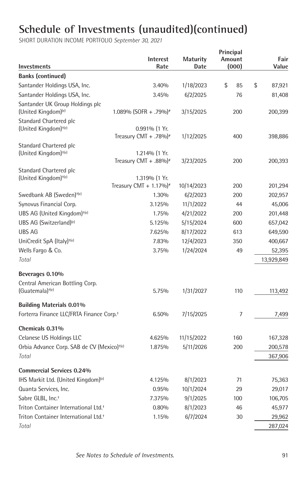| Investments                                            | <b>Interest</b><br>Rate                            | <b>Maturity</b><br>Date | Principal<br>Amount<br>(000) | Fair<br>Value |
|--------------------------------------------------------|----------------------------------------------------|-------------------------|------------------------------|---------------|
| <b>Banks (continued)</b>                               |                                                    |                         |                              |               |
| Santander Holdings USA, Inc.                           | 3.40%                                              | 1/18/2023               | \$<br>85                     | \$<br>87,921  |
| Santander Holdings USA, Inc.                           | 3.45%                                              | 6/2/2025                | 76                           | 81,408        |
| Santander UK Group Holdings plc                        |                                                    |                         |                              |               |
| (United Kingdom) <sup>(e)</sup>                        | $1.089\%$ (SOFR + .79%) <sup>*</sup>               | 3/15/2025               | 200                          | 200,399       |
| Standard Chartered plc                                 |                                                    |                         |                              |               |
| (United Kingdom) <sup>+(e)</sup>                       | 0.991% (1 Yr.                                      |                         |                              |               |
|                                                        | Treasury CMT + .78%) <sup>#</sup>                  | 1/12/2025               | 400                          | 398,886       |
| Standard Chartered plc                                 |                                                    |                         |                              |               |
| (United Kingdom) <sup>+(e)</sup>                       | 1.214% (1 Yr.<br>Treasury CMT + .88%) <sup>#</sup> | 3/23/2025               | 200                          | 200,393       |
| Standard Chartered plc                                 |                                                    |                         |                              |               |
| (United Kingdom) <sup>+(e)</sup>                       | 1.319% (1 Yr.                                      |                         |                              |               |
|                                                        | Treasury CMT + $1.17\%$ <sup>*</sup>               | 10/14/2023              | 200                          | 201,294       |
| Swedbank AB (Sweden) <sup>+(e)</sup>                   | 1.30%                                              | 6/2/2023                | 200                          | 202,957       |
| Synovus Financial Corp.                                | 3.125%                                             | 11/1/2022               | 44                           | 45,006        |
| UBS AG (United Kingdom) <sup>+(e)</sup>                | 1.75%                                              | 4/21/2022               | 200                          | 201,448       |
| UBS AG (Switzerland) <sup>(e)</sup>                    | 5.125%                                             | 5/15/2024               | 600                          | 657,042       |
| <b>UBS AG</b>                                          | 7.625%                                             | 8/17/2022               | 613                          | 649,590       |
| UniCredit SpA (Italy) <sup>+(e)</sup>                  | 7.83%                                              | 12/4/2023               | 350                          | 400,667       |
| Wells Fargo & Co.                                      | 3.75%                                              | 1/24/2024               | 49                           | 52,395        |
| Total                                                  |                                                    |                         |                              | 13,929,849    |
| Beverages 0.10%                                        |                                                    |                         |                              |               |
| Central American Bottling Corp.                        |                                                    |                         |                              |               |
| $(Guatemala)$ <sup>+(e)</sup>                          | 5.75%                                              | 1/31/2027               | 110                          | 113,492       |
| <b>Building Materials 0.01%</b>                        |                                                    |                         |                              |               |
| Forterra Finance LLC/FRTA Finance Corp. <sup>+</sup>   | 6.50%                                              | 7/15/2025               | $\overline{7}$               | 7,499         |
| Chemicals 0.31%                                        |                                                    |                         |                              |               |
| Celanese US Holdings LLC                               | 4.625%                                             | 11/15/2022              | 160                          | 167,328       |
| Orbia Advance Corp. SAB de CV (Mexico) <sup>+(e)</sup> | 1.875%                                             | 5/11/2026               | 200                          | 200,578       |
| Total                                                  |                                                    |                         |                              | 367,906       |
| <b>Commercial Services 0.24%</b>                       |                                                    |                         |                              |               |
| IHS Markit Ltd. (United Kingdom) <sup>(e)</sup>        | 4.125%                                             | 8/1/2023                | 71                           | 75,363        |
| Quanta Services, Inc.                                  | 0.95%                                              | 10/1/2024               | 29                           | 29,017        |
| Sabre GLBL, Inc. <sup>+</sup>                          | 7.375%                                             | 9/1/2025                | 100                          | 106,705       |
| Triton Container International Ltd. <sup>+</sup>       | 0.80%                                              | 8/1/2023                | 46                           | 45,977        |
| Triton Container International Ltd. <sup>+</sup>       | 1.15%                                              | 6/7/2024                | 30                           | 29,962        |
| Total                                                  |                                                    |                         |                              | 287,024       |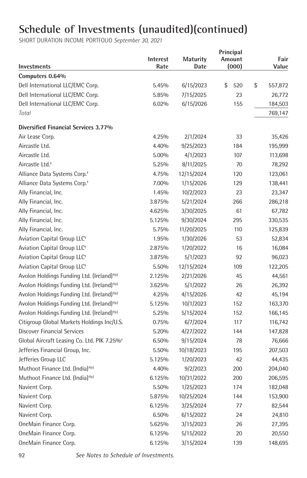|                                                         | Interest | <b>Maturity</b> | Principal<br>Amount | Fair          |
|---------------------------------------------------------|----------|-----------------|---------------------|---------------|
| <b>Investments</b>                                      | Rate     | Date            | (000)               | Value         |
| Computers 0.64%                                         |          |                 |                     |               |
| Dell International LLC/EMC Corp.                        | 5.45%    | 6/15/2023       | \$<br>520           | \$<br>557,872 |
| Dell International LLC/EMC Corp.                        | 5.85%    | 7/15/2025       | 23                  | 26,772        |
| Dell International LLC/EMC Corp.                        | 6.02%    | 6/15/2026       | 155                 | 184,503       |
| Total                                                   |          |                 |                     | 769,147       |
| Diversified Financial Services 3.77%                    |          |                 |                     |               |
| Air Lease Corp.                                         | 4.25%    | 2/1/2024        | 33                  | 35,426        |
| Aircastle Ltd.                                          | 4.40%    | 9/25/2023       | 184                 | 195,999       |
| Aircastle Ltd.                                          | 5.00%    | 4/1/2023        | 107                 | 113,698       |
| Aircastle Ltd. <sup>+</sup>                             | 5.25%    | 8/11/2025       | 70                  | 78,292        |
| Alliance Data Systems Corp. <sup>+</sup>                | 4.75%    | 12/15/2024      | 120                 | 123,061       |
| Alliance Data Systems Corp. <sup>+</sup>                | 7.00%    | 1/15/2026       | 129                 | 138,441       |
| Ally Financial, Inc.                                    | 1.45%    | 10/2/2023       | 23                  | 23,347        |
| Ally Financial, Inc.                                    | 3.875%   | 5/21/2024       | 266                 | 286,218       |
| Ally Financial, Inc.                                    | 4.625%   | 3/30/2025       | 61                  | 67,782        |
| Ally Financial, Inc.                                    | 5.125%   | 9/30/2024       | 295                 | 330,535       |
| Ally Financial, Inc.                                    | 5.75%    | 11/20/2025      | 110                 | 125,839       |
| Aviation Capital Group LLC <sup>+</sup>                 | 1.95%    | 1/30/2026       | 53                  | 52,834        |
| Aviation Capital Group LLC <sup>+</sup>                 | 2.875%   | 1/20/2022       | 16                  | 16,084        |
| Aviation Capital Group LLC <sup>+</sup>                 | 3.875%   | 5/1/2023        | 92                  | 96,023        |
| Aviation Capital Group LLC <sup>+</sup>                 | 5.50%    | 12/15/2024      | 109                 | 122,205       |
| Avolon Holdings Funding Ltd. (Ireland) <sup>+(e)</sup>  | 2.125%   | 2/21/2026       | 45                  | 44,561        |
| Avolon Holdings Funding Ltd. (Ireland) <sup>+(e)</sup>  | 3.625%   | 5/1/2022        | 26                  | 26,392        |
| Avolon Holdings Funding Ltd. (Ireland) <sup>+(e)</sup>  | 4.25%    | 4/15/2026       | 42                  | 45,194        |
| Avolon Holdings Funding Ltd. (Ireland) <sup>+(e)</sup>  | 5.125%   | 10/1/2023       | 152                 | 163,370       |
| Avolon Holdings Funding Ltd. (Ireland) <sup>+(e)</sup>  | 5.25%    | 5/15/2024       | 152                 | 166,145       |
| Citigroup Global Markets Holdings Inc/U.S.              | 0.75%    | 6/7/2024        | 117                 | 116,742       |
| <b>Discover Financial Services</b>                      | 5.20%    | 4/27/2022       | 144                 | 147,828       |
| Global Aircraft Leasing Co. Ltd. PIK 7.25% <sup>+</sup> | 6.50%    | 9/15/2024       | 78                  | 76,666        |
| Jefferies Financial Group, Inc.                         | 5.50%    | 10/18/2023      | 195                 | 207,503       |
| Jefferies Group LLC                                     | 5.125%   | 1/20/2023       | 42                  | 44,435        |
| Muthoot Finance Ltd. (India) <sup>+(e)</sup>            | 4.40%    | 9/2/2023        | 200                 | 204,040       |
| Muthoot Finance Ltd. (India) <sup>+(e)</sup>            | 6.125%   | 10/31/2022      | 200                 | 206,595       |
| Navient Corp.                                           | 5.50%    | 1/25/2023       | 174                 | 182,048       |
| Navient Corp.                                           | 5.875%   | 10/25/2024      | 144                 | 153,900       |
| Navient Corp.                                           | 6.125%   | 3/25/2024       | 77                  | 82,544        |
| Navient Corp.                                           | 6.50%    | 6/15/2022       | 24                  | 24,810        |
| OneMain Finance Corp.                                   | 5.625%   | 3/15/2023       | 26                  | 27,395        |
| OneMain Finance Corp.                                   | 6.125%   | 5/15/2022       | 20                  | 20,550        |
| OneMain Finance Corp.                                   | 6.125%   | 3/15/2024       | 139                 | 148,695       |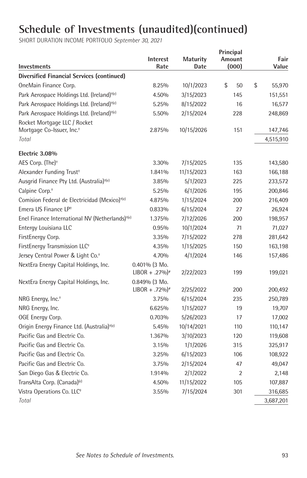|                                                             | <b>Interest</b>              | <b>Maturity</b> | Principal<br>Amount | Fair         |
|-------------------------------------------------------------|------------------------------|-----------------|---------------------|--------------|
| <b>Investments</b>                                          | Rate                         | Date            | (000)               | Value        |
| <b>Diversified Financial Services (continued)</b>           |                              |                 |                     |              |
| OneMain Finance Corp.                                       | 8.25%                        | 10/1/2023       | \$<br>50            | \$<br>55,970 |
| Park Aerospace Holdings Ltd. (Ireland) <sup>+(e)</sup>      | 4.50%                        | 3/15/2023       | 145                 | 151,551      |
| Park Aerospace Holdings Ltd. (Ireland) <sup>+(e)</sup>      | 5.25%                        | 8/15/2022       | 16                  | 16,577       |
| Park Aerospace Holdings Ltd. (Ireland) <sup>+(e)</sup>      | 5.50%                        | 2/15/2024       | 228                 | 248,869      |
| Rocket Mortgage LLC / Rocket                                |                              |                 |                     |              |
| Mortgage Co-Issuer, Inc. <sup>+</sup>                       | 2.875%                       | 10/15/2026      | 151                 | 147,746      |
| Total                                                       |                              |                 |                     | 4,515,910    |
| Electric 3.08%                                              |                              |                 |                     |              |
| AES Corp. (The) <sup>+</sup>                                | 3.30%                        | 7/15/2025       | 135                 | 143,580      |
| Alexander Funding Trust <sup>+</sup>                        | 1.841%                       | 11/15/2023      | 163                 | 166,188      |
| Ausgrid Finance Pty Ltd. (Australia) <sup>+(e)</sup>        | 3.85%                        | 5/1/2023        | 225                 | 233,572      |
| Calpine Corp. <sup>+</sup>                                  | 5.25%                        | 6/1/2026        | 195                 | 200,846      |
| Comision Federal de Electricidad (Mexico) <sup>+(e)</sup>   | 4.875%                       | 1/15/2024       | 200                 | 216,409      |
| Emera US Finance LP <sup>+</sup>                            | 0.833%                       | 6/15/2024       | 27                  | 26,924       |
| Enel Finance International NV (Netherlands) <sup>+(e)</sup> | 1.375%                       | 7/12/2026       | 200                 | 198,957      |
| Entergy Louisiana LLC                                       | 0.95%                        | 10/1/2024       | 71                  | 71,027       |
| FirstEnergy Corp.                                           | 3.35%                        | 7/15/2022       | 278                 | 281,642      |
| FirstEnergy Transmission LLC <sup>+</sup>                   | 4.35%                        | 1/15/2025       | 150                 | 163,198      |
| Jersey Central Power & Light Co. <sup>+</sup>               | 4.70%                        | 4/1/2024        | 146                 | 157,486      |
| NextEra Energy Capital Holdings, Inc.                       | $0.401\%$ (3 Mo.             |                 |                     |              |
|                                                             | $LIBOR + .27\%$ <sup>#</sup> | 2/22/2023       | 199                 | 199,021      |
| NextEra Energy Capital Holdings, Inc.                       | 0.849% (3 Mo.                |                 |                     |              |
|                                                             | $LIBOR + .72\%$ <sup>*</sup> | 2/25/2022       | 200                 | 200,492      |
| NRG Energy, Inc. <sup>+</sup>                               | 3.75%                        | 6/15/2024       | 235                 | 250,789      |
| NRG Energy, Inc.                                            | 6.625%                       | 1/15/2027       | 19                  | 19,707       |
| OGE Energy Corp.                                            | 0.703%                       | 5/26/2023       | 17                  | 17,002       |
| Origin Energy Finance Ltd. (Australia) <sup>+(e)</sup>      | 5.45%                        | 10/14/2021      | 110                 | 110,147      |
| Pacific Gas and Electric Co.                                | 1.367%                       | 3/10/2023       | 120                 | 119,608      |
| Pacific Gas and Electric Co.                                | 3.15%                        | 1/1/2026        | 315                 | 325,917      |
| Pacific Gas and Electric Co.                                | 3.25%                        | 6/15/2023       | 106                 | 108,922      |
| Pacific Gas and Electric Co.                                | 3.75%                        | 2/15/2024       | 47                  | 49,047       |
| San Diego Gas & Electric Co.                                | 1.914%                       | 2/1/2022        | 2                   | 2,148        |
| TransAlta Corp. (Canada) <sup>(e)</sup>                     | 4.50%                        | 11/15/2022      | 105                 | 107,887      |
| Vistra Operations Co. LLC <sup>+</sup>                      | 3.55%                        | 7/15/2024       | 301                 | 316,685      |
| Total                                                       |                              |                 |                     | 3,687,201    |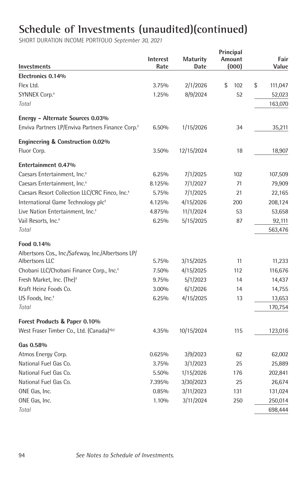| <b>Investments</b>                                            | Interest<br>Rate | <b>Maturity</b><br>Date | Principal<br>Amount<br>(000) | Fair<br>Value |
|---------------------------------------------------------------|------------------|-------------------------|------------------------------|---------------|
| Electronics 0.14%                                             |                  |                         |                              |               |
| Flex Ltd.                                                     | 3.75%            | 2/1/2026                | \$<br>102                    | \$<br>111,047 |
| SYNNEX Corp. <sup>+</sup>                                     | 1.25%            | 8/9/2024                | 52                           | 52,023        |
| Total                                                         |                  |                         |                              | 163,070       |
| Energy - Alternate Sources 0.03%                              |                  |                         |                              |               |
| Enviva Partners LP/Enviva Partners Finance Corp. <sup>+</sup> | 6.50%            | 1/15/2026               | 34                           | 35,211        |
| <b>Engineering &amp; Construction 0.02%</b>                   |                  |                         |                              |               |
| Fluor Corp.                                                   | 3.50%            | 12/15/2024              | 18                           | 18,907        |
| Entertainment 0.47%                                           |                  |                         |                              |               |
| Caesars Entertainment, Inc. <sup>+</sup>                      | 6.25%            | 7/1/2025                | 102                          | 107,509       |
| Caesars Entertainment, Inc. <sup>+</sup>                      | 8.125%           | 7/1/2027                | 71                           | 79,909        |
| Caesars Resort Collection LLC/CRC Finco, Inc. <sup>+</sup>    | 5.75%            | 7/1/2025                | 21                           | 22,165        |
| International Game Technology plc <sup>+</sup>                | 4.125%           | 4/15/2026               | 200                          | 208,124       |
| Live Nation Entertainment, Inc. <sup>+</sup>                  | 4.875%           | 11/1/2024               | 53                           | 53,658        |
| Vail Resorts, Inc. <sup>+</sup>                               | 6.25%            | 5/15/2025               | 87                           | 92,111        |
| Total                                                         |                  |                         |                              | 563,476       |
| Food 0.14%                                                    |                  |                         |                              |               |
| Albertsons Cos., Inc./Safeway, Inc./Albertsons LP/            |                  |                         |                              |               |
| Albertsons LLC                                                | 5.75%            | 3/15/2025               | 11                           | 11,233        |
| Chobani LLC/Chobani Finance Corp., Inc. <sup>+</sup>          | 7.50%            | 4/15/2025               | 112                          | 116,676       |
| Fresh Market, Inc. (The) <sup>+</sup>                         | 9.75%            | 5/1/2023                | 14                           | 14,437        |
| Kraft Heinz Foods Co.                                         | 3.00%            | 6/1/2026                | 14                           | 14,755        |
| US Foods. Inc. <sup>+</sup>                                   | 6.25%            | 4/15/2025               | 13                           | 13,653        |
| Total                                                         |                  |                         |                              | 170,754       |
| Forest Products & Paper 0.10%                                 |                  |                         |                              |               |
| West Fraser Timber Co., Ltd. (Canada) <sup>+(e)</sup>         | 4.35%            | 10/15/2024              | 115                          | 123,016       |
| Gas 0.58%                                                     |                  |                         |                              |               |
| Atmos Energy Corp.                                            | 0.625%           | 3/9/2023                | 62                           | 62,002        |
| National Fuel Gas Co.                                         | 3.75%            | 3/1/2023                | 25                           | 25,889        |
| National Fuel Gas Co.                                         | 5.50%            | 1/15/2026               | 176                          | 202,841       |
| National Fuel Gas Co.                                         | 7.395%           | 3/30/2023               | 25                           | 26,674        |
| ONE Gas. Inc.                                                 | 0.85%            | 3/11/2023               | 131                          | 131,024       |
| ONE Gas, Inc.                                                 | 1.10%            | 3/11/2024               | 250                          | 250,014       |
| Total                                                         |                  |                         |                              | 698,444       |
|                                                               |                  |                         |                              |               |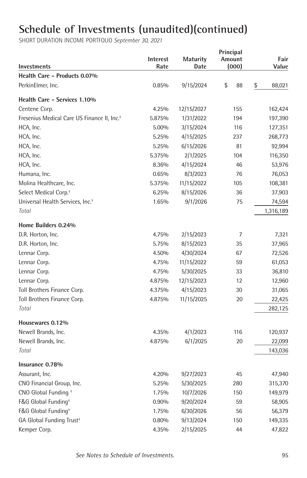| Investments                                             | Interest<br>Rate | <b>Maturity</b><br>Date | Principal<br>Amount<br>(000) | Fair<br>Value |
|---------------------------------------------------------|------------------|-------------------------|------------------------------|---------------|
| Health Care - Products 0.07%                            |                  |                         |                              |               |
| PerkinElmer, Inc.                                       | 0.85%            | 9/15/2024               | \$<br>88                     | \$<br>88,021  |
| Health Care - Services 1.10%                            |                  |                         |                              |               |
| Centene Corp.                                           | 4.25%            | 12/15/2027              | 155                          | 162,424       |
| Fresenius Medical Care US Finance II, Inc. <sup>+</sup> | 5.875%           | 1/31/2022               | 194                          | 197,390       |
| HCA, Inc.                                               | 5.00%            | 3/15/2024               | 116                          | 127,351       |
| HCA, Inc.                                               | 5.25%            | 4/15/2025               | 237                          | 268,773       |
| HCA, Inc.                                               | 5.25%            | 6/15/2026               | 81                           | 92,994        |
| HCA, Inc.                                               | 5.375%           | 2/1/2025                | 104                          | 116,350       |
| HCA, Inc.                                               | 8.36%            | 4/15/2024               | 46                           | 53,976        |
| Humana, Inc.                                            | 0.65%            | 8/3/2023                | 76                           | 76,053        |
| Molina Healthcare, Inc.                                 | 5.375%           | 11/15/2022              | 105                          | 108,381       |
| Select Medical Corp. <sup>+</sup>                       | 6.25%            | 8/15/2026               | 36                           | 37,903        |
| Universal Health Services, Inc. <sup>+</sup>            | 1.65%            | 9/1/2026                | 75                           | 74,594        |
| Total                                                   |                  |                         |                              | 1,316,189     |
| Home Builders 0.24%                                     |                  |                         |                              |               |
| D.R. Horton, Inc.                                       | 4.75%            | 2/15/2023               | 7                            | 7,321         |
| D.R. Horton, Inc.                                       | 5.75%            | 8/15/2023               | 35                           | 37,965        |
| Lennar Corp.                                            | 4.50%            | 4/30/2024               | 67                           | 72,526        |
| Lennar Corp.                                            | 4.75%            | 11/15/2022              | 59                           | 61,053        |
| Lennar Corp.                                            | 4.75%            | 5/30/2025               | 33                           | 36,810        |
| Lennar Corp.                                            | 4.875%           | 12/15/2023              | 12                           | 12,960        |
| Toll Brothers Finance Corp.                             | 4.375%           | 4/15/2023               | 30                           | 31,065        |
| Toll Brothers Finance Corp.                             | 4.875%           | 11/15/2025              | 20                           | 22,425        |
| Total                                                   |                  |                         |                              | 282,125       |
| Housewares 0.12%                                        |                  |                         |                              |               |
| Newell Brands, Inc.                                     | 4.35%            | 4/1/2023                | 116                          | 120,937       |
| Newell Brands, Inc.                                     | 4.875%           | 6/1/2025                | 20                           | 22,099        |
| Total                                                   |                  |                         |                              | 143,036       |
| Insurance 0.78%                                         |                  |                         |                              |               |
| Assurant, Inc.                                          | 4.20%            | 9/27/2023               | 45                           | 47,940        |
| CNO Financial Group, Inc.                               | 5.25%            | 5/30/2025               | 280                          | 315,370       |
| CNO Global Funding +                                    | 1.75%            | 10/7/2026               | 150                          | 149,979       |
| F&G Global Funding <sup>+</sup>                         | 0.90%            | 9/20/2024               | 59                           | 58,905        |
| F&G Global Funding <sup>+</sup>                         | 1.75%            | 6/30/2026               | 56                           | 56,379        |
| GA Global Funding Trust <sup>+</sup>                    | 0.80%            | 9/13/2024               | 150                          | 149,335       |
| Kemper Corp.                                            | 4.35%            | 2/15/2025               | 44                           | 47,822        |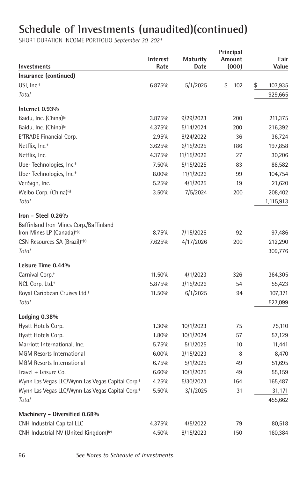| Investments                                                  | <b>Interest</b><br>Rate | <b>Maturity</b><br>Date | Principal<br>Amount<br>(000) | Fair<br>Value |
|--------------------------------------------------------------|-------------------------|-------------------------|------------------------------|---------------|
| Insurance (continued)                                        |                         |                         |                              |               |
| USI, Inc. <sup>+</sup>                                       | 6.875%                  | 5/1/2025                | \$<br>102                    | \$<br>103,935 |
| Total                                                        |                         |                         |                              | 929,665       |
| Internet 0.93%                                               |                         |                         |                              |               |
| Baidu, Inc. (China) <sup>(e)</sup>                           | 3.875%                  | 9/29/2023               | 200                          | 211,375       |
| Baidu, Inc. (China) <sup>(e)</sup>                           | 4.375%                  | 5/14/2024               | 200                          | 216,392       |
| E*TRADE Financial Corp.                                      | 2.95%                   | 8/24/2022               | 36                           | 36,724        |
| Netflix, Inc. <sup>+</sup>                                   | 3.625%                  | 6/15/2025               | 186                          | 197,858       |
| Netflix, Inc.                                                | 4.375%                  | 11/15/2026              | 27                           | 30,206        |
| Uber Technologies, Inc. <sup>+</sup>                         | 7.50%                   | 5/15/2025               | 83                           | 88,582        |
| Uber Technologies, Inc. <sup>+</sup>                         | 8.00%                   | 11/1/2026               | 99                           | 104,754       |
| VeriSign, Inc.                                               | 5.25%                   | 4/1/2025                | 19                           | 21,620        |
| Weibo Corp. (China) <sup>(e)</sup>                           | 3.50%                   | 7/5/2024                | 200                          | 208,402       |
| Total                                                        |                         |                         |                              | 1,115,913     |
| Iron - Steel 0.26%<br>Baffinland Iron Mines Corp./Baffinland |                         |                         |                              |               |
| Iron Mines LP (Canada) <sup>+(e)</sup>                       | 8.75%                   | 7/15/2026               | 92                           | 97,486        |
| CSN Resources SA (Brazil) <sup>+(e)</sup>                    | 7.625%                  | 4/17/2026               | 200                          | 212,290       |
| Total                                                        |                         |                         |                              | 309,776       |
| Leisure Time 0.44%                                           |                         |                         |                              |               |
| Carnival Corp. <sup>+</sup>                                  | 11.50%                  | 4/1/2023                | 326                          | 364,305       |
| NCL Corp. Ltd. <sup>+</sup>                                  | 5.875%                  | 3/15/2026               | 54                           | 55,423        |
| Royal Caribbean Cruises Ltd. <sup>+</sup>                    | 11.50%                  | 6/1/2025                | 94                           | 107,371       |
| Total                                                        |                         |                         |                              | 527,099       |
| Lodging 0.38%                                                |                         |                         |                              |               |
| Hyatt Hotels Corp.                                           | 1.30%                   | 10/1/2023               | 75                           | 75,110        |
| Hyatt Hotels Corp.                                           | 1.80%                   | 10/1/2024               | 57                           | 57,129        |
| Marriott International, Inc.                                 | 5.75%                   | 5/1/2025                | 10                           | 11,441        |
| <b>MGM Resorts International</b>                             | 6.00%                   | 3/15/2023               | 8                            | 8,470         |
| <b>MGM Resorts International</b>                             | 6.75%                   | 5/1/2025                | 49                           | 51,695        |
| Travel + Leisure Co.                                         | 6.60%                   | 10/1/2025               | 49                           | 55,159        |
| Wynn Las Vegas LLC/Wynn Las Vegas Capital Corp. <sup>+</sup> | 4.25%                   | 5/30/2023               | 164                          | 165,487       |
| Wynn Las Vegas LLC/Wynn Las Vegas Capital Corp. <sup>+</sup> | 5.50%                   | 3/1/2025                | 31                           | 31,171        |
| Total                                                        |                         |                         |                              | 455,662       |
| Machinery - Diversified 0.68%                                |                         |                         |                              |               |
| CNH Industrial Capital LLC                                   | 4.375%                  | 4/5/2022                | 79                           | 80,518        |
| CNH Industrial NV (United Kingdom) <sup>(e)</sup>            | 4.50%                   | 8/15/2023               | 150                          | 160,384       |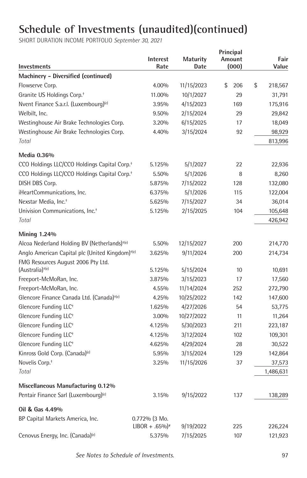| <b>Investments</b>                                          | <b>Interest</b><br>Rate                       | <b>Maturity</b><br>Date | Principal<br>Amount<br>(000) | Fair<br>Value |
|-------------------------------------------------------------|-----------------------------------------------|-------------------------|------------------------------|---------------|
| Machinery - Diversified (continued)                         |                                               |                         |                              |               |
| Flowserve Corp.                                             | 4.00%                                         | 11/15/2023              | \$<br>206                    | \$<br>218,567 |
| Granite US Holdings Corp. <sup>+</sup>                      | 11.00%                                        | 10/1/2027               | 29                           | 31,791        |
| Nvent Finance S.a.r.l. (Luxembourg) <sup>(e)</sup>          | 3.95%                                         | 4/15/2023               | 169                          | 175,916       |
| Welbilt, Inc.                                               | 9.50%                                         | 2/15/2024               | 29                           | 29,842        |
| Westinghouse Air Brake Technologies Corp.                   | 3.20%                                         | 6/15/2025               | 17                           | 18,049        |
| Westinghouse Air Brake Technologies Corp.                   | 4.40%                                         | 3/15/2024               | 92                           | 98,929        |
| Total                                                       |                                               |                         |                              | 813,996       |
| Media 0.36%                                                 |                                               |                         |                              |               |
| CCO Holdings LLC/CCO Holdings Capital Corp. <sup>+</sup>    | 5.125%                                        | 5/1/2027                | 22                           | 22,936        |
| CCO Holdings LLC/CCO Holdings Capital Corp. <sup>+</sup>    | 5.50%                                         | 5/1/2026                | 8                            | 8,260         |
| DISH DBS Corp.                                              | 5.875%                                        | 7/15/2022               | 128                          | 132,080       |
| iHeartCommunications, Inc.                                  | 6.375%                                        | 5/1/2026                | 115                          | 122,004       |
| Nexstar Media, Inc. <sup>+</sup>                            | 5.625%                                        | 7/15/2027               | 34                           | 36,014        |
| Univision Communications, Inc. <sup>+</sup>                 | 5.125%                                        | 2/15/2025               | 104                          | 105,648       |
| Total                                                       |                                               |                         |                              | 426,942       |
| <b>Mining 1.24%</b>                                         |                                               |                         |                              |               |
| Alcoa Nederland Holding BV (Netherlands) <sup>+(e)</sup>    | 5.50%                                         | 12/15/2027              | 200                          | 214,770       |
| Anglo American Capital plc (United Kingdom) <sup>+(e)</sup> | 3.625%                                        | 9/11/2024               | 200                          | 214,734       |
| FMG Resources August 2006 Pty Ltd.                          |                                               |                         |                              |               |
| (Australia) <sup>+(e)</sup>                                 | 5.125%                                        | 5/15/2024               | 10                           | 10,691        |
| Freeport-McMoRan, Inc.                                      | 3.875%                                        | 3/15/2023               | 17                           | 17,560        |
| Freeport-McMoRan, Inc.                                      | 4.55%                                         | 11/14/2024              | 252                          | 272,790       |
| Glencore Finance Canada Ltd. (Canada) <sup>+(e)</sup>       | 4.25%                                         | 10/25/2022              | 142                          | 147,600       |
| Glencore Funding LLC <sup>+</sup>                           | 1.625%                                        | 4/27/2026               | 54                           | 53,775        |
| Glencore Funding LLC <sup>+</sup>                           | 3.00%                                         | 10/27/2022              | 11                           | 11,264        |
| Glencore Funding LLC <sup>+</sup>                           | 4.125%                                        | 5/30/2023               | 211                          | 223,187       |
| Glencore Funding LLC <sup>+</sup>                           | 4.125%                                        | 3/12/2024               | 102                          | 109,301       |
| Glencore Funding LLC <sup>+</sup>                           | 4.625%                                        | 4/29/2024               | 28                           | 30,522        |
| Kinross Gold Corp. (Canada) <sup>(e)</sup>                  | 5.95%                                         | 3/15/2024               | 129                          | 142,864       |
| Novelis Corp. <sup>+</sup>                                  | 3.25%                                         | 11/15/2026              | 37                           | 37,573        |
| Total                                                       |                                               |                         |                              | 1,486,631     |
| Miscellaneous Manufacturing 0.12%                           |                                               |                         |                              |               |
| Pentair Finance Sarl (Luxembourg) <sup>(e)</sup>            | 3.15%                                         | 9/15/2022               | 137                          | 138,289       |
| Oil & Gas 4.49%                                             |                                               |                         |                              |               |
| BP Capital Markets America, Inc.                            | 0.772% (3 Mo.<br>$LIBOR + .65\%$ <sup>*</sup> | 9/19/2022               | 225                          | 226,224       |
| Cenovus Energy, Inc. (Canada) <sup>(e)</sup>                | 5.375%                                        | 7/15/2025               | 107                          | 121,923       |
|                                                             |                                               |                         |                              |               |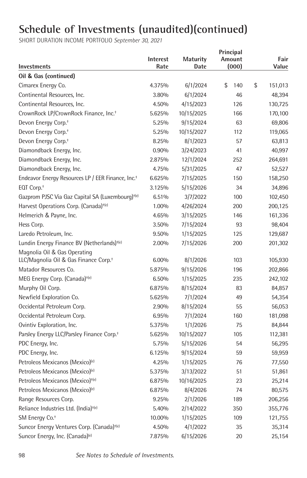| Investments                                                                       | <b>Interest</b><br>Rate | <b>Maturity</b><br>Date | Principal<br>Amount<br>(000) | Fair<br>Value |
|-----------------------------------------------------------------------------------|-------------------------|-------------------------|------------------------------|---------------|
| Oil & Gas (continued)                                                             |                         |                         |                              |               |
| Cimarex Energy Co.                                                                | 4.375%                  | 6/1/2024                | \$<br>140                    | \$<br>151,013 |
| Continental Resources, Inc.                                                       | 3.80%                   | 6/1/2024                | 46                           | 48,394        |
| Continental Resources, Inc.                                                       | 4.50%                   | 4/15/2023               | 126                          | 130,725       |
| CrownRock LP/CrownRock Finance, Inc. <sup>+</sup>                                 | 5.625%                  | 10/15/2025              | 166                          | 170,100       |
| Devon Energy Corp. <sup>+</sup>                                                   | 5.25%                   | 9/15/2024               | 63                           | 69,806        |
| Devon Energy Corp. <sup>+</sup>                                                   | 5.25%                   | 10/15/2027              | 112                          | 119,065       |
| Devon Energy Corp. <sup>+</sup>                                                   | 8.25%                   | 8/1/2023                | 57                           | 63,813        |
| Diamondback Energy, Inc.                                                          | 0.90%                   | 3/24/2023               | 41                           | 40,997        |
| Diamondback Energy, Inc.                                                          | 2.875%                  | 12/1/2024               | 252                          | 264,691       |
| Diamondback Energy, Inc.                                                          | 4.75%                   | 5/31/2025               | 47                           | 52,527        |
| Endeavor Energy Resources LP / EER Finance, Inc. <sup>+</sup>                     | 6.625%                  | 7/15/2025               | 150                          | 158,250       |
| EQT Corp. <sup>+</sup>                                                            | 3.125%                  | 5/15/2026               | 34                           | 34,896        |
| Gazprom PJSC Via Gaz Capital SA (Luxembourg) <sup>+(e)</sup>                      | 6.51%                   | 3/7/2022                | 100                          | 102,450       |
| Harvest Operations Corp. (Canada) <sup>+(e)</sup>                                 | 1.00%                   | 4/26/2024               | 200                          | 200,125       |
| Helmerich & Payne, Inc.                                                           | 4.65%                   | 3/15/2025               | 146                          | 161,336       |
| Hess Corp.                                                                        | 3.50%                   | 7/15/2024               | 93                           | 98,404        |
| Laredo Petroleum, Inc.                                                            | 9.50%                   | 1/15/2025               | 125                          | 129,687       |
| Lundin Energy Finance BV (Netherlands) <sup>+(e)</sup>                            | 2.00%                   | 7/15/2026               | 200                          | 201,302       |
| Magnolia Oil & Gas Operating<br>LLC/Magnolia Oil & Gas Finance Corp. <sup>+</sup> | 6.00%                   | 8/1/2026                | 103                          | 105,930       |
| Matador Resources Co.                                                             | 5.875%                  | 9/15/2026               | 196                          | 202,866       |
| MEG Energy Corp. (Canada) <sup>+(e)</sup>                                         | 6.50%                   | 1/15/2025               | 235                          | 242,102       |
| Murphy Oil Corp.                                                                  | 6.875%                  | 8/15/2024               | 83                           | 84,857        |
| Newfield Exploration Co.                                                          | 5.625%                  | 7/1/2024                | 49                           | 54,354        |
| Occidental Petroleum Corp.                                                        | 2.90%                   | 8/15/2024               | 55                           | 56,053        |
| Occidental Petroleum Corp.                                                        | 6.95%                   | 7/1/2024                | 160                          | 181,098       |
| Ovintiv Exploration, Inc.                                                         | 5.375%                  | 1/1/2026                | 75                           | 84,844        |
| Parsley Energy LLC/Parsley Finance Corp. <sup>+</sup>                             | 5.625%                  | 10/15/2027              | 105                          | 112,381       |
| PDC Energy, Inc.                                                                  | 5.75%                   | 5/15/2026               | 54                           | 56,295        |
| PDC Energy, Inc.                                                                  | 6.125%                  | 9/15/2024               | 59                           | 59,959        |
| Petroleos Mexicanos (Mexico) <sup>(e)</sup>                                       | 4.25%                   | 1/15/2025               | 76                           | 77,550        |
| Petroleos Mexicanos (Mexico) <sup>(e)</sup>                                       | 5.375%                  | 3/13/2022               | 51                           | 51,861        |
| Petroleos Mexicanos (Mexico) <sup>+(e)</sup>                                      | 6.875%                  | 10/16/2025              | 23                           | 25,214        |
| Petroleos Mexicanos (Mexico) <sup>(e)</sup>                                       | 6.875%                  | 8/4/2026                | 74                           | 80,575        |
| Range Resources Corp.                                                             | 9.25%                   | 2/1/2026                | 189                          | 206,256       |
| Reliance Industries Ltd. (India) <sup>+(e)</sup>                                  | 5.40%                   | 2/14/2022               | 350                          | 355,776       |
| SM Energy Co. <sup>+</sup>                                                        | 10.00%                  | 1/15/2025               | 109                          | 121,755       |
| Suncor Energy Ventures Corp. (Canada) <sup>+(e)</sup>                             | 4.50%                   | 4/1/2022                | 35                           | 35,314        |
| Suncor Energy, Inc. (Canada) <sup>(e)</sup>                                       | 7.875%                  | 6/15/2026               | 20                           | 25,154        |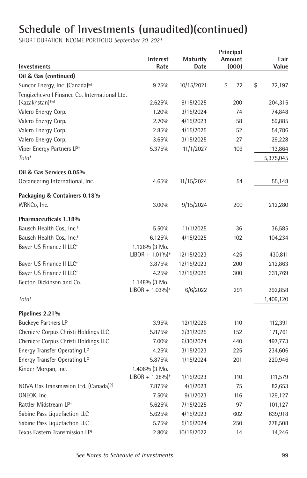| Investments                                        | Interest<br>Rate              | Maturity<br>Date | Principal<br>Amount<br>(000) | Fair<br>Value |
|----------------------------------------------------|-------------------------------|------------------|------------------------------|---------------|
| Oil & Gas (continued)                              |                               |                  |                              |               |
| Suncor Energy, Inc. (Canada) <sup>(e)</sup>        | 9.25%                         | 10/15/2021       | \$<br>72                     | \$<br>72,197  |
| Tengizchevroil Finance Co. International Ltd.      |                               |                  |                              |               |
| (Kazakhstan) <sup>+(e)</sup>                       | 2.625%                        | 8/15/2025        | 200                          | 204,315       |
| Valero Energy Corp.                                | 1.20%                         | 3/15/2024        | 74                           | 74,848        |
| Valero Energy Corp.                                | 2.70%                         | 4/15/2023        | 58                           | 59,885        |
| Valero Energy Corp.                                | 2.85%                         | 4/15/2025        | 52                           | 54,786        |
| Valero Energy Corp.                                | 3.65%                         | 3/15/2025        | 27                           | 29,228        |
| Viper Energy Partners LP <sup>+</sup>              | 5.375%                        | 11/1/2027        | 109                          | 113,864       |
| Total                                              |                               |                  |                              | 5,375,045     |
| Oil & Gas Services 0.05%                           |                               |                  |                              |               |
| Oceaneering International, Inc.                    | 4.65%                         | 11/15/2024       | 54                           | 55,148        |
| Packaging & Containers 0.18%                       |                               |                  |                              |               |
| WRKCo, Inc.                                        | 3.00%                         | 9/15/2024        | 200                          | 212,280       |
| Pharmaceuticals 1.18%                              |                               |                  |                              |               |
| Bausch Health Cos., Inc. <sup>+</sup>              | 5.50%                         | 11/1/2025        | 36                           | 36,585        |
| Bausch Health Cos., Inc. <sup>+</sup>              | 6.125%                        | 4/15/2025        | 102                          | 104,234       |
| Bayer US Finance II LLC <sup>+</sup>               | $1.126\%$ (3 Mo.              |                  |                              |               |
|                                                    | $LIBOR + 1.01\%$ <sup>*</sup> | 12/15/2023       | 425                          | 430,811       |
| Bayer US Finance II LLC <sup>+</sup>               | 3.875%                        | 12/15/2023       | 200                          | 212,863       |
| Bayer US Finance II LLC <sup>+</sup>               | 4.25%                         | 12/15/2025       | 300                          | 331,769       |
| Becton Dickinson and Co.                           | 1.148% (3 Mo.                 |                  |                              |               |
|                                                    | $LIBOR + 1.03\%$ <sup>*</sup> | 6/6/2022         | 291                          | 292,858       |
| Total                                              |                               |                  |                              | 1,409,120     |
| Pipelines 2.21%                                    |                               |                  |                              |               |
| <b>Buckeye Partners LP</b>                         | 3.95%                         | 12/1/2026        | 110                          | 112,391       |
| Cheniere Corpus Christi Holdings LLC               | 5.875%                        | 3/31/2025        | 152                          | 171,761       |
| Cheniere Corpus Christi Holdings LLC               | 7.00%                         | 6/30/2024        | 440                          | 497,773       |
| <b>Energy Transfer Operating LP</b>                | 4.25%                         | 3/15/2023        | 225                          | 234,606       |
| <b>Energy Transfer Operating LP</b>                | 5.875%                        | 1/15/2024        | 201                          | 220,946       |
| Kinder Morgan, Inc.                                | 1.406% (3 Mo.                 |                  |                              |               |
|                                                    | $LIBOR + 1.28\%$ <sup>*</sup> | 1/15/2023        | 110                          | 111,579       |
| NOVA Gas Transmission Ltd. (Canada) <sup>(e)</sup> | 7.875%                        | 4/1/2023         | 75                           | 82,653        |
| ONEOK, Inc.                                        | 7.50%                         | 9/1/2023         | 116                          | 129,127       |
| Rattler Midstream LP <sup>+</sup>                  | 5.625%                        | 7/15/2025        | 97                           | 101,127       |
| Sabine Pass Liquefaction LLC                       | 5.625%                        | 4/15/2023        | 602                          | 639,918       |
| Sabine Pass Liquefaction LLC                       | 5.75%                         | 5/15/2024        | 250                          | 278,508       |
| Texas Eastern Transmission LP <sup>+</sup>         | 2.80%                         | 10/15/2022       | 14                           | 14,246        |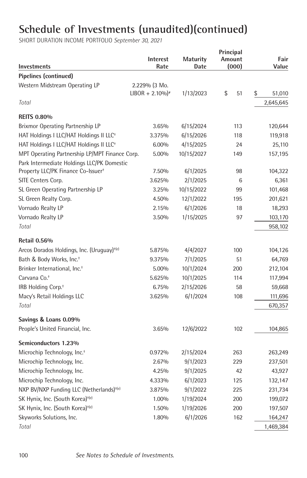| Pipelines (continued)<br>Western Midstream Operating LP<br>2.229% (3 Mo.<br>$LIBOR + 2.10\%$ <sup>*</sup><br>1/13/2023<br>\$<br>51<br>\$<br>51,010<br>Total<br>2,645,645<br><b>REITS 0.80%</b><br>Brixmor Operating Partnership LP<br>3.65%<br>6/15/2024<br>120,644<br>113<br>HAT Holdings I LLC/HAT Holdings II LLC <sup>+</sup><br>6/15/2026<br>3.375%<br>118<br>119,918<br>HAT Holdings I LLC/HAT Holdings II LLC <sup>+</sup><br>$6.00\%$<br>4/15/2025<br>24<br>25,110<br>MPT Operating Partnership LP/MPT Finance Corp.<br>10/15/2027<br>5.00%<br>149<br>157,195<br>Park Intermediate Holdings LLC/PK Domestic<br>Property LLC/PK Finance Co-Issuer <sup>+</sup><br>7.50%<br>6/1/2025<br>98<br>104,322<br>SITE Centers Corp.<br>2/1/2025<br>3.625%<br>6<br>6,361<br>10/15/2022<br>SL Green Operating Partnership LP<br>3.25%<br>99<br>101,468<br>SL Green Realty Corp.<br>12/1/2022<br>4.50%<br>195<br>201,621<br>Vornado Realty LP<br>2.15%<br>6/1/2026<br>18<br>18,293<br>Vornado Realty LP<br>1/15/2025<br>3.50%<br>97<br>103,170<br>Total<br>958,102<br><b>Retail 0.56%</b><br>Arcos Dorados Holdings, Inc. (Uruguay) <sup>+(e)</sup><br>4/4/2027<br>5.875%<br>100<br>104,126<br>Bath & Body Works, Inc. <sup>+</sup><br>7/1/2025<br>51<br>9.375%<br>64,769<br>Brinker International, Inc. <sup>+</sup><br>5.00%<br>10/1/2024<br>200<br>212,104<br>10/1/2025<br>Carvana Co. <sup>+</sup><br>5.625%<br>114<br>117,994<br>2/15/2026<br>IRB Holding Corp. <sup>+</sup><br>6.75%<br>58<br>59,668<br>Macy's Retail Holdings LLC<br>6/1/2024<br>3.625%<br>108<br>111,696<br>Total<br>670,357<br>Savings & Loans 0.09%<br>People's United Financial, Inc.<br>12/6/2022<br>3.65%<br>102<br>104,865<br>Semiconductors 1.23%<br>Microchip Technology, Inc. <sup>+</sup><br>0.972%<br>2/15/2024<br>263<br>263,249<br>Microchip Technology, Inc.<br>9/1/2023<br>2.67%<br>229<br>237,501<br>Microchip Technology, Inc.<br>9/1/2025<br>4.25%<br>42<br>43,927<br>Microchip Technology, Inc.<br>6/1/2023<br>4.333%<br>125<br>132,147<br>NXP BV/NXP Funding LLC (Netherlands) <sup>+(e)</sup><br>9/1/2022<br>3.875%<br>225<br>231,734<br>SK Hynix, Inc. (South Korea) <sup>+(e)</sup><br>1/19/2024<br>200<br>1.00%<br>199,072<br>SK Hynix, Inc. (South Korea) <sup>+(e)</sup><br>1/19/2026<br>200<br>1.50%<br>197,507<br>6/1/2026<br>Skyworks Solutions, Inc.<br>1.80%<br>162<br>164,247<br>Total<br>1,469,384 | Investments | <b>Interest</b><br>Rate | <b>Maturity</b><br>Date | Principal<br><b>Amount</b><br>(000) | Fair<br>Value |
|--------------------------------------------------------------------------------------------------------------------------------------------------------------------------------------------------------------------------------------------------------------------------------------------------------------------------------------------------------------------------------------------------------------------------------------------------------------------------------------------------------------------------------------------------------------------------------------------------------------------------------------------------------------------------------------------------------------------------------------------------------------------------------------------------------------------------------------------------------------------------------------------------------------------------------------------------------------------------------------------------------------------------------------------------------------------------------------------------------------------------------------------------------------------------------------------------------------------------------------------------------------------------------------------------------------------------------------------------------------------------------------------------------------------------------------------------------------------------------------------------------------------------------------------------------------------------------------------------------------------------------------------------------------------------------------------------------------------------------------------------------------------------------------------------------------------------------------------------------------------------------------------------------------------------------------------------------------------------------------------------------------------------------------------------------------------------------------------------------------------------------------------------------------------------------------------------------------------------------------------------------------------------------------------------------------------------------------------------------------------------------------------------------|-------------|-------------------------|-------------------------|-------------------------------------|---------------|
|                                                                                                                                                                                                                                                                                                                                                                                                                                                                                                                                                                                                                                                                                                                                                                                                                                                                                                                                                                                                                                                                                                                                                                                                                                                                                                                                                                                                                                                                                                                                                                                                                                                                                                                                                                                                                                                                                                                                                                                                                                                                                                                                                                                                                                                                                                                                                                                                        |             |                         |                         |                                     |               |
|                                                                                                                                                                                                                                                                                                                                                                                                                                                                                                                                                                                                                                                                                                                                                                                                                                                                                                                                                                                                                                                                                                                                                                                                                                                                                                                                                                                                                                                                                                                                                                                                                                                                                                                                                                                                                                                                                                                                                                                                                                                                                                                                                                                                                                                                                                                                                                                                        |             |                         |                         |                                     |               |
|                                                                                                                                                                                                                                                                                                                                                                                                                                                                                                                                                                                                                                                                                                                                                                                                                                                                                                                                                                                                                                                                                                                                                                                                                                                                                                                                                                                                                                                                                                                                                                                                                                                                                                                                                                                                                                                                                                                                                                                                                                                                                                                                                                                                                                                                                                                                                                                                        |             |                         |                         |                                     |               |
|                                                                                                                                                                                                                                                                                                                                                                                                                                                                                                                                                                                                                                                                                                                                                                                                                                                                                                                                                                                                                                                                                                                                                                                                                                                                                                                                                                                                                                                                                                                                                                                                                                                                                                                                                                                                                                                                                                                                                                                                                                                                                                                                                                                                                                                                                                                                                                                                        |             |                         |                         |                                     |               |
|                                                                                                                                                                                                                                                                                                                                                                                                                                                                                                                                                                                                                                                                                                                                                                                                                                                                                                                                                                                                                                                                                                                                                                                                                                                                                                                                                                                                                                                                                                                                                                                                                                                                                                                                                                                                                                                                                                                                                                                                                                                                                                                                                                                                                                                                                                                                                                                                        |             |                         |                         |                                     |               |
|                                                                                                                                                                                                                                                                                                                                                                                                                                                                                                                                                                                                                                                                                                                                                                                                                                                                                                                                                                                                                                                                                                                                                                                                                                                                                                                                                                                                                                                                                                                                                                                                                                                                                                                                                                                                                                                                                                                                                                                                                                                                                                                                                                                                                                                                                                                                                                                                        |             |                         |                         |                                     |               |
|                                                                                                                                                                                                                                                                                                                                                                                                                                                                                                                                                                                                                                                                                                                                                                                                                                                                                                                                                                                                                                                                                                                                                                                                                                                                                                                                                                                                                                                                                                                                                                                                                                                                                                                                                                                                                                                                                                                                                                                                                                                                                                                                                                                                                                                                                                                                                                                                        |             |                         |                         |                                     |               |
|                                                                                                                                                                                                                                                                                                                                                                                                                                                                                                                                                                                                                                                                                                                                                                                                                                                                                                                                                                                                                                                                                                                                                                                                                                                                                                                                                                                                                                                                                                                                                                                                                                                                                                                                                                                                                                                                                                                                                                                                                                                                                                                                                                                                                                                                                                                                                                                                        |             |                         |                         |                                     |               |
|                                                                                                                                                                                                                                                                                                                                                                                                                                                                                                                                                                                                                                                                                                                                                                                                                                                                                                                                                                                                                                                                                                                                                                                                                                                                                                                                                                                                                                                                                                                                                                                                                                                                                                                                                                                                                                                                                                                                                                                                                                                                                                                                                                                                                                                                                                                                                                                                        |             |                         |                         |                                     |               |
|                                                                                                                                                                                                                                                                                                                                                                                                                                                                                                                                                                                                                                                                                                                                                                                                                                                                                                                                                                                                                                                                                                                                                                                                                                                                                                                                                                                                                                                                                                                                                                                                                                                                                                                                                                                                                                                                                                                                                                                                                                                                                                                                                                                                                                                                                                                                                                                                        |             |                         |                         |                                     |               |
|                                                                                                                                                                                                                                                                                                                                                                                                                                                                                                                                                                                                                                                                                                                                                                                                                                                                                                                                                                                                                                                                                                                                                                                                                                                                                                                                                                                                                                                                                                                                                                                                                                                                                                                                                                                                                                                                                                                                                                                                                                                                                                                                                                                                                                                                                                                                                                                                        |             |                         |                         |                                     |               |
|                                                                                                                                                                                                                                                                                                                                                                                                                                                                                                                                                                                                                                                                                                                                                                                                                                                                                                                                                                                                                                                                                                                                                                                                                                                                                                                                                                                                                                                                                                                                                                                                                                                                                                                                                                                                                                                                                                                                                                                                                                                                                                                                                                                                                                                                                                                                                                                                        |             |                         |                         |                                     |               |
|                                                                                                                                                                                                                                                                                                                                                                                                                                                                                                                                                                                                                                                                                                                                                                                                                                                                                                                                                                                                                                                                                                                                                                                                                                                                                                                                                                                                                                                                                                                                                                                                                                                                                                                                                                                                                                                                                                                                                                                                                                                                                                                                                                                                                                                                                                                                                                                                        |             |                         |                         |                                     |               |
|                                                                                                                                                                                                                                                                                                                                                                                                                                                                                                                                                                                                                                                                                                                                                                                                                                                                                                                                                                                                                                                                                                                                                                                                                                                                                                                                                                                                                                                                                                                                                                                                                                                                                                                                                                                                                                                                                                                                                                                                                                                                                                                                                                                                                                                                                                                                                                                                        |             |                         |                         |                                     |               |
|                                                                                                                                                                                                                                                                                                                                                                                                                                                                                                                                                                                                                                                                                                                                                                                                                                                                                                                                                                                                                                                                                                                                                                                                                                                                                                                                                                                                                                                                                                                                                                                                                                                                                                                                                                                                                                                                                                                                                                                                                                                                                                                                                                                                                                                                                                                                                                                                        |             |                         |                         |                                     |               |
|                                                                                                                                                                                                                                                                                                                                                                                                                                                                                                                                                                                                                                                                                                                                                                                                                                                                                                                                                                                                                                                                                                                                                                                                                                                                                                                                                                                                                                                                                                                                                                                                                                                                                                                                                                                                                                                                                                                                                                                                                                                                                                                                                                                                                                                                                                                                                                                                        |             |                         |                         |                                     |               |
|                                                                                                                                                                                                                                                                                                                                                                                                                                                                                                                                                                                                                                                                                                                                                                                                                                                                                                                                                                                                                                                                                                                                                                                                                                                                                                                                                                                                                                                                                                                                                                                                                                                                                                                                                                                                                                                                                                                                                                                                                                                                                                                                                                                                                                                                                                                                                                                                        |             |                         |                         |                                     |               |
|                                                                                                                                                                                                                                                                                                                                                                                                                                                                                                                                                                                                                                                                                                                                                                                                                                                                                                                                                                                                                                                                                                                                                                                                                                                                                                                                                                                                                                                                                                                                                                                                                                                                                                                                                                                                                                                                                                                                                                                                                                                                                                                                                                                                                                                                                                                                                                                                        |             |                         |                         |                                     |               |
|                                                                                                                                                                                                                                                                                                                                                                                                                                                                                                                                                                                                                                                                                                                                                                                                                                                                                                                                                                                                                                                                                                                                                                                                                                                                                                                                                                                                                                                                                                                                                                                                                                                                                                                                                                                                                                                                                                                                                                                                                                                                                                                                                                                                                                                                                                                                                                                                        |             |                         |                         |                                     |               |
|                                                                                                                                                                                                                                                                                                                                                                                                                                                                                                                                                                                                                                                                                                                                                                                                                                                                                                                                                                                                                                                                                                                                                                                                                                                                                                                                                                                                                                                                                                                                                                                                                                                                                                                                                                                                                                                                                                                                                                                                                                                                                                                                                                                                                                                                                                                                                                                                        |             |                         |                         |                                     |               |
|                                                                                                                                                                                                                                                                                                                                                                                                                                                                                                                                                                                                                                                                                                                                                                                                                                                                                                                                                                                                                                                                                                                                                                                                                                                                                                                                                                                                                                                                                                                                                                                                                                                                                                                                                                                                                                                                                                                                                                                                                                                                                                                                                                                                                                                                                                                                                                                                        |             |                         |                         |                                     |               |
|                                                                                                                                                                                                                                                                                                                                                                                                                                                                                                                                                                                                                                                                                                                                                                                                                                                                                                                                                                                                                                                                                                                                                                                                                                                                                                                                                                                                                                                                                                                                                                                                                                                                                                                                                                                                                                                                                                                                                                                                                                                                                                                                                                                                                                                                                                                                                                                                        |             |                         |                         |                                     |               |
|                                                                                                                                                                                                                                                                                                                                                                                                                                                                                                                                                                                                                                                                                                                                                                                                                                                                                                                                                                                                                                                                                                                                                                                                                                                                                                                                                                                                                                                                                                                                                                                                                                                                                                                                                                                                                                                                                                                                                                                                                                                                                                                                                                                                                                                                                                                                                                                                        |             |                         |                         |                                     |               |
|                                                                                                                                                                                                                                                                                                                                                                                                                                                                                                                                                                                                                                                                                                                                                                                                                                                                                                                                                                                                                                                                                                                                                                                                                                                                                                                                                                                                                                                                                                                                                                                                                                                                                                                                                                                                                                                                                                                                                                                                                                                                                                                                                                                                                                                                                                                                                                                                        |             |                         |                         |                                     |               |
|                                                                                                                                                                                                                                                                                                                                                                                                                                                                                                                                                                                                                                                                                                                                                                                                                                                                                                                                                                                                                                                                                                                                                                                                                                                                                                                                                                                                                                                                                                                                                                                                                                                                                                                                                                                                                                                                                                                                                                                                                                                                                                                                                                                                                                                                                                                                                                                                        |             |                         |                         |                                     |               |
|                                                                                                                                                                                                                                                                                                                                                                                                                                                                                                                                                                                                                                                                                                                                                                                                                                                                                                                                                                                                                                                                                                                                                                                                                                                                                                                                                                                                                                                                                                                                                                                                                                                                                                                                                                                                                                                                                                                                                                                                                                                                                                                                                                                                                                                                                                                                                                                                        |             |                         |                         |                                     |               |
|                                                                                                                                                                                                                                                                                                                                                                                                                                                                                                                                                                                                                                                                                                                                                                                                                                                                                                                                                                                                                                                                                                                                                                                                                                                                                                                                                                                                                                                                                                                                                                                                                                                                                                                                                                                                                                                                                                                                                                                                                                                                                                                                                                                                                                                                                                                                                                                                        |             |                         |                         |                                     |               |
|                                                                                                                                                                                                                                                                                                                                                                                                                                                                                                                                                                                                                                                                                                                                                                                                                                                                                                                                                                                                                                                                                                                                                                                                                                                                                                                                                                                                                                                                                                                                                                                                                                                                                                                                                                                                                                                                                                                                                                                                                                                                                                                                                                                                                                                                                                                                                                                                        |             |                         |                         |                                     |               |
|                                                                                                                                                                                                                                                                                                                                                                                                                                                                                                                                                                                                                                                                                                                                                                                                                                                                                                                                                                                                                                                                                                                                                                                                                                                                                                                                                                                                                                                                                                                                                                                                                                                                                                                                                                                                                                                                                                                                                                                                                                                                                                                                                                                                                                                                                                                                                                                                        |             |                         |                         |                                     |               |
|                                                                                                                                                                                                                                                                                                                                                                                                                                                                                                                                                                                                                                                                                                                                                                                                                                                                                                                                                                                                                                                                                                                                                                                                                                                                                                                                                                                                                                                                                                                                                                                                                                                                                                                                                                                                                                                                                                                                                                                                                                                                                                                                                                                                                                                                                                                                                                                                        |             |                         |                         |                                     |               |
|                                                                                                                                                                                                                                                                                                                                                                                                                                                                                                                                                                                                                                                                                                                                                                                                                                                                                                                                                                                                                                                                                                                                                                                                                                                                                                                                                                                                                                                                                                                                                                                                                                                                                                                                                                                                                                                                                                                                                                                                                                                                                                                                                                                                                                                                                                                                                                                                        |             |                         |                         |                                     |               |
|                                                                                                                                                                                                                                                                                                                                                                                                                                                                                                                                                                                                                                                                                                                                                                                                                                                                                                                                                                                                                                                                                                                                                                                                                                                                                                                                                                                                                                                                                                                                                                                                                                                                                                                                                                                                                                                                                                                                                                                                                                                                                                                                                                                                                                                                                                                                                                                                        |             |                         |                         |                                     |               |
|                                                                                                                                                                                                                                                                                                                                                                                                                                                                                                                                                                                                                                                                                                                                                                                                                                                                                                                                                                                                                                                                                                                                                                                                                                                                                                                                                                                                                                                                                                                                                                                                                                                                                                                                                                                                                                                                                                                                                                                                                                                                                                                                                                                                                                                                                                                                                                                                        |             |                         |                         |                                     |               |
|                                                                                                                                                                                                                                                                                                                                                                                                                                                                                                                                                                                                                                                                                                                                                                                                                                                                                                                                                                                                                                                                                                                                                                                                                                                                                                                                                                                                                                                                                                                                                                                                                                                                                                                                                                                                                                                                                                                                                                                                                                                                                                                                                                                                                                                                                                                                                                                                        |             |                         |                         |                                     |               |
|                                                                                                                                                                                                                                                                                                                                                                                                                                                                                                                                                                                                                                                                                                                                                                                                                                                                                                                                                                                                                                                                                                                                                                                                                                                                                                                                                                                                                                                                                                                                                                                                                                                                                                                                                                                                                                                                                                                                                                                                                                                                                                                                                                                                                                                                                                                                                                                                        |             |                         |                         |                                     |               |
|                                                                                                                                                                                                                                                                                                                                                                                                                                                                                                                                                                                                                                                                                                                                                                                                                                                                                                                                                                                                                                                                                                                                                                                                                                                                                                                                                                                                                                                                                                                                                                                                                                                                                                                                                                                                                                                                                                                                                                                                                                                                                                                                                                                                                                                                                                                                                                                                        |             |                         |                         |                                     |               |
|                                                                                                                                                                                                                                                                                                                                                                                                                                                                                                                                                                                                                                                                                                                                                                                                                                                                                                                                                                                                                                                                                                                                                                                                                                                                                                                                                                                                                                                                                                                                                                                                                                                                                                                                                                                                                                                                                                                                                                                                                                                                                                                                                                                                                                                                                                                                                                                                        |             |                         |                         |                                     |               |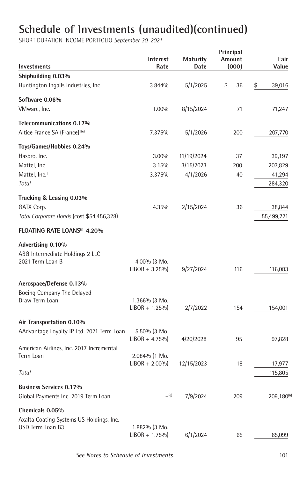| Investments                               | <b>Interest</b><br>Rate             | <b>Maturity</b><br>Date | Principal<br>Amount<br>(000) | Fair<br>Value   |
|-------------------------------------------|-------------------------------------|-------------------------|------------------------------|-----------------|
| Shipbuilding 0.03%                        |                                     |                         |                              |                 |
| Huntington Ingalls Industries, Inc.       | 3.844%                              | 5/1/2025                | \$<br>36                     | \$<br>39,016    |
| Software 0.06%                            |                                     |                         |                              |                 |
| VMware, Inc.                              | 1.00%                               | 8/15/2024               | 71                           | 71,247          |
| Telecommunications 0.17%                  |                                     |                         |                              |                 |
| Altice France SA (France) <sup>+(e)</sup> | 7.375%                              | 5/1/2026                | 200                          | 207,770         |
| Toys/Games/Hobbies 0.24%                  |                                     |                         |                              |                 |
| Hasbro, Inc.                              | 3.00%                               | 11/19/2024              | 37                           | 39,197          |
| Mattel, Inc.                              | 3.15%                               | 3/15/2023               | 200                          | 203,829         |
| Mattel, Inc. <sup>+</sup>                 | 3.375%                              | 4/1/2026                | 40                           | 41,294          |
| Total                                     |                                     |                         |                              | 284,320         |
| Trucking & Leasing 0.03%                  |                                     |                         |                              |                 |
| GATX Corp.                                | 4.35%                               | 2/15/2024               | 36                           | 38,844          |
| Total Corporate Bonds (cost \$54,456,328) |                                     |                         |                              | 55,499,771      |
| FLOATING RATE LOANS <sup>(f)</sup> 4.20%  |                                     |                         |                              |                 |
| Advertising 0.10%                         |                                     |                         |                              |                 |
| ABG Intermediate Holdings 2 LLC           |                                     |                         |                              |                 |
| 2021 Term Loan B                          | 4.00% (3 Mo.                        |                         |                              |                 |
|                                           | $LIBOR + 3.25\%$                    | 9/27/2024               | 116                          | 116,083         |
| Aerospace/Defense 0.13%                   |                                     |                         |                              |                 |
| Boeing Company The Delayed                |                                     |                         |                              |                 |
| Draw Term Loan                            | 1.366% (3 Mo.<br>$LIBOR + 1.25\%$   | 2/7/2022                | 154                          | 154,001         |
|                                           |                                     |                         |                              |                 |
| Air Transportation 0.10%                  |                                     |                         |                              |                 |
| AAdvantage Loyalty IP Ltd. 2021 Term Loan | $5.50\%$ (3 Mo.<br>$LIBOR + 4.75\%$ | 4/20/2028               | 95                           |                 |
| American Airlines, Inc. 2017 Incremental  |                                     |                         |                              | 97,828          |
| Term Loan                                 | 2.084% (1 Mo.                       |                         |                              |                 |
|                                           | $LIBOR + 2.00\%$                    | 12/15/2023              | 18                           | 17,977          |
| Total                                     |                                     |                         |                              | 115,805         |
| <b>Business Services 0.17%</b>            |                                     |                         |                              |                 |
| Global Payments Inc. 2019 Term Loan       | $\Box$ (g)                          | 7/9/2024                | 209                          | $209,180^{(h)}$ |
| Chemicals 0.05%                           |                                     |                         |                              |                 |
| Axalta Coating Systems US Holdings, Inc.  |                                     |                         |                              |                 |
| USD Term Loan B3                          | $1.882\%$ (3 Mo.                    |                         |                              |                 |
|                                           | $LIBOR + 1.75\%$                    | 6/1/2024                | 65                           | 65,099          |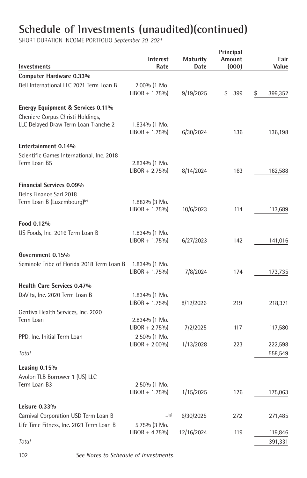SHORT DURATION INCOME PORTFOLIO *September 30, 2021*

| Investments                                                               | <b>Interest</b><br>Rate              | Maturity<br>Date | Principal<br>Amount<br>(000) | Fair<br>Value      |
|---------------------------------------------------------------------------|--------------------------------------|------------------|------------------------------|--------------------|
| Computer Hardware 0.33%                                                   |                                      |                  |                              |                    |
| Dell International LLC 2021 Term Loan B                                   | 2.00% (1 Mo.<br>$LIBOR + 1.75\%$     | 9/19/2025        | \$<br>399                    | \$<br>399,352      |
| Energy Equipment & Services 0.11%                                         |                                      |                  |                              |                    |
| Cheniere Corpus Christi Holdings,<br>LLC Delayed Draw Term Loan Tranche 2 | $1.834\%$ (1 Mo.<br>$LIBOR + 1.75\%$ | 6/30/2024        | 136                          | 136,198            |
| Entertainment 0.14%                                                       |                                      |                  |                              |                    |
| Scientific Games International, Inc. 2018<br>Term Loan B5                 | 2.834% (1 Mo.<br>$LIBOR + 2.75\%$    | 8/14/2024        | 163                          | 162,588            |
| <b>Financial Services 0.09%</b>                                           |                                      |                  |                              |                    |
| Delos Finance Sarl 2018<br>Term Loan B (Luxembourg) <sup>(e)</sup>        | 1.882% (3 Mo.<br>$LIBOR + 1.75\%$    | 10/6/2023        | 114                          | 113,689            |
| Food 0.12%                                                                |                                      |                  |                              |                    |
| US Foods, Inc. 2016 Term Loan B                                           | $1.834\%$ (1 Mo.<br>$LIBOR + 1.75\%$ | 6/27/2023        | 142                          | 141,016            |
| Government 0.15%                                                          |                                      |                  |                              |                    |
| Seminole Tribe of Florida 2018 Term Loan B                                | $1.834\%$ (1 Mo.<br>$LIBOR + 1.75\%$ | 7/8/2024         | 174                          | 173,735            |
| Health Care Services 0.47%                                                |                                      |                  |                              |                    |
| DaVita, Inc. 2020 Term Loan B                                             | 1.834% (1 Mo.<br>$LIBOR + 1.75\%$    | 8/12/2026        | 219                          | 218,371            |
| Gentiva Health Services, Inc. 2020                                        |                                      |                  |                              |                    |
| Term Loan                                                                 | 2.834% (1 Mo.<br>$LIBOR + 2.75\%$    | 7/2/2025         | 117                          | 117,580            |
| PPD, Inc. Initial Term Loan                                               | 2.50% (1 Mo.<br>$LIBOR + 2.00\%$     | 1/13/2028        | 223                          | 222,598            |
| Total                                                                     |                                      |                  |                              | 558,549            |
| Leasing 0.15%<br>Avolon TLB Borrower 1 (US) LLC<br>Term Loan B3           | 2.50% (1 Mo.                         |                  |                              |                    |
|                                                                           | $LIBOR + 1.75\%$                     | 1/15/2025        | 176                          | 175,063            |
| Leisure $0.33\%$<br>Carnival Corporation USD Term Loan B                  | (g)                                  | 6/30/2025        | 272                          | 271,485            |
| Life Time Fitness, Inc. 2021 Term Loan B                                  | 5.75% (3 Mo.                         |                  |                              |                    |
| Total                                                                     | $LIBOR + 4.75\%$                     | 12/16/2024       | 119                          | 119,846<br>391,331 |
|                                                                           |                                      |                  |                              |                    |

102 *See Notes to Schedule of Investments.*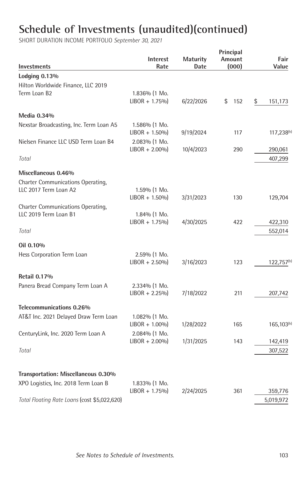|                                              |                  |                 | Principal |                        |
|----------------------------------------------|------------------|-----------------|-----------|------------------------|
|                                              | <b>Interest</b>  | <b>Maturity</b> | Amount    | Fair                   |
| Investments                                  | Rate             | Date            | (000)     | Value                  |
| Lodging 0.13%                                |                  |                 |           |                        |
| Hilton Worldwide Finance, LLC 2019           |                  |                 |           |                        |
| Term Loan B2                                 | 1.836% (1 Mo.    |                 |           |                        |
|                                              | $LIBOR + 1.75\%$ | 6/22/2026       | \$<br>152 | \$<br>151,173          |
| Media 0.34%                                  |                  |                 |           |                        |
| Nexstar Broadcasting, Inc. Term Loan A5      | 1.586% (1 Mo.    |                 |           |                        |
|                                              | $LIBOR + 1.50\%$ | 9/19/2024       | 117       | $117,238^{(h)}$        |
| Nielsen Finance LLC USD Term Loan B4         | 2.083% (1 Mo.    |                 |           |                        |
|                                              | $LIBOR + 2.00\%$ | 10/4/2023       | 290       | 290,061                |
| Total                                        |                  |                 |           | 407,299                |
| Miscellaneous 0.46%                          |                  |                 |           |                        |
| Charter Communications Operating,            |                  |                 |           |                        |
| LLC 2017 Term Loan A2                        | 1.59% (1 Mo.     |                 |           |                        |
|                                              | $LIBOR + 1.50\%$ | 3/31/2023       | 130       | 129,704                |
| Charter Communications Operating,            |                  |                 |           |                        |
| LLC 2019 Term Loan B1                        | $1.84\%$ (1 Mo.  |                 |           |                        |
|                                              | $LIBOR + 1.75\%$ | 4/30/2025       | 422       | 422,310                |
| Total                                        |                  |                 |           | 552,014                |
| Oil 0.10%                                    |                  |                 |           |                        |
| Hess Corporation Term Loan                   | 2.59% (1 Mo.     |                 |           |                        |
|                                              | $LIBOR + 2.50\%$ | 3/16/2023       | 123       | 122,757 <sup>(h)</sup> |
| <b>Retail 0.17%</b>                          |                  |                 |           |                        |
| Panera Bread Company Term Loan A             | 2.334% (1 Mo.    |                 |           |                        |
|                                              | $LIBOR + 2.25\%$ | 7/18/2022       | 211       | 207,742                |
|                                              |                  |                 |           |                        |
| Telecommunications 0.26%                     |                  |                 |           |                        |
| AT&T Inc. 2021 Delayed Draw Term Loan        | 1.082% (1 Mo.    |                 |           |                        |
|                                              | $LIBOR + 1.00\%$ | 1/28/2022       | 165       | 165,103 <sup>(h)</sup> |
| CenturyLink, Inc. 2020 Term Loan A           | 2.084% (1 Mo.    |                 |           |                        |
|                                              | $LIBOR + 2.00\%$ | 1/31/2025       | 143       | 142,419                |
| Total                                        |                  |                 |           | 307,522                |
|                                              |                  |                 |           |                        |
| Transportation: Miscellaneous 0.30%          |                  |                 |           |                        |
| XPO Logistics, Inc. 2018 Term Loan B         | 1.833% (1 Mo.    |                 |           |                        |
|                                              | $LIBOR + 1.75\%$ | 2/24/2025       | 361       | 359,776                |
| Total Floating Rate Loans (cost \$5,022,620) |                  |                 |           | 5,019,972              |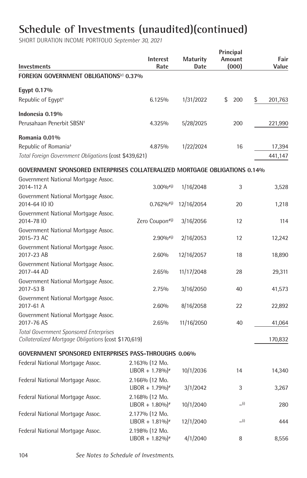| Investments                                                                                           | Interest<br>Rate                                | <b>Maturity</b><br>Date | Principal<br>Amount<br>(000) | Fair<br>Value |
|-------------------------------------------------------------------------------------------------------|-------------------------------------------------|-------------------------|------------------------------|---------------|
| FOREIGN GOVERNMENT OBLIGATIONS <sup>(e)</sup> 0.37%                                                   |                                                 |                         |                              |               |
| Egypt 0.17%                                                                                           |                                                 |                         |                              |               |
| Republic of Egypt <sup>+</sup>                                                                        | 6.125%                                          | 1/31/2022               | \$<br>200                    | \$<br>201,763 |
| Indonesia 0.19%                                                                                       |                                                 |                         |                              |               |
| Perusahaan Penerbit SBSN <sup>+</sup>                                                                 | 4.325%                                          | 5/28/2025               | 200                          | 221,990       |
| Romania 0.01%                                                                                         |                                                 |                         |                              |               |
| Republic of Romania <sup>+</sup>                                                                      | 4.875%                                          | 1/22/2024               | 16                           | 17,394        |
| Total Foreign Government Obligations (cost \$439,621)                                                 |                                                 |                         |                              | 441,147       |
| GOVERNMENT SPONSORED ENTERPRISES COLLATERALIZED MORTGAGE OBLIGATIONS 0.14%                            |                                                 |                         |                              |               |
| Government National Mortgage Assoc.<br>2014-112 A                                                     | $3.00\%$ <sup>#(j)</sup>                        | 1/16/2048               | 3                            | 3,528         |
| Government National Mortgage Assoc.<br>2014-64 10 10                                                  | $0.762\%$ <sup>#(j)</sup>                       | 12/16/2054              | 20                           | 1,218         |
| Government National Mortgage Assoc.<br>2014-78 10                                                     | Zero Coupon#(j)                                 | 3/16/2056               | 12                           | 114           |
| Government National Mortgage Assoc.<br>2015-73 AC                                                     | $2.90\%$ <sup>#(j)</sup>                        | 2/16/2053               | 12                           | 12,242        |
| Government National Mortgage Assoc.<br>2017-23 AB                                                     | 2.60%                                           | 12/16/2057              | 18                           | 18,890        |
| Government National Mortgage Assoc.<br>2017-44 AD                                                     | 2.65%                                           | 11/17/2048              | 28                           | 29,311        |
| Government National Mortgage Assoc.<br>2017-53 B                                                      | 2.75%                                           | 3/16/2050               | 40                           | 41,573        |
| Government National Mortgage Assoc.<br>2017-61 A                                                      | 2.60%                                           | 8/16/2058               | 22                           | 22,892        |
| Government National Mortgage Assoc.<br>2017-76 AS                                                     | 2.65%                                           | 11/16/2050              | 40                           | 41,064        |
| <b>Total Government Sponsored Enterprises</b><br>Collateralized Mortgage Obligations (cost \$170,619) |                                                 |                         |                              | 170,832       |
| GOVERNMENT SPONSORED ENTERPRISES PASS-THROUGHS 0.06%                                                  |                                                 |                         |                              |               |
| Federal National Mortgage Assoc.                                                                      | 2.163% (12 Mo.<br>$LIBOR + 1.78\%$ <sup>*</sup> | 10/1/2036               | 14                           | 14,340        |
| Federal National Mortgage Assoc.                                                                      | 2.166% (12 Mo.<br>$LIBOR + 1.79\%$ <sup>#</sup> | 3/1/2042                | 3                            | 3,267         |
| Federal National Mortgage Assoc.                                                                      | 2.168% (12 Mo.<br>$LIBOR + 1.80\%$ <sup>*</sup> | 10/1/2040               | (i)                          | 280           |
| Federal National Mortgage Assoc.                                                                      | 2.177% (12 Mo.<br>$LIBOR + 1.81\%$              | 12/1/2040               | (i)                          | 444           |
| Federal National Mortgage Assoc.                                                                      | 2.198% (12 Mo.<br>$LIBOR + 1.82\%$ <sup>#</sup> | 4/1/2040                | 8                            | 8,556         |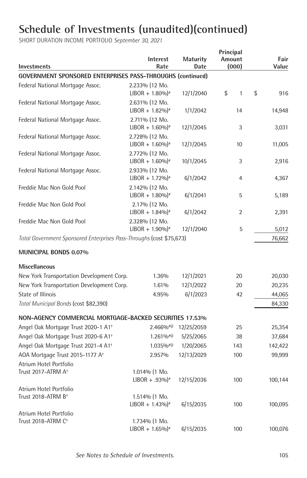| Investments                                                          | Interest<br>Rate                                | <b>Maturity</b><br>Date | Principal<br>Amount<br>(000) | Fair<br>Value |
|----------------------------------------------------------------------|-------------------------------------------------|-------------------------|------------------------------|---------------|
| <b>GOVERNMENT SPONSORED ENTERPRISES PASS-THROUGHS (continued)</b>    |                                                 |                         |                              |               |
| Federal National Mortgage Assoc.                                     | 2.233% (12 Mo.<br>$LIBOR + 1.80\%$ <sup>#</sup> | 12/1/2040               | \$<br>$\mathbf{1}$           | \$<br>916     |
| Federal National Mortgage Assoc.                                     | 2.631% (12 Mo.<br>$LIBOR + 1.82\%$ <sup>#</sup> | 1/1/2042                | 14                           | 14,948        |
| Federal National Mortgage Assoc.                                     | 2.711% (12 Mo.<br>$LIBOR + 1.60\%$ <sup>#</sup> | 12/1/2045               | 3                            | 3,031         |
| Federal National Mortgage Assoc.                                     | 2.728% (12 Mo.<br>$LIBOR + 1.60\%$ <sup>*</sup> | 12/1/2045               | 10                           | 11,005        |
| Federal National Mortgage Assoc.                                     | 2.772% (12 Mo.<br>$LIBOR + 1.60\%$ <sup>*</sup> | 10/1/2045               | 3                            | 2,916         |
| Federal National Mortgage Assoc.                                     | 2.933% (12 Mo.<br>$LIBOR + 1.72\%$ <sup>#</sup> | 6/1/2042                | 4                            | 4,367         |
| Freddie Mac Non Gold Pool                                            | 2.142% (12 Mo.<br>$LIBOR + 1.80\%$ <sup>#</sup> | 6/1/2041                | 5                            | 5,189         |
| Freddie Mac Non Gold Pool                                            | 2.17% (12 Mo.<br>$LIBOR + 1.84\%$ <sup>#</sup>  | 6/1/2042                | 2                            | 2,391         |
| Freddie Mac Non Gold Pool                                            | 2.328% (12 Mo.<br>$LIBOR + 1.90\%$ <sup>#</sup> | 12/1/2040               | 5                            | 5,012         |
| Total Government Sponsored Enterprises Pass-Throughs (cost \$75,673) |                                                 |                         |                              | 76,662        |
| <b>MUNICIPAL BONDS 0.07%</b>                                         |                                                 |                         |                              |               |
| <b>Miscellaneous</b>                                                 |                                                 |                         |                              |               |
| New York Transportation Development Corp.                            | 1.36%                                           | 12/1/2021               | 20                           | 20,030        |
| New York Transportation Development Corp.                            | 1.61%                                           | 12/1/2022               | 20                           | 20,235        |
| State of Illinois                                                    | 4.95%                                           | 6/1/2023                | 42                           | 44,065        |
| Total Municipal Bonds (cost \$82,390)                                |                                                 |                         |                              | 84,330        |
| NON-AGENCY COMMERCIAL MORTGAGE-BACKED SECURITIES 17.53%              |                                                 |                         |                              |               |
| Angel Oak Mortgage Trust 2020-1 A1 <sup>+</sup>                      | $2.466\%$ <sup>#(j)</sup>                       | 12/25/2059              | 25                           | 25,354        |
| Angel Oak Mortgage Trust 2020-6 A1 <sup>+</sup>                      | $1.261\%$ <sup>#(j)</sup>                       | 5/25/2065               | 38                           | 37,684        |
| Angel Oak Mortgage Trust 2021-4 A1 <sup>+</sup>                      | $1.035\%$ <sup>#(j)</sup>                       | 1/20/2065               | 143                          | 142,422       |
| AOA Mortgage Trust 2015-1177 A <sup>+</sup>                          | 2.957%                                          | 12/13/2029              | 100                          | 99,999        |
| Atrium Hotel Portfolio                                               |                                                 |                         |                              |               |
| Trust 2017-ATRM A <sup>+</sup>                                       | 1.014% (1 Mo.<br>$LIBOR + .93\%$ <sup>*</sup>   | 12/15/2036              | 100                          | 100,144       |
| Atrium Hotel Portfolio                                               |                                                 |                         |                              |               |
| Trust 2018-ATRM B <sup>+</sup>                                       | 1.514% (1 Mo.<br>$LIBOR + 1.43\%$ <sup>*</sup>  | 6/15/2035               | 100                          | 100,095       |
| Atrium Hotel Portfolio                                               |                                                 |                         |                              |               |
| Trust 2018-ATRM C <sup>+</sup>                                       | 1.734% (1 Mo.<br>$LIBOR + 1.65\%$ <sup>*</sup>  | 6/15/2035               | 100                          | 100,076       |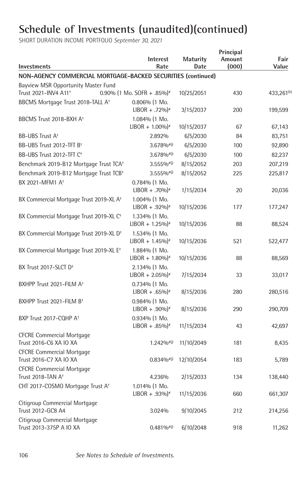| Investments                                                       | <b>Interest</b><br>Rate                        | <b>Maturity</b><br>Date | Principal<br>Amount<br>(000) | Fair<br>Value          |
|-------------------------------------------------------------------|------------------------------------------------|-------------------------|------------------------------|------------------------|
| NON-AGENCY COMMERCIAL MORTGAGE-BACKED SECURITIES (continued)      |                                                |                         |                              |                        |
| Bayview MSR Opportunity Master Fund                               |                                                |                         |                              |                        |
| Trust 2021-INV4 A11 <sup>+</sup>                                  | 0.90% (1 Mo. SOFR + .85%) <sup>*</sup>         | 10/25/2051              | 430                          | 433,261 <sup>(b)</sup> |
| BBCMS Mortgage Trust 2018-TALL A <sup>+</sup>                     | 0.806% (1 Mo.                                  |                         |                              |                        |
|                                                                   | $LIBOR + .72\%$                                | 3/15/2037               | 200                          | 199,599                |
| BBCMS Trust 2018-BXH A <sup>+</sup>                               | 1.084% (1 Mo.                                  |                         |                              |                        |
|                                                                   | $LIBOR + 1.00\%$ <sup>#</sup>                  | 10/15/2037              | 67                           | 67,143                 |
| <b>BB-UBS Trust A<sup>+</sup></b>                                 | 2.892%                                         | 6/5/2030                | 84                           | 83,751                 |
| BB-UBS Trust 2012-TFT B <sup>+</sup>                              | $3.678\%$ <sup>#(j)</sup>                      | 6/5/2030                | 100                          | 92,890                 |
| BB-UBS Trust 2012-TFT C <sup>+</sup>                              | 3.678%#(j)                                     | 6/5/2030                | 100                          | 82,237                 |
| Benchmark 2019-B12 Mortgage Trust TCA <sup>+</sup>                | $3.555\%$ <sup>#(j)</sup>                      | 8/15/2052               | 203                          | 207,219                |
| Benchmark 2019-B12 Mortgage Trust TCB <sup>+</sup>                | $3.555\%$ <sup>#(j)</sup>                      | 8/15/2052               | 225                          | 225,817                |
| BX 2021-MFM1 A <sup>+</sup>                                       | $0.784%$ (1 Mo.                                |                         |                              |                        |
|                                                                   | $LIBOR + .70\%$ <sup>*</sup>                   | 1/15/2034               | 20                           | 20,036                 |
| BX Commercial Mortgage Trust 2019-XL A <sup>+</sup>               | 1.004% (1 Mo.                                  |                         |                              |                        |
|                                                                   | $LIBOR + .92\%$ <sup>*</sup>                   | 10/15/2036              | 177                          | 177,247                |
| BX Commercial Mortgage Trust 2019-XL C <sup>+</sup>               | 1.334% (1 Mo.                                  |                         |                              |                        |
|                                                                   | $LIBOR + 1.25\%$ <sup>*</sup>                  | 10/15/2036              | 88                           | 88,524                 |
| BX Commercial Mortgage Trust 2019-XL D <sup>+</sup>               | 1.534% (1 Mo.<br>$LIBOR + 1.45\%$ <sup>*</sup> | 10/15/2036              | 521                          | 522,477                |
| BX Commercial Mortgage Trust 2019-XL E <sup>+</sup>               | 1.884% (1 Mo.                                  |                         |                              |                        |
|                                                                   | $LIBOR + 1.80\%$ <sup>*</sup>                  | 10/15/2036              | 88                           | 88,569                 |
| BX Trust 2017-SLCT D <sup>+</sup>                                 | 2.134% (1 Mo.                                  |                         |                              |                        |
|                                                                   | $LIBOR + 2.05\%$ <sup>*</sup>                  | 7/15/2034               | 33                           | 33,017                 |
| BXHPP Trust 2021-FILM A <sup>+</sup>                              | $0.734%$ (1 Mo.                                |                         |                              |                        |
|                                                                   | $LIBOR + .65\%$                                | 8/15/2036               | 280                          | 280,516                |
| BXHPP Trust 2021-FILM B <sup>+</sup>                              | 0.984% (1 Mo.                                  |                         |                              |                        |
|                                                                   | $LIBOR + .90\%$                                | 8/15/2036               | 290                          | 290,709                |
| BXP Trust 2017-CQHP A <sup>+</sup>                                | 0.934% (1 Mo.                                  |                         |                              |                        |
|                                                                   | $LIBOR + .85\%$                                | 11/15/2034              | 43                           | 42,697                 |
| <b>CFCRE Commercial Mortgage</b>                                  |                                                |                         |                              |                        |
| Trust 2016-C6 XA IO XA                                            | $1.242\%$ <sup>#(j)</sup>                      | 11/10/2049              | 181                          | 8,435                  |
| <b>CFCRE Commercial Mortgage</b>                                  |                                                |                         |                              |                        |
| Trust 2016-C7 XA IO XA                                            | $0.834%$ <sup>#(j)</sup>                       | 12/10/2054              | 183                          | 5,789                  |
| <b>CFCRE Commercial Mortgage</b><br>Trust 2018-TAN A <sup>+</sup> |                                                |                         |                              |                        |
|                                                                   | 4.236%                                         | 2/15/2033               | 134                          | 138,440                |
| CHT 2017-COSMO Mortgage Trust A <sup>+</sup>                      | 1.014% (1 Mo.<br>$LIBOR + .93\%$ <sup>*</sup>  | 11/15/2036              | 660                          | 661,307                |
| Citigroup Commercial Mortgage                                     |                                                |                         |                              |                        |
| Trust 2012-GC8 A4                                                 | 3.024%                                         | 9/10/2045               | 212                          | 214,256                |
| Citigroup Commercial Mortgage                                     |                                                |                         |                              |                        |
| Trust 2013-375P A IO XA                                           | $0.481\%$ <sup>#(j)</sup>                      | 6/10/2048               | 918                          | 11,262                 |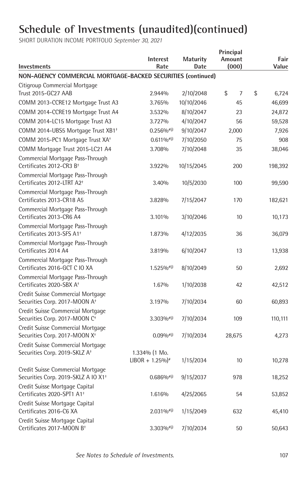| Investments                                                                          | <b>Interest</b><br>Rate                        | <b>Maturity</b><br>Date | Principal<br>Amount<br>(000) | Fair<br>Value |
|--------------------------------------------------------------------------------------|------------------------------------------------|-------------------------|------------------------------|---------------|
| NON-AGENCY COMMERCIAL MORTGAGE-BACKED SECURITIES (continued)                         |                                                |                         |                              |               |
| Citigroup Commercial Mortgage                                                        |                                                |                         |                              |               |
| <b>Trust 2015-GC27 AAB</b>                                                           | 2.944%                                         | 2/10/2048               | \$<br>$\overline{7}$         | \$<br>6,724   |
| COMM 2013-CCRE12 Mortgage Trust A3                                                   | 3.765%                                         | 10/10/2046              | 45                           | 46,699        |
| COMM 2014-CCRE19 Mortgage Trust A4                                                   | 3.532%                                         | 8/10/2047               | 23                           | 24,872        |
| COMM 2014-LC15 Mortgage Trust A3                                                     | 3.727%                                         | 4/10/2047               | 56                           | 59,528        |
| COMM 2014-UBS5 Mortgage Trust XB1 <sup>+</sup>                                       | $0.256\%$ #(j)                                 | 9/10/2047               | 2,000                        | 7,926         |
| COMM 2015-PC1 Mortgage Trust XA <sup>+</sup>                                         | $0.611\%$ <sup>#(j)</sup>                      | 7/10/2050               | 75                           | 908           |
| COMM Mortgage Trust 2015-LC21 A4                                                     | 3.708%                                         | 7/10/2048               | 35                           | 38,046        |
| Commercial Mortgage Pass-Through<br>Certificates 2012-CR3 B <sup>+</sup>             | 3.922%                                         | 10/15/2045              | 200                          | 198,392       |
| Commercial Mortgage Pass-Through<br>Certificates 2012-LTRT A2 <sup>+</sup>           | 3.40%                                          | 10/5/2030               | 100                          | 99,590        |
| Commercial Mortgage Pass-Through<br>Certificates 2013-CR18 A5                        | 3.828%                                         | 7/15/2047               | 170                          | 182,621       |
| Commercial Mortgage Pass-Through<br>Certificates 2013-CR6 A4                         | 3.101%                                         | 3/10/2046               | 10                           | 10,173        |
| Commercial Mortgage Pass-Through<br>Certificates 2013-SFS A1 <sup>+</sup>            | 1.873%                                         | 4/12/2035               | 36                           | 36,079        |
| Commercial Mortgage Pass-Through<br>Certificates 2014 A4                             | 3.819%                                         | 6/10/2047               | 13                           | 13,938        |
| Commercial Mortgage Pass-Through<br>Certificates 2016-GCT C IO XA                    | $1.525\%$ <sup>#(j)</sup>                      | 8/10/2049               | 50                           | 2,692         |
| Commercial Mortgage Pass-Through<br>Certificates 2020-SBX A <sup>+</sup>             | 1.67%                                          | 1/10/2038               | 42                           | 42,512        |
| Credit Suisse Commercial Mortgage<br>Securities Corp. 2017-MOON A <sup>+</sup>       | 3.197%                                         | 7/10/2034               | 60                           | 60,893        |
| Credit Suisse Commercial Mortgage<br>Securities Corp. 2017-MOON C <sup>+</sup>       | $3.303\%$ <sup>#(j)</sup>                      | 7/10/2034               | 109                          | 110,111       |
| Credit Suisse Commercial Mortgage<br>Securities Corp. 2017-MOON X <sup>+</sup>       | $0.09\%$ <sup>#(j)</sup>                       | 7/10/2034               | 28,675                       | 4,273         |
| Credit Suisse Commercial Mortgage<br>Securities Corp. 2019-SKLZ A <sup>+</sup>       | 1.334% (1 Mo.<br>$LIBOR + 1.25\%$ <sup>*</sup> | 1/15/2034               | 10                           | 10,278        |
| Credit Suisse Commercial Mortgage<br>Securities Corp. 2019-SKLZ A IO X1 <sup>+</sup> | $0.686\%$ <sup>#(j)</sup>                      | 9/15/2037               | 978                          | 18,252        |
| Credit Suisse Mortgage Capital<br>Certificates 2020-SPT1 A1 <sup>+</sup>             | 1.616%                                         | 4/25/2065               | 54                           | 53,852        |
| Credit Suisse Mortgage Capital<br>Certificates 2016-C6 XA                            | $2.031\%$ <sup>#(j)</sup>                      | 1/15/2049               | 632                          | 45,410        |
| Credit Suisse Mortgage Capital<br>Certificates 2017-MOON B <sup>+</sup>              | $3.303\%$ <sup>#(j)</sup>                      | 7/10/2034               | 50                           | 50,643        |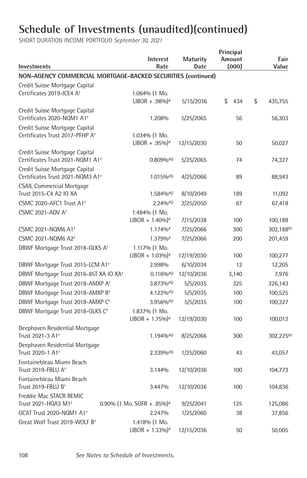| Investments                                                                   | <b>Interest</b><br>Rate                          | <b>Maturity</b><br>Date | Principal<br>Amount<br>(000) | Fair<br>Value          |
|-------------------------------------------------------------------------------|--------------------------------------------------|-------------------------|------------------------------|------------------------|
| NON-AGENCY COMMERCIAL MORTGAGE-BACKED SECURITIES (continued)                  |                                                  |                         |                              |                        |
| Credit Suisse Mortgage Capital                                                |                                                  |                         |                              |                        |
| Certificates 2019-ICE4 A <sup>+</sup>                                         | $1.064\%$ (1 Mo.                                 |                         |                              |                        |
|                                                                               | $LIBOR + .98\%$ <sup>*</sup>                     | 5/15/2036               | \$<br>434                    | \$<br>435,755          |
| Credit Suisse Mortgage Capital                                                |                                                  |                         |                              |                        |
| Certificates 2020-NQM1 A1 <sup>+</sup>                                        | 1.208%                                           | 5/25/2065               | 56                           | 56,303                 |
| Credit Suisse Mortgage Capital<br>Certificates Trust 2017-PFHP A <sup>+</sup> |                                                  |                         |                              |                        |
|                                                                               | $1.034\%$ (1 Mo.<br>$LIBOR + .95\%$ <sup>*</sup> | 12/15/2030              | 50                           | 50,027                 |
| Credit Suisse Mortgage Capital                                                |                                                  |                         |                              |                        |
| Certificates Trust 2021-NQM1 A1 <sup>+</sup>                                  | $0.809\%$ <sup>#(j)</sup>                        | 5/25/2065               | 74                           | 74,327                 |
| Credit Suisse Mortgage Capital                                                |                                                  |                         |                              |                        |
| Certificates Trust 2021-NQM3 A1 <sup>+</sup>                                  | $1.015\%$ <sup>#(j)</sup>                        | 4/25/2066               | 89                           | 88,943                 |
| <b>CSAIL Commercial Mortgage</b>                                              |                                                  |                         |                              |                        |
| Trust 2015-C4 A2 IO XA                                                        | $1.584%$ <sup>#(j)</sup>                         | 8/10/2049               | 189                          | 11,092                 |
| CSMC 2020-AFC1 Trust A1 <sup>+</sup>                                          | $2.240/n^{(0)}$                                  | 2/25/2050               | 67                           | 67,418                 |
| CSMC 2021-ADV A <sup>+</sup>                                                  | 1.484% (1 Mo.                                    |                         |                              |                        |
|                                                                               | $LIBOR + 1.40\%$ <sup>*</sup>                    | 7/15/2038               | 100                          | 100,188                |
| CSMC 2021-NQM6 A1 <sup>+</sup>                                                | $1.174\%$                                        | 7/25/2066               | 300                          | 302,188 <sup>(b)</sup> |
| CSMC 2021-NQM6 A2 <sup>+</sup>                                                | 1.379%#                                          | 7/25/2066               | 200                          | 201,459                |
| DBWF Mortgage Trust 2018-GLKS A <sup>+</sup>                                  | 1.117% (1 Mo.                                    |                         |                              |                        |
|                                                                               | $LIBOR + 1.03\%$ <sup>*</sup>                    | 12/19/2030              | 100                          | 100,277                |
| DBWF Mortgage Trust 2015-LCM A1 <sup>+</sup>                                  | 2.998%                                           | 6/10/2034               | 12                           | 12,205                 |
| DBWF Mortgage Trust 2016-85T XA IO XA <sup>+</sup>                            | $0.116\%$ <sup>#(j)</sup>                        | 12/10/2036              | 3,140                        | 7,976                  |
| DBWF Mortgage Trust 2018-AMXP A <sup>+</sup>                                  | 3.873%#(j)                                       | 5/5/2035                | 325                          | 326,143                |
| DBWF Mortgage Trust 2018-AMXP B <sup>+</sup>                                  | $4.122\%$ <sup>#(j)</sup>                        | 5/5/2035                | 100                          | 100,525                |
| DBWF Mortgage Trust 2018-AMXP C <sup>+</sup>                                  | $3.956\%$ <sup>#(j)</sup>                        | 5/5/2035                | 100                          | 100,327                |
| DBWF Mortgage Trust 2018-GLKS C <sup>+</sup>                                  | 1.837% (1 Mo.                                    |                         |                              |                        |
|                                                                               | $LIBOR + 1.75\%$ <sup>*</sup>                    | 12/19/2030              | 100                          | 100,012                |
| Deephaven Residential Mortgage<br>Trust 2021-3 A1 <sup>+</sup>                | $1.194\%$ <sup>#(j)</sup>                        | 8/25/2066               | 300                          | 302,225 <sup>(b)</sup> |
| Deephaven Residential Mortgage                                                |                                                  |                         |                              |                        |
| Trust 2020-1 A1 <sup>+</sup>                                                  | $2.339\%$ <sup>#(j)</sup>                        | 1/25/2060               | 43                           | 43,057                 |
| Fontainebleau Miami Beach                                                     |                                                  |                         |                              |                        |
| Trust 2019-FBLU A <sup>+</sup>                                                | 3.144%                                           | 12/10/2036              | 100                          | 104,773                |
| Fontainebleau Miami Beach                                                     |                                                  |                         |                              |                        |
| Trust 2019-FBLU B <sup>+</sup>                                                | 3.447%                                           | 12/10/2036              | 100                          | 104,836                |
| Freddie Mac STACR REMIC                                                       |                                                  |                         |                              |                        |
| Trust 2021-HQA3 M1 <sup>+</sup>                                               | 0.90% (1 Mo. SOFR + .85%) <sup>#</sup>           | 9/25/2041               | 125                          | 125,086                |
| GCAT Trust 2020-NQM1 A1 <sup>+</sup>                                          | 2.247%                                           | 1/25/2060               | 38                           | 37,856                 |
| Great Wolf Trust 2019-WOLF B <sup>+</sup>                                     | 1.418% (1 Mo.                                    |                         |                              |                        |
|                                                                               | $LIBOR + 1.33\%$ <sup>*</sup>                    | 12/15/2036              | 50                           | 50,005                 |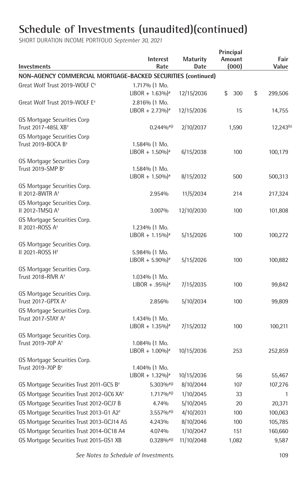| <b>Investments</b>                                             | Interest<br>Rate                                  | <b>Maturity</b><br>Date | Principal<br>Amount<br>(000) | Fair<br>Value         |
|----------------------------------------------------------------|---------------------------------------------------|-------------------------|------------------------------|-----------------------|
| NON-AGENCY COMMERCIAL MORTGAGE-BACKED SECURITIES (continued)   |                                                   |                         |                              |                       |
| Great Wolf Trust 2019-WOLF C <sup>+</sup>                      | 1.717% (1 Mo.                                     |                         |                              |                       |
|                                                                | $LIBOR + 1.63\%$ <sup>#</sup>                     | 12/15/2036              | \$<br>300                    | \$<br>299,506         |
| Great Wolf Trust 2019-WOLF E <sup>+</sup>                      | 2.816% (1 Mo.<br>$LIBOR + 2.73\%$ <sup>*</sup>    | 12/15/2036              | 15                           | 14,755                |
| GS Mortgage Securities Corp<br>Trust 2017-485L XB <sup>+</sup> | $0.244\%$ <sup>#(j)</sup>                         | 2/10/2037               | 1,590                        | 12,243 <sup>(b)</sup> |
| GS Mortgage Securities Corp<br>Trust 2019-BOCA B <sup>+</sup>  | 1.584% (1 Mo.<br>$LIBOR + 1.50\%$ <sup>*</sup>    | 6/15/2038               | 100                          | 100,179               |
| GS Mortgage Securities Corp<br>Trust 2019-SMP B <sup>+</sup>   | 1.584% (1 Mo.<br>$LIBOR + 1.50\%$ <sup>#</sup>    | 8/15/2032               | 500                          | 500,313               |
| GS Mortgage Securities Corp.<br>II 2012-BWTR A <sup>+</sup>    | 2.954%                                            | 11/5/2034               | 214                          | 217,324               |
| GS Mortgage Securities Corp.<br>II 2012-TMSQ A <sup>+</sup>    | 3.007%                                            | 12/10/2030              | 100                          | 101,808               |
| GS Mortgage Securities Corp.<br>II 2021-ROSS A <sup>+</sup>    | 1.234% (1 Mo.<br>$LIBOR + 1.15\%$ <sup>*</sup>    | 5/15/2026               | 100                          | 100,272               |
| GS Mortgage Securities Corp.<br>II 2021-ROSS H <sup>+</sup>    | 5.984% (1 Mo.<br>$LIBOR + 5.90\%$ <sup>*</sup>    | 5/15/2026               | 100                          | 100,882               |
| GS Mortgage Securities Corp.<br>Trust 2018-RIVR At             | $1.034\%$ (1 Mo.<br>$LIBOR + .95\%$ <sup>*</sup>  | 7/15/2035               | 100                          | 99,842                |
| GS Mortgage Securities Corp.<br>Trust 2017-GPTX A <sup>+</sup> | 2.856%                                            | 5/10/2034               | 100                          | 99,809                |
| GS Mortgage Securities Corp.<br>Trust 2017-STAY A <sup>+</sup> | 1.434% (1 Mo.<br>$LIBOR + 1.35\%$ <sup>*</sup>    | 7/15/2032               | 100                          | 100,211               |
| GS Mortgage Securities Corp.<br>Trust 2019-70P A <sup>+</sup>  | $1.084\%$ (1 Mo.<br>$LIBOR + 1.00\%$ <sup>#</sup> | 10/15/2036              | 253                          | 252,859               |
| GS Mortgage Securities Corp.<br>Trust 2019-70P B <sup>+</sup>  | $1.404\%$ (1 Mo.<br>$LIBOR + 1.32\%$ <sup>*</sup> | 10/15/2036              | 56                           | 55,467                |
| GS Mortgage Securities Trust 2011-GC5 B <sup>+</sup>           | 5.303%#(i)                                        | 8/10/2044               | 107                          | 107,276               |
| GS Mortgage Securities Trust 2012-GC6 XA <sup>+</sup>          | $1.717\%$ <sup>#(j)</sup>                         | 1/10/2045               | 33                           | 1                     |
| GS Mortgage Securities Trust 2012-GCJ7 B                       | 4.74%                                             | 5/10/2045               | 20                           | 20,371                |
| GS Mortgage Securities Trust 2013-G1 A2 <sup>+</sup>           | $3.557\%$ <sup>#(j)</sup>                         | 4/10/2031               | 100                          | 100,063               |
| GS Mortgage Securities Trust 2013-GCJ14 A5                     | 4.243%                                            | 8/10/2046               | 100                          | 105,785               |
| GS Mortgage Securities Trust 2014-GC18 A4                      | 4.074%                                            | 1/10/2047               | 151                          | 160,660               |
| GS Mortgage Securities Trust 2015-GS1 XB                       | $0.328\%$ #(j)                                    | 11/10/2048              | 1,082                        | 9,587                 |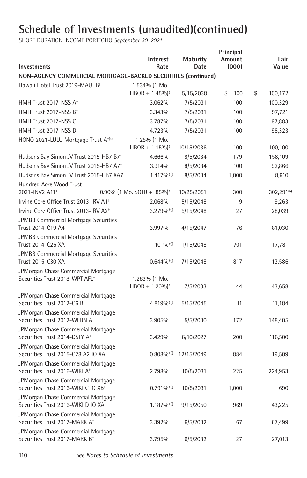| <b>Interest</b><br>Rate                | <b>Maturity</b><br>Date                                                                         | Principal<br>Amount<br>(000)                                             |                                                                                            | Fair<br>Value          |
|----------------------------------------|-------------------------------------------------------------------------------------------------|--------------------------------------------------------------------------|--------------------------------------------------------------------------------------------|------------------------|
|                                        |                                                                                                 |                                                                          |                                                                                            |                        |
| 1.534% (1 Mo.                          |                                                                                                 |                                                                          |                                                                                            |                        |
| $LIBOR + 1.45\%$ <sup>*</sup>          | 5/15/2038                                                                                       | \$<br>100                                                                | \$                                                                                         | 100,172                |
| 3.062%                                 | 7/5/2031                                                                                        | 100                                                                      |                                                                                            | 100,329                |
| 3.343%                                 | 7/5/2031                                                                                        | 100                                                                      |                                                                                            | 97,721                 |
| 3.787%                                 | 7/5/2031                                                                                        | 100                                                                      |                                                                                            | 97,883                 |
| 4.723%                                 | 7/5/2031                                                                                        | 100                                                                      |                                                                                            | 98,323                 |
| 1.25% (1 Mo.                           |                                                                                                 |                                                                          |                                                                                            |                        |
| $LIBOR + 1.15\%$ <sup>*</sup>          | 10/15/2036                                                                                      | 100                                                                      |                                                                                            | 100,100                |
| 4.666%                                 | 8/5/2034                                                                                        | 179                                                                      |                                                                                            | 158,109                |
| 3.914%                                 | 8/5/2034                                                                                        | 100                                                                      |                                                                                            | 92,866                 |
| $1.417\%$ <sup>#(j)</sup>              | 8/5/2034                                                                                        | 1,000                                                                    |                                                                                            | 8,610                  |
|                                        |                                                                                                 |                                                                          |                                                                                            |                        |
| 0.90% (1 Mo. SOFR + .85%) <sup>*</sup> | 10/25/2051                                                                                      | 300                                                                      |                                                                                            | 302,291 <sup>(b)</sup> |
| 2.068%                                 |                                                                                                 |                                                                          |                                                                                            | 9,263                  |
| 3.279%#(i)                             |                                                                                                 | 27                                                                       |                                                                                            | 28,039                 |
|                                        |                                                                                                 |                                                                          |                                                                                            | 81,030                 |
|                                        |                                                                                                 |                                                                          |                                                                                            |                        |
| 1.101%#(j)                             | 1/15/2048                                                                                       | 701                                                                      |                                                                                            | 17,781                 |
| $0.644\%$ <sup>#(j)</sup>              | 7/15/2048                                                                                       | 817                                                                      |                                                                                            | 13,586                 |
|                                        |                                                                                                 |                                                                          |                                                                                            |                        |
|                                        |                                                                                                 |                                                                          |                                                                                            |                        |
|                                        |                                                                                                 |                                                                          |                                                                                            | 43,658                 |
| $4.819\%$ <sup>#(j)</sup>              | 5/15/2045                                                                                       | 11                                                                       |                                                                                            | 11,184                 |
|                                        |                                                                                                 |                                                                          |                                                                                            |                        |
| 3.905%                                 | 5/5/2030                                                                                        | 172                                                                      |                                                                                            | 148,405                |
| 3.429%                                 | 6/10/2027                                                                                       | 200                                                                      |                                                                                            | 116,500                |
|                                        |                                                                                                 |                                                                          |                                                                                            |                        |
| $0.808\%$ <sup>#(j)</sup>              | 12/15/2049                                                                                      | 884                                                                      |                                                                                            | 19,509                 |
| 2.798%                                 | 10/5/2031                                                                                       | 225                                                                      |                                                                                            | 224,953                |
| $0.791\%$ <sup>#(j)</sup>              | 10/5/2031                                                                                       | 1,000                                                                    |                                                                                            | 690                    |
|                                        |                                                                                                 |                                                                          |                                                                                            | 43,225                 |
|                                        |                                                                                                 |                                                                          |                                                                                            |                        |
|                                        |                                                                                                 |                                                                          |                                                                                            | 67,499                 |
| 3.795%                                 | 6/5/2032                                                                                        | 27                                                                       |                                                                                            | 27,013                 |
|                                        | 3.997%<br>1.283% (1 Mo.<br>$LIBOR + 1.20\%$ <sup>*</sup><br>$1.187\%$ <sup>#(j)</sup><br>3.392% | 5/15/2048<br>5/15/2048<br>4/15/2047<br>7/5/2033<br>9/15/2050<br>6/5/2032 | NON-AGENCY COMMERCIAL MORTGAGE-BACKED SECURITIES (continued)<br>9<br>76<br>44<br>969<br>67 |                        |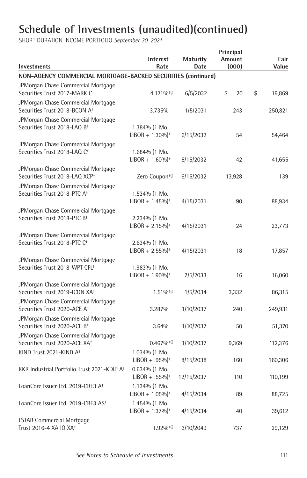| <b>Investments</b>                                                               | <b>Interest</b><br>Rate                         | <b>Maturity</b><br>Date | Principal<br>Amount<br>(000) | Fair<br>Value |
|----------------------------------------------------------------------------------|-------------------------------------------------|-------------------------|------------------------------|---------------|
| NON-AGENCY COMMERCIAL MORTGAGE-BACKED SECURITIES (continued)                     |                                                 |                         |                              |               |
| JPMorgan Chase Commercial Mortgage<br>Securities Trust 2017-MARK C <sup>+</sup>  | 4.171%#(i)                                      | 6/5/2032                | \$<br>20                     | \$<br>19,869  |
| JPMorgan Chase Commercial Mortgage<br>Securities Trust 2018-BCON A <sup>+</sup>  | 3.735%                                          | 1/5/2031                | 243                          | 250,821       |
| JPMorgan Chase Commercial Mortgage<br>Securities Trust 2018-LAQ B <sup>+</sup>   | 1.384% (1 Mo.<br>$LIBOR + 1.30\%$ <sup>*</sup>  | 6/15/2032               | 54                           | 54,464        |
| JPMorgan Chase Commercial Mortgage<br>Securities Trust 2018-LAQ C <sup>+</sup>   | 1.684% (1 Mo.<br>$LIBOR + 1.60\%$ <sup>*</sup>  | 6/15/2032               | 42                           | 41,655        |
| JPMorgan Chase Commercial Mortgage<br>Securities Trust 2018-LAQ XCP+             | Zero Coupon#(j)                                 | 6/15/2032               | 13,928                       | 139           |
| JPMorgan Chase Commercial Mortgage<br>Securities Trust 2018-PTC A <sup>+</sup>   | 1.534% (1 Mo.<br>$LIBOR + 1.45\%$ <sup>*</sup>  | 4/15/2031               | 90                           | 88,934        |
| JPMorgan Chase Commercial Mortgage<br>Securities Trust 2018-PTC B <sup>+</sup>   | 2.234% (1 Mo.<br>$LIBOR + 2.15\%$ <sup>#</sup>  | 4/15/2031               | 24                           | 23,773        |
| JPMorgan Chase Commercial Mortgage<br>Securities Trust 2018-PTC C <sup>+</sup>   | 2.634% (1 Mo.<br>$LIBOR + 2.55\%$ <sup>*</sup>  | 4/15/2031               | 18                           | 17,857        |
| JPMorgan Chase Commercial Mortgage<br>Securities Trust 2018-WPT CFL <sup>+</sup> | 1.983% (1 Mo.<br>$LIBOR + 1.90\%$ <sup>#</sup>  | 7/5/2033                | 16                           | 16,060        |
| JPMorgan Chase Commercial Mortgage<br>Securities Trust 2019-ICON XA <sup>+</sup> | $1.51\%$ <sup>#(j)</sup>                        | 1/5/2034                | 3,332                        | 86,315        |
| JPMorgan Chase Commercial Mortgage<br>Securities Trust 2020-ACE A <sup>+</sup>   | 3.287%                                          | 1/10/2037               | 240                          | 249,931       |
| JPMorgan Chase Commercial Mortgage<br>Securities Trust 2020-ACE B <sup>+</sup>   | 3.64%                                           | 1/10/2037               | 50                           | 51,370        |
| JPMorgan Chase Commercial Mortgage<br>Securities Trust 2020-ACE XA <sup>+</sup>  | $0.467\%$ <sup>#(j)</sup>                       | 1/10/2037               | 9,369                        | 112,376       |
| KIND Trust 2021-KIND A <sup>+</sup>                                              | 1.034% (1 Mo.<br>$LIBOR + .95\%$                | 8/15/2038               | 160                          | 160,306       |
| KKR Industrial Portfolio Trust 2021-KDIP A <sup>+</sup>                          | $0.634%$ (1 Mo.<br>$LIBOR + .55\%$ <sup>*</sup> | 12/15/2037              | 110                          | 110,199       |
| LoanCore Issuer Ltd. 2019-CRE3 A <sup>+</sup>                                    | 1.134% (1 Mo.<br>$LIBOR + 1.05\%$ <sup>*</sup>  | 4/15/2034               | 89                           | 88,725        |
| LoanCore Issuer Ltd. 2019-CRE3 AS <sup>+</sup>                                   | 1.454% (1 Mo.<br>$LIBOR + 1.37\%$ <sup>*</sup>  | 4/15/2034               | 40                           | 39,612        |
| LSTAR Commercial Mortgage<br>Trust 2016-4 XA IO XA <sup>+</sup>                  | $1.92\%$ <sup>#(j)</sup>                        | 3/10/2049               | 737                          | 29,129        |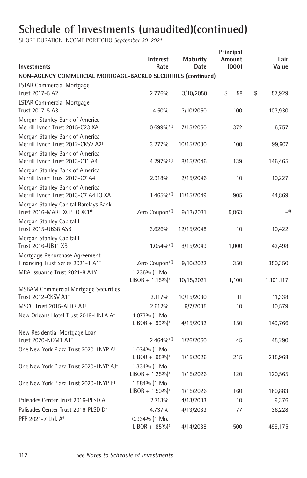| <b>Investments</b>                                                              | <b>Interest</b><br>Rate                        | <b>Maturity</b><br>Date | Principal<br>Amount<br>(000) | Fair<br>Value |     |
|---------------------------------------------------------------------------------|------------------------------------------------|-------------------------|------------------------------|---------------|-----|
| NON-AGENCY COMMERCIAL MORTGAGE-BACKED SECURITIES (continued)                    |                                                |                         |                              |               |     |
| <b>LSTAR Commercial Mortgage</b>                                                |                                                |                         |                              |               |     |
| Trust 2017-5 A2 <sup>+</sup>                                                    | 2.776%                                         | 3/10/2050               | \$<br>58                     | \$<br>57,929  |     |
| <b>LSTAR Commercial Mortgage</b>                                                |                                                |                         |                              |               |     |
| Trust 2017-5 A3 <sup>+</sup>                                                    | 4.50%                                          | 3/10/2050               | 100                          | 103,930       |     |
| Morgan Stanley Bank of America<br>Merrill Lynch Trust 2015-C23 XA               | $0.699\%$ <sup>#(j)</sup>                      | 7/15/2050               | 372                          | 6,757         |     |
| Morgan Stanley Bank of America<br>Merrill Lynch Trust 2012-CKSV A2 <sup>+</sup> | 3.277%                                         | 10/15/2030              | 100                          | 99,607        |     |
| Morgan Stanley Bank of America<br>Merrill Lynch Trust 2013-C11 A4               | $4.297\%$ <sup>#(j)</sup>                      | 8/15/2046               | 139                          | 146,465       |     |
| Morgan Stanley Bank of America<br>Merrill Lynch Trust 2013-C7 A4                | 2.918%                                         | 2/15/2046               | 10                           | 10,227        |     |
| Morgan Stanley Bank of America<br>Merrill Lynch Trust 2013-C7 A4 IO XA          | $1.465\%$ <sup>#(j)</sup>                      | 11/15/2049              | 905                          | 44,869        |     |
| Morgan Stanley Capital Barclays Bank<br>Trust 2016-MART XCP IO XCP <sup>+</sup> | Zero Coupon#(j)                                | 9/13/2031               | 9,863                        |               | (i) |
| Morgan Stanley Capital I<br>Trust 2015-UBS8 ASB                                 | 3.626%                                         | 12/15/2048              | 10                           | 10,422        |     |
| Morgan Stanley Capital I<br>Trust 2016-UB11 XB                                  | $1.054\%$ <sup>#(j)</sup>                      | 8/15/2049               | 1,000                        | 42,498        |     |
| Mortgage Repurchase Agreement<br>Financing Trust Series 2021-1 A1 <sup>+</sup>  | Zero Coupon#(j)                                | 9/10/2022               | 350                          | 350,350       |     |
| MRA Issuance Trust 2021-8 A1Y <sup>+</sup>                                      | 1.236% (1 Mo.<br>$LIBOR + 1.15\%$ <sup>*</sup> | 10/15/2021              | 1,100                        | 1,101,117     |     |
| <b>MSBAM Commercial Mortgage Securities</b>                                     |                                                |                         |                              |               |     |
| Trust 2012-CKSV A1 <sup>+</sup>                                                 | 2.117%                                         | 10/15/2030              | 11                           | 11,338        |     |
| MSCG Trust 2015-ALDR A1 <sup>+</sup>                                            | 2.612%                                         | 6/7/2035                | 10                           | 10,579        |     |
| New Orleans Hotel Trust 2019-HNLA A <sup>+</sup>                                | 1.073% (1 Mo.<br>$LIBOR + .99\%$               | 4/15/2032               | 150                          | 149,766       |     |
| New Residential Mortgage Loan                                                   |                                                |                         |                              |               |     |
| Trust 2020-NQM1 A1 <sup>+</sup>                                                 | $2.464%$ <sup>#(j)</sup>                       | 1/26/2060               | 45                           | 45,290        |     |
| One New York Plaza Trust 2020-1NYP A <sup>+</sup>                               | 1.034% (1 Mo.<br>$LIBOR + .95\%$ <sup>*</sup>  | 1/15/2026               | 215                          | 215,968       |     |
| One New York Plaza Trust 2020-1NYP AJ+                                          | 1.334% (1 Mo.<br>$LIBOR + 1.25\%$ <sup>*</sup> | 1/15/2026               | 120                          | 120,565       |     |
| One New York Plaza Trust 2020-1NYP B <sup>+</sup>                               | 1.584% (1 Mo.<br>$LIBOR + 1.50\%$ <sup>*</sup> | 1/15/2026               | 160                          | 160,883       |     |
| Palisades Center Trust 2016-PLSD A <sup>+</sup>                                 | 2.713%                                         | 4/13/2033               | 10                           | 9,376         |     |
| Palisades Center Trust 2016-PLSD D <sup>+</sup>                                 | 4.737%                                         | 4/13/2033               | 77                           | 36,228        |     |
| PFP 2021-7 Ltd. A <sup>+</sup>                                                  | 0.934% (1 Mo.<br>$LIBOR + .85\%$               | 4/14/2038               | 500                          | 499,175       |     |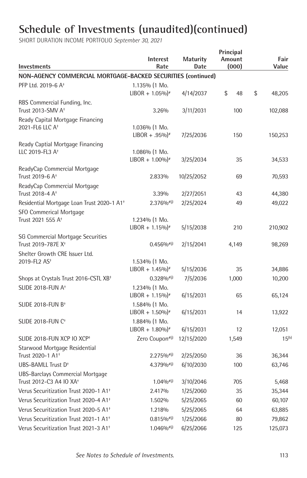| Investments                                                             | <b>Interest</b><br>Rate                        | <b>Maturity</b><br>Date | Principal<br>Amount<br>(000) | Fair<br>Value     |
|-------------------------------------------------------------------------|------------------------------------------------|-------------------------|------------------------------|-------------------|
| NON-AGENCY COMMERCIAL MORTGAGE-BACKED SECURITIES (continued)            |                                                |                         |                              |                   |
| PFP Ltd. 2019-6 A <sup>+</sup>                                          | 1.135% (1 Mo.<br>$LIBOR + 1.05\%$ <sup>*</sup> | 4/14/2037               | \$<br>48                     | \$<br>48,205      |
| RBS Commercial Funding, Inc.<br>Trust 2013-SMV A <sup>+</sup>           | 3.26%                                          | 3/11/2031               | 100                          | 102,088           |
| Ready Capital Mortgage Financing<br>2021-FL6 LLC A <sup>+</sup>         | 1.036% (1 Mo.<br>$LIBOR + .95\%$               | 7/25/2036               | 150                          | 150,253           |
| Ready Captial Mortgage Financing<br>LLC 2019-FL3 A <sup>+</sup>         | 1.086% (1 Mo.<br>$LIBOR + 1.00\%$ <sup>*</sup> | 3/25/2034               | 35                           | 34,533            |
| ReadyCap Commercial Mortgage<br>Trust 2019-6 A <sup>+</sup>             | 2.833%                                         | 10/25/2052              | 69                           | 70,593            |
| ReadyCap Commercial Mortgage<br>Trust 2018-4 A <sup>+</sup>             | 3.39%                                          | 2/27/2051               | 43                           | 44,380            |
| Residential Mortgage Loan Trust 2020-1 A1 <sup>+</sup>                  | $2.376%$ <sup>#(j)</sup>                       | 2/25/2024               | 49                           | 49,022            |
| SFO Commerical Mortgage<br>Trust 2021 555 A <sup>+</sup>                | 1.234% (1 Mo.<br>$LIBOR + 1.15\%$ <sup>*</sup> |                         | 210                          |                   |
| SG Commercial Mortgage Securities<br>Trust 2019-787E X <sup>+</sup>     | $0.456\%$ <sup>#(j)</sup>                      | 5/15/2038<br>2/15/2041  | 4,149                        | 210,902<br>98,269 |
| Shelter Growth CRE Issuer Ltd.<br>2019-FL2 AS <sup>+</sup>              | 1.534% (1 Mo.                                  |                         |                              |                   |
|                                                                         | $LIBOR + 1.45\%$ <sup>*</sup>                  | 5/15/2036               | 35                           | 34,886            |
| Shops at Crystals Trust 2016-CSTL XB <sup>+</sup>                       | $0.328\%$ <sup>#(j)</sup>                      | 7/5/2036                | 1,000                        | 10,200            |
| SLIDE 2018-FUN A <sup>+</sup>                                           | 1.234% (1 Mo.<br>$LIBOR + 1.15\%$ <sup>*</sup> | 6/15/2031               | 65                           | 65,124            |
| SLIDE 2018-FUN B <sup>+</sup>                                           | 1.584% (1 Mo.<br>$LIBOR + 1.50\%$ <sup>#</sup> | 6/15/2031               | 14                           | 13,922            |
| <b>SLIDE 2018-FUN C<sup>+</sup></b>                                     | 1.884% (1 Mo.<br>$LIBOR + 1.80\%$ <sup>*</sup> | 6/15/2031               | 12                           | 12,051            |
| SLIDE 2018-FUN XCP IO XCP+                                              | Zero Coupon#(j)                                | 12/15/2020              | 1,549                        | $15^{(b)}$        |
| Starwood Mortgage Residential<br>Trust 2020-1 A1 <sup>+</sup>           | $2.275\%$ <sup>#(j)</sup>                      | 2/25/2050               | 36                           | 36,344            |
| UBS-BAMLL Trust D <sup>+</sup>                                          | $4.379\%$ <sup>#(j)</sup>                      | 6/10/2030               | 100                          | 63,746            |
| UBS-Barclays Commercial Mortgage<br>Trust 2012-C3 A4 IO XA <sup>+</sup> | $1.04\%$ <sup>#(j)</sup>                       | 3/10/2046               | 705                          | 5,468             |
| Verus Securitization Trust 2020-1 A1 <sup>+</sup>                       | 2.417%                                         | 1/25/2060               | 35                           | 35,344            |
| Verus Securitization Trust 2020-4 A1 <sup>+</sup>                       | 1.502%                                         | 5/25/2065               | 60                           | 60,107            |
| Verus Securitization Trust 2020-5 A1 <sup>+</sup>                       | 1.218%                                         | 5/25/2065               | 64                           | 63,885            |
| Verus Securitization Trust 2021-1 A1 <sup>+</sup>                       | $0.815\%$ <sup>#(j)</sup>                      | 1/25/2066               | 80                           | 79,862            |
| Verus Securitization Trust 2021-3 A1 <sup>+</sup>                       | $1.046%$ <sup>#(j)</sup>                       | 6/25/2066               | 125                          | 125,073           |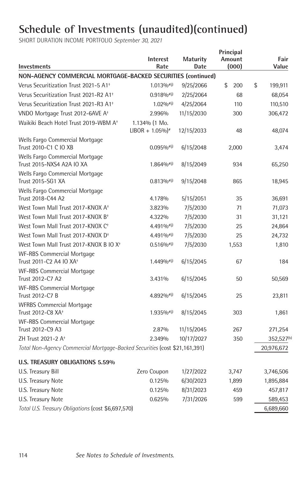|                                                                                    | <b>Interest</b><br>Rate       | <b>Maturity</b><br><b>Date</b> | Principal<br>Amount<br>(000) | Fair<br>Value                     |
|------------------------------------------------------------------------------------|-------------------------------|--------------------------------|------------------------------|-----------------------------------|
| <b>Investments</b><br>NON-AGENCY COMMERCIAL MORTGAGE-BACKED SECURITIES (continued) |                               |                                |                              |                                   |
| Verus Securitization Trust 2021-5 A1 <sup>+</sup>                                  | $1.013\%$ <sup>#(j)</sup>     | 9/25/2066                      | \$<br>200                    | \$<br>199,911                     |
| Verus Securitization Trust 2021-R2 A1 <sup>+</sup>                                 | $0.918\%$ <sup>#(j)</sup>     | 2/25/2064                      | 68                           | 68,054                            |
| Verus Securitization Trust 2021-R3 A1 <sup>+</sup>                                 | $1.02\%$ <sup>#(j)</sup>      | 4/25/2064                      | 110                          | 110,510                           |
| VNDO Mortgage Trust 2012-6AVE A <sup>+</sup>                                       | 2.996%                        | 11/15/2030                     | 300                          | 306,472                           |
| Waikiki Beach Hotel Trust 2019-WBM A <sup>+</sup>                                  | 1.134% (1 Mo.                 |                                |                              |                                   |
|                                                                                    | $LIBOR + 1.05\%$ <sup>*</sup> | 12/15/2033                     | 48                           | 48,074                            |
| Wells Fargo Commercial Mortgage<br>Trust 2010-C1 C IO XB                           | $0.095\%$ <sup>#(j)</sup>     | 6/15/2048                      | 2,000                        | 3,474                             |
| Wells Fargo Commercial Mortgage<br>Trust 2015-NXS4 A2A IO XA                       | $1.864%$ <sup>#(j)</sup>      | 8/15/2049                      | 934                          | 65,250                            |
| Wells Fargo Commercial Mortgage<br>Trust 2015-SG1 XA                               | $0.813\%$ <sup>#(j)</sup>     | 9/15/2048                      | 865                          | 18,945                            |
| Wells Fargo Commercial Mortgage<br>Trust 2018-C44 A2                               | 4.178%                        | 5/15/2051                      | 35                           | 36,691                            |
| West Town Mall Trust 2017-KNOX A <sup>+</sup>                                      | 3.823%                        | 7/5/2030                       | 71                           | 71,073                            |
| West Town Mall Trust 2017-KNOX B <sup>+</sup>                                      | 4.322%                        | 7/5/2030                       | 31                           | 31,121                            |
| West Town Mall Trust 2017-KNOX C <sup>+</sup>                                      | $4.491\%$ <sup>#(j)</sup>     | 7/5/2030                       | 25                           | 24,864                            |
| West Town Mall Trust 2017-KNOX D <sup>+</sup>                                      | $4.491\%$ <sup>#(j)</sup>     | 7/5/2030                       | 25                           | 24,732                            |
| West Town Mall Trust 2017-KNOX B IO X <sup>+</sup>                                 | $0.516\%$ <sup>#(j)</sup>     | 7/5/2030                       | 1,553                        | 1,810                             |
| <b>WF-RBS Commercial Mortgage</b><br>Trust 2011-C2 A4 IO XA <sup>+</sup>           | $1.449%$ <sup>#(j)</sup>      | 6/15/2045                      | 67                           | 184                               |
| <b>WF-RBS Commercial Mortgage</b><br>Trust 2012-C7 A2                              | 3.431%                        | 6/15/2045                      | 50                           | 50,569                            |
| <b>WF-RBS Commercial Mortgage</b><br>Trust 2012-C7 B                               | $4.892\%$ <sup>#(j)</sup>     | 6/15/2045                      | 25                           | 23,811                            |
| <b>WFRBS Commercial Mortgage</b><br>Trust 2012-C8 XA <sup>+</sup>                  | $1.935\%$ <sup>#(j)</sup>     | 8/15/2045                      | 303                          | 1,861                             |
| <b>WF-RBS Commercial Mortgage</b><br>Trust 2012-C9 A3                              | 2.87%                         | 11/15/2045                     | 267                          |                                   |
| ZH Trust 2021-2 A <sup>+</sup>                                                     | 2.349%                        | 10/17/2027                     | 350                          | 271,254<br>352,527 <sup>(b)</sup> |
| Total Non-Agency Commercial Mortgage-Backed Securities (cost \$21,161,391)         |                               |                                |                              | 20,976,672                        |
|                                                                                    |                               |                                |                              |                                   |
| <b>U.S. TREASURY OBLIGATIONS 5.59%</b>                                             |                               |                                |                              |                                   |
| U.S. Treasury Bill                                                                 | Zero Coupon                   | 1/27/2022                      | 3,747                        | 3,746,506                         |
| U.S. Treasury Note                                                                 | 0.125%                        | 6/30/2023                      | 1,899                        | 1,895,884                         |
| U.S. Treasury Note                                                                 | 0.125%                        | 8/31/2023                      | 459                          | 457,817                           |
| U.S. Treasury Note                                                                 | 0.625%                        | 7/31/2026                      | 599                          | 589,453                           |
| Total U.S. Treasury Obligations (cost \$6,697,570)                                 |                               |                                |                              | 6,689,660                         |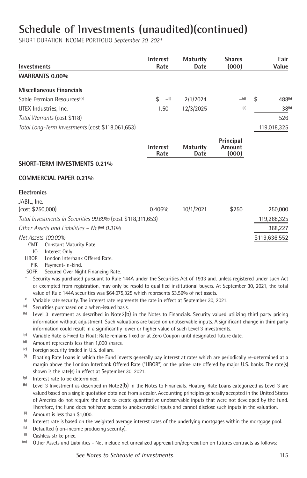| <b>Investments</b>                               | <b>Interest</b><br>Rate | <b>Maturity</b><br>Date | <b>Shares</b><br>(000) |     | Fair<br>Value      |
|--------------------------------------------------|-------------------------|-------------------------|------------------------|-----|--------------------|
| <b>WARRANTS 0.00%</b>                            |                         |                         |                        |     |                    |
| <b>Miscellaneous Financials</b>                  |                         |                         |                        |     |                    |
| Sable Permian Resources <sup>+(k)</sup>          | (l)<br>\$               | 2/1/2024                | (d)                    | \$. | 488 <sup>(b)</sup> |
| UTEX Industries, Inc.                            | 1.50                    | 12/3/2025               | (d)                    |     | $38^{(b)}$         |
| Total Warrants (cost \$118)                      |                         |                         |                        |     | 526                |
| Total Long-Term Investments (cost \$118,061,653) |                         |                         |                        |     | 119,018,325        |

|                    |                                                                                                                                                                                                                                                                                                                                       | <b>Interest</b><br>Rate | <b>Maturity</b><br>Date | Principal<br>Amount<br>(000) |               |
|--------------------|---------------------------------------------------------------------------------------------------------------------------------------------------------------------------------------------------------------------------------------------------------------------------------------------------------------------------------------|-------------------------|-------------------------|------------------------------|---------------|
|                    | SHORT-TERM INVESTMENTS 0.21%                                                                                                                                                                                                                                                                                                          |                         |                         |                              |               |
|                    | <b>COMMERCIAL PAPER 0.21%</b>                                                                                                                                                                                                                                                                                                         |                         |                         |                              |               |
| <b>Electronics</b> |                                                                                                                                                                                                                                                                                                                                       |                         |                         |                              |               |
| JABIL, Inc.        |                                                                                                                                                                                                                                                                                                                                       |                         |                         |                              |               |
|                    | (cost \$250,000)                                                                                                                                                                                                                                                                                                                      | 0.406%                  | 10/1/2021               | \$250                        | 250,000       |
|                    | Total Investments in Securities 99.69% (cost \$118,311,653)                                                                                                                                                                                                                                                                           |                         |                         |                              | 119,268,325   |
|                    | Other Assets and Liabilities - Net m $0.31\%$                                                                                                                                                                                                                                                                                         |                         |                         |                              | 368,227       |
| <b>CMT</b>         | Net Assets 100.00%<br>Constant Maturity Rate.                                                                                                                                                                                                                                                                                         |                         |                         |                              | \$119,636,552 |
| <b>LIBOR</b>       | Interest Only.<br>$\overline{10}$<br>London Interbank Offered Rate.                                                                                                                                                                                                                                                                   |                         |                         |                              |               |
|                    | Payment-in-kind.<br><b>PIK</b>                                                                                                                                                                                                                                                                                                        |                         |                         |                              |               |
| <b>SOFR</b>        | Secured Over Night Financing Rate.                                                                                                                                                                                                                                                                                                    |                         |                         |                              |               |
| $^+$               | Security was purchased pursuant to Rule 144A under the Securities Act of 1933 and, unless registered under such Act<br>or exempted from registration, may only be resold to qualified institutional buyers. At September 30, 2021, the total<br>value of Rule 144A securities was \$64,075,325 which represents 53.56% of net assets. |                         |                         |                              |               |
|                    | Variable rate security. The interest rate represents the rate in effect at September 30, 2021.                                                                                                                                                                                                                                        |                         |                         |                              |               |
| (a)                | Securities purchased on a when-issued basis.                                                                                                                                                                                                                                                                                          |                         |                         |                              |               |
| (b)                | Level 3 Investment as described in Note $2(b)$ in the Notes to Financials. Security valued utilizing third party pricing                                                                                                                                                                                                              |                         |                         |                              |               |
|                    |                                                                                                                                                                                                                                                                                                                                       |                         |                         |                              |               |

- information without adjustment. Such valuations are based on unobservable inputs. A significant change in third party
- information could result in a significantly lower or higher value of such Level 3 investments.<br>(c) Variable Rate is Fixed to Float: Rate remains fixed or at Zero Coupon until designated future  $^{(c)}$  Variable Rate is Fixed to Float: Rate remains fixed or at Zero Coupon until designated future date.<br> $^{(d)}$  Amount represents less than 1.000 shares.
- $\frac{dI}{dr}$  Amount represents less than 1,000 shares.<br>(e) Eoreign security traded in LLS dollars
- $^{(e)}$  Foreign security traded in U.S. dollars.<br>(f) Floating Rate Loans in which the Fun
- $<sup>(f)</sup>$  Floating Rate Loans in which the Fund invests generally pay interest at rates which are periodically re-determined at a</sup> margin above the London Interbank Offered Rate ("LIBOR") or the prime rate offered by major U.S. banks. The rate(s) shown is the rate(s) in effect at September 30, 2021.<br> $\frac{q_0}{r_0}$  Interest rate to be determined
- $\frac{1}{1}$  Interest rate to be determined.<br>(h) Level 3 Investment as described
- Level 3 Investment as described in Note2(b) in the Notes to Financials. Floating Rate Loans categorized as Level 3 are valued based on a single quotation obtained from a dealer. Accounting principles generally accepted in the United States of America do not require the Fund to create quantitative unobservable inputs that were not developed by the Fund. Therefore, the Fund does not have access to unobservable inputs and cannot disclose such inputs in the valuation.  $\stackrel{1}{0}$  Amount is less than \$1.000.
- $\frac{1}{9}$  Amount is less than \$1,000.<br> $\frac{1}{9}$  Interest rate is based on the
- $^{\circ}$  Interest rate is based on the weighted average interest rates of the underlying mortgages within the mortgage pool.<br> $^{\circ}$  Defaulted (non-income producing security)
	- (k) Defaulted (non-income producing security).<br>(l) Cashless strike price
- $^{(1)}$  Cashless strike price.
- Other Assets and Liabilities Net include net unrealized appreciation/depreciation on futures contracts as follows: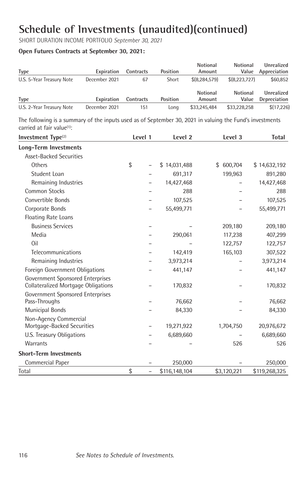SHORT DURATION INCOME PORTFOLIO *September 30, 2021*

#### **Open Futures Contracts at September 30, 2021:**

|                           |               |           |          | Notional           | <b>Notional</b>          | Unrealized                 |
|---------------------------|---------------|-----------|----------|--------------------|--------------------------|----------------------------|
| Type                      | Expiration    | Contracts | Position | Amount             | Value                    | Appreciation               |
| U.S. 5-Year Treasury Note | December 2021 | 67        | Short    | \$ (8.284.579)     | \$(8,223,727)            | \$60,852                   |
| <b>Type</b>               | Expiration    | Contracts | Position | Notional<br>Amount | <b>Notional</b><br>Value | Unrealized<br>Depreciation |
| U.S. 2-Year Treasury Note | December 2021 | 151       | Lona     | \$33,245,484       | \$33,228,258             | \$(17,226)                 |

The following is a summary of the inputs used as of September 30, 2021 in valuing the Fund's investments carried at fair value<sup>(1)</sup>:

| Investment Type <sup>(2)</sup>                                                                              | Level 1                        | Level <sub>2</sub> | Level 3       | <b>Total</b>  |
|-------------------------------------------------------------------------------------------------------------|--------------------------------|--------------------|---------------|---------------|
| <b>Long-Term Investments</b>                                                                                |                                |                    |               |               |
| <b>Asset-Backed Securities</b>                                                                              |                                |                    |               |               |
| Others                                                                                                      | \$                             | \$14,031,488       | 600,704<br>\$ | \$14,632,192  |
| Student Loan                                                                                                |                                | 691,317            | 199,963       | 891,280       |
| Remaining Industries                                                                                        |                                | 14,427,468         |               | 14,427,468    |
| <b>Common Stocks</b>                                                                                        |                                | 288                |               | 288           |
| Convertible Bonds                                                                                           |                                | 107,525            |               | 107,525       |
| Corporate Bonds                                                                                             |                                | 55,499,771         |               | 55,499,771    |
| Floating Rate Loans                                                                                         |                                |                    |               |               |
| <b>Business Services</b>                                                                                    |                                |                    | 209,180       | 209,180       |
| Media                                                                                                       |                                | 290,061            | 117,238       | 407,299       |
| Oil                                                                                                         |                                |                    | 122,757       | 122,757       |
| Telecommunications                                                                                          |                                | 142,419            | 165,103       | 307,522       |
| Remaining Industries                                                                                        |                                | 3,973,214          |               | 3,973,214     |
| Foreign Government Obligations                                                                              |                                | 441,147            |               | 441,147       |
| Government Sponsored Enterprises<br>Collateralized Mortgage Obligations<br>Government Sponsored Enterprises |                                | 170,832            |               | 170,832       |
| Pass-Throughs                                                                                               |                                | 76,662             |               | 76,662        |
| <b>Municipal Bonds</b>                                                                                      |                                | 84,330             |               | 84,330        |
| Non-Agency Commercial<br>Mortgage-Backed Securities                                                         |                                | 19,271,922         | 1,704,750     | 20,976,672    |
| U.S. Treasury Obligations                                                                                   |                                | 6,689,660          |               | 6,689,660     |
| <b>Warrants</b>                                                                                             |                                |                    | 526           | 526           |
| <b>Short-Term Investments</b>                                                                               |                                |                    |               |               |
| Commercial Paper                                                                                            |                                | 250,000            |               | 250,000       |
| Total                                                                                                       | \$<br>$\overline{\phantom{0}}$ | \$116,148,104      | \$3,120,221   | \$119,268,325 |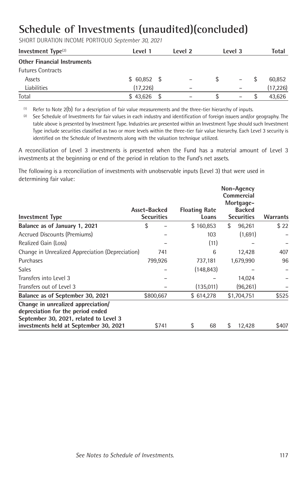SHORT DURATION INCOME PORTFOLIO *September 30, 2021*

| Investment $Type(2)$               | Level 1      | Level 2 | Level 3           | Total     |
|------------------------------------|--------------|---------|-------------------|-----------|
| <b>Other Financial Instruments</b> |              |         |                   |           |
| <b>Futures Contracts</b>           |              |         |                   |           |
| Assets                             | $$60,852$ \$ |         | $\qquad \qquad -$ | 60.852    |
| Liabilities                        | (17, 226)    | -       |                   | (17, 226) |
| Total                              | \$43,626     |         | -                 | 43.626    |

 $(1)$  Refer to Note 2(b) for a description of fair value measurements and the three-tier hierarchy of inputs.

(2) See Schedule of Investments for fair values in each industry and identification of foreign issuers and/or geography. The table above is presented by Investment Type. Industries are presented within an Investment Type should such Investment Type include securities classified as two or more levels within the three-tier fair value hierarchy. Each Level 3 security is identified on the Schedule of Investments along with the valuation technique utilized.

A reconciliation of Level 3 investments is presented when the Fund has a material amount of Level 3 investments at the beginning or end of the period in relation to the Fund's net assets.

The following is a reconciliation of investments with unobservable inputs (Level 3) that were used in determining fair value:

| <b>Investment Type</b>                                                                                                                                      | Asset-Backed<br><b>Securities</b> |         | <b>Floating Rate</b> | Loans | Non-Agency<br>Commercial<br>Mortgage-<br><b>Backed</b><br><b>Securities</b> | Warrants |
|-------------------------------------------------------------------------------------------------------------------------------------------------------------|-----------------------------------|---------|----------------------|-------|-----------------------------------------------------------------------------|----------|
| Balance as of January 1, 2021                                                                                                                               | \$                                |         | \$160,853            |       | \$<br>96,261                                                                | \$22     |
| Accrued Discounts (Premiums)                                                                                                                                |                                   |         |                      | 103   | (1,691)                                                                     |          |
| Realized Gain (Loss)                                                                                                                                        |                                   |         |                      | (11)  |                                                                             |          |
| Change in Unrealized Appreciation (Depreciation)                                                                                                            |                                   | 741     |                      | 6     | 12,428                                                                      | 407      |
| Purchases                                                                                                                                                   |                                   | 799,926 | 737,181              |       | 1,679,990                                                                   | 96       |
| <b>Sales</b>                                                                                                                                                |                                   |         | (148, 843)           |       |                                                                             |          |
| Transfers into Level 3                                                                                                                                      |                                   |         |                      |       | 14,024                                                                      |          |
| Transfers out of Level 3                                                                                                                                    |                                   |         | (135,011)            |       | (96, 261)                                                                   |          |
| Balance as of September 30, 2021                                                                                                                            | \$800,667                         |         | \$614,278            |       | \$1,704,751                                                                 | \$525    |
| Change in unrealized appreciation/<br>depreciation for the period ended<br>September 30, 2021, related to Level 3<br>investments held at September 30, 2021 |                                   | \$741   | \$                   | 68    | \$<br>12,428                                                                | \$407    |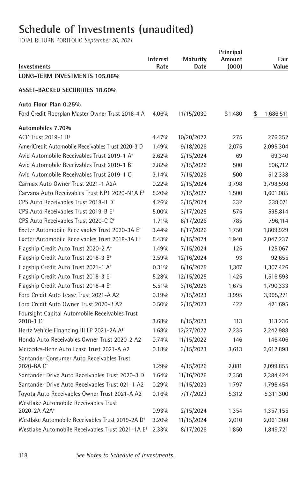# **Schedule of Investments (unaudited)**

| Investments                                                         | Interest<br>Rate | <b>Maturity</b><br>Date | Principal<br>Amount<br>(000) | Fair<br>Value   |
|---------------------------------------------------------------------|------------------|-------------------------|------------------------------|-----------------|
| LONG-TERM INVESTMENTS 105.06%                                       |                  |                         |                              |                 |
| <b>ASSET-BACKED SECURITIES 18.60%</b>                               |                  |                         |                              |                 |
| Auto Floor Plan 0.25%                                               |                  |                         |                              |                 |
| Ford Credit Floorplan Master Owner Trust 2018-4 A                   | 4.06%            | 11/15/2030              | \$1,480                      | \$<br>1,686,511 |
| Automobiles 7.70%                                                   |                  |                         |                              |                 |
| ACC Trust 2019-1 B <sup>+</sup>                                     | 4.47%            | 10/20/2022              | 275                          | 276,352         |
| AmeriCredit Automobile Receivables Trust 2020-3 D                   | 1.49%            | 9/18/2026               | 2,075                        | 2,095,304       |
| Avid Automobile Receivables Trust 2019-1 A <sup>+</sup>             | 2.62%            | 2/15/2024               | 69                           | 69,340          |
| Avid Automobile Receivables Trust 2019-1 B <sup>+</sup>             | 2.82%            | 7/15/2026               | 500                          | 506,712         |
| Avid Automobile Receivables Trust 2019-1 C <sup>+</sup>             | 3.14%            | 7/15/2026               | 500                          | 512,338         |
| Carmax Auto Owner Trust 2021-1 A2A                                  | 0.22%            | 2/15/2024               | 3,798                        | 3,798,598       |
| Carvana Auto Receivables Trust NP1 2020-N1A E <sup>+</sup>          | 5.20%            | 7/15/2027               | 1,500                        | 1,601,085       |
| CPS Auto Receivables Trust 2018-B D <sup>+</sup>                    | 4.26%            | 3/15/2024               | 332                          | 338,071         |
| CPS Auto Receivables Trust 2019-B E <sup>+</sup>                    | 5.00%            | 3/17/2025               | 575                          | 595,814         |
| CPS Auto Receivables Trust 2020-C C <sup>+</sup>                    | 1.71%            | 8/17/2026               | 785                          | 796,114         |
| Exeter Automobile Receivables Trust 2020-3A E <sup>+</sup>          | 3.44%            | 8/17/2026               | 1,750                        | 1,809,929       |
| Exeter Automobile Receivables Trust 2018-3A E <sup>+</sup>          | 5.43%            | 8/15/2024               | 1,940                        | 2,047,237       |
| Flagship Credit Auto Trust 2020-2 A <sup>+</sup>                    | 1.49%            | 7/15/2024               | 125                          | 125,067         |
| Flagship Credit Auto Trust 2018-3 B <sup>+</sup>                    | 3.59%            | 12/16/2024              | 93                           | 92,655          |
| Flagship Credit Auto Trust 2021-1 A <sup>+</sup>                    | 0.31%            | 6/16/2025               | 1,307                        | 1,307,426       |
| Flagship Credit Auto Trust 2018-3 E <sup>+</sup>                    | 5.28%            | 12/15/2025              | 1,425                        | 1,516,593       |
| Flagship Credit Auto Trust 2018-4 E <sup>+</sup>                    | 5.51%            | 3/16/2026               | 1,675                        | 1,790,333       |
| Ford Credit Auto Lease Trust 2021-A A2                              | 0.19%            | 7/15/2023               | 3,995                        | 3,995,271       |
| Ford Credit Auto Owner Trust 2020-B A2                              | 0.50%            | 2/15/2023               | 422                          | 421,695         |
| Foursight Capital Automobile Receivables Trust                      |                  |                         |                              |                 |
| 2018-1 C <sup>+</sup>                                               | 3.68%            | 8/15/2023               | 113                          | 113,236         |
| Hertz Vehicle Financing III LP 2021-2A A <sup>+</sup>               | 1.68%            | 12/27/2027              | 2,235                        | 2,242,988       |
| Honda Auto Receivables Owner Trust 2020-2 A2                        | 0.74%            | 11/15/2022              | 146                          | 146,406         |
| Mercedes-Benz Auto Lease Trust 2021-A A2                            | 0.18%            | 3/15/2023               | 3,613                        | 3,612,898       |
| Santander Consumer Auto Receivables Trust<br>2020-BA C <sup>+</sup> | 1.29%            | 4/15/2026               | 2,081                        | 2,099,855       |
| Santander Drive Auto Receivables Trust 2020-3 D                     | 1.64%            | 11/16/2026              | 2,350                        | 2,384,424       |
| Santander Drive Auto Receivables Trust 021-1 A2                     | 0.29%            | 11/15/2023              | 1,797                        | 1,796,454       |
| Toyota Auto Receivables Owner Trust 2021-A A2                       | 0.16%            | 7/17/2023               | 5,312                        | 5,311,300       |
| Westlake Automobile Receivables Trust                               |                  |                         |                              |                 |
| 2020-2A A2A <sup>+</sup>                                            | 0.93%            | 2/15/2024               | 1,354                        | 1,357,155       |
| Westlake Automobile Receivables Trust 2019-2A D <sup>+</sup>        | 3.20%            | 11/15/2024              | 2,010                        | 2,061,308       |
| Westlake Automobile Receivables Trust 2021-1A E <sup>+</sup>        | 2.33%            | 8/17/2026               | 1,850                        | 1,849,721       |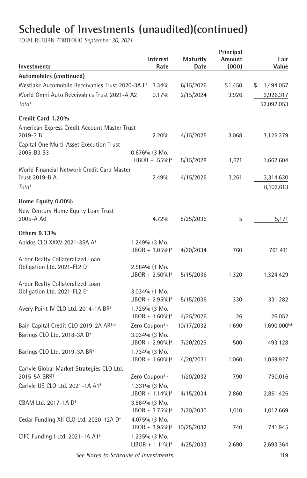TOTAL RETURN PORTFOLIO *September 30, 2021*

| Investments                                                  | <b>Interest</b><br>Rate                          | Maturity<br>Date | Principal<br>Amount<br>(000) | Fair<br>Value     |
|--------------------------------------------------------------|--------------------------------------------------|------------------|------------------------------|-------------------|
| Automobiles (continued)                                      |                                                  |                  |                              |                   |
| Westlake Automobile Receivables Trust 2020-3A E <sup>+</sup> | 3.34%                                            | 6/15/2026        | \$1,450                      | \$<br>1,494,057   |
| World Omni Auto Receivables Trust 2021-A A2                  | 0.17%                                            | 2/15/2024        | 3,926                        | 3,926,317         |
| Total                                                        |                                                  |                  |                              | 52,092,053        |
| Credit Card 1.20%                                            |                                                  |                  |                              |                   |
| American Express Credit Account Master Trust                 |                                                  |                  |                              |                   |
| 2019-3B                                                      | 2.20%                                            | 4/15/2025        | 3,068                        | 3,125,379         |
| Capital One Multi-Asset Execution Trust<br>2005-B3 B3        | $0.676%$ (3 Mo.                                  |                  |                              |                   |
|                                                              | $LIBOR + .55\%$ <sup>*</sup>                     | 5/15/2028        | 1,671                        | 1,662,604         |
| World Financial Network Credit Card Master                   |                                                  |                  |                              |                   |
| Trust 2019-B A                                               | 2.49%                                            | 4/15/2026        | 3,261                        | 3,314,630         |
| Total                                                        |                                                  |                  |                              | 8,102,613         |
| Home Equity 0.00%                                            |                                                  |                  |                              |                   |
| New Century Home Equity Loan Trust                           |                                                  |                  |                              |                   |
| 2005-A A6                                                    | 4.72%                                            | 8/25/2035        | 5                            | 5,171             |
| Others 9.13%                                                 |                                                  |                  |                              |                   |
| Apidos CLO XXXV 2021-35A A <sup>+</sup>                      | 1.249% (3 Mo.                                    |                  |                              |                   |
|                                                              | $LIBOR + 1.05\%$ <sup>*</sup>                    | 4/20/2034        | 760                          | 761,411           |
| Arbor Realty Collateralized Loan                             |                                                  |                  |                              |                   |
| Obligation Ltd. 2021-FL2 D <sup>+</sup>                      | 2.584% (1 Mo.<br>$LIBOR + 2.50\%$ <sup>*</sup>   | 5/15/2036        | 1,320                        | 1,324,429         |
| Arbor Realty Collateralized Loan                             |                                                  |                  |                              |                   |
| Obligation Ltd. 2021-FL2 E <sup>+</sup>                      | 3.034% (1 Mo.                                    |                  |                              |                   |
|                                                              | $LIBOR + 2.95\%$ <sup>*</sup>                    | 5/15/2036        | 330                          | 331,282           |
| Avery Point IV CLO Ltd. 2014-1A BR <sup>+</sup>              | 1.725% (3 Mo.                                    |                  |                              |                   |
|                                                              | $LIBOR + 1.60\%$ <sup>#</sup>                    | 4/25/2026        | 26                           | 26,052            |
| Bain Capital Credit CLO 2019-2A AR <sup>+(a)</sup>           | Zero Coupon#(b)                                  | 10/17/2032       | 1,690                        | $1,690,000^{(c)}$ |
| Barings CLO Ltd. 2018-3A D <sup>+</sup>                      | 3.034% (3 Mo.<br>$LIBOR + 2.90\%$ <sup>*</sup>   | 7/20/2029        | 500                          | 493,128           |
| Barings CLO Ltd. 2019-3A BR <sup>+</sup>                     | 1.734% (3 Mo.                                    |                  |                              |                   |
|                                                              | $LIBOR + 1.60\%$ <sup>*</sup>                    | 4/20/2031        | 1,060                        | 1,059,927         |
| Carlyle Global Market Strategies CLO Ltd.                    |                                                  |                  |                              |                   |
| 2015-5A BRR <sup>+</sup>                                     | Zero Coupon#(b)                                  | 1/20/2032        | 790                          | 790,016           |
| Carlyle US CLO Ltd. 2021-1A A1 <sup>+</sup>                  | 1.331% (3 Mo.                                    |                  |                              |                   |
|                                                              | $LIBOR + 1.14\%$ <sup>*</sup>                    | 4/15/2034        | 2,860                        | 2,861,426         |
| CBAM Ltd. 2017-1A D <sup>+</sup>                             | 3.884% (3 Mo.                                    |                  |                              |                   |
|                                                              | $LIBOR + 3.75\%$ <sup>*</sup><br>$4.075%$ (3 Mo. | 7/20/2030        | 1,010                        | 1,012,669         |
| Cedar Funding XII CLO Ltd. 2020-12A D <sup>+</sup>           | $LIBOR + 3.95\%$ <sup>*</sup>                    | 10/25/2032       | 740                          | 741,945           |
| CIFC Funding I Ltd. 2021-1A A1 <sup>+</sup>                  | 1.235% (3 Mo.                                    |                  |                              |                   |
|                                                              | $LIBOR + 1.11\%$ <sup>#</sup>                    | 4/25/2033        | 2,690                        | 2,693,364         |
|                                                              |                                                  |                  |                              |                   |

 *See Notes to Schedule of Investments.* 119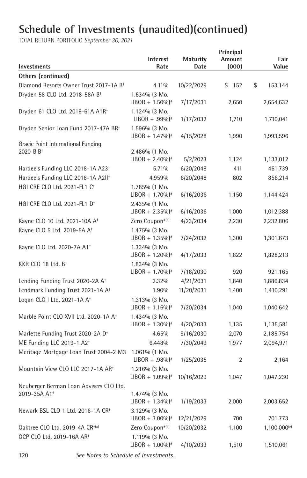| Investments                                                 | Interest<br>Rate                               | <b>Maturity</b><br>Date | Principal<br>Amount<br>(000) | Fair<br>Value |
|-------------------------------------------------------------|------------------------------------------------|-------------------------|------------------------------|---------------|
| <b>Others (continued)</b>                                   |                                                |                         |                              |               |
| Diamond Resorts Owner Trust 2017-1A B <sup>+</sup>          | 4.11%                                          | 10/22/2029              | \$<br>152                    | \$<br>153,144 |
| Dryden 58 CLO Ltd. 2018-58A B <sup>+</sup>                  | 1.634% (3 Mo.                                  |                         |                              |               |
|                                                             | $LIBOR + 1.50\%$ <sup>*</sup>                  | 7/17/2031               | 2,650                        | 2,654,632     |
| Dryden 61 CLO Ltd. 2018-61A A1R <sup>+</sup>                | $1.124\%$ (3 Mo.                               |                         |                              |               |
|                                                             | $LIBOR + .99\%$                                | 1/17/2032               | 1,710                        | 1,710,041     |
| Dryden Senior Loan Fund 2017-47A BR <sup>+</sup>            | 1.596% (3 Mo.                                  |                         |                              |               |
|                                                             | $LIBOR + 1.47\%$ <sup>*</sup>                  | 4/15/2028               | 1,990                        | 1,993,596     |
| Gracie Point International Funding<br>2020-B B <sup>+</sup> | 2.486% (1 Mo.                                  |                         |                              |               |
|                                                             | $LIBOR + 2.40\%$ <sup>*</sup>                  | 5/2/2023                | 1,124                        | 1,133,012     |
| Hardee's Funding LLC 2018-1A A23 <sup>+</sup>               | 5.71%                                          | 6/20/2048               | 411                          | 461,739       |
| Hardee's Funding LLC 2018-1A A2II <sup>+</sup>              | 4.959%                                         | 6/20/2048               | 802                          | 856,214       |
| HGI CRE CLO Ltd. 2021-FL1 C <sup>+</sup>                    | 1.785% (1 Mo.                                  |                         |                              |               |
|                                                             | $LIBOR + 1.70\%$ <sup>#</sup>                  | 6/16/2036               | 1,150                        | 1,144,424     |
| HGI CRE CLO Ltd. 2021-FL1 D <sup>+</sup>                    | $2.435\%$ (1 Mo.                               |                         |                              |               |
|                                                             | $LIBOR + 2.35\%$ <sup>*</sup>                  | 6/16/2036               | 1,000                        | 1,012,388     |
| Kayne CLO 10 Ltd. 2021-10A A <sup>+</sup>                   | Zero Coupon#(b)                                | 4/23/2034               | 2,230                        | 2,232,806     |
| Kayne CLO 5 Ltd. 2019-5A A <sup>+</sup>                     | 1.475% (3 Mo.                                  |                         |                              |               |
|                                                             | $LIBOR + 1.35\%$ <sup>*</sup>                  | 7/24/2032               | 1,300                        | 1,301,673     |
| Kayne CLO Ltd. 2020-7A A1 <sup>+</sup>                      | 1.334% (3 Mo.                                  |                         |                              |               |
|                                                             | $LIBOR + 1.20\%$ <sup>*</sup>                  | 4/17/2033               | 1,822                        | 1,828,213     |
| KKR CLO 18 Ltd. $B^+$                                       | 1.834% (3 Mo.                                  |                         |                              |               |
|                                                             | $LIBOR + 1.70\%$ <sup>*</sup>                  | 7/18/2030               | 920                          | 921,165       |
| Lending Funding Trust 2020-2A A <sup>+</sup>                | 2.32%                                          | 4/21/2031               | 1,840                        | 1,886,834     |
| Lendmark Funding Trust 2021-1A A <sup>+</sup>               | 1.90%                                          | 11/20/2031              | 1,400                        | 1,410,291     |
| Logan CLO I Ltd. 2021-1A A <sup>+</sup>                     | 1.313% (3 Mo.                                  |                         |                              |               |
|                                                             | $LIBOR + 1.16\%$ <sup>*</sup>                  | 7/20/2034               | 1,040                        | 1,040,642     |
| Marble Point CLO XVII Ltd. 2020-1A A <sup>+</sup>           | 1.434% (3 Mo.                                  |                         |                              |               |
|                                                             | $LIBOR + 1.30\%$ <sup>*</sup>                  | 4/20/2033               | 1,135                        | 1,135,581     |
| Marlette Funding Trust 2020-2A D <sup>+</sup>               | 4.65%                                          | 9/16/2030               | 2,070                        | 2,185,754     |
| ME Funding LLC 2019-1 A2 <sup>+</sup>                       | 6.448%                                         | 7/30/2049               | 1,977                        | 2,094,971     |
| Meritage Mortgage Loan Trust 2004-2 M3                      | 1.061% (1 Mo.<br>$LIBOR + .98\%$               | 1/25/2035               | 2                            | 2,164         |
| Mountain View CLO LLC 2017-1A AR <sup>+</sup>               | $1.216%$ (3 Mo.                                |                         |                              |               |
|                                                             | $LIBOR + 1.09\%$ <sup>*</sup>                  | 10/16/2029              | 1,047                        | 1,047,230     |
| Neuberger Berman Loan Advisers CLO Ltd.                     |                                                |                         |                              |               |
| 2019-35A A1 <sup>+</sup>                                    | 1.474% (3 Mo.                                  |                         |                              |               |
|                                                             | $LIBOR + 1.34\%$ <sup>*</sup>                  | 1/19/2033               | 2,000                        | 2,003,652     |
| Newark BSL CLO 1 Ltd. 2016-1A CR <sup>+</sup>               | 3.129% (3 Mo.<br>$LIBOR + 3.00\%$ <sup>*</sup> | 12/21/2029              | 700                          | 701,773       |
| Oaktree CLO Ltd. 2019-4A CR <sup>+(a)</sup>                 | Zero Coupon#(b)                                | 10/20/2032              | 1,100                        | 1,100,000(c)  |
| OCP CLO Ltd. 2019-16A AR <sup>+</sup>                       | $1.119\%$ (3 Mo.                               |                         |                              |               |
|                                                             | $LIBOR + 1.00\%$ <sup>*</sup>                  | 4/10/2033               | 1,510                        | 1,510,061     |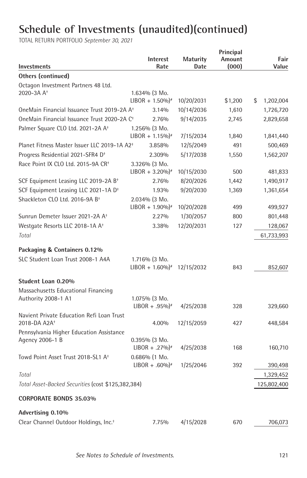| <b>Investments</b>                                       | <b>Interest</b><br>Rate       | <b>Maturity</b><br>Date | Principal<br>Amount<br>(000) | Fair<br>Value   |
|----------------------------------------------------------|-------------------------------|-------------------------|------------------------------|-----------------|
| <b>Others (continued)</b>                                |                               |                         |                              |                 |
| Octagon Investment Partners 48 Ltd.                      |                               |                         |                              |                 |
| 2020-3A A <sup>+</sup>                                   | $1.634\%$ (3 Mo.              |                         |                              |                 |
|                                                          | $LIBOR + 1.50\%$ <sup>*</sup> | 10/20/2031              | \$1,200                      | \$<br>1,202,004 |
| OneMain Financial Issuance Trust 2019-2A A <sup>+</sup>  | 3.14%                         | 10/14/2036              | 1,610                        | 1,726,720       |
| OneMain Financial Issuance Trust 2020-2A C <sup>+</sup>  | 2.76%                         | 9/14/2035               | 2,745                        | 2,829,658       |
| Palmer Square CLO Ltd. 2021-2A A <sup>+</sup>            | 1.256% (3 Mo.                 |                         |                              |                 |
|                                                          | $LIBOR + 1.15\%$ <sup>*</sup> | 7/15/2034               | 1,840                        | 1,841,440       |
| Planet Fitness Master Issuer LLC 2019-1A A2 <sup>+</sup> | 3.858%                        | 12/5/2049               | 491                          | 500,469         |
| Progress Residential 2021-SFR4 D <sup>+</sup>            | 2.309%                        | 5/17/2038               | 1,550                        | 1,562,207       |
| Race Point IX CLO Ltd. 2015-9A CR <sup>+</sup>           | 3.326% (3 Mo.                 |                         |                              |                 |
|                                                          | $LIBOR + 3.20\%$ <sup>*</sup> | 10/15/2030              | 500                          | 481,833         |
| SCF Equipment Leasing LLC 2019-2A B <sup>+</sup>         | 2.76%                         | 8/20/2026               | 1,442                        | 1,490,917       |
| SCF Equipment Leasing LLC 2021-1A D <sup>+</sup>         | 1.93%                         | 9/20/2030               | 1,369                        | 1,361,654       |
| Shackleton CLO Ltd. 2016-9A B <sup>+</sup>               | $2.034\%$ (3 Mo.              |                         |                              |                 |
|                                                          | $LIBOR + 1.90\%$ <sup>*</sup> | 10/20/2028              | 499                          | 499,927         |
| Sunrun Demeter Issuer 2021-2A A <sup>+</sup>             | 2.27%                         | 1/30/2057               | 800                          | 801,448         |
| Westgate Resorts LLC 2018-1A A <sup>+</sup>              | 3.38%                         | 12/20/2031              | 127                          | 128,067         |
| Total                                                    |                               |                         |                              | 61,733,993      |
| Packaging & Containers 0.12%                             |                               |                         |                              |                 |
| SLC Student Loan Trust 2008-1 A4A                        | 1.716% (3 Mo.                 |                         |                              |                 |
|                                                          | $LIBOR + 1.60\%$ <sup>*</sup> | 12/15/2032              | 843                          | 852,607         |
| Student Loan 0.20%                                       |                               |                         |                              |                 |
| Massachusetts Educational Financing                      |                               |                         |                              |                 |
| Authority 2008-1 A1                                      | 1.075% (3 Mo.                 |                         |                              |                 |
|                                                          | $LIBOR + .95\%$ <sup>*</sup>  | 4/25/2038               | 328                          | 329,660         |
| Navient Private Education Refi Loan Trust                |                               |                         |                              |                 |
| 2018-DA A2A <sup>+</sup>                                 | 4.00%                         | 12/15/2059              | 427                          | 448,584         |
| Pennsylvania Higher Education Assistance                 |                               |                         |                              |                 |
| Agency 2006-1 B                                          | $0.395\%$ (3 Mo.              |                         |                              |                 |
|                                                          | $LIBOR + .27\%$               | 4/25/2038               | 168                          | 160,710         |
| Towd Point Asset Trust 2018-SL1 A <sup>+</sup>           | $0.686\%$ (1 Mo.              |                         |                              |                 |
|                                                          | $LIBOR + .60\%$ <sup>*</sup>  | 1/25/2046               | 392                          | 390,498         |
| Total                                                    |                               |                         |                              | 1,329,452       |
| Total Asset-Backed Securities (cost \$125,382,384)       |                               |                         |                              | 125,802,400     |
| <b>CORPORATE BONDS 35.03%</b>                            |                               |                         |                              |                 |
| Advertising 0.10%                                        |                               |                         |                              |                 |
| Clear Channel Outdoor Holdings, Inc. <sup>+</sup>        | 7.75%                         | 4/15/2028               | 670                          | 706,073         |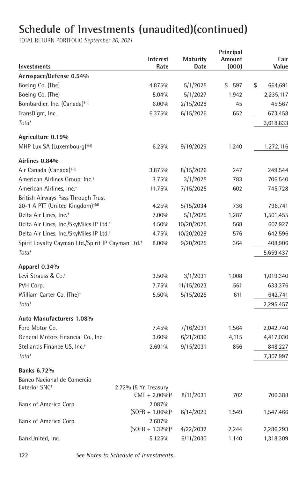| Investments                                                                       |                       | Interest<br>Rate            | <b>Maturity</b><br>Date | Principal<br>Amount<br>(000) | Fair<br>Value |
|-----------------------------------------------------------------------------------|-----------------------|-----------------------------|-------------------------|------------------------------|---------------|
| Aerospace/Defense 0.54%                                                           |                       |                             |                         |                              |               |
| Boeing Co. (The)                                                                  |                       | 4.875%                      | 5/1/2025                | \$<br>597                    | \$<br>664,691 |
| Boeing Co. (The)                                                                  |                       | 5.04%                       | 5/1/2027                | 1,942                        | 2,235,117     |
| Bombardier, Inc. (Canada) <sup>+(d)</sup>                                         |                       | $6.00\%$                    | 2/15/2028               | 45                           | 45,567        |
| TransDigm, Inc.                                                                   |                       | 6.375%                      | 6/15/2026               | 652                          | 673,458       |
| Total                                                                             |                       |                             |                         |                              | 3,618,833     |
| Agriculture 0.19%                                                                 |                       |                             |                         |                              |               |
| MHP Lux SA (Luxembourg) <sup>+(d)</sup>                                           |                       | 6.25%                       | 9/19/2029               | 1,240                        | 1,272,116     |
| Airlines 0.84%                                                                    |                       |                             |                         |                              |               |
| Air Canada (Canada) <sup>+(d)</sup>                                               |                       | 3.875%                      | 8/15/2026               | 247                          | 249,544       |
| American Airlines Group, Inc. <sup>+</sup>                                        |                       | 3.75%                       | 3/1/2025                | 783                          | 706,540       |
| American Airlines. Inc. <sup>+</sup>                                              |                       | 11.75%                      | 7/15/2025               | 602                          | 745,728       |
| British Airways Pass Through Trust<br>20-1 A PTT (United Kingdom) <sup>+(d)</sup> |                       | 4.25%                       | 5/15/2034               | 736                          | 796,741       |
| Delta Air Lines, Inc. <sup>+</sup>                                                |                       | 7.00%                       | 5/1/2025                | 1,287                        | 1,501,455     |
| Delta Air Lines, Inc./SkyMiles IP Ltd. <sup>+</sup>                               |                       | 4.50%                       | 10/20/2025              | 568                          | 607,927       |
| Delta Air Lines, Inc./SkyMiles IP Ltd. <sup>+</sup>                               |                       | 4.75%                       | 10/20/2028              | 576                          | 642,596       |
| Spirit Loyalty Cayman Ltd./Spirit IP Cayman Ltd. <sup>+</sup>                     |                       | 8.00%                       | 9/20/2025               | 364                          | 408,906       |
| Total                                                                             |                       |                             |                         |                              | 5,659,437     |
| Apparel 0.34%                                                                     |                       |                             |                         |                              |               |
| Levi Strauss & Co. <sup>+</sup>                                                   |                       | 3.50%                       | 3/1/2031                | 1,008                        | 1,019,340     |
| PVH Corp.                                                                         |                       | 7.75%                       | 11/15/2023              | 561                          | 633,376       |
| William Carter Co. (The) <sup>+</sup>                                             |                       | 5.50%                       | 5/15/2025               | 611                          | 642,741       |
| Total                                                                             |                       |                             |                         |                              | 2,295,457     |
| Auto Manufacturers 1.08%                                                          |                       |                             |                         |                              |               |
| Ford Motor Co.                                                                    |                       | 7.45%                       | 7/16/2031               | 1,564                        | 2,042,740     |
| General Motors Financial Co., Inc.                                                |                       | 3.60%                       | 6/21/2030               | 4,115                        | 4,417,030     |
| Stellantis Finance US, Inc. <sup>+</sup>                                          |                       | 2.691%                      | 9/15/2031               | 856                          | 848,227       |
| Total                                                                             |                       |                             |                         |                              | 7,307,997     |
| <b>Banks 6.72%</b>                                                                |                       |                             |                         |                              |               |
| Banco Nacional de Comercio                                                        |                       |                             |                         |                              |               |
| Exterior SNC <sup>+</sup>                                                         | 2.72% (5 Yr. Treasury | $CMT + 2.00\%$ <sup>*</sup> | 8/11/2031               | 702                          | 706,388       |
| Bank of America Corp.                                                             |                       | 2.087%<br>$(SOFR + 1.06\%)$ |                         | 1,549                        | 1,547,466     |
|                                                                                   |                       | 2.687%                      | 6/14/2029               |                              |               |
| Bank of America Corp.                                                             |                       | $(SOFR + 1.32\%)$           | 4/22/2032               | 2,244                        | 2,286,293     |
| BankUnited, Inc.                                                                  |                       | 5.125%                      | 6/11/2030               | 1,140                        | 1,318,309     |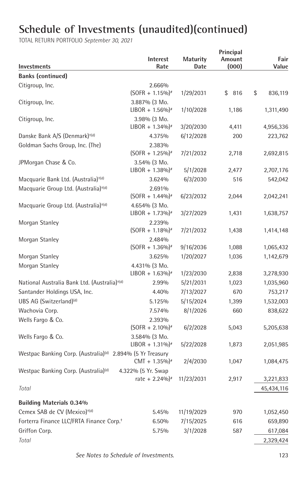| Investments                                                            | <b>Interest</b><br>Rate                       | <b>Maturity</b><br>Date | Principal<br>Amount<br>(000) | Fair<br>Value |
|------------------------------------------------------------------------|-----------------------------------------------|-------------------------|------------------------------|---------------|
| <b>Banks (continued)</b>                                               |                                               |                         |                              |               |
| Citigroup, Inc.                                                        | 2.666%                                        |                         |                              |               |
|                                                                        | $(SOFR + 1.15\%)$                             | 1/29/2031               | \$816                        | \$<br>836,119 |
| Citigroup, Inc.                                                        | 3.887% (3 Mo.                                 |                         |                              |               |
|                                                                        | $LIBOR + 1.56\%$ <sup>*</sup>                 | 1/10/2028               | 1,186                        | 1,311,490     |
| Citigroup, Inc.                                                        | 3.98% (3 Mo.                                  |                         |                              |               |
|                                                                        | $LIBOR + 1.34\%$ <sup>#</sup>                 | 3/20/2030               | 4,411                        | 4,956,336     |
| Danske Bank A/S (Denmark) <sup>+(d)</sup>                              | 4.375%                                        | 6/12/2028               | 200                          | 223,762       |
| Goldman Sachs Group, Inc. (The)                                        | 2.383%                                        |                         |                              |               |
|                                                                        | $(SOFR + 1.25\%)$                             | 7/21/2032               | 2,718                        | 2,692,815     |
| JPMorgan Chase & Co.                                                   | 3.54% (3 Mo.<br>$LIBOR + 1.38\%$ <sup>*</sup> | 5/1/2028                | 2,477                        | 2,707,176     |
| Macquarie Bank Ltd. (Australia) <sup>+(d)</sup>                        | 3.624%                                        | 6/3/2030                | 516                          | 542,042       |
| Macquarie Group Ltd. (Australia) <sup>+(d)</sup>                       | 2.691%                                        |                         |                              |               |
|                                                                        | $(SOFR + 1.44\%)$ <sup>#</sup>                | 6/23/2032               | 2,044                        | 2,042,241     |
| Macquarie Group Ltd. (Australia) <sup>+(d)</sup>                       | 4.654% (3 Mo.                                 |                         |                              |               |
|                                                                        | $LIBOR + 1.73\%$ <sup>*</sup>                 | 3/27/2029               | 1,431                        | 1,638,757     |
| Morgan Stanley                                                         | 2.239%                                        |                         |                              |               |
|                                                                        | $(SOFR + 1.18\%)$                             | 7/21/2032               | 1,438                        | 1,414,148     |
| Morgan Stanley                                                         | 2.484%                                        |                         |                              |               |
|                                                                        | $(SOFR + 1.36\%)$                             | 9/16/2036               | 1,088                        | 1,065,432     |
| Morgan Stanley                                                         | 3.625%                                        | 1/20/2027               | 1,036                        | 1,142,679     |
| Morgan Stanley                                                         | 4.431% (3 Mo.                                 |                         |                              |               |
|                                                                        | $LIBOR + 1.63\%$ <sup>*</sup>                 | 1/23/2030               | 2,838                        | 3,278,930     |
| National Australia Bank Ltd. (Australia) <sup>+(d)</sup>               | 2.99%                                         | 5/21/2031               | 1,023                        | 1,035,960     |
| Santander Holdings USA, Inc.                                           | 4.40%                                         | 7/13/2027               | 670                          | 753,217       |
| UBS AG (Switzerland) <sup>(d)</sup>                                    | 5.125%                                        | 5/15/2024               | 1,399                        | 1,532,003     |
| Wachovia Corp.                                                         | 7.574%                                        | 8/1/2026                | 660                          | 838,622       |
| Wells Fargo & Co.                                                      | 2.393%                                        |                         |                              |               |
|                                                                        | $(SOFR + 2.10\%)$ #                           | 6/2/2028                | 5,043                        | 5,205,638     |
| Wells Fargo & Co.                                                      | 3.584% (3 Mo.                                 |                         |                              |               |
|                                                                        | $LIBOR + 1.31\%$ <sup>*</sup>                 | 5/22/2028               | 1,873                        | 2,051,985     |
| Westpac Banking Corp. (Australia) <sup>(d)</sup> 2.894% (5 Yr Treasury | $CMT + 1.35\%$ <sup>#</sup>                   | 2/4/2030                | 1,047                        | 1,084,475     |
| Westpac Banking Corp. (Australia) <sup>(d)</sup>                       | 4.322% (5 Yr. Swap                            |                         |                              |               |
|                                                                        | rate + $2.24\%$ <sup>*</sup>                  | 11/23/2031              | 2,917                        | 3,221,833     |
| Total                                                                  |                                               |                         |                              | 45,434,116    |
| <b>Building Materials 0.34%</b>                                        |                                               |                         |                              |               |
| Cemex SAB de CV (Mexico) <sup>+(d)</sup>                               | 5.45%                                         | 11/19/2029              | 970                          | 1,052,450     |
| Forterra Finance LLC/FRTA Finance Corp. <sup>+</sup>                   | 6.50%                                         | 7/15/2025               | 616                          | 659,890       |
| Griffon Corp.                                                          | 5.75%                                         | 3/1/2028                | 587                          |               |
| Total                                                                  |                                               |                         |                              | 617,084       |
|                                                                        |                                               |                         |                              | 2,329,424     |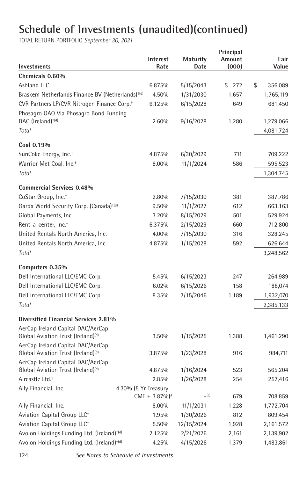| Investments                                                                         | <b>Interest</b><br>Rate     | <b>Maturity</b><br>Date | Principal<br>Amount<br>(000) | Fair<br>Value |
|-------------------------------------------------------------------------------------|-----------------------------|-------------------------|------------------------------|---------------|
| Chemicals 0.60%                                                                     |                             |                         |                              |               |
| Ashland LLC                                                                         | 6.875%                      | 5/15/2043               | 272<br>\$                    | \$<br>356,089 |
| Braskem Netherlands Finance BV (Netherlands) <sup>+(d)</sup>                        | 4.50%                       | 1/31/2030               | 1,657                        | 1,765,119     |
| CVR Partners LP/CVR Nitrogen Finance Corp. <sup>+</sup>                             | 6.125%                      | 6/15/2028               | 649                          | 681,450       |
| Phosagro OAO Via Phosagro Bond Funding                                              |                             |                         |                              |               |
| DAC (Ireland) <sup>+(d)</sup>                                                       | 2.60%                       | 9/16/2028               | 1,280                        | 1,279,066     |
| Total                                                                               |                             |                         |                              | 4,081,724     |
| Coal 0.19%                                                                          |                             |                         |                              |               |
| SunCoke Energy, Inc. <sup>+</sup>                                                   | 4.875%                      | 6/30/2029               | 711                          | 709,222       |
| Warrior Met Coal, Inc. <sup>+</sup>                                                 | 8.00%                       | 11/1/2024               | 586                          | 595,523       |
| Total                                                                               |                             |                         |                              | 1,304,745     |
| <b>Commercial Services 0.48%</b>                                                    |                             |                         |                              |               |
| CoStar Group, Inc. <sup>+</sup>                                                     | 2.80%                       | 7/15/2030               | 381                          | 387,786       |
| Garda World Security Corp. (Canada) <sup>+(d)</sup>                                 | 9.50%                       | 11/1/2027               | 612                          | 663,163       |
| Global Payments, Inc.                                                               | 3.20%                       | 8/15/2029               | 501                          | 529,924       |
| Rent-a-center, Inc. <sup>+</sup>                                                    | 6.375%                      | 2/15/2029               | 660                          | 712,800       |
| United Rentals North America, Inc.                                                  | 4.00%                       | 7/15/2030               | 316                          | 328,245       |
| United Rentals North America, Inc.                                                  | 4.875%                      | 1/15/2028               | 592                          | 626,644       |
| Total                                                                               |                             |                         |                              | 3,248,562     |
| Computers 0.35%                                                                     |                             |                         |                              |               |
| Dell International LLC/EMC Corp.                                                    | 5.45%                       | 6/15/2023               | 247                          | 264,989       |
| Dell International LLC/EMC Corp.                                                    | 6.02%                       | 6/15/2026               | 158                          | 188,074       |
| Dell International LLC/EMC Corp.                                                    | 8.35%                       | 7/15/2046               | 1,189                        | 1,932,070     |
| Total                                                                               |                             |                         |                              | 2,385,133     |
| Diversified Financial Services 2.81%                                                |                             |                         |                              |               |
| AerCap Ireland Capital DAC/AerCap                                                   |                             |                         |                              |               |
| Global Aviation Trust (Ireland) <sup>(d)</sup>                                      | 3.50%                       | 1/15/2025               | 1,388                        | 1,461,290     |
| AerCap Ireland Capital DAC/AerCap                                                   |                             |                         | 916                          |               |
| Global Aviation Trust (Ireland) <sup>(d)</sup><br>AerCap Ireland Capital DAC/AerCap | 3.875%                      | 1/23/2028               |                              | 984,711       |
| Global Aviation Trust (Ireland) <sup>(d)</sup>                                      | 4.875%                      | 1/16/2024               | 523                          | 565,204       |
| Aircastle Ltd. <sup>+</sup>                                                         | 2.85%                       | 1/26/2028               | 254                          | 257,416       |
| Ally Financial, Inc.                                                                | 4.70% (5 Yr Treasury        |                         |                              |               |
|                                                                                     | $CMT + 3.87\%$ <sup>*</sup> | $=(e)$                  | 679                          | 708,859       |
| Ally Financial, Inc.                                                                | 8.00%                       | 11/1/2031               | 1,228                        | 1,772,704     |
| Aviation Capital Group LLC <sup>+</sup>                                             | 1.95%                       | 1/30/2026               | 812                          | 809,454       |
| Aviation Capital Group LLC <sup>+</sup>                                             | 5.50%                       | 12/15/2024              | 1,928                        | 2,161,572     |
| Avolon Holdings Funding Ltd. (Ireland) <sup>+(d)</sup>                              | 2.125%                      | 2/21/2026               | 2,161                        | 2,139,902     |
| Avolon Holdings Funding Ltd. (Ireland) <sup>+(d)</sup>                              | 4.25%                       | 4/15/2026               | 1,379                        | 1,483,861     |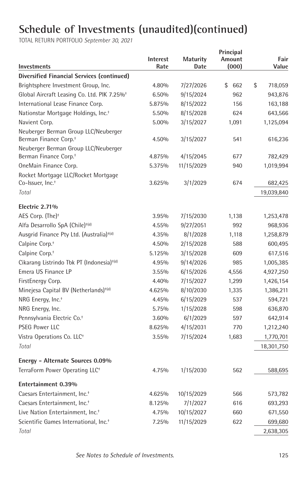| Investments                                                               | <b>Interest</b><br>Rate | Maturity<br>Date | Principal<br>Amount<br>(000) | Fair<br>Value |
|---------------------------------------------------------------------------|-------------------------|------------------|------------------------------|---------------|
| Diversified Financial Services (continued)                                |                         |                  |                              |               |
| Brightsphere Investment Group, Inc.                                       | 4.80%                   | 7/27/2026        | \$<br>662                    | \$<br>718,059 |
| Global Aircraft Leasing Co. Ltd. PIK 7.25% <sup>+</sup>                   | 6.50%                   | 9/15/2024        | 962                          | 943,876       |
| International Lease Finance Corp.                                         | 5.875%                  | 8/15/2022        | 156                          | 163,188       |
| Nationstar Mortgage Holdings, Inc. <sup>+</sup>                           | 5.50%                   | 8/15/2028        | 624                          | 643,566       |
| Navient Corp.                                                             | 5.00%                   | 3/15/2027        | 1,091                        | 1,125,094     |
| Neuberger Berman Group LLC/Neuberger<br>Berman Finance Corp. <sup>+</sup> | 4.50%                   | 3/15/2027        | 541                          | 616,236       |
| Neuberger Berman Group LLC/Neuberger                                      |                         |                  |                              |               |
| Berman Finance Corp. <sup>+</sup>                                         | 4.875%                  | 4/15/2045        | 677                          | 782,429       |
| OneMain Finance Corp.                                                     | 5.375%                  | 11/15/2029       | 940                          | 1,019,994     |
| Rocket Mortgage LLC/Rocket Mortgage                                       |                         |                  |                              |               |
| Co-Issuer, Inc. <sup>+</sup>                                              | 3.625%                  | 3/1/2029         | 674                          | 682,425       |
| Total                                                                     |                         |                  |                              | 19,039,840    |
| Electric 2.71%                                                            |                         |                  |                              |               |
| AES Corp. (The) <sup>+</sup>                                              | 3.95%                   | 7/15/2030        | 1,138                        | 1,253,478     |
| Alfa Desarrollo SpA (Chile) <sup>+(d)</sup>                               | 4.55%                   | 9/27/2051        | 992                          | 968,936       |
| Ausgrid Finance Pty Ltd. (Australia) <sup>+(d)</sup>                      | 4.35%                   | 8/1/2028         | 1,118                        | 1,258,879     |
| Calpine Corp. <sup>+</sup>                                                | 4.50%                   | 2/15/2028        | 588                          | 600,495       |
| Calpine Corp. <sup>+</sup>                                                | 5.125%                  | 3/15/2028        | 609                          | 617,516       |
| Cikarang Listrindo Tbk PT (Indonesia) <sup>+(d)</sup>                     | 4.95%                   | 9/14/2026        | 985                          | 1,005,385     |
| Emera US Finance LP                                                       | 3.55%                   | 6/15/2026        | 4,556                        | 4,927,250     |
| FirstEnergy Corp.                                                         | 4.40%                   | 7/15/2027        | 1,299                        | 1,426,154     |
| Minejesa Capital BV (Netherlands) <sup>+(d)</sup>                         | 4.625%                  | 8/10/2030        | 1,335                        | 1,386,211     |
| NRG Energy, Inc. <sup>+</sup>                                             | 4.45%                   | 6/15/2029        | 537                          | 594,721       |
| NRG Energy, Inc.                                                          | 5.75%                   | 1/15/2028        | 598                          | 636,870       |
| Pennsylvania Electric Co. <sup>+</sup>                                    | 3.60%                   | 6/1/2029         | 597                          | 642,914       |
| <b>PSEG Power LLC</b>                                                     | 8.625%                  | 4/15/2031        | 770                          | 1,212,240     |
| Vistra Operations Co. LLC <sup>+</sup>                                    | 3.55%                   | 7/15/2024        | 1,683                        | 1,770,701     |
| Total                                                                     |                         |                  |                              | 18,301,750    |
| Energy - Alternate Sources 0.09%                                          |                         |                  |                              |               |
| TerraForm Power Operating LLC <sup>+</sup>                                | 4.75%                   | 1/15/2030        | 562                          | 588,695       |
| Entertainment 0.39%                                                       |                         |                  |                              |               |
| Caesars Entertainment, Inc. <sup>+</sup>                                  | 4.625%                  | 10/15/2029       | 566                          | 573,782       |
| Caesars Entertainment, Inc. <sup>+</sup>                                  | 8.125%                  | 7/1/2027         | 616                          | 693,293       |
| Live Nation Entertainment, Inc. <sup>+</sup>                              | 4.75%                   | 10/15/2027       | 660                          | 671,550       |
| Scientific Games International, Inc. <sup>+</sup>                         | 7.25%                   | 11/15/2029       | 622                          | 699,680       |
| Total                                                                     |                         |                  |                              | 2,638,305     |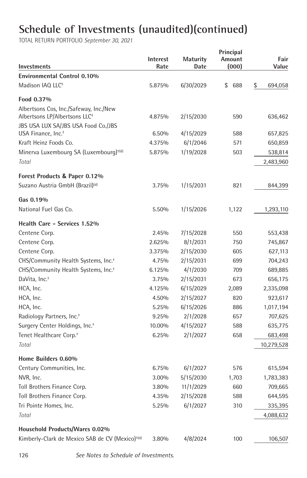| <b>Investments</b>                                                                  | Interest<br>Rate | <b>Maturity</b><br>Date | Principal<br>Amount<br>(000) | Fair<br>Value |
|-------------------------------------------------------------------------------------|------------------|-------------------------|------------------------------|---------------|
| <b>Environmental Control 0.10%</b>                                                  |                  |                         |                              |               |
| Madison IAQ LLC <sup>+</sup>                                                        | 5.875%           | 6/30/2029               | \$<br>688                    | \$<br>694,058 |
| Food 0.37%                                                                          |                  |                         |                              |               |
| Albertsons Cos, Inc./Safeway, Inc./New<br>Albertsons LP/Albertsons LLC <sup>+</sup> | 4.875%           | 2/15/2030               | 590                          | 636,462       |
| JBS USA LUX SA/JBS USA Food Co./JBS<br>USA Finance, Inc. <sup>+</sup>               | 6.50%            | 4/15/2029               | 588                          | 657,825       |
| Kraft Heinz Foods Co.                                                               | 4.375%           | 6/1/2046                | 571                          | 650,859       |
| Minerva Luxembourg SA (Luxembourg) <sup>+(d)</sup>                                  | 5.875%           | 1/19/2028               | 503                          | 538,814       |
| Total                                                                               |                  |                         |                              | 2,483,960     |
| Forest Products & Paper 0.12%                                                       |                  |                         |                              |               |
| Suzano Austria GmbH (Brazil) <sup>(d)</sup>                                         | 3.75%            | 1/15/2031               | 821                          | 844,399       |
| Gas 0.19%                                                                           |                  |                         |                              |               |
| National Fuel Gas Co.                                                               | 5.50%            | 1/15/2026               | 1,122                        | 1,293,110     |
| Health Care - Services 1.52%                                                        |                  |                         |                              |               |
| Centene Corp.                                                                       | 2.45%            | 7/15/2028               | 550                          | 553,438       |
| Centene Corp.                                                                       | 2.625%           | 8/1/2031                | 750                          | 745,867       |
| Centene Corp.                                                                       | 3.375%           | 2/15/2030               | 605                          | 627,113       |
| CHS/Community Health Systems, Inc. <sup>+</sup>                                     | 4.75%            | 2/15/2031               | 699                          | 704,243       |
| CHS/Community Health Systems, Inc. <sup>+</sup>                                     | 6.125%           | 4/1/2030                | 709                          | 689,885       |
| DaVita, Inc. <sup>+</sup>                                                           | 3.75%            | 2/15/2031               | 673                          | 656,175       |
| HCA, Inc.                                                                           | 4.125%           | 6/15/2029               | 2,089                        | 2,335,098     |
| HCA, Inc.                                                                           | 4.50%            | 2/15/2027               | 820                          | 923,617       |
| HCA, Inc.                                                                           | 5.25%            | 6/15/2026               | 886                          | 1,017,194     |
| Radiology Partners, Inc. <sup>+</sup>                                               | 9.25%            | 2/1/2028                | 657                          | 707,625       |
| Surgery Center Holdings, Inc. <sup>+</sup>                                          | 10.00%           | 4/15/2027               | 588                          | 635,775       |
| Tenet Healthcare Corp. <sup>+</sup>                                                 | 6.25%            | 2/1/2027                | 658                          | 683,498       |
| Total                                                                               |                  |                         |                              | 10,279,528    |
| Home Builders 0.60%                                                                 |                  |                         |                              |               |
| Century Communities, Inc.                                                           | 6.75%            | 6/1/2027                | 576                          | 615,594       |
| NVR, Inc.                                                                           | 3.00%            | 5/15/2030               | 1,703                        | 1,783,383     |
| Toll Brothers Finance Corp.                                                         | 3.80%            | 11/1/2029               | 660                          | 709,665       |
| Toll Brothers Finance Corp.                                                         | 4.35%            | 2/15/2028               | 588                          | 644,595       |
| Tri Pointe Homes, Inc.                                                              | 5.25%            | 6/1/2027                | 310                          | 335,395       |
| Total                                                                               |                  |                         |                              | 4,088,632     |
| Household Products/Wares 0.02%                                                      |                  |                         |                              |               |
| Kimberly-Clark de Mexico SAB de CV (Mexico) <sup>+(d)</sup>                         | 3.80%            | 4/8/2024                | 100                          | 106,507       |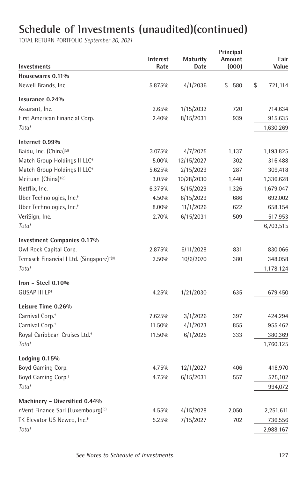| <b>Investments</b>                                   | <b>Interest</b><br>Rate | <b>Maturity</b><br>Date | Principal<br>Amount<br>(000) | Fair<br>Value |
|------------------------------------------------------|-------------------------|-------------------------|------------------------------|---------------|
| Housewares 0.11%                                     |                         |                         |                              |               |
| Newell Brands, Inc.                                  | 5.875%                  | 4/1/2036                | \$<br>580                    | \$<br>721,114 |
| Insurance 0.24%                                      |                         |                         |                              |               |
| Assurant, Inc.                                       | 2.65%                   | 1/15/2032               | 720                          | 714,634       |
| First American Financial Corp.                       | 2.40%                   | 8/15/2031               | 939                          | 915,635       |
| Total                                                |                         |                         |                              | 1,630,269     |
| Internet 0.99%                                       |                         |                         |                              |               |
| Baidu, Inc. (China) <sup>(d)</sup>                   | 3.075%                  | 4/7/2025                | 1,137                        | 1,193,825     |
| Match Group Holdings II LLC <sup>+</sup>             | 5.00%                   | 12/15/2027              | 302                          | 316,488       |
| Match Group Holdings II LLC <sup>+</sup>             | 5.625%                  | 2/15/2029               | 287                          | 309,418       |
| Meituan (China) <sup>+(d)</sup>                      | 3.05%                   | 10/28/2030              | 1,440                        | 1,336,628     |
| Netflix, Inc.                                        | 6.375%                  | 5/15/2029               | 1,326                        | 1,679,047     |
| Uber Technologies, Inc. <sup>+</sup>                 | 4.50%                   | 8/15/2029               | 686                          | 692,002       |
| Uber Technologies, Inc. <sup>+</sup>                 | 8.00%                   | 11/1/2026               | 622                          | 658,154       |
| VeriSign, Inc.                                       | 2.70%                   | 6/15/2031               | 509                          | 517,953       |
| Total                                                |                         |                         |                              | 6,703,515     |
| <b>Investment Companies 0.17%</b>                    |                         |                         |                              |               |
| Owl Rock Capital Corp.                               | 2.875%                  | 6/11/2028               | 831                          | 830,066       |
| Temasek Financial I Ltd. (Singapore) <sup>+(d)</sup> | 2.50%                   | 10/6/2070               | 380                          | 348,058       |
| Total                                                |                         |                         |                              | 1,178,124     |
| Iron - Steel $0.10\%$                                |                         |                         |                              |               |
| GUSAP III LP <sup>+</sup>                            | 4.25%                   | 1/21/2030               | 635                          | 679,450       |
| Leisure Time 0.26%                                   |                         |                         |                              |               |
| Carnival Corp. <sup>+</sup>                          | 7.625%                  | 3/1/2026                | 397                          | 424,294       |
| Carnival Corp. <sup>+</sup>                          | 11.50%                  | 4/1/2023                | 855                          | 955,462       |
| Royal Caribbean Cruises Ltd. <sup>+</sup>            | 11.50%                  | 6/1/2025                | 333                          | 380,369       |
| Total                                                |                         |                         |                              | 1,760,125     |
| <b>Lodging 0.15%</b>                                 |                         |                         |                              |               |
| Boyd Gaming Corp.                                    | 4.75%                   | 12/1/2027               | 406                          | 418,970       |
| Boyd Gaming Corp. <sup>+</sup>                       | 4.75%                   | 6/15/2031               | 557                          | 575,102       |
| Total                                                |                         |                         |                              | 994,072       |
| Machinery - Diversified 0.44%                        |                         |                         |                              |               |
| nVent Finance Sarl (Luxembourg) <sup>(d)</sup>       | 4.55%                   | 4/15/2028               | 2,050                        | 2,251,611     |
| TK Elevator US Newco, Inc. <sup>+</sup>              | 5.25%                   | 7/15/2027               | 702                          | 736,556       |
| Total                                                |                         |                         |                              | 2,988,167     |
|                                                      |                         |                         |                              |               |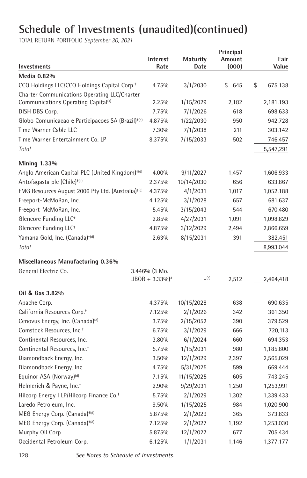| <b>Investments</b>                                             | Interest<br>Rate              | <b>Maturity</b><br>Date | Principal<br>Amount<br>(000) | Fair<br>Value |
|----------------------------------------------------------------|-------------------------------|-------------------------|------------------------------|---------------|
| Media 0.82%                                                    |                               |                         |                              |               |
| CCO Holdings LLC/CCO Holdings Capital Corp. <sup>+</sup>       | 4.75%                         | 3/1/2030                | \$<br>645                    | \$<br>675,138 |
| Charter Communications Operating LLC/Charter                   |                               |                         |                              |               |
| Communications Operating Capital <sup>(a)</sup>                | 2.25%                         | 1/15/2029               | 2,182                        | 2,181,193     |
| DISH DBS Corp.                                                 | 7.75%                         | 7/1/2026                | 618                          | 698,633       |
| Globo Comunicacao e Participacoes SA (Brazil) <sup>+(d)</sup>  | 4.875%                        | 1/22/2030               | 950                          | 942,728       |
| Time Warner Cable LLC                                          | 7.30%                         | 7/1/2038                | 211                          | 303,142       |
| Time Warner Entertainment Co. LP                               | 8.375%                        | 7/15/2033               | 502                          | 746,457       |
| Total                                                          |                               |                         |                              | 5,547,291     |
| Mining 1.33%                                                   |                               |                         |                              |               |
| Anglo American Capital PLC (United Kingdom) <sup>+(d)</sup>    | 4.00%                         | 9/11/2027               | 1,457                        | 1,606,933     |
| Antofagasta plc (Chile) <sup>+(d)</sup>                        | 2.375%                        | 10/14/2030              | 656                          | 633,867       |
| FMG Resources August 2006 Pty Ltd. (Australia) <sup>+(d)</sup> | 4.375%                        | 4/1/2031                | 1.017                        | 1,052,188     |
| Freeport-McMoRan, Inc.                                         | 4.125%                        | 3/1/2028                | 657                          | 681,637       |
| Freeport-McMoRan, Inc.                                         | 5.45%                         | 3/15/2043               | 544                          | 670,480       |
| Glencore Funding LLC <sup>+</sup>                              | 2.85%                         | 4/27/2031               | 1,091                        | 1,098,829     |
| Glencore Funding LLC <sup>+</sup>                              | 4.875%                        | 3/12/2029               | 2,494                        | 2,866,659     |
| Yamana Gold, Inc. (Canada) <sup>+(d)</sup>                     | 2.63%                         | 8/15/2031               | 391                          | 382,451       |
| Total                                                          |                               |                         |                              | 8,993,044     |
| Miscellaneous Manufacturing 0.36%                              |                               |                         |                              |               |
| General Electric Co.                                           | $3.446%$ (3 Mo.               |                         |                              |               |
|                                                                | $LIBOR + 3.33\%$ <sup>*</sup> | $=(e)$                  | 2,512                        | 2,464,418     |
| Oil & Gas 3.82%                                                |                               |                         |                              |               |
| Apache Corp.                                                   | 4.375%                        | 10/15/2028              | 638                          | 690,635       |
| California Resources Corp. <sup>+</sup>                        | 7.125%                        | 2/1/2026                | 342                          | 361,350       |
| Cenovus Energy, Inc. (Canada) <sup>(d)</sup>                   | 3.75%                         | 2/15/2052               | 390                          | 379,529       |
| Comstock Resources, Inc. <sup>+</sup>                          | 6.75%                         | 3/1/2029                | 666                          | 720,113       |
| Continental Resources, Inc.                                    | 3.80%                         | 6/1/2024                | 660                          | 694,353       |
| Continental Resources, Inc. <sup>+</sup>                       | 5.75%                         | 1/15/2031               | 980                          | 1,185,800     |
| Diamondback Energy, Inc.                                       | 3.50%                         | 12/1/2029               | 2,397                        | 2,565,029     |
| Diamondback Energy, Inc.                                       | 4.75%                         | 5/31/2025               | 599                          | 669,444       |
| Equinor ASA (Norway) <sup>(d)</sup>                            | 7.15%                         | 11/15/2025              | 605                          | 743,245       |
| Helmerich & Payne, Inc. <sup>+</sup>                           | 2.90%                         | 9/29/2031               | 1,250                        | 1,253,991     |
| Hilcorp Energy I LP/Hilcorp Finance Co. <sup>+</sup>           | 5.75%                         | 2/1/2029                | 1,302                        | 1,339,433     |
| Laredo Petroleum, Inc.                                         | 9.50%                         | 1/15/2025               | 984                          | 1,020,900     |
| MEG Energy Corp. (Canada) <sup>+(d)</sup>                      | 5.875%                        | 2/1/2029                | 365                          | 373,833       |
| MEG Energy Corp. (Canada) <sup>+(d)</sup>                      | 7.125%                        | 2/1/2027                | 1,192                        | 1,253,030     |
| Murphy Oil Corp.                                               | 5.875%                        | 12/1/2027               | 677                          | 705,434       |
| Occidental Petroleum Corp.                                     | 6.125%                        | 1/1/2031                | 1,146                        | 1,377,177     |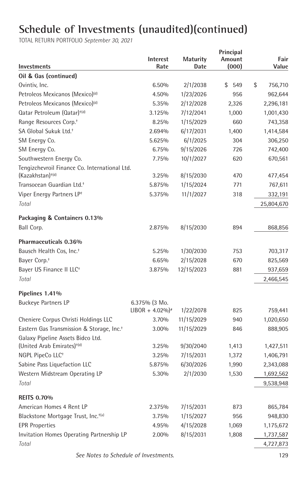TOTAL RETURN PORTFOLIO *September 30, 2021*

| <b>Investments</b>                                                            | Interest<br>Rate              | <b>Maturity</b><br>Date | Principal<br>Amount<br>(000) | Fair<br>Value |
|-------------------------------------------------------------------------------|-------------------------------|-------------------------|------------------------------|---------------|
| Oil & Gas (continued)                                                         |                               |                         |                              |               |
| Ovintiv, Inc.                                                                 | 6.50%                         | 2/1/2038                | 549<br>\$                    | \$<br>756,710 |
| Petroleos Mexicanos (Mexico) <sup>(d)</sup>                                   | 4.50%                         | 1/23/2026               | 956                          | 962,644       |
| Petroleos Mexicanos (Mexico) <sup>(d)</sup>                                   | 5.35%                         | 2/12/2028               | 2,326                        | 2,296,181     |
| Qatar Petroleum (Qatar) <sup>+(d)</sup>                                       | 3.125%                        | 7/12/2041               | 1,000                        | 1,001,430     |
| Range Resources Corp. <sup>+</sup>                                            | 8.25%                         | 1/15/2029               | 660                          | 743,358       |
| SA Global Sukuk Ltd. <sup>+</sup>                                             | 2.694%                        | 6/17/2031               | 1,400                        | 1,414,584     |
| SM Energy Co.                                                                 | 5.625%                        | 6/1/2025                | 304                          | 306,250       |
| SM Energy Co.                                                                 | 6.75%                         | 9/15/2026               | 726                          | 742,400       |
| Southwestern Energy Co.                                                       | 7.75%                         | 10/1/2027               | 620                          | 670,561       |
| Tengizchevroil Finance Co. International Ltd.<br>(Kazakhstan) <sup>+(d)</sup> | 3.25%                         | 8/15/2030               | 470                          | 477,454       |
| Transocean Guardian Ltd. <sup>+</sup>                                         | 5.875%                        | 1/15/2024               | 771                          | 767,611       |
| Viper Energy Partners LP <sup>+</sup>                                         | 5.375%                        | 11/1/2027               | 318                          | 332,191       |
| Total                                                                         |                               |                         |                              | 25,804,670    |
|                                                                               |                               |                         |                              |               |
| Packaging & Containers 0.13%                                                  |                               |                         |                              |               |
| Ball Corp.                                                                    | 2.875%                        | 8/15/2030               | 894                          | 868,856       |
| Pharmaceuticals 0.36%                                                         |                               |                         |                              |               |
| Bausch Health Cos, Inc. <sup>+</sup>                                          | 5.25%                         | 1/30/2030               | 753                          | 703,317       |
| Bayer Corp. <sup>+</sup>                                                      | 6.65%                         | 2/15/2028               | 670                          | 825,569       |
| Bayer US Finance II LLC <sup>+</sup>                                          | 3.875%                        | 12/15/2023              | 881                          | 937,659       |
| Total                                                                         |                               |                         |                              | 2,466,545     |
| Pipelines 1.41%                                                               |                               |                         |                              |               |
| <b>Buckeye Partners LP</b>                                                    | 6.375% (3 Mo.                 |                         |                              |               |
|                                                                               | $LIBOR + 4.02\%$ <sup>*</sup> | 1/22/2078               | 825                          | 759,441       |
| Cheniere Corpus Christi Holdings LLC                                          | 3.70%                         | 11/15/2029              | 940                          | 1,020,650     |
| Eastern Gas Transmission & Storage, Inc. <sup>+</sup>                         | 3.00%                         | 11/15/2029              | 846                          | 888,905       |
| Galaxy Pipeline Assets Bidco Ltd.                                             |                               |                         |                              |               |
| (United Arab Emirates) <sup>+(d)</sup>                                        | 3.25%                         | 9/30/2040               | 1,413                        | 1,427,511     |
| NGPL PipeCo LLC <sup>+</sup>                                                  | 3.25%                         | 7/15/2031               | 1,372                        | 1,406,791     |
| Sabine Pass Liquefaction LLC                                                  | 5.875%                        | 6/30/2026               | 1,990                        | 2,343,088     |
| Western Midstream Operating LP                                                | 5.30%                         | 2/1/2030                | 1,530                        | 1,692,562     |
| Total                                                                         |                               |                         |                              | 9,538,948     |
| <b>REITS 0.70%</b>                                                            |                               |                         |                              |               |
| American Homes 4 Rent LP                                                      | 2.375%                        | 7/15/2031               | 873                          | 865,784       |
| Blackstone Mortgage Trust, Inc. <sup>+(a)</sup>                               | 3.75%                         | 1/15/2027               | 956                          | 948,830       |
| <b>EPR Properties</b>                                                         | 4.95%                         | 4/15/2028               | 1,069                        | 1,175,672     |
| Invitation Homes Operating Partnership LP                                     | 2.00%                         | 8/15/2031               | 1,808                        | 1,737,587     |
| Total                                                                         |                               |                         |                              | 4,727,873     |
|                                                                               |                               |                         |                              |               |

 *See Notes to Schedule of Investments.* 129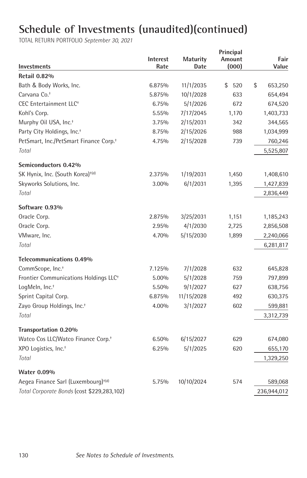|                                                    |                 |                 | Principal |               |
|----------------------------------------------------|-----------------|-----------------|-----------|---------------|
|                                                    | <b>Interest</b> | <b>Maturity</b> | Amount    | Fair          |
| <b>Investments</b>                                 | Rate            | Date            | (000)     | Value         |
| <b>Retail 0.82%</b>                                |                 |                 |           |               |
| Bath & Body Works, Inc.                            | 6.875%          | 11/1/2035       | \$<br>520 | \$<br>653,250 |
| Carvana Co. <sup>+</sup>                           | 5.875%          | 10/1/2028       | 633       | 654,494       |
| CEC Entertainment LLC <sup>+</sup>                 | 6.75%           | 5/1/2026        | 672       | 674,520       |
| Kohl's Corp.                                       | 5.55%           | 7/17/2045       | 1,170     | 1,403,733     |
| Murphy Oil USA, Inc. <sup>+</sup>                  | 3.75%           | 2/15/2031       | 342       | 344,565       |
| Party City Holdings, Inc. <sup>+</sup>             | 8.75%           | 2/15/2026       | 988       | 1,034,999     |
| PetSmart, Inc./PetSmart Finance Corp. <sup>+</sup> | 4.75%           | 2/15/2028       | 739       | 760,246       |
| Total                                              |                 |                 |           | 5,525,807     |
| Semiconductors 0.42%                               |                 |                 |           |               |
| SK Hynix, Inc. (South Korea) <sup>+(d)</sup>       | 2.375%          | 1/19/2031       | 1,450     | 1,408,610     |
| Skyworks Solutions, Inc.                           | 3.00%           | 6/1/2031        | 1,395     | 1,427,839     |
| Total                                              |                 |                 |           | 2,836,449     |
| Software 0.93%                                     |                 |                 |           |               |
| Oracle Corp.                                       | 2.875%          | 3/25/2031       | 1,151     | 1,185,243     |
| Oracle Corp.                                       | 2.95%           | 4/1/2030        | 2,725     | 2,856,508     |
| VMware, Inc.                                       | 4.70%           | 5/15/2030       | 1,899     | 2,240,066     |
| Total                                              |                 |                 |           | 6,281,817     |
| Telecommunications 0.49%                           |                 |                 |           |               |
| CommScope, Inc. <sup>+</sup>                       | 7.125%          | 7/1/2028        | 632       | 645,828       |
| Frontier Communications Holdings LLC <sup>+</sup>  | 5.00%           | 5/1/2028        | 759       | 797,899       |
| LogMeln, Inc. <sup>+</sup>                         | 5.50%           | 9/1/2027        | 627       | 638,756       |
| Sprint Capital Corp.                               | 6.875%          | 11/15/2028      | 492       | 630,375       |
| Zayo Group Holdings, Inc. <sup>+</sup>             | 4.00%           | 3/1/2027        | 602       | 599,881       |
| Total                                              |                 |                 |           | 3,312,739     |
| Transportation 0.20%                               |                 |                 |           |               |
| Watco Cos LLC/Watco Finance Corp. <sup>+</sup>     | 6.50%           | 6/15/2027       | 629       | 674,080       |
| XPO Logistics, Inc. <sup>+</sup>                   | 6.25%           | 5/1/2025        | 620       | 655,170       |
| Total                                              |                 |                 |           | 1,329,250     |
| <b>Water 0.09%</b>                                 |                 |                 |           |               |
| Aegea Finance Sarl (Luxembourg) <sup>+(d)</sup>    | 5.75%           | 10/10/2024      | 574       | 589,068       |
| Total Corporate Bonds (cost \$229,283,102)         |                 |                 |           | 236,944,012   |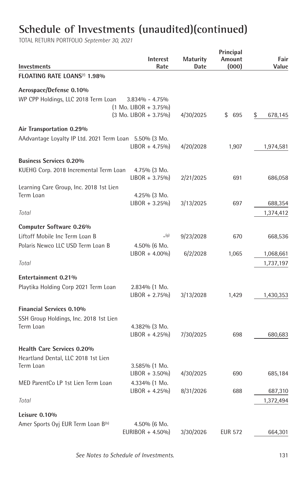| <b>Investments</b>                                     | Interest<br>Rate                     | Maturity<br>Date | Principal<br>Amount<br>(000) | Fair<br>Value |
|--------------------------------------------------------|--------------------------------------|------------------|------------------------------|---------------|
| FLOATING RATE LOANS <sup>(f)</sup> 1.98%               |                                      |                  |                              |               |
| Aerospace/Defense 0.10%                                |                                      |                  |                              |               |
| WP CPP Holdings, LLC 2018 Term Loan                    | $3.834\% - 4.75\%$                   |                  |                              |               |
|                                                        | $(1 \text{ Mo. LIBOR} + 3.75\%)$     |                  |                              |               |
|                                                        | $(3 \text{ Mo. LIBOR} + 3.75\%)$     | 4/30/2025        | \$695                        | \$<br>678,145 |
| Air Transportation 0.29%                               |                                      |                  |                              |               |
| AAdvantage Loyalty IP Ltd. 2021 Term Loan 5.50% (3 Mo. |                                      |                  |                              |               |
|                                                        | $LIBOR + 4.75\%$                     | 4/20/2028        | 1,907                        | 1,974,581     |
|                                                        |                                      |                  |                              |               |
| <b>Business Services 0.20%</b>                         |                                      |                  |                              |               |
| KUEHG Corp. 2018 Incremental Term Loan                 | 4.75% (3 Mo.                         |                  | 691                          |               |
|                                                        | $LIBOR + 3.75\%$                     | 2/21/2025        |                              | 686,058       |
| Learning Care Group, Inc. 2018 1st Lien<br>Term Loan   | $4.25\%$ (3 Mo.                      |                  |                              |               |
|                                                        | $LIBOR + 3.25\%$                     | 3/13/2025        | 697                          | 688,354       |
| Total                                                  |                                      |                  |                              | 1,374,412     |
|                                                        |                                      |                  |                              |               |
| Computer Software 0.26%                                |                                      |                  |                              |               |
| Liftoff Mobile Inc Term Loan B                         | (g)                                  | 9/23/2028        | 670                          | 668,536       |
| Polaris Newco LLC USD Term Loan B                      | $4.50\%$ (6 Mo.                      |                  |                              |               |
|                                                        | $LIBOR + 4.00\%$                     | 6/2/2028         | 1,065                        | 1,068,661     |
| Total                                                  |                                      |                  |                              | 1,737,197     |
| Entertainment 0.21%                                    |                                      |                  |                              |               |
|                                                        |                                      |                  |                              |               |
| Playtika Holding Corp 2021 Term Loan                   | $2.834\%$ (1 Mo.<br>$LIBOR + 2.75\%$ | 3/13/2028        | 1,429                        | 1,430,353     |
|                                                        |                                      |                  |                              |               |
| <b>Financial Services 0.10%</b>                        |                                      |                  |                              |               |
| SSH Group Holdings, Inc. 2018 1st Lien                 |                                      |                  |                              |               |
| Term Loan                                              | 4.382% (3 Mo.                        |                  |                              |               |
|                                                        | $LIBOR + 4.25\%$                     | 7/30/2025        | 698                          | 680,683       |
| <b>Health Care Services 0.20%</b>                      |                                      |                  |                              |               |
| Heartland Dental, LLC 2018 1st Lien                    |                                      |                  |                              |               |
| Term Loan                                              | $3.585\%$ (1 Mo.                     |                  |                              |               |
|                                                        | $LIBOR + 3.50\%$                     | 4/30/2025        | 690                          | 685,184       |
| MED ParentCo LP 1st Lien Term Loan                     | 4.334% (1 Mo.                        |                  |                              |               |
|                                                        | $LIBOR + 4.25\%$                     | 8/31/2026        | 688                          | 687,310       |
| Total                                                  |                                      |                  |                              | 1,372,494     |
| Leisure 0.10%                                          |                                      |                  |                              |               |
| Amer Sports Oyj EUR Term Loan B <sup>(h)</sup>         | 4.50% (6 Mo.                         |                  |                              |               |
|                                                        | EURIBOR + $4.50\%$                   | 3/30/2026        | <b>EUR 572</b>               | 664,301       |
|                                                        |                                      |                  |                              |               |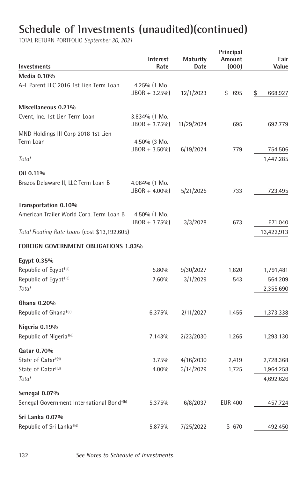| Investments                                           | Interest<br>Rate                     | <b>Maturity</b><br>Date | Principal<br>Amount<br>(000) | Fair<br>Value |
|-------------------------------------------------------|--------------------------------------|-------------------------|------------------------------|---------------|
| Media 0.10%                                           |                                      |                         |                              |               |
| A-L Parent LLC 2016 1st Lien Term Loan                | $4.25\%$ (1 Mo.<br>$LIBOR + 3.25\%$  | 12/1/2023               | \$695                        | \$<br>668,927 |
| Miscellaneous 0.21%                                   |                                      |                         |                              |               |
| Cvent, Inc. 1st Lien Term Loan                        | 3.834% (1 Mo.<br>$LIBOR + 3.75\%$    | 11/29/2024              | 695                          | 692,779       |
| MND Holdings III Corp 2018 1st Lien<br>Term Loan      | $4.50\%$ (3 Mo.                      |                         |                              |               |
|                                                       | $LIBOR + 3.50\%$                     | 6/19/2024               | 779                          | 754,506       |
| Total                                                 |                                      |                         |                              | 1,447,285     |
| Oil 0.11%                                             |                                      |                         |                              |               |
| Brazos Delaware II, LLC Term Loan B                   | $4.084\%$ (1 Mo.<br>$LIBOR + 4.00\%$ | 5/21/2025               | 733                          | 723,495       |
| Transportation 0.10%                                  |                                      |                         |                              |               |
| American Trailer World Corp. Term Loan B              | 4.50% (1 Mo.<br>$LIBOR + 3.75\%$     | 3/3/2028                | 673                          | 671,040       |
| Total Floating Rate Loans (cost \$13,192,605)         |                                      |                         |                              | 13,422,913    |
| <b>FOREIGN GOVERNMENT OBLIGATIONS 1.83%</b>           |                                      |                         |                              |               |
| Egypt 0.35%                                           |                                      |                         |                              |               |
| Republic of Egypt <sup>+(d)</sup>                     | 5.80%                                | 9/30/2027               | 1,820                        | 1,791,481     |
| Republic of Egypt <sup>+(d)</sup>                     | 7.60%                                | 3/1/2029                | 543                          | 564,209       |
| Total                                                 |                                      |                         |                              | 2,355,690     |
| Ghana 0.20%                                           |                                      |                         |                              |               |
| Republic of Ghana <sup>+(d)</sup>                     | 6.375%                               | 2/11/2027               | 1,455                        | 1,373,338     |
| Nigeria 0.19%                                         |                                      |                         |                              |               |
| Republic of Nigeria <sup>+(d)</sup>                   | 7.143%                               | 2/23/2030               | 1,265                        | 1,293,130     |
| Qatar 0.70%                                           |                                      |                         |                              |               |
| State of Qatar <sup>+(d)</sup>                        | 3.75%                                | 4/16/2030               | 2,419                        | 2,728,368     |
| State of Qatar <sup>+(d)</sup>                        | 4.00%                                | 3/14/2029               | 1,725                        | 1,964,258     |
| Total                                                 |                                      |                         |                              | 4,692,626     |
| Senegal 0.07%                                         |                                      |                         |                              |               |
| Senegal Government International Bond <sup>+(h)</sup> | 5.375%                               | 6/8/2037                | <b>EUR 400</b>               | 457,724       |
| Sri Lanka 0.07%                                       |                                      |                         |                              |               |
| Republic of Sri Lanka <sup>+(d)</sup>                 | 5.875%                               | 7/25/2022               | \$670                        | 492,450       |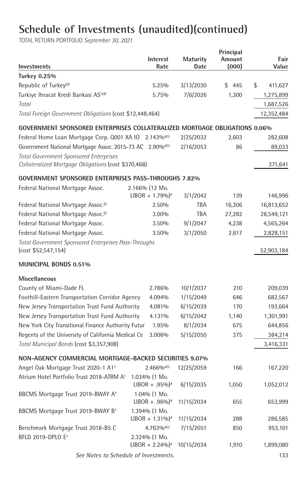| Investments                                                                 | Interest<br>Rate                   | <b>Maturity</b><br>Date | Principal<br>Amount<br>(000) | Fair<br>Value |
|-----------------------------------------------------------------------------|------------------------------------|-------------------------|------------------------------|---------------|
| <b>Turkey 0.25%</b>                                                         |                                    |                         |                              |               |
| Republic of Turkey <sup>(d)</sup>                                           | 5.25%                              | 3/13/2030               | \$445                        | \$<br>411,627 |
| Turkiye Ihracat Kredi Bankasi AS <sup>+(d)</sup>                            | 5.75%                              | 7/6/2026                | 1,300                        | 1,275,899     |
| Total                                                                       |                                    |                         |                              | 1,687,526     |
| Total Foreign Government Obligations (cost \$12,448,464)                    |                                    |                         |                              | 12,352,484    |
| GOVERNMENT SPONSORED ENTERPRISES COLLATERALIZED MORTGAGE OBLIGATIONS 0.06%  |                                    |                         |                              |               |
| Federal Home Loan Mortgage Corp. 0001 XA IO 2.143%#(i)                      |                                    | 2/25/2032               | 2,603                        | 282,608       |
| Government National Mortgage Assoc. 2015-73 AC 2.90%#(i)                    |                                    | 2/16/2053               | 86                           | 89,033        |
| <b>Total Government Sponsored Enterprises</b>                               |                                    |                         |                              |               |
| Collateralized Mortgage Obligations (cost \$370,468)                        |                                    |                         |                              | 371,641       |
| <b>GOVERNMENT SPONSORED ENTERPRISES PASS-THROUGHS 7.82%</b>                 |                                    |                         |                              |               |
| Federal National Mortgage Assoc.                                            | 2.166% (12 Mo.                     |                         |                              |               |
|                                                                             | $LIBOR + 1.79\%$ <sup>*</sup>      | 3/1/2042                | 139                          | 146,996       |
| Federal National Mortgage Assoc. <sup>(j)</sup>                             | 2.50%                              | <b>TBA</b>              | 16,306                       | 16,813,652    |
| Federal National Mortgage Assoc. <sup>(j)</sup>                             | 3.00%                              | <b>TBA</b>              | 27,282                       | 28,549,121    |
| Federal National Mortgage Assoc.                                            | 3.50%                              | 9/1/2047                | 4,238                        | 4,565,264     |
| Federal National Mortgage Assoc.                                            | 3.50%                              | 3/1/2050                | 2,617                        | 2,828,151     |
| Total Government Sponsored Enterprises Pass-Throughs<br>(cost \$52,547,154) |                                    |                         |                              | 52,903,184    |
| MUNICIPAL BONDS 0.51%                                                       |                                    |                         |                              |               |
| <b>Miscellaneous</b>                                                        |                                    |                         |                              |               |
| County of Miami-Dade FL                                                     | 2.786%                             | 10/1/2037               | 210                          | 209,039       |
| Foothill-Eastern Transportation Corridor Agency                             | 4.094%                             | 1/15/2049               | 646                          | 682,567       |
| New Jersey Transportation Trust Fund Authority                              | 4.081%                             | 6/15/2039               | 170                          | 193,664       |
| New Jersey Transportation Trust Fund Authority                              | 4.131%                             | 6/15/2042               | 1,140                        | 1,301,991     |
| New York City Transitional Finance Authority Futur                          | 1.95%                              | 8/1/2034                | 675                          | 644,856       |
| Regents of the University of California Medical Ce                          | 3.006%                             | 5/15/2050               | 375                          | 384,214       |
| Total Municipal Bonds (cost \$3,357,908)                                    |                                    |                         |                              | 3,416,331     |
| NON-AGENCY COMMERCIAL MORTGAGE-BACKED SECURITIES 9.07%                      |                                    |                         |                              |               |
| Angel Oak Mortgage Trust 2020-1 A1 <sup>+</sup>                             | $2.466\%$ <sup>#(i)</sup>          | 12/25/2059              | 166                          | 167,220       |
| Atrium Hotel Portfolio Trust 2018-ATRM A <sup>+</sup>                       | 1.034% (1 Mo.<br>$LIBOR + .95\%$   | 6/15/2035               | 1,050                        | 1,052,012     |
| BBCMS Mortgage Trust 2019-BWAY A <sup>+</sup>                               | $1.04\%$ (1 Mo.<br>$LIBOR + .96\%$ | 11/15/2034              | 655                          | 653,999       |
| BBCMS Mortgage Trust 2019-BWAY B <sup>+</sup>                               | 1.394% (1 Mo.                      |                         |                              |               |
|                                                                             | $LIBOR + 1.31\%$ <sup>*</sup>      | 11/15/2034              | 288                          | 286,585       |
| Benchmark Mortgage Trust 2018-B5 C                                          | $4.763%$ <sup>#(i)</sup>           | 7/15/2051               | 850                          | 953,101       |
| BFLD 2019-DPLO E <sup>+</sup>                                               | 2.324% (1 Mo.                      |                         |                              |               |
|                                                                             | $LIBOR + 2.24\%$ <sup>#</sup>      | 10/15/2034              | 1,910                        | 1,899,080     |
| See Notes to Schedule of Investments.                                       |                                    |                         |                              | 133           |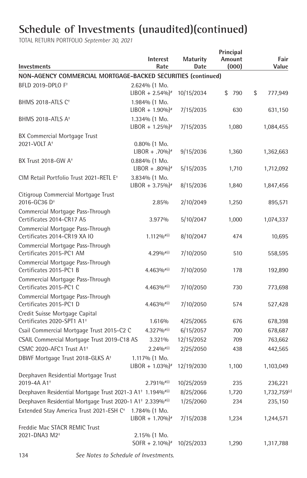| <b>Investments</b>                                                                 | <b>Interest</b><br>Rate                        | <b>Maturity</b><br>Date | Principal<br>Amount<br>(000) | Fair<br>Value |
|------------------------------------------------------------------------------------|------------------------------------------------|-------------------------|------------------------------|---------------|
| NON-AGENCY COMMERCIAL MORTGAGE-BACKED SECURITIES (continued)                       |                                                |                         |                              |               |
| BFLD 2019-DPLO F <sup>+</sup>                                                      | 2.624% (1 Mo.<br>$LIBOR + 2.54\%$ <sup>*</sup> | 10/15/2034              | \$<br>790                    | \$<br>777,949 |
| BHMS 2018-ATLS C <sup>+</sup>                                                      | 1.984% (1 Mo.<br>$LIBOR + 1.90\%$ <sup>*</sup> | 7/15/2035               | 630                          | 631,150       |
| BHMS 2018-ATLS A <sup>+</sup>                                                      | 1.334% (1 Mo.<br>$LIBOR + 1.25\%$ <sup>*</sup> | 7/15/2035               | 1,080                        | 1,084,455     |
| BX Commercial Mortgage Trust                                                       |                                                |                         |                              |               |
| 2021-VOLT A <sup>+</sup>                                                           | $0.80\%$ (1 Mo.                                |                         |                              |               |
|                                                                                    | $LIBOR + .70\%$ <sup>*</sup>                   | 9/15/2036               | 1,360                        | 1,362,663     |
| BX Trust 2018-GW A <sup>+</sup>                                                    | $0.884\%$ (1 Mo.<br>$LIBOR + .80\%$            | 5/15/2035               | 1,710                        | 1,712,092     |
| CIM Retail Portfolio Trust 2021-RETL E <sup>+</sup>                                | 3.834% (1 Mo.                                  |                         |                              |               |
|                                                                                    | $LIBOR + 3.75\%$ <sup>*</sup>                  | 8/15/2036               | 1,840                        | 1,847,456     |
| Citigroup Commercial Mortgage Trust                                                |                                                |                         |                              |               |
| 2016-GC36 D <sup>+</sup>                                                           | 2.85%                                          | 2/10/2049               | 1,250                        | 895,571       |
| Commercial Mortgage Pass-Through<br>Certificates 2014-CR17 A5                      | 3.977%                                         | 5/10/2047               | 1,000                        | 1,074,337     |
| Commercial Mortgage Pass-Through                                                   |                                                |                         |                              |               |
| Certificates 2014-CR19 XA IO                                                       | $1.112\%$ <sup>#(i)</sup>                      | 8/10/2047               | 474                          | 10,695        |
| Commercial Mortgage Pass-Through<br>Certificates 2015-PC1 AM                       | $4.29\%$ <sup>#(i)</sup>                       | 7/10/2050               | 510                          | 558,595       |
| Commercial Mortgage Pass-Through<br>Certificates 2015-PC1 B                        | $4.463\%$ <sup>#(i)</sup>                      | 7/10/2050               | 178                          | 192,890       |
| Commercial Mortgage Pass-Through<br>Certificates 2015-PC1 C                        | 4.463% <sup>#(i)</sup>                         | 7/10/2050               | 730                          | 773,698       |
| Commercial Mortgage Pass-Through<br>Certificates 2015-PC1 D                        | $4.463\%$ <sup>#(i)</sup>                      | 7/10/2050               | 574                          | 527,428       |
| Credit Suisse Mortgage Capital                                                     |                                                |                         |                              |               |
| Certificates 2020-SPT1 A1 <sup>+</sup>                                             | 1.616%                                         | 4/25/2065               | 676                          | 678,398       |
| Csail Commercial Mortgage Trust 2015-C2 C                                          | $4.327\%$ <sup>#(i)</sup>                      | 6/15/2057               | 700                          | 678,687       |
| CSAIL Commercial Mortgage Trust 2019-C18 AS                                        | 3.321%                                         | 12/15/2052              | 709                          | 763,662       |
| CSMC 2020-AFC1 Trust A1 <sup>+</sup>                                               | $2.24\%$ <sup>#(i)</sup>                       | 2/25/2050               | 438                          | 442,565       |
| DBWF Mortgage Trust 2018-GLKS A <sup>+</sup>                                       | 1.117% (1 Mo.                                  |                         |                              |               |
|                                                                                    | $LIBOR + 1.03\%$ <sup>*</sup>                  | 12/19/2030              | 1,100                        | 1,103,049     |
| Deephaven Residential Mortgage Trust                                               |                                                |                         |                              |               |
| 2019-4A A1 <sup>+</sup>                                                            | $2.791\%$ <sup>#(i)</sup>                      | 10/25/2059              | 235                          | 236,221       |
| Deephaven Residential Mortgage Trust 2021-3 A1+ 1.194%#(i)                         |                                                | 8/25/2066               | 1,720                        | 1,732,759(c)  |
| Deephaven Residential Mortgage Trust 2020-1 A1 <sup>+</sup> 2.339% <sup>#(i)</sup> |                                                | 1/25/2060               | 234                          | 235,150       |
| Extended Stay America Trust 2021-ESH C <sup>+</sup>                                | 1.784% (1 Mo.<br>$LIBOR + 1.70\%$ <sup>#</sup> | 7/15/2038               | 1,234                        | 1,244,571     |
| Freddie Mac STACR REMIC Trust                                                      |                                                |                         |                              |               |
| 2021-DNA3 M2 <sup>+</sup>                                                          | 2.15% (1 Mo.<br>$SOFR + 2.10\%$ <sup>*</sup>   | 10/25/2033              | 1,290                        | 1,317,788     |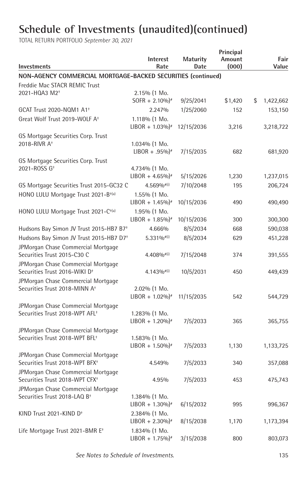| Investments                                                                      | <b>Interest</b><br>Rate       | <b>Maturity</b><br>Date | Principal<br>Amount<br>(000) | Fair<br>Value   |
|----------------------------------------------------------------------------------|-------------------------------|-------------------------|------------------------------|-----------------|
| NON-AGENCY COMMERCIAL MORTGAGE-BACKED SECURITIES (continued)                     |                               |                         |                              |                 |
| Freddie Mac STACR REMIC Trust                                                    |                               |                         |                              |                 |
| 2021-HQA3 M2 <sup>+</sup>                                                        | 2.15% (1 Mo.                  |                         |                              |                 |
|                                                                                  | SOFR + $2.10\%$ <sup>*</sup>  | 9/25/2041               | \$1,420                      | \$<br>1,422,662 |
| GCAT Trust 2020-NQM1 A1 <sup>+</sup>                                             | 2.247%                        | 1/25/2060               | 152                          | 153,150         |
| Great Wolf Trust 2019-WOLF A <sup>+</sup>                                        | 1.118% (1 Mo.                 |                         |                              |                 |
|                                                                                  | $LIBOR + 1.03\%$ <sup>#</sup> | 12/15/2036              | 3,216                        | 3,218,722       |
| GS Mortgage Securities Corp. Trust                                               |                               |                         |                              |                 |
| 2018-RIVR A <sup>+</sup>                                                         | $1.034\%$ (1 Mo.              |                         |                              |                 |
|                                                                                  | $LIBOR + .95\%$ <sup>*</sup>  | 7/15/2035               | 682                          | 681,920         |
| GS Mortgage Securities Corp. Trust                                               |                               |                         |                              |                 |
| 2021-ROSS G <sup>+</sup>                                                         | 4.734% (1 Mo.                 |                         |                              |                 |
|                                                                                  | $LIBOR + 4.65\%$ <sup>#</sup> | 5/15/2026               | 1,230                        | 1,237,015       |
| GS Mortgage Securities Trust 2015-GC32 C                                         | $4.569%$ <sup>#(i)</sup>      | 7/10/2048               | 195                          | 206,724         |
| HONO LULU Mortgage Trust 2021-B <sup>+(a)</sup>                                  | 1.55% (1 Mo.                  |                         |                              |                 |
|                                                                                  | $LIBOR + 1.45\%$ <sup>*</sup> | 10/15/2036              | 490                          | 490,490         |
| HONO LULU Mortgage Trust 2021-C <sup>+(a)</sup>                                  | 1.95% (1 Mo.                  |                         |                              |                 |
|                                                                                  | $LIBOR + 1.85\%$ <sup>*</sup> | 10/15/2036              | 300                          | 300,300         |
| Hudsons Bay Simon JV Trust 2015-HB7 B7 <sup>+</sup>                              | 4.666%                        | 8/5/2034                | 668                          | 590,038         |
| Hudsons Bay Simon JV Trust 2015-HB7 D7 <sup>+</sup>                              | $5.331\%$ <sup>#(i)</sup>     | 8/5/2034                | 629                          | 451,228         |
| JPMorgan Chase Commercial Mortgage<br>Securities Trust 2015-C30 C                | $4.408%$ <sup>#(i)</sup>      | 7/15/2048               | 374                          | 391,555         |
| JPMorgan Chase Commercial Mortgage<br>Securities Trust 2016-WIKI D <sup>+</sup>  | 4.143% <sup>#(i)</sup>        | 10/5/2031               | 450                          | 449,439         |
| JPMorgan Chase Commercial Mortgage                                               |                               |                         |                              |                 |
| Securities Trust 2018-MINN A <sup>+</sup>                                        | 2.02% (1 Mo.                  |                         |                              |                 |
|                                                                                  | $LIBOR + 1.02\%$ <sup>#</sup> | 11/15/2035              | 542                          | 544,729         |
| JPMorgan Chase Commercial Mortgage                                               |                               |                         |                              |                 |
| Securities Trust 2018-WPT AFL <sup>+</sup>                                       | 1.283% (1 Mo.                 |                         |                              |                 |
|                                                                                  | $LIBOR + 1.20\%$ <sup>#</sup> | 7/5/2033                | 365                          | 365,755         |
| JPMorgan Chase Commercial Mortgage<br>Securities Trust 2018-WPT BFL <sup>+</sup> | $1.583\%$ (1 Mo.              |                         |                              |                 |
|                                                                                  | $LIBOR + 1.50\%$ <sup>*</sup> | 7/5/2033                | 1,130                        | 1,133,725       |
| JPMorgan Chase Commercial Mortgage                                               |                               |                         |                              |                 |
| Securities Trust 2018-WPT BFX <sup>+</sup>                                       | 4.549%                        | 7/5/2033                | 340                          | 357,088         |
| JPMorgan Chase Commercial Mortgage                                               |                               |                         |                              |                 |
| Securities Trust 2018-WPT CFX <sup>+</sup>                                       | 4.95%                         | 7/5/2033                | 453                          | 475,743         |
| JPMorgan Chase Commercial Mortgage                                               |                               |                         |                              |                 |
| Securities Trust 2018-LAQ B <sup>+</sup>                                         | 1.384% (1 Mo.                 |                         |                              |                 |
|                                                                                  | $LIBOR + 1.30\%$ <sup>*</sup> | 6/15/2032               | 995                          | 996,367         |
| KIND Trust 2021-KIND D <sup>+</sup>                                              | 2.384% (1 Mo.                 |                         |                              |                 |
|                                                                                  | $LIBOR + 2.30\%$ <sup>#</sup> | 8/15/2038               | 1,170                        | 1,173,394       |
| Life Mortgage Trust 2021-BMR E <sup>+</sup>                                      | 1.834% (1 Mo.                 |                         |                              |                 |
|                                                                                  | $LIBOR + 1.75\%$ <sup>*</sup> | 3/15/2038               | 800                          | 803,073         |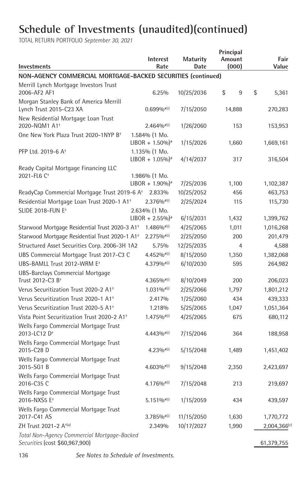TOTAL RETURN PORTFOLIO *September 30, 2021*

| <b>Investments</b>                                                            | <b>Interest</b><br>Rate                        | <b>Maturity</b><br>Date | Principal<br>Amount | (000) | Fair<br>Value |
|-------------------------------------------------------------------------------|------------------------------------------------|-------------------------|---------------------|-------|---------------|
| NON-AGENCY COMMERCIAL MORTGAGE-BACKED SECURITIES (continued)                  |                                                |                         |                     |       |               |
| Merrill Lynch Mortgage Investors Trust<br>2006-AF2 AF1                        | 6.25%                                          | 10/25/2036              | \$                  | 9     | \$<br>5,361   |
| Morgan Stanley Bank of America Merrill<br>Lynch Trust 2015-C23 XA             | $0.699\%$ <sup>#(i)</sup>                      | 7/15/2050               | 14,888              |       | 270,283       |
| New Residential Mortgage Loan Trust<br>2020-NQM1 A1 <sup>+</sup>              | $2.464\%$ <sup>#(i)</sup>                      | 1/26/2060               |                     | 153   | 153,953       |
| One New York Plaza Trust 2020-1NYP B <sup>+</sup>                             | 1.584% (1 Mo.<br>$LIBOR + 1.50\%$ <sup>*</sup> | 1/15/2026               |                     | 1,660 | 1,669,161     |
| PFP Ltd. 2019-6 A <sup>+</sup>                                                | 1.135% (1 Mo.<br>$LIBOR + 1.05\%$ <sup>*</sup> | 4/14/2037               |                     | 317   | 316,504       |
| Ready Capital Mortgage Financing LLC<br>2021-FL6 C <sup>+</sup>               | $1.986\%$ (1 Mo.                               |                         |                     |       |               |
|                                                                               | $LIBOR + 1.90\%$ <sup>*</sup>                  | 7/25/2036               |                     | 1,100 | 1,102,387     |
| ReadyCap Commercial Mortgage Trust 2019-6 A <sup>+</sup>                      | 2.833%                                         | 10/25/2052              |                     | 456   | 463,753       |
| Residential Mortgage Loan Trust 2020-1 A1 <sup>+</sup>                        | $2.376%$ <sup>#(i)</sup>                       | 2/25/2024               |                     | 115   | 115,730       |
| <b>SLIDE 2018-FUN E<sup>+</sup></b>                                           | 2.634% (1 Mo.<br>$LIBOR + 2.55\%$ <sup>*</sup> | 6/15/2031               |                     | 1,432 | 1,399,762     |
| Starwood Mortgage Residential Trust 2020-3 A1 <sup>+</sup>                    | $1.486\%$ <sup>#(i)</sup>                      | 4/25/2065               |                     | 1,011 | 1,016,268     |
| Starwood Mortgage Residential Trust 2020-1 A1 <sup>+</sup>                    | $2.275\%$ <sup>#(i)</sup>                      | 2/25/2050               |                     | 200   | 201,479       |
| Structured Asset Securities Corp. 2006-3H 1A2                                 | 5.75%                                          | 12/25/2035              |                     | 4     | 4,588         |
| UBS Commercial Mortgage Trust 2017-C3 C                                       | $4.452%$ <sup>#(i)</sup>                       | 8/15/2050               |                     | 1,350 | 1,382,068     |
| UBS-BAMLL Trust 2012-WRM E <sup>+</sup>                                       | $4.379\%$ <sup>#(i)</sup>                      | 6/10/2030               |                     | 595   | 264,982       |
| <b>UBS-Barclays Commercial Mortgage</b><br>Trust 2012-C3 B <sup>+</sup>       | $4.365\%$ <sup>#(i)</sup>                      | 8/10/2049               |                     | 200   | 206,023       |
| Verus Securitization Trust 2020-2 A1 <sup>+</sup>                             | $1.031\%$ <sup>#(i)</sup>                      | 2/25/2066               |                     | 1,797 | 1,801,212     |
| Verus Securitization Trust 2020-1 A1 <sup>+</sup>                             | 2.417%                                         | 1/25/2060               |                     | 434   | 439,333       |
| Verus Securitization Trust 2020-5 A1 <sup>+</sup>                             | 1.218%                                         | 5/25/2065               |                     | 1,047 | 1,051,364     |
| Vista Point Securitization Trust 2020-2 A1 <sup>+</sup>                       | $1.475\%$ <sup>#(i)</sup>                      | 4/25/2065               |                     | 675   | 680,112       |
| Wells Fargo Commercial Mortgage Trust<br>2013-LC12 D <sup>+</sup>             | $4.443\%$ <sup>#(i)</sup>                      | 7/15/2046               |                     | 364   | 188,958       |
| Wells Fargo Commercial Mortgage Trust<br>2015-C28 D                           | $4.23\%$ <sup>#(i)</sup>                       | 5/15/2048               |                     | 1,489 | 1,451,402     |
| Wells Fargo Commercial Mortgage Trust<br>2015-SG1 B                           | 4.603%#(i)                                     | 9/15/2048               |                     | 2,350 | 2,423,697     |
| Wells Fargo Commercial Mortgage Trust<br>2016-C35 C                           | 4.176% <sup>#(i)</sup>                         | 7/15/2048               |                     | 213   | 219,697       |
| Wells Fargo Commercial Mortgage Trust<br>2016-NXS5 E <sup>+</sup>             | $5.151\%$ <sup>#(i)</sup>                      | 1/15/2059               |                     | 434   | 439,597       |
| Wells Fargo Commercial Mortgage Trust<br>2017-C41 AS                          | $3.785\%$ <sup>#(i)</sup>                      | 11/15/2050              |                     | 1,630 | 1,770,772     |
| ZH Trust 2021-2 A <sup>+(a)</sup>                                             | 2.349%                                         | 10/17/2027              |                     | 1,990 | 2,004,366(c)  |
| Total Non-Agency Commercial Mortgage-Backed<br>Securities (cost \$60,967,900) |                                                |                         |                     |       | 61,379,755    |

136 *See Notes to Schedule of Investments.*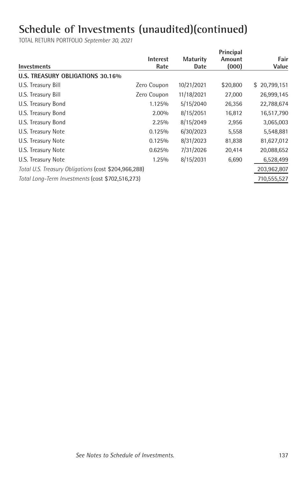|                                                      |                 |                 | Principal |              |
|------------------------------------------------------|-----------------|-----------------|-----------|--------------|
|                                                      | <b>Interest</b> | <b>Maturity</b> | Amount    | Fair         |
| <b>Investments</b>                                   | Rate            | Date            | (000)     | Value        |
| U.S. TREASURY OBLIGATIONS 30.16%                     |                 |                 |           |              |
| U.S. Treasury Bill                                   | Zero Coupon     | 10/21/2021      | \$20,800  | \$20,799,151 |
| U.S. Treasury Bill                                   | Zero Coupon     | 11/18/2021      | 27,000    | 26,999,145   |
| U.S. Treasury Bond                                   | 1.125%          | 5/15/2040       | 26,356    | 22,788,674   |
| U.S. Treasury Bond                                   | 2.00%           | 8/15/2051       | 16,812    | 16,517,790   |
| U.S. Treasury Bond                                   | 2.25%           | 8/15/2049       | 2,956     | 3,065,003    |
| U.S. Treasury Note                                   | 0.125%          | 6/30/2023       | 5,558     | 5,548,881    |
| U.S. Treasury Note                                   | 0.125%          | 8/31/2023       | 81,838    | 81,627,012   |
| U.S. Treasury Note                                   | 0.625%          | 7/31/2026       | 20,414    | 20,088,652   |
| U.S. Treasury Note                                   | 1.25%           | 8/15/2031       | 6,690     | 6,528,499    |
| Total U.S. Treasury Obligations (cost \$204,966,288) |                 |                 |           | 203,962,807  |
| Total Long-Term Investments (cost \$702,516,273)     |                 |                 |           | 710,555,527  |
|                                                      |                 |                 |           |              |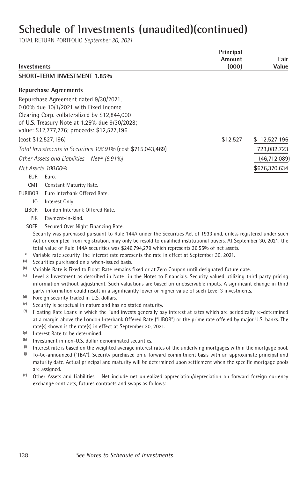TOTAL RETURN PORTFOLIO *September 30, 2021*

| <b>Investments</b> |             |                                                                                                                                                                                                                          | Principal<br>Amount<br>(000) | Fair<br>Value  |
|--------------------|-------------|--------------------------------------------------------------------------------------------------------------------------------------------------------------------------------------------------------------------------|------------------------------|----------------|
|                    |             | <b>SHORT-TERM INVESTMENT 1.85%</b>                                                                                                                                                                                       |                              |                |
|                    |             | <b>Repurchase Agreements</b>                                                                                                                                                                                             |                              |                |
|                    |             |                                                                                                                                                                                                                          |                              |                |
|                    |             | Repurchase Agreement dated 9/30/2021,<br>0.00% due 10/1/2021 with Fixed Income                                                                                                                                           |                              |                |
|                    |             | Clearing Corp. collateralized by \$12,844,000                                                                                                                                                                            |                              |                |
|                    |             | of U.S. Treasury Note at 1.25% due 9/30/2028;                                                                                                                                                                            |                              |                |
|                    |             | value: \$12,777,776; proceeds: \$12,527,196                                                                                                                                                                              |                              |                |
|                    |             | (cost \$12,527,196)                                                                                                                                                                                                      | \$12,527                     | \$12,527,196   |
|                    |             | Total Investments in Securities 106.91% (cost \$715,043,469)                                                                                                                                                             |                              | 723,082,723    |
|                    |             | Other Assets and Liabilities - Net <sup>(k)</sup> (6.91%)                                                                                                                                                                |                              | (46, 712, 089) |
|                    |             |                                                                                                                                                                                                                          |                              |                |
|                    |             | Net Assets 100.00%                                                                                                                                                                                                       |                              | \$676,370,634  |
|                    | EUR         | Euro.                                                                                                                                                                                                                    |                              |                |
|                    | <b>CMT</b>  | Constant Maturity Rate.                                                                                                                                                                                                  |                              |                |
| <b>EURIBOR</b>     |             | Euro Interbank Offered Rate.                                                                                                                                                                                             |                              |                |
|                    | 10          | Interest Only.                                                                                                                                                                                                           |                              |                |
| <b>LIBOR</b>       |             | London Interbank Offered Rate.                                                                                                                                                                                           |                              |                |
|                    | <b>PIK</b>  | Payment-in-kind.                                                                                                                                                                                                         |                              |                |
| t                  | <b>SOFR</b> | Secured Over Night Financing Rate.<br>Security was purchased pursuant to Rule 144A under the Securities Act of 1933 and, unless registered under such                                                                    |                              |                |
|                    |             | Act or exempted from registration, may only be resold to qualified institutional buyers. At September 30, 2021, the                                                                                                      |                              |                |
|                    |             | total value of Rule 144A securities was \$246,794,279 which represents 36.55% of net assets.                                                                                                                             |                              |                |
| $\#$               |             | Variable rate security. The interest rate represents the rate in effect at September 30, 2021.                                                                                                                           |                              |                |
| (a)                |             | Securities purchased on a when-issued basis.                                                                                                                                                                             |                              |                |
| (b)<br>(c)         |             | Variable Rate is Fixed to Float: Rate remains fixed or at Zero Coupon until designated future date.<br>Level 3 Investment as described in Note in the Notes to Financials. Security valued utilizing third party pricing |                              |                |
|                    |             | information without adjustment. Such valuations are based on unobservable inputs. A significant change in third                                                                                                          |                              |                |
|                    |             | party information could result in a significantly lower or higher value of such Level 3 investments.                                                                                                                     |                              |                |
| (d)                |             | Foreign security traded in U.S. dollars.                                                                                                                                                                                 |                              |                |
| (e)                |             | Security is perpetual in nature and has no stated maturity.                                                                                                                                                              |                              |                |
| (f)                |             | Floating Rate Loans in which the Fund invests generally pay interest at rates which are periodically re-determined                                                                                                       |                              |                |
|                    |             | at a margin above the London Interbank Offered Rate ("LIBOR") or the prime rate offered by major U.S. banks. The<br>rate(s) shown is the rate(s) in effect at September 30, 2021.                                        |                              |                |
| (g)                |             | Interest Rate to be determined.                                                                                                                                                                                          |                              |                |
| (h)                |             | Investment in non-U.S. dollar denominated securities.                                                                                                                                                                    |                              |                |
| (i)                |             | Interest rate is based on the weighted average interest rates of the underlying mortgages within the mortgage pool.                                                                                                      |                              |                |
| (j)                |             | To-be-announced ("TBA"). Security purchased on a forward commitment basis with an approximate principal and                                                                                                              |                              |                |
|                    |             | maturity date. Actual principal and maturity will be determined upon settlement when the specific mortgage pools                                                                                                         |                              |                |
|                    |             | are assigned.                                                                                                                                                                                                            |                              |                |

<sup>(k)</sup> Other Assets and Liabilities - Net include net unrealized appreciation/depreciation on forward foreign currency exchange contracts, futures contracts and swaps as follows: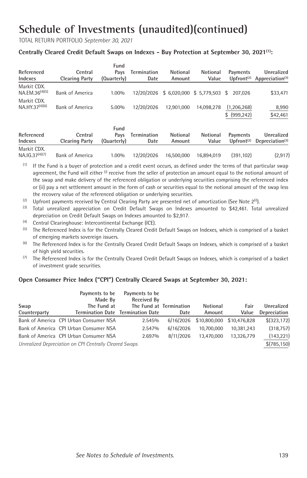TOTAL RETURN PORTFOLIO *September 30, 2021*

#### **Centrally Cleared Credit Default Swaps on Indexes - Buy Protection at September 30, 2021(1) :**

| Referenced<br>Indexes                     | Central<br><b>Clearing Party</b> | Fund<br>Pavs<br>(Quarterly) | Termination<br>Date        | Notional<br>Amount | Notional<br>Value         | Payments<br>Upfront <sup><math>(2)</math></sup> | Unrealized<br>Appreciation <sup>(3)</sup> |
|-------------------------------------------|----------------------------------|-----------------------------|----------------------------|--------------------|---------------------------|-------------------------------------------------|-------------------------------------------|
| Markit CDX.<br>$NA.EM.36^{(4)(5)}$        | Bank of America                  | 1.00%                       | 12/20/2026                 |                    | $$6,020,000$ $$5,779,503$ | \$.<br>207.026                                  | \$33,471                                  |
| Markit CDX.<br>$NA.HY.37^{(4)(6)}$        | <b>Bank of America</b>           | $5.00\%$                    | 12/20/2026                 | 12.901.000         | 14.098.278                | (1.206.268)<br>$$$ (999.242)                    | 8,990<br>\$42,461                         |
| Referenced<br>Indexes                     | Central<br><b>Clearing Party</b> | Fund<br>Pavs<br>(Quarterly) | <b>Termination</b><br>Date | Notional<br>Amount | Notional<br>Value         | Payments<br>Unfortunately of a                  | Unrealized<br>Depreciation <sup>(3)</sup> |
| Markit CDX.<br>NA.IG.37 <sup>(4)(7)</sup> | <b>Bank of America</b>           | 1.00%                       | 12/20/2026                 | 16.500.000         | 16.894.019                | (391.102)                                       | (2, 917)                                  |

 (1) If the Fund is a buyer of protection and a credit event occurs, as defined under the terms of that particular swap agreement, the Fund will either  $(i)$  receive from the seller of protection an amount equal to the notional amount of the swap and make delivery of the referenced obligation or underlying securities comprising the referenced index or (ii) pay a net settlement amount in the form of cash or securities equal to the notional amount of the swap less the recovery value of the referenced obligation or underlying securities.

 (2) Upfront payments received by Central Clearing Party are presented net of amortization (See Note 2<sup>(i)</sup>).

<sup>(3)</sup> Total unrealized appreciation on Credit Default Swaps on Indexes amounted to \$42,461. Total unrealized depreciation on Credit Default Swaps on Indexes amounted to \$2,917.

 (4) Central Clearinghouse: Intercontinental Exchange (ICE).

 (5) The Referenced Index is for the Centrally Cleared Credit Default Swaps on Indexes, which is comprised of a basket of emerging markets sovereign issuers.

 (6) The Referenced Index is for the Centrally Cleared Credit Default Swaps on Indexes, which is comprised of a basket of high yield securities.

 (7) The Referenced Index is for the Centrally Cleared Credit Default Swaps on Indexes, which is comprised of a basket of investment grade securities.

#### **Open Consumer Price Index ("CPI") Centrally Cleared Swaps at September 30, 2021:**

| Swap<br>Counterparty                                   | Payments to be<br>Made By<br>The Fund at<br><b>Termination Date Termination Date</b> | Payments to be<br><b>Received By</b> | The Fund at Termination<br>Date | Notional<br>Amount        | Fair<br>Value | Unrealized<br>Depreciation |  |
|--------------------------------------------------------|--------------------------------------------------------------------------------------|--------------------------------------|---------------------------------|---------------------------|---------------|----------------------------|--|
|                                                        | Bank of America CPI Urban Consumer NSA                                               | 2.545%                               | 6/16/2026                       | \$10,800,000 \$10,476,828 |               | \$(323, 172)               |  |
|                                                        | Bank of America CPI Urban Consumer NSA                                               | 2.547%                               | 6/16/2026                       | 10.700.000                | 10.381.243    | (318, 757)                 |  |
|                                                        | Bank of America CPI Urban Consumer NSA                                               | 2.697%                               | 8/11/2026                       | 13.470.000                | 13.326.779    | (143, 221)                 |  |
| Unrealized Depreciation on CPI Centrally Cleared Swaps |                                                                                      |                                      |                                 |                           |               |                            |  |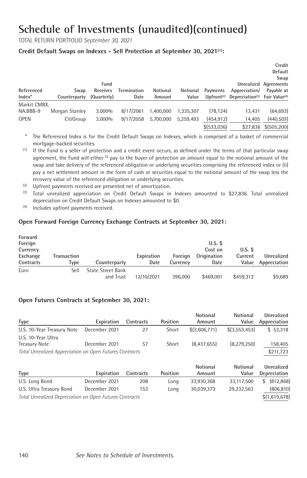TOTAL RETURN PORTFOLIO *September 30, 2021*

#### **Credit Default Swaps on Indexes - Sell Protection at September 30, 2021(1) :**

|              |                |             |                    |           |           |                        |                                                       | Credit<br>Default<br>Swap |
|--------------|----------------|-------------|--------------------|-----------|-----------|------------------------|-------------------------------------------------------|---------------------------|
|              |                | Fund        |                    |           |           |                        |                                                       | Unrealized Agreements     |
| Referenced   | Swap           | Receives    | <b>Termination</b> | Notional  | Notional  | Payments               | Appreciation/                                         | Payable at                |
| $Index^*$    | Counterparty   | (Quarterly) | Date               | Amount    | Value     | Upfront <sup>(2)</sup> | Depreciation <sup>(3)</sup> Fair Value <sup>(4)</sup> |                           |
| Markit CMBX. |                |             |                    |           |           |                        |                                                       |                           |
| NA.BBB-9     | Morgan Stanley | 3.000%      | 8/17/2061          | 1.400.000 | 1.335.307 | (78, 124)              | 13.431                                                | (64, 693)                 |
| <b>OPEN</b>  | CitiGroup      | 3.000%      | 9/17/2058          | 5.700.000 | 5.259.493 | (454, 912)             | 14.405                                                | (440, 507)                |
|              |                |             |                    |           |           | \$(533,036)            | \$27.836                                              | \$(505, 200)              |

- \* The Referenced Index is for the Credit Default Swaps on Indexes, which is comprised of a basket of commercial mortgage-backed securities.
- $(1)$  If the Fund is a seller of protection and a credit event occurs, as defined under the terms of that particular swap agreement, the Fund will either (i) pay to the buyer of protection an amount equal to the notional amount of the swap and take delivery of the referenced obligation or underlying securities comprising the referenced index or (ii) pay a net settlement amount in the form of cash or securities equal to the notional amount of the swap less the recovery value of the referenced obligation or underlying securities.
- (2) Upfront payments received are presented net of amortization.
- (3) Total unrealized appreciation on Credit Default Swaps in Indexes amounted to \$27,836. Total unrealized depreciation on Credit Default Swaps on Indexes amounted to \$0.
- (4) Includes upfront payments received.

#### **Open Forward Foreign Currency Exchange Contracts at September 30, 2021:**

| Forward<br>Foreign                |                     |                                       |                    |                     | $U.S.$ \$                      |                               |                            |
|-----------------------------------|---------------------|---------------------------------------|--------------------|---------------------|--------------------------------|-------------------------------|----------------------------|
| Currency<br>Exchange<br>Contracts | Transaction<br>Type | Counterparty                          | Expiration<br>Date | Foreian<br>Currency | Cost on<br>Origination<br>Date | $U.S.$ \$<br>Current<br>Value | Unrealized<br>Appreciation |
| Euro                              | Sell                | <b>State Street Bank</b><br>and Trust | 12/10/2021         | 396.000             | \$469.001                      | \$459.312                     | \$9,689                    |

#### **Open Futures Contracts at September 30, 2021:**

|                                                         |               |           |                 | <b>Notional</b> | <b>Notional</b> | Unrealized       |
|---------------------------------------------------------|---------------|-----------|-----------------|-----------------|-----------------|------------------|
| <b>Type</b>                                             | Expiration    | Contracts | <b>Position</b> | Amount          | Value           | Appreciation     |
| U.S. 10-Year Treasury Note                              | December 2021 | 27        | Short           | \$(3,606,771)   | \$(3,553,453)   | \$53,318         |
| U.S. 10-Year Ultra                                      |               |           |                 |                 |                 |                  |
| <b>Treasury Note</b>                                    | December 2021 | 57        | Short           | (8,437,655)     | (8,279,250)     | 158,405          |
| Total Unrealized Appreciation on Open Futures Contracts |               |           |                 |                 |                 | \$211,723        |
|                                                         |               |           |                 | <b>Notional</b> | <b>Notional</b> | Unrealized       |
| <b>Type</b>                                             | Expiration    | Contracts | Position        | Amount          | Value           | Depreciation     |
| U.S. Long Bond                                          | December 2021 | 208       | Long            | 33,930,368      | 33,117,500      | (812, 868)<br>\$ |
| U.S. Ultra Treasury Bond                                | December 2021 | 153       | Long            | 30,039,373      | 29,232,563      | (806, 810)       |
| Total Unrealized Depreciation on Open Futures Contracts |               |           |                 |                 |                 | \$(1,619,678)    |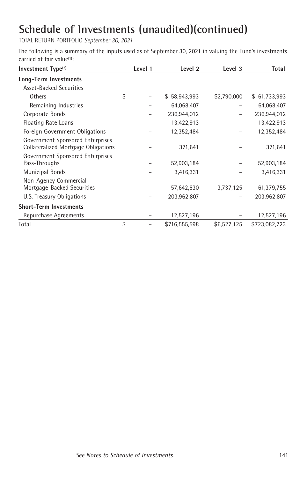TOTAL RETURN PORTFOLIO *September 30, 2021*

The following is a summary of the inputs used as of September 30, 2021 in valuing the Fund's investments carried at fair value<sup>(1)</sup>:

| Investment $Type(2)$                                                             | Level 1 | Level 2                   | Level 3     | <b>Total</b>              |
|----------------------------------------------------------------------------------|---------|---------------------------|-------------|---------------------------|
| Long-Term Investments                                                            |         |                           |             |                           |
| <b>Asset-Backed Securities</b>                                                   |         |                           |             |                           |
| Others                                                                           | \$      | \$58,943,993              | \$2,790,000 | 61,733,993<br>\$          |
| Remaining Industries                                                             |         | 64,068,407                |             | 64,068,407                |
| Corporate Bonds                                                                  |         | 236,944,012               | -           | 236,944,012               |
| Floating Rate Loans                                                              |         | 13,422,913                |             | 13,422,913                |
| Foreign Government Obligations                                                   |         | 12,352,484                |             | 12,352,484                |
| Government Sponsored Enterprises<br>Collateralized Mortgage Obligations          |         | 371,641                   |             | 371,641                   |
| Government Sponsored Enterprises<br>Pass-Throughs<br>Municipal Bonds             |         | 52,903,184<br>3,416,331   |             | 52,903,184<br>3,416,331   |
| Non-Agency Commercial<br>Mortgage-Backed Securities<br>U.S. Treasury Obligations |         | 57,642,630<br>203,962,807 | 3,737,125   | 61,379,755<br>203,962,807 |
| <b>Short-Term Investments</b>                                                    |         |                           |             |                           |
| Repurchase Agreements                                                            |         | 12,527,196                |             | 12,527,196                |
| Total                                                                            | \$      | \$716,555,598             | \$6,527,125 | \$723,082,723             |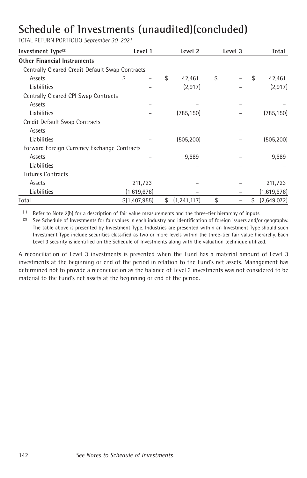TOTAL RETURN PORTFOLIO *September 30, 2021*

| Investment Type <sup>(2)</sup>                  | Level 1       | Level 2             | Level 3 | <b>Total</b>      |
|-------------------------------------------------|---------------|---------------------|---------|-------------------|
| <b>Other Financial Instruments</b>              |               |                     |         |                   |
| Centrally Cleared Credit Default Swap Contracts |               |                     |         |                   |
| Assets                                          | S             | \$<br>42,461        | \$      | \$<br>42,461      |
| Liabilities                                     |               | (2, 917)            |         | (2, 917)          |
| Centrally Cleared CPI Swap Contracts            |               |                     |         |                   |
| Assets                                          |               |                     |         |                   |
| Liabilities                                     |               | (785, 150)          |         | (785, 150)        |
| Credit Default Swap Contracts                   |               |                     |         |                   |
| Assets                                          |               |                     |         |                   |
| Liabilities                                     |               | (505, 200)          |         | (505, 200)        |
| Forward Foreign Currency Exchange Contracts     |               |                     |         |                   |
| Assets                                          |               | 9,689               |         | 9,689             |
| Liabilities                                     |               |                     |         |                   |
| <b>Futures Contracts</b>                        |               |                     |         |                   |
| Assets                                          | 211,723       |                     |         | 211,723           |
| Liabilities                                     | (1,619,678)   |                     |         | (1,619,678)       |
| Total                                           | \$(1,407,955) | \$<br>(1, 241, 117) | \$      | \$<br>(2,649,072) |

 $(1)$  Refer to Note 2(b) for a description of fair value measurements and the three-tier hierarchy of inputs.

<sup>(2)</sup> See Schedule of Investments for fair values in each industry and identification of foreign issuers and/or geography. The table above is presented by Investment Type. Industries are presented within an Investment Type should such Investment Type include securities classified as two or more levels within the three-tier fair value hierarchy. Each Level 3 security is identified on the Schedule of Investments along with the valuation technique utilized.

A reconciliation of Level 3 investments is presented when the Fund has a material amount of Level 3 investments at the beginning or end of the period in relation to the Fund's net assets. Management has determined not to provide a reconciliation as the balance of Level 3 investments was not considered to be material to the Fund's net assets at the beginning or end of the period.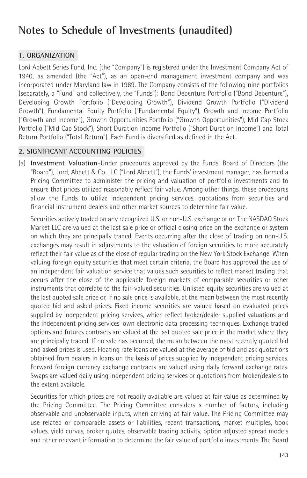#### **Notes to Schedule of Investments (unaudited)**

#### **1. ORGANIZATION**

Lord Abbett Series Fund, Inc. (the "Company") is registered under the Investment Company Act of 1940, as amended (the "Act"), as an open-end management investment company and was incorporated under Maryland law in 1989. The Company consists of the following nine portfolios (separately, a "Fund" and collectively, the "Funds"): Bond Debenture Portfolio ("Bond Debenture"), Developing Growth Portfolio ("Developing Growth"), Dividend Growth Portfolio ("Dividend Growth"), Fundamental Equity Portfolio ("Fundamental Equity"), Growth and Income Portfolio ("Growth and Income"), Growth Opportunities Portfolio ("Growth Opportunities"), Mid Cap Stock Portfolio ("Mid Cap Stock"), Short Duration Income Portfolio ("Short Duration Income") and Total Return Portfolio ("Total Return"). Each Fund is diversified as defined in the Act.

#### **2. SIGNIFICANT ACCOUNTING POLICIES**

(a) **Investment Valuation**–Under procedures approved by the Funds' Board of Directors (the "Board"), Lord, Abbett & Co. LLC ("Lord Abbett"), the Funds' investment manager, has formed a Pricing Committee to administer the pricing and valuation of portfolio investments and to ensure that prices utilized reasonably reflect fair value. Among other things, these procedures allow the Funds to utilize independent pricing services, quotations from securities and financial instrument dealers and other market sources to determine fair value.

Securities actively traded on any recognized U.S. or non-U.S. exchange or on The NASDAQ Stock Market LLC are valued at the last sale price or official closing price on the exchange or system on which they are principally traded. Events occurring after the close of trading on non-U.S. exchanges may result in adjustments to the valuation of foreign securities to more accurately reflect their fair value as of the close of regular trading on the New York Stock Exchange. When valuing foreign equity securities that meet certain criteria, the Board has approved the use of an independent fair valuation service that values such securities to reflect market trading that occurs after the close of the applicable foreign markets of comparable securities or other instruments that correlate to the fair-valued securities. Unlisted equity securities are valued at the last quoted sale price or, if no sale price is available, at the mean between the most recently quoted bid and asked prices. Fixed income securities are valued based on evaluated prices supplied by independent pricing services, which reflect broker/dealer supplied valuations and the independent pricing services' own electronic data processing techniques. Exchange traded options and futures contracts are valued at the last quoted sale price in the market where they are principally traded. If no sale has occurred, the mean between the most recently quoted bid and asked prices is used. Floating rate loans are valued at the average of bid and ask quotations obtained from dealers in loans on the basis of prices supplied by independent pricing services. Forward foreign currency exchange contracts are valued using daily forward exchange rates. Swaps are valued daily using independent pricing services or quotations from broker/dealers to the extent available.

Securities for which prices are not readily available are valued at fair value as determined by the Pricing Committee. The Pricing Committee considers a number of factors, including observable and unobservable inputs, when arriving at fair value. The Pricing Committee may use related or comparable assets or liabilities, recent transactions, market multiples, book values, yield curves, broker quotes, observable trading activity, option adjusted spread models and other relevant information to determine the fair value of portfolio investments. The Board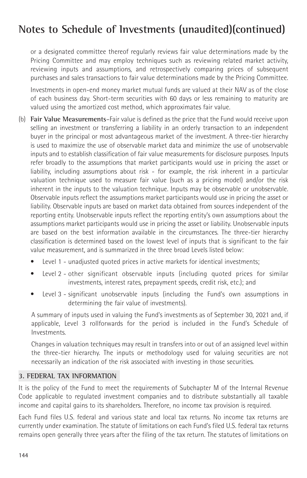## **Notes to Schedule of Investments (unaudited)(continued)**

or a designated committee thereof regularly reviews fair value determinations made by the Pricing Committee and may employ techniques such as reviewing related market activity, reviewing inputs and assumptions, and retrospectively comparing prices of subsequent purchases and sales transactions to fair value determinations made by the Pricing Committee.

Investments in open-end money market mutual funds are valued at their NAV as of the close of each business day. Short-term securities with 60 days or less remaining to maturity are valued using the amortized cost method, which approximates fair value.

- (b) **Fair Value Measurements**–Fair value is defined as the price that the Fund would receive upon selling an investment or transferring a liability in an orderly transaction to an independent buyer in the principal or most advantageous market of the investment. A three-tier hierarchy is used to maximize the use of observable market data and minimize the use of unobservable inputs and to establish classification of fair value measurements for disclosure purposes. Inputs refer broadly to the assumptions that market participants would use in pricing the asset or liability, including assumptions about risk - for example, the risk inherent in a particular valuation technique used to measure fair value (such as a pricing model) and/or the risk inherent in the inputs to the valuation technique. Inputs may be observable or unobservable. Observable inputs reflect the assumptions market participants would use in pricing the asset or liability. Observable inputs are based on market data obtained from sources independent of the reporting entity. Unobservable inputs reflect the reporting entity's own assumptions about the assumptions market participants would use in pricing the asset or liability. Unobservable inputs are based on the best information available in the circumstances. The three-tier hierarchy classification is determined based on the lowest level of inputs that is significant to the fair value measurement, and is summarized in the three broad Levels listed below:
	- Level 1 unadjusted quoted prices in active markets for identical investments;
	- Level 2 other significant observable inputs (including quoted prices for similar investments, interest rates, prepayment speeds, credit risk, etc.); and
	- Level 3 significant unobservable inputs (including the Fund's own assumptions in determining the fair value of investments).

A summary of inputs used in valuing the Fund's investments as of September 30, 2021 and, if applicable, Level 3 rollforwards for the period is included in the Fund's Schedule of Investments.

Changes in valuation techniques may result in transfers into or out of an assigned level within the three-tier hierarchy. The inputs or methodology used for valuing securities are not necessarily an indication of the risk associated with investing in those securities.

## **3. FEDERAL TAX INFORMATION**

It is the policy of the Fund to meet the requirements of Subchapter M of the Internal Revenue Code applicable to regulated investment companies and to distribute substantially all taxable income and capital gains to its shareholders. Therefore, no income tax provision is required.

Each Fund files U.S. federal and various state and local tax returns. No income tax returns are currently under examination. The statute of limitations on each Fund's filed U.S. federal tax returns remains open generally three years after the filing of the tax return. The statutes of limitations on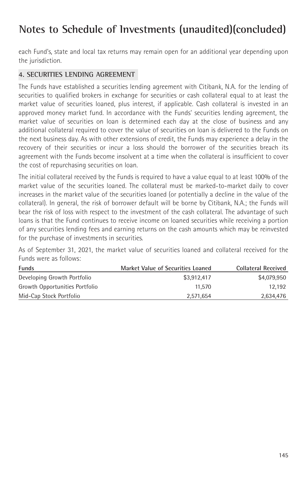## **Notes to Schedule of Investments (unaudited)(concluded)**

each Fund's, state and local tax returns may remain open for an additional year depending upon the jurisdiction.

## **4. SECURITIES LENDING AGREEMENT**

The Funds have established a securities lending agreement with Citibank, N.A. for the lending of securities to qualified brokers in exchange for securities or cash collateral equal to at least the market value of securities loaned, plus interest, if applicable. Cash collateral is invested in an approved money market fund. In accordance with the Funds' securities lending agreement, the market value of securities on loan is determined each day at the close of business and any additional collateral required to cover the value of securities on loan is delivered to the Funds on the next business day. As with other extensions of credit, the Funds may experience a delay in the recovery of their securities or incur a loss should the borrower of the securities breach its agreement with the Funds become insolvent at a time when the collateral is insufficient to cover the cost of repurchasing securities on loan.

The initial collateral received by the Funds is required to have a value equal to at least 100% of the market value of the securities loaned. The collateral must be marked-to-market daily to cover increases in the market value of the securities loaned (or potentially a decline in the value of the collateral). In general, the risk of borrower default will be borne by Citibank, N.A.; the Funds will bear the risk of loss with respect to the investment of the cash collateral. The advantage of such loans is that the Fund continues to receive income on loaned securities while receiving a portion of any securities lending fees and earning returns on the cash amounts which may be reinvested for the purchase of investments in securities.

As of September 31, 2021, the market value of securities loaned and collateral received for the Funds were as follows:

| <b>Funds</b>                   | <b>Market Value of Securities Loaned</b> | <b>Collateral Received</b> |
|--------------------------------|------------------------------------------|----------------------------|
| Developing Growth Portfolio    | \$3.912.417                              | \$4.079.950                |
| Growth Opportunities Portfolio | 11.570                                   | 12.192                     |
| Mid-Cap Stock Portfolio        | 2.571.654                                | 2,634,476                  |